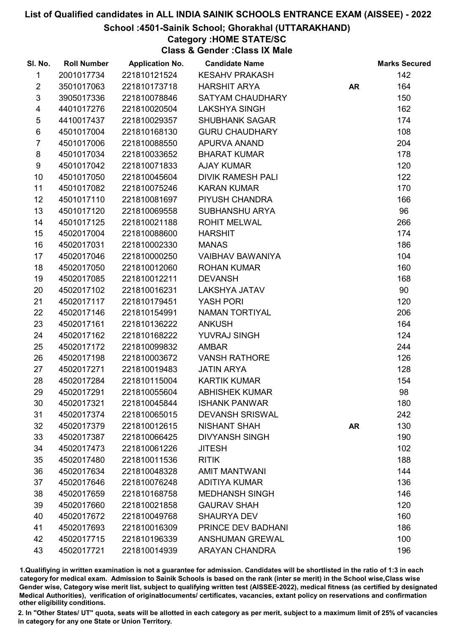#### School :4501-Sainik School; Ghorakhal (UTTARAKHAND)

### Category :HOME STATE/SC

Class & Gender :Class IX Male

| SI. No.                 | <b>Roll Number</b> | <b>Application No.</b> | <b>Candidate Name</b>    |           | <b>Marks Secured</b> |
|-------------------------|--------------------|------------------------|--------------------------|-----------|----------------------|
| $\mathbf{1}$            | 2001017734         | 221810121524           | <b>KESAHV PRAKASH</b>    |           | 142                  |
| $\overline{2}$          | 3501017063         | 221810173718           | <b>HARSHIT ARYA</b>      | <b>AR</b> | 164                  |
| $\mathfrak{S}$          | 3905017336         | 221810078846           | SATYAM CHAUDHARY         |           | 150                  |
| $\overline{\mathbf{4}}$ | 4401017276         | 221810020504           | <b>LAKSHYA SINGH</b>     |           | 162                  |
| $\,$ 5 $\,$             | 4410017437         | 221810029357           | <b>SHUBHANK SAGAR</b>    |           | 174                  |
| $\,6$                   | 4501017004         | 221810168130           | <b>GURU CHAUDHARY</b>    |           | 108                  |
| $\overline{7}$          | 4501017006         | 221810088550           | APURVA ANAND             |           | 204                  |
| 8                       | 4501017034         | 221810033652           | <b>BHARAT KUMAR</b>      |           | 178                  |
| 9                       | 4501017042         | 221810071833           | <b>AJAY KUMAR</b>        |           | 120                  |
| 10                      | 4501017050         | 221810045604           | <b>DIVIK RAMESH PALI</b> |           | 122                  |
| 11                      | 4501017082         | 221810075246           | <b>KARAN KUMAR</b>       |           | 170                  |
| 12 <sup>°</sup>         | 4501017110         | 221810081697           | PIYUSH CHANDRA           |           | 166                  |
| 13                      | 4501017120         | 221810069558           | <b>SUBHANSHU ARYA</b>    |           | 96                   |
| 14                      | 4501017125         | 221810021188           | <b>ROHIT MELWAL</b>      |           | 266                  |
| 15                      | 4502017004         | 221810088600           | <b>HARSHIT</b>           |           | 174                  |
| 16                      | 4502017031         | 221810002330           | <b>MANAS</b>             |           | 186                  |
| 17                      | 4502017046         | 221810000250           | <b>VAIBHAV BAWANIYA</b>  |           | 104                  |
| 18                      | 4502017050         | 221810012060           | <b>ROHAN KUMAR</b>       |           | 160                  |
| 19                      | 4502017085         | 221810012211           | <b>DEVANSH</b>           |           | 168                  |
| 20                      | 4502017102         | 221810016231           | LAKSHYA JATAV            |           | 90                   |
| 21                      | 4502017117         | 221810179451           | <b>YASH PORI</b>         |           | 120                  |
| 22                      | 4502017146         | 221810154991           | NAMAN TORTIYAL           |           | 206                  |
| 23                      | 4502017161         | 221810136222           | <b>ANKUSH</b>            |           | 164                  |
| 24                      | 4502017162         | 221810168222           | YUVRAJ SINGH             |           | 124                  |
| 25                      | 4502017172         | 221810099832           | AMBAR                    |           | 244                  |
| 26                      | 4502017198         | 221810003672           | <b>VANSH RATHORE</b>     |           | 126                  |
| 27                      | 4502017271         | 221810019483           | <b>JATIN ARYA</b>        |           | 128                  |
| 28                      | 4502017284         | 221810115004           | <b>KARTIK KUMAR</b>      |           | 154                  |
| 29                      | 4502017291         | 221810055604           | <b>ABHISHEK KUMAR</b>    |           | 98                   |
| 30                      | 4502017321         | 221810045844           | <b>ISHANK PANWAR</b>     |           | 180                  |
| 31                      | 4502017374         | 221810065015           | <b>DEVANSH SRISWAL</b>   |           | 242                  |
| 32                      | 4502017379         | 221810012615           | <b>NISHANT SHAH</b>      | <b>AR</b> | 130                  |
| 33                      | 4502017387         | 221810066425           | <b>DIVYANSH SINGH</b>    |           | 190                  |
| 34                      | 4502017473         | 221810061226           | <b>JITESH</b>            |           | 102                  |
| 35                      | 4502017480         | 221810011536           | <b>RITIK</b>             |           | 188                  |
| 36                      | 4502017634         | 221810048328           | <b>AMIT MANTWANI</b>     |           | 144                  |
| 37                      | 4502017646         | 221810076248           | <b>ADITIYA KUMAR</b>     |           | 136                  |
| 38                      | 4502017659         | 221810168758           | <b>MEDHANSH SINGH</b>    |           | 146                  |
| 39                      | 4502017660         | 221810021858           | <b>GAURAV SHAH</b>       |           | 120                  |
| 40                      | 4502017672         | 221810049768           | <b>SHAURYA DEV</b>       |           | 160                  |
| 41                      | 4502017693         | 221810016309           | PRINCE DEV BADHANI       |           | 186                  |
| 42                      | 4502017715         | 221810196339           | <b>ANSHUMAN GREWAL</b>   |           | 100                  |
| 43                      | 4502017721         | 221810014939           | <b>ARAYAN CHANDRA</b>    |           | 196                  |

1.Qualifiying in written examination is not a guarantee for admission. Candidates will be shortlisted in the ratio of 1:3 in each category for medical exam. Admission to Sainik Schools is based on the rank (inter se merit) in the School wise,Class wise Gender wise, Category wise merit list, subject to qualifying written test (AISSEE-2022), medical fitness (as certified by designated Medical Authorities), verification of originablocuments/ certificates, vacancies, extant policy on reservations and confirmation other eligibility conditions.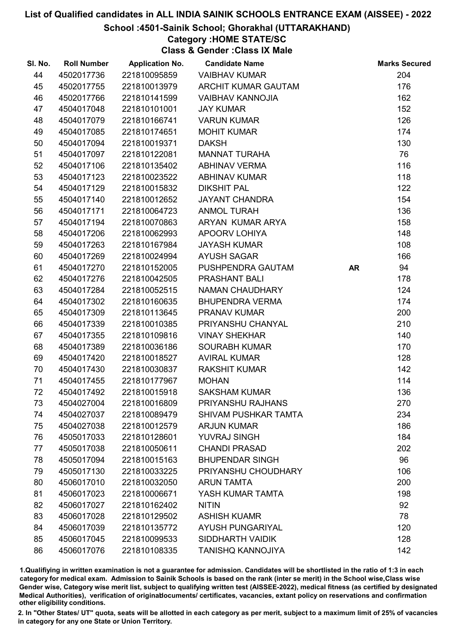#### School :4501-Sainik School; Ghorakhal (UTTARAKHAND)

# Category :HOME STATE/SC

Class & Gender :Class IX Male

| SI. No. | <b>Roll Number</b> | <b>Application No.</b> | <b>Candidate Name</b>       |           | <b>Marks Secured</b> |
|---------|--------------------|------------------------|-----------------------------|-----------|----------------------|
| 44      | 4502017736         | 221810095859           | <b>VAIBHAV KUMAR</b>        |           | 204                  |
| 45      | 4502017755         | 221810013979           | ARCHIT KUMAR GAUTAM         |           | 176                  |
| 46      | 4502017766         | 221810141599           | <b>VAIBHAV KANNOJIA</b>     |           | 162                  |
| 47      | 4504017048         | 221810101001           | <b>JAY KUMAR</b>            |           | 152                  |
| 48      | 4504017079         | 221810166741           | <b>VARUN KUMAR</b>          |           | 126                  |
| 49      | 4504017085         | 221810174651           | <b>MOHIT KUMAR</b>          |           | 174                  |
| 50      | 4504017094         | 221810019371           | <b>DAKSH</b>                |           | 130                  |
| 51      | 4504017097         | 221810122081           | <b>MANNAT TURAHA</b>        |           | 76                   |
| 52      | 4504017106         | 221810135402           | <b>ABHINAV VERMA</b>        |           | 116                  |
| 53      | 4504017123         | 221810023522           | <b>ABHINAV KUMAR</b>        |           | 118                  |
| 54      | 4504017129         | 221810015832           | <b>DIKSHIT PAL</b>          |           | 122                  |
| 55      | 4504017140         | 221810012652           | <b>JAYANT CHANDRA</b>       |           | 154                  |
| 56      | 4504017171         | 221810064723           | <b>ANMOL TURAH</b>          |           | 136                  |
| 57      | 4504017194         | 221810070863           | ARYAN KUMAR ARYA            |           | 158                  |
| 58      | 4504017206         | 221810062993           | APOORV LOHIYA               |           | 148                  |
| 59      | 4504017263         | 221810167984           | <b>JAYASH KUMAR</b>         |           | 108                  |
| 60      | 4504017269         | 221810024994           | <b>AYUSH SAGAR</b>          |           | 166                  |
| 61      | 4504017270         | 221810152005           | PUSHPENDRA GAUTAM           | <b>AR</b> | 94                   |
| 62      | 4504017276         | 221810042505           | <b>PRASHANT BALI</b>        |           | 178                  |
| 63      | 4504017284         | 221810052515           | NAMAN CHAUDHARY             |           | 124                  |
| 64      | 4504017302         | 221810160635           | <b>BHUPENDRA VERMA</b>      |           | 174                  |
| 65      | 4504017309         | 221810113645           | PRANAV KUMAR                |           | 200                  |
| 66      | 4504017339         | 221810010385           | PRIYANSHU CHANYAL           |           | 210                  |
| 67      | 4504017355         | 221810109816           | <b>VINAY SHEKHAR</b>        |           | 140                  |
| 68      | 4504017389         | 221810036186           | <b>SOURABH KUMAR</b>        |           | 170                  |
| 69      | 4504017420         | 221810018527           | <b>AVIRAL KUMAR</b>         |           | 128                  |
| 70      | 4504017430         | 221810030837           | <b>RAKSHIT KUMAR</b>        |           | 142                  |
| 71      | 4504017455         | 221810177967           | <b>MOHAN</b>                |           | 114                  |
| 72      | 4504017492         | 221810015918           | <b>SAKSHAM KUMAR</b>        |           | 136                  |
| 73      | 4504027004         | 221810016809           | PRIYANSHU RAJHANS           |           | 270                  |
| 74      | 4504027037         | 221810089479           | <b>SHIVAM PUSHKAR TAMTA</b> |           | 234                  |
| 75      | 4504027038         | 221810012579           | <b>ARJUN KUMAR</b>          |           | 186                  |
| 76      | 4505017033         | 221810128601           | <b>YUVRAJ SINGH</b>         |           | 184                  |
| 77      | 4505017038         | 221810050611           | <b>CHANDI PRASAD</b>        |           | 202                  |
| 78      | 4505017094         | 221810015163           | <b>BHUPENDAR SINGH</b>      |           | 96                   |
| 79      | 4505017130         | 221810033225           | PRIYANSHU CHOUDHARY         |           | 106                  |
| 80      | 4506017010         | 221810032050           | <b>ARUN TAMTA</b>           |           | 200                  |
| 81      | 4506017023         | 221810006671           | YASH KUMAR TAMTA            |           | 198                  |
| 82      | 4506017027         | 221810162402           | <b>NITIN</b>                |           | 92                   |
| 83      | 4506017028         | 221810129502           | <b>ASHISH KUAMR</b>         |           | 78                   |
| 84      | 4506017039         | 221810135772           | <b>AYUSH PUNGARIYAL</b>     |           | 120                  |
| 85      | 4506017045         | 221810099533           | <b>SIDDHARTH VAIDIK</b>     |           | 128                  |
| 86      | 4506017076         | 221810108335           | <b>TANISHQ KANNOJIYA</b>    |           | 142                  |

1.Qualifiying in written examination is not a guarantee for admission. Candidates will be shortlisted in the ratio of 1:3 in each category for medical exam. Admission to Sainik Schools is based on the rank (inter se merit) in the School wise,Class wise Gender wise, Category wise merit list, subject to qualifying written test (AISSEE-2022), medical fitness (as certified by designated Medical Authorities), verification of originablocuments/ certificates, vacancies, extant policy on reservations and confirmation other eligibility conditions.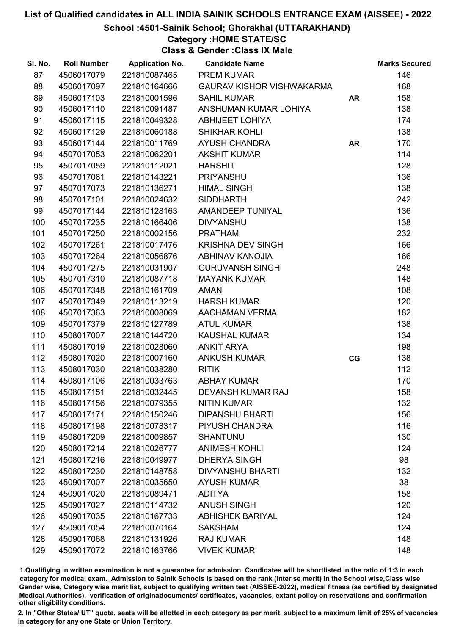School :4501-Sainik School; Ghorakhal (UTTARAKHAND)

# Category :HOME STATE/SC

Class & Gender :Class IX Male

| SI. No. | <b>Roll Number</b> | <b>Application No.</b> | <b>Candidate Name</b>            |           | <b>Marks Secured</b> |
|---------|--------------------|------------------------|----------------------------------|-----------|----------------------|
| 87      | 4506017079         | 221810087465           | <b>PREM KUMAR</b>                |           | 146                  |
| 88      | 4506017097         | 221810164666           | <b>GAURAV KISHOR VISHWAKARMA</b> |           | 168                  |
| 89      | 4506017103         | 221810001596           | <b>SAHIL KUMAR</b>               | <b>AR</b> | 158                  |
| 90      | 4506017110         | 221810091487           | ANSHUMAN KUMAR LOHIYA            |           | 138                  |
| 91      | 4506017115         | 221810049328           | <b>ABHIJEET LOHIYA</b>           |           | 174                  |
| 92      | 4506017129         | 221810060188           | <b>SHIKHAR KOHLI</b>             |           | 138                  |
| 93      | 4506017144         | 221810011769           | <b>AYUSH CHANDRA</b>             | <b>AR</b> | 170                  |
| 94      | 4507017053         | 221810062201           | <b>AKSHIT KUMAR</b>              |           | 114                  |
| 95      | 4507017059         | 221810112021           | <b>HARSHIT</b>                   |           | 128                  |
| 96      | 4507017061         | 221810143221           | <b>PRIYANSHU</b>                 |           | 136                  |
| 97      | 4507017073         | 221810136271           | <b>HIMAL SINGH</b>               |           | 138                  |
| 98      | 4507017101         | 221810024632           | <b>SIDDHARTH</b>                 |           | 242                  |
| 99      | 4507017144         | 221810128163           | AMANDEEP TUNIYAL                 |           | 136                  |
| 100     | 4507017235         | 221810166406           | <b>DIVYANSHU</b>                 |           | 138                  |
| 101     | 4507017250         | 221810002156           | <b>PRATHAM</b>                   |           | 232                  |
| 102     | 4507017261         | 221810017476           | <b>KRISHNA DEV SINGH</b>         |           | 166                  |
| 103     | 4507017264         | 221810056876           | <b>ABHINAV KANOJIA</b>           |           | 166                  |
| 104     | 4507017275         | 221810031907           | <b>GURUVANSH SINGH</b>           |           | 248                  |
| 105     | 4507017310         | 221810087718           | <b>MAYANK KUMAR</b>              |           | 148                  |
| 106     | 4507017348         | 221810161709           | <b>AMAN</b>                      |           | 108                  |
| 107     | 4507017349         | 221810113219           | <b>HARSH KUMAR</b>               |           | 120                  |
| 108     | 4507017363         | 221810008069           | <b>AACHAMAN VERMA</b>            |           | 182                  |
| 109     | 4507017379         | 221810127789           | <b>ATUL KUMAR</b>                |           | 138                  |
| 110     | 4508017007         | 221810144720           | <b>KAUSHAL KUMAR</b>             |           | 134                  |
| 111     | 4508017019         | 221810028060           | <b>ANKIT ARYA</b>                |           | 198                  |
| 112     | 4508017020         | 221810007160           | <b>ANKUSH KUMAR</b>              | CG        | 138                  |
| 113     | 4508017030         | 221810038280           | <b>RITIK</b>                     |           | 112                  |
| 114     | 4508017106         | 221810033763           | <b>ABHAY KUMAR</b>               |           | 170                  |
| 115     | 4508017151         | 221810032445           | <b>DEVANSH KUMAR RAJ</b>         |           | 158                  |
| 116     | 4508017156         | 221810079355           | <b>NITIN KUMAR</b>               |           | 132                  |
| 117     | 4508017171         | 221810150246           | <b>DIPANSHU BHARTI</b>           |           | 156                  |
| 118     | 4508017198         | 221810078317           | PIYUSH CHANDRA                   |           | 116                  |
| 119     | 4508017209         | 221810009857           | <b>SHANTUNU</b>                  |           | 130                  |
| 120     | 4508017214         | 221810026777           | <b>ANIMESH KOHLI</b>             |           | 124                  |
| 121     | 4508017216         | 221810049977           | <b>DHERYA SINGH</b>              |           | 98                   |
| 122     | 4508017230         | 221810148758           | <b>DIVYANSHU BHARTI</b>          |           | 132                  |
| 123     | 4509017007         | 221810035650           | <b>AYUSH KUMAR</b>               |           | 38                   |
| 124     | 4509017020         | 221810089471           | <b>ADITYA</b>                    |           | 158                  |
| 125     | 4509017027         | 221810114732           | <b>ANUSH SINGH</b>               |           | 120                  |
| 126     | 4509017035         | 221810167733           | <b>ABHISHEK BARIYAL</b>          |           | 124                  |
| 127     | 4509017054         | 221810070164           | <b>SAKSHAM</b>                   |           | 124                  |
| 128     | 4509017068         | 221810131926           | <b>RAJ KUMAR</b>                 |           | 148                  |
| 129     | 4509017072         | 221810163766           | <b>VIVEK KUMAR</b>               |           | 148                  |

1.Qualifiying in written examination is not a guarantee for admission. Candidates will be shortlisted in the ratio of 1:3 in each category for medical exam. Admission to Sainik Schools is based on the rank (inter se merit) in the School wise,Class wise Gender wise, Category wise merit list, subject to qualifying written test (AISSEE-2022), medical fitness (as certified by designated Medical Authorities), verification of originablocuments/ certificates, vacancies, extant policy on reservations and confirmation other eligibility conditions.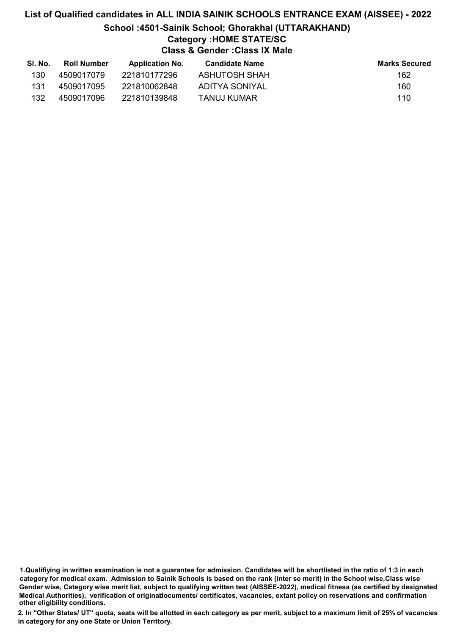### List of Qualified candidates in ALL INDIA SAINIK SCHOOLS ENTRANCE EXAM (AISSEE) - 2022 School :4501-Sainik School; Ghorakhal (UTTARAKHAND) Category :HOME STATE/SC Class & Gender :Class IX Male

| SI. No. | <b>Roll Number</b> | <b>Application No.</b> | Candidate Name | <b>Marks Secured</b> |
|---------|--------------------|------------------------|----------------|----------------------|
| 130     | 4509017079         | 221810177296           | ASHUTOSH SHAH  | 162                  |
| 131     | 4509017095         | 221810062848           | ADITYA SONIYAL | 160                  |
| 132     | 4509017096         | 221810139848           | TANUJ KUMAR    | 110                  |

1.Qualifiying in written examination is not a guarantee for admission. Candidates will be shortlisted in the ratio of 1:3 in each category for medical exam. Admission to Sainik Schools is based on the rank (inter se merit) in the School wise,Class wise Gender wise, Category wise merit list, subject to qualifying written test (AISSEE-2022), medical fitness (as certified by designated Medical Authorities), verification of originablocuments/ certificates, vacancies, extant policy on reservations and confirmation other eligibility conditions.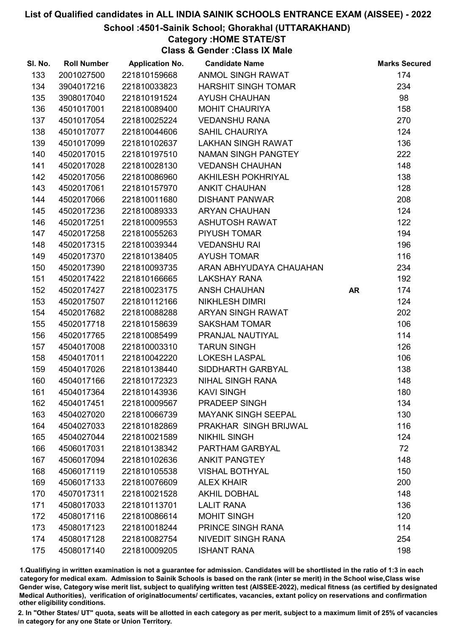#### School :4501-Sainik School; Ghorakhal (UTTARAKHAND)

## Category :HOME STATE/ST

Class & Gender :Class IX Male

| SI. No. | <b>Roll Number</b> | <b>Application No.</b> | <b>Candidate Name</b>      |    | <b>Marks Secured</b> |
|---------|--------------------|------------------------|----------------------------|----|----------------------|
| 133     | 2001027500         | 221810159668           | ANMOL SINGH RAWAT          |    | 174                  |
| 134     | 3904017216         | 221810033823           | <b>HARSHIT SINGH TOMAR</b> |    | 234                  |
| 135     | 3908017040         | 221810191524           | <b>AYUSH CHAUHAN</b>       |    | 98                   |
| 136     | 4501017001         | 221810089400           | <b>MOHIT CHAURIYA</b>      |    | 158                  |
| 137     | 4501017054         | 221810025224           | <b>VEDANSHU RANA</b>       |    | 270                  |
| 138     | 4501017077         | 221810044606           | <b>SAHIL CHAURIYA</b>      |    | 124                  |
| 139     | 4501017099         | 221810102637           | <b>LAKHAN SINGH RAWAT</b>  |    | 136                  |
| 140     | 4502017015         | 221810197510           | NAMAN SINGH PANGTEY        |    | 222                  |
| 141     | 4502017028         | 221810028130           | <b>VEDANSH CHAUHAN</b>     |    | 148                  |
| 142     | 4502017056         | 221810086960           | AKHILESH POKHRIYAL         |    | 138                  |
| 143     | 4502017061         | 221810157970           | <b>ANKIT CHAUHAN</b>       |    | 128                  |
| 144     | 4502017066         | 221810011680           | <b>DISHANT PANWAR</b>      |    | 208                  |
| 145     | 4502017236         | 221810089333           | <b>ARYAN CHAUHAN</b>       |    | 124                  |
| 146     | 4502017251         | 221810009553           | <b>ASHUTOSH RAWAT</b>      |    | 122                  |
| 147     | 4502017258         | 221810055263           | PIYUSH TOMAR               |    | 194                  |
| 148     | 4502017315         | 221810039344           | <b>VEDANSHU RAI</b>        |    | 196                  |
| 149     | 4502017370         | 221810138405           | <b>AYUSH TOMAR</b>         |    | 116                  |
| 150     | 4502017390         | 221810093735           | ARAN ABHYUDAYA CHAUAHAN    |    | 234                  |
| 151     | 4502017422         | 221810166665           | <b>LAKSHAY RANA</b>        |    | 192                  |
| 152     | 4502017427         | 221810023175           | ANSH CHAUHAN               | AR | 174                  |
| 153     | 4502017507         | 221810112166           | <b>NIKHLESH DIMRI</b>      |    | 124                  |
| 154     | 4502017682         | 221810088288           | ARYAN SINGH RAWAT          |    | 202                  |
| 155     | 4502017718         | 221810158639           | <b>SAKSHAM TOMAR</b>       |    | 106                  |
| 156     | 4502017765         | 221810085499           | PRANJAL NAUTIYAL           |    | 114                  |
| 157     | 4504017008         | 221810003310           | <b>TARUN SINGH</b>         |    | 126                  |
| 158     | 4504017011         | 221810042220           | <b>LOKESH LASPAL</b>       |    | 106                  |
| 159     | 4504017026         | 221810138440           | SIDDHARTH GARBYAL          |    | 138                  |
| 160     | 4504017166         | 221810172323           | <b>NIHAL SINGH RANA</b>    |    | 148                  |
| 161     | 4504017364         | 221810143936           | <b>KAVI SINGH</b>          |    | 180                  |
| 162     | 4504017451         | 221810009567           | PRADEEP SINGH              |    | 134                  |
| 163     | 4504027020         | 221810066739           | <b>MAYANK SINGH SEEPAL</b> |    | 130                  |
| 164     | 4504027033         | 221810182869           | PRAKHAR SINGH BRIJWAL      |    | 116                  |
| 165     | 4504027044         | 221810021589           | <b>NIKHIL SINGH</b>        |    | 124                  |
| 166     | 4506017031         | 221810138342           | PARTHAM GARBYAL            |    | 72                   |
| 167     | 4506017094         | 221810102636           | <b>ANKIT PANGTEY</b>       |    | 148                  |
| 168     | 4506017119         | 221810105538           | <b>VISHAL BOTHYAL</b>      |    | 150                  |
| 169     | 4506017133         | 221810076609           | <b>ALEX KHAIR</b>          |    | 200                  |
| 170     | 4507017311         | 221810021528           | <b>AKHIL DOBHAL</b>        |    | 148                  |
| 171     | 4508017033         | 221810113701           | <b>LALIT RANA</b>          |    | 136                  |
| 172     | 4508017116         | 221810086614           | <b>MOHIT SINGH</b>         |    | 120                  |
| 173     | 4508017123         | 221810018244           | PRINCE SINGH RANA          |    | 114                  |
| 174     | 4508017128         | 221810082754           | <b>NIVEDIT SINGH RANA</b>  |    | 254                  |
| 175     | 4508017140         | 221810009205           | <b>ISHANT RANA</b>         |    | 198                  |

1.Qualifiying in written examination is not a guarantee for admission. Candidates will be shortlisted in the ratio of 1:3 in each category for medical exam. Admission to Sainik Schools is based on the rank (inter se merit) in the School wise,Class wise Gender wise, Category wise merit list, subject to qualifying written test (AISSEE-2022), medical fitness (as certified by designated Medical Authorities), verification of originablocuments/ certificates, vacancies, extant policy on reservations and confirmation other eligibility conditions.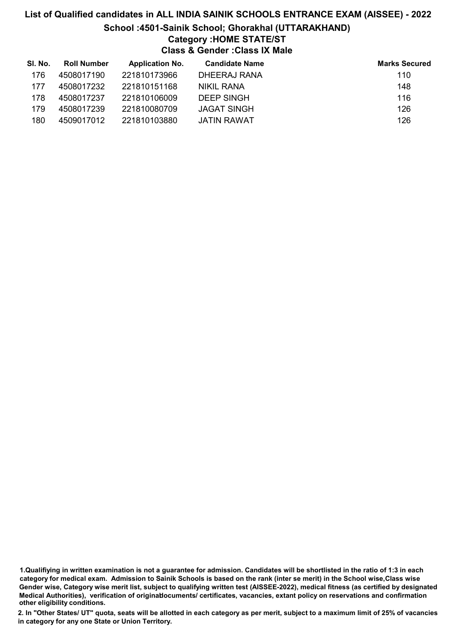### List of Qualified candidates in ALL INDIA SAINIK SCHOOLS ENTRANCE EXAM (AISSEE) - 2022 School :4501-Sainik School; Ghorakhal (UTTARAKHAND) Category :HOME STATE/ST Class & Gender :Class IX Male

| SI. No. | <b>Roll Number</b> | <b>Application No.</b> | <b>Candidate Name</b> | <b>Marks Secured</b> |
|---------|--------------------|------------------------|-----------------------|----------------------|
| 176     | 4508017190         | 221810173966           | DHEERAJ RANA          | 110                  |
| 177     | 4508017232         | 221810151168           | NIKIL RANA            | 148                  |
| 178     | 4508017237         | 221810106009           | DEEP SINGH            | 116                  |
| 179     | 4508017239         | 221810080709           | <b>JAGAT SINGH</b>    | 126                  |
| 180     | 4509017012         | 221810103880           | JATIN RAWAT           | 126                  |

<sup>1.</sup>Qualifiying in written examination is not a guarantee for admission. Candidates will be shortlisted in the ratio of 1:3 in each category for medical exam. Admission to Sainik Schools is based on the rank (inter se merit) in the School wise,Class wise Gender wise, Category wise merit list, subject to qualifying written test (AISSEE-2022), medical fitness (as certified by designated Medical Authorities), verification of originablocuments/ certificates, vacancies, extant policy on reservations and confirmation other eligibility conditions.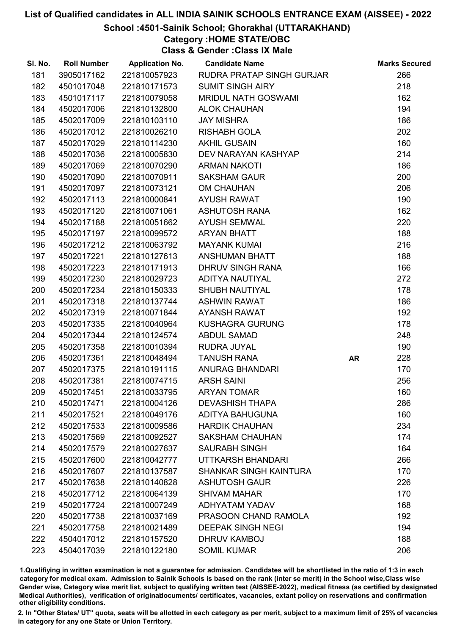School :4501-Sainik School; Ghorakhal (UTTARAKHAND)

### Category :HOME STATE/OBC

Class & Gender :Class IX Male

| SI. No. | <b>Roll Number</b> | <b>Application No.</b> | <b>Candidate Name</b>         |           | <b>Marks Secured</b> |
|---------|--------------------|------------------------|-------------------------------|-----------|----------------------|
| 181     | 3905017162         | 221810057923           | RUDRA PRATAP SINGH GURJAR     |           | 266                  |
| 182     | 4501017048         | 221810171573           | <b>SUMIT SINGH AIRY</b>       |           | 218                  |
| 183     | 4501017117         | 221810079058           | <b>MRIDUL NATH GOSWAMI</b>    |           | 162                  |
| 184     | 4502017006         | 221810132800           | <b>ALOK CHAUHAN</b>           |           | 194                  |
| 185     | 4502017009         | 221810103110           | <b>JAY MISHRA</b>             |           | 186                  |
| 186     | 4502017012         | 221810026210           | <b>RISHABH GOLA</b>           |           | 202                  |
| 187     | 4502017029         | 221810114230           | <b>AKHIL GUSAIN</b>           |           | 160                  |
| 188     | 4502017036         | 221810005830           | DEV NARAYAN KASHYAP           |           | 214                  |
| 189     | 4502017069         | 221810070290           | <b>ARMAN NAKOTI</b>           |           | 186                  |
| 190     | 4502017090         | 221810070911           | <b>SAKSHAM GAUR</b>           |           | 200                  |
| 191     | 4502017097         | 221810073121           | <b>OM CHAUHAN</b>             |           | 206                  |
| 192     | 4502017113         | 221810000841           | <b>AYUSH RAWAT</b>            |           | 190                  |
| 193     | 4502017120         | 221810071061           | <b>ASHUTOSH RANA</b>          |           | 162                  |
| 194     | 4502017188         | 221810051662           | <b>AYUSH SEMWAL</b>           |           | 220                  |
| 195     | 4502017197         | 221810099572           | <b>ARYAN BHATT</b>            |           | 188                  |
| 196     | 4502017212         | 221810063792           | <b>MAYANK KUMAI</b>           |           | 216                  |
| 197     | 4502017221         | 221810127613           | <b>ANSHUMAN BHATT</b>         |           | 188                  |
| 198     | 4502017223         | 221810171913           | DHRUV SINGH RANA              |           | 166                  |
| 199     | 4502017230         | 221810029723           | ADITYA NAUTIYAL               |           | 272                  |
| 200     | 4502017234         | 221810150333           | <b>SHUBH NAUTIYAL</b>         |           | 178                  |
| 201     | 4502017318         | 221810137744           | <b>ASHWIN RAWAT</b>           |           | 186                  |
| 202     | 4502017319         | 221810071844           | <b>AYANSH RAWAT</b>           |           | 192                  |
| 203     | 4502017335         | 221810040964           | <b>KUSHAGRA GURUNG</b>        |           | 178                  |
| 204     | 4502017344         | 221810124574           | <b>ABDUL SAMAD</b>            |           | 248                  |
| 205     | 4502017358         | 221810010394           | RUDRA JUYAL                   |           | 190                  |
| 206     | 4502017361         | 221810048494           | <b>TANUSH RANA</b>            | <b>AR</b> | 228                  |
| 207     | 4502017375         | 221810191115           | <b>ANURAG BHANDARI</b>        |           | 170                  |
| 208     | 4502017381         | 221810074715           | <b>ARSH SAINI</b>             |           | 256                  |
| 209     | 4502017451         | 221810033795           | <b>ARYAN TOMAR</b>            |           | 160                  |
| 210     | 4502017471         | 221810004126           | <b>DEVASHISH THAPA</b>        |           | 286                  |
| 211     | 4502017521         | 221810049176           | <b>ADITYA BAHUGUNA</b>        |           | 160                  |
| 212     | 4502017533         | 221810009586           | <b>HARDIK CHAUHAN</b>         |           | 234                  |
| 213     | 4502017569         | 221810092527           | <b>SAKSHAM CHAUHAN</b>        |           | 174                  |
| 214     | 4502017579         | 221810027637           | <b>SAURABH SINGH</b>          |           | 164                  |
| 215     | 4502017600         | 221810042777           | UTTKARSH BHANDARI             |           | 266                  |
| 216     | 4502017607         | 221810137587           | <b>SHANKAR SINGH KAINTURA</b> |           | 170                  |
| 217     | 4502017638         | 221810140828           | <b>ASHUTOSH GAUR</b>          |           | 226                  |
| 218     | 4502017712         | 221810064139           | <b>SHIVAM MAHAR</b>           |           | 170                  |
| 219     | 4502017724         | 221810007249           | ADHYATAM YADAV                |           | 168                  |
| 220     | 4502017738         | 221810037169           | PRASOON CHAND RAMOLA          |           | 192                  |
| 221     | 4502017758         | 221810021489           | <b>DEEPAK SINGH NEGI</b>      |           | 194                  |
| 222     | 4504017012         | 221810157520           | <b>DHRUV KAMBOJ</b>           |           | 188                  |
| 223     | 4504017039         | 221810122180           | <b>SOMIL KUMAR</b>            |           | 206                  |

1.Qualifiying in written examination is not a guarantee for admission. Candidates will be shortlisted in the ratio of 1:3 in each category for medical exam. Admission to Sainik Schools is based on the rank (inter se merit) in the School wise,Class wise Gender wise, Category wise merit list, subject to qualifying written test (AISSEE-2022), medical fitness (as certified by designated Medical Authorities), verification of originablocuments/ certificates, vacancies, extant policy on reservations and confirmation other eligibility conditions.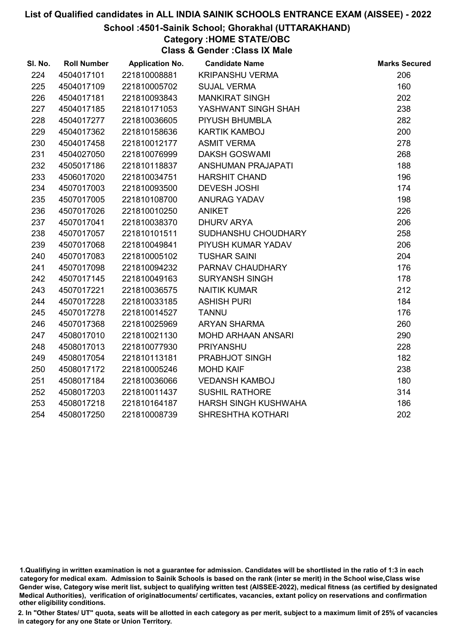#### School :4501-Sainik School; Ghorakhal (UTTARAKHAND)

## Category :HOME STATE/OBC

Class & Gender :Class IX Male

| SI. No. | <b>Roll Number</b> | <b>Application No.</b> | <b>Candidate Name</b>     | <b>Marks Secured</b> |
|---------|--------------------|------------------------|---------------------------|----------------------|
| 224     | 4504017101         | 221810008881           | <b>KRIPANSHU VERMA</b>    | 206                  |
| 225     | 4504017109         | 221810005702           | <b>SUJAL VERMA</b>        | 160                  |
| 226     | 4504017181         | 221810093843           | <b>MANKIRAT SINGH</b>     | 202                  |
| 227     | 4504017185         | 221810171053           | YASHWANT SINGH SHAH       | 238                  |
| 228     | 4504017277         | 221810036605           | PIYUSH BHUMBLA            | 282                  |
| 229     | 4504017362         | 221810158636           | <b>KARTIK KAMBOJ</b>      | 200                  |
| 230     | 4504017458         | 221810012177           | <b>ASMIT VERMA</b>        | 278                  |
| 231     | 4504027050         | 221810076999           | <b>DAKSH GOSWAMI</b>      | 268                  |
| 232     | 4505017186         | 221810118837           | ANSHUMAN PRAJAPATI        | 188                  |
| 233     | 4506017020         | 221810034751           | <b>HARSHIT CHAND</b>      | 196                  |
| 234     | 4507017003         | 221810093500           | <b>DEVESH JOSHI</b>       | 174                  |
| 235     | 4507017005         | 221810108700           | <b>ANURAG YADAV</b>       | 198                  |
| 236     | 4507017026         | 221810010250           | <b>ANIKET</b>             | 226                  |
| 237     | 4507017041         | 221810038370           | <b>DHURV ARYA</b>         | 206                  |
| 238     | 4507017057         | 221810101511           | SUDHANSHU CHOUDHARY       | 258                  |
| 239     | 4507017068         | 221810049841           | PIYUSH KUMAR YADAV        | 206                  |
| 240     | 4507017083         | 221810005102           | <b>TUSHAR SAINI</b>       | 204                  |
| 241     | 4507017098         | 221810094232           | PARNAV CHAUDHARY          | 176                  |
| 242     | 4507017145         | 221810049163           | <b>SURYANSH SINGH</b>     | 178                  |
| 243     | 4507017221         | 221810036575           | <b>NAITIK KUMAR</b>       | 212                  |
| 244     | 4507017228         | 221810033185           | <b>ASHISH PURI</b>        | 184                  |
| 245     | 4507017278         | 221810014527           | <b>TANNU</b>              | 176                  |
| 246     | 4507017368         | 221810025969           | <b>ARYAN SHARMA</b>       | 260                  |
| 247     | 4508017010         | 221810021130           | <b>MOHD ARHAAN ANSARI</b> | 290                  |
| 248     | 4508017013         | 221810077930           | <b>PRIYANSHU</b>          | 228                  |
| 249     | 4508017054         | 221810113181           | PRABHJOT SINGH            | 182                  |
| 250     | 4508017172         | 221810005246           | <b>MOHD KAIF</b>          | 238                  |
| 251     | 4508017184         | 221810036066           | <b>VEDANSH KAMBOJ</b>     | 180                  |
| 252     | 4508017203         | 221810011437           | <b>SUSHIL RATHORE</b>     | 314                  |
| 253     | 4508017218         | 221810164187           | HARSH SINGH KUSHWAHA      | 186                  |
| 254     | 4508017250         | 221810008739           | SHRESHTHA KOTHARI         | 202                  |
|         |                    |                        |                           |                      |

<sup>1.</sup>Qualifiying in written examination is not a guarantee for admission. Candidates will be shortlisted in the ratio of 1:3 in each category for medical exam. Admission to Sainik Schools is based on the rank (inter se merit) in the School wise,Class wise Gender wise, Category wise merit list, subject to qualifying written test (AISSEE-2022), medical fitness (as certified by designated Medical Authorities), verification of originablocuments/ certificates, vacancies, extant policy on reservations and confirmation other eligibility conditions.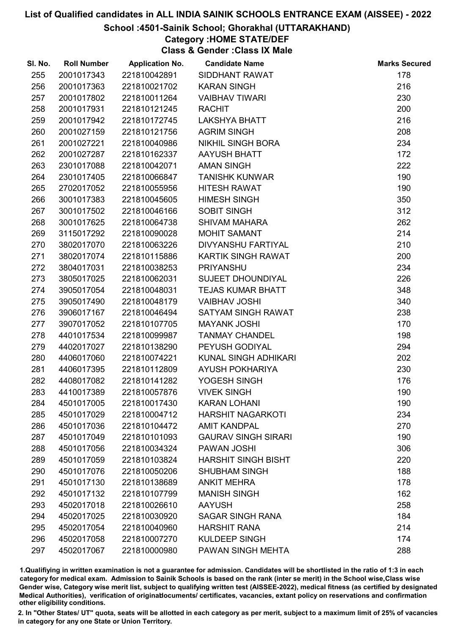#### School :4501-Sainik School; Ghorakhal (UTTARAKHAND)

### Category :HOME STATE/DEF

Class & Gender :Class IX Male

| SI. No. | <b>Roll Number</b> | <b>Application No.</b> | <b>Candidate Name</b>      | <b>Marks Secured</b> |
|---------|--------------------|------------------------|----------------------------|----------------------|
| 255     | 2001017343         | 221810042891           | SIDDHANT RAWAT             | 178                  |
| 256     | 2001017363         | 221810021702           | <b>KARAN SINGH</b>         | 216                  |
| 257     | 2001017802         | 221810011264           | <b>VAIBHAV TIWARI</b>      | 230                  |
| 258     | 2001017931         | 221810121245           | <b>RACHIT</b>              | 200                  |
| 259     | 2001017942         | 221810172745           | <b>LAKSHYA BHATT</b>       | 216                  |
| 260     | 2001027159         | 221810121756           | <b>AGRIM SINGH</b>         | 208                  |
| 261     | 2001027221         | 221810040986           | <b>NIKHIL SINGH BORA</b>   | 234                  |
| 262     | 2001027287         | 221810162337           | <b>AAYUSH BHATT</b>        | 172                  |
| 263     | 2301017088         | 221810042071           | <b>AMAN SINGH</b>          | 222                  |
| 264     | 2301017405         | 221810066847           | <b>TANISHK KUNWAR</b>      | 190                  |
| 265     | 2702017052         | 221810055956           | <b>HITESH RAWAT</b>        | 190                  |
| 266     | 3001017383         | 221810045605           | <b>HIMESH SINGH</b>        | 350                  |
| 267     | 3001017502         | 221810046166           | <b>SOBIT SINGH</b>         | 312                  |
| 268     | 3001017625         | 221810064738           | <b>SHIVAM MAHARA</b>       | 262                  |
| 269     | 3115017292         | 221810090028           | <b>MOHIT SAMANT</b>        | 214                  |
| 270     | 3802017070         | 221810063226           | DIVYANSHU FARTIYAL         | 210                  |
| 271     | 3802017074         | 221810115886           | KARTIK SINGH RAWAT         | 200                  |
| 272     | 3804017031         | 221810038253           | <b>PRIYANSHU</b>           | 234                  |
| 273     | 3805017025         | 221810062031           | SUJEET DHOUNDIYAL          | 226                  |
| 274     | 3905017054         | 221810048031           | <b>TEJAS KUMAR BHATT</b>   | 348                  |
| 275     | 3905017490         | 221810048179           | <b>VAIBHAV JOSHI</b>       | 340                  |
| 276     | 3906017167         | 221810046494           | <b>SATYAM SINGH RAWAT</b>  | 238                  |
| 277     | 3907017052         | 221810107705           | <b>MAYANK JOSHI</b>        | 170                  |
| 278     | 4401017534         | 221810099987           | <b>TANMAY CHANDEL</b>      | 198                  |
| 279     | 4402017027         | 221810138290           | PEYUSH GODIYAL             | 294                  |
| 280     | 4406017060         | 221810074221           | KUNAL SINGH ADHIKARI       | 202                  |
| 281     | 4406017395         | 221810112809           | <b>AYUSH POKHARIYA</b>     | 230                  |
| 282     | 4408017082         | 221810141282           | YOGESH SINGH               | 176                  |
| 283     | 4410017389         | 221810057876           | <b>VIVEK SINGH</b>         | 190                  |
| 284     | 4501017005         | 221810017430           | <b>KARAN LOHANI</b>        | 190                  |
| 285     | 4501017029         | 221810004712           | <b>HARSHIT NAGARKOTI</b>   | 234                  |
| 286     | 4501017036         | 221810104472           | <b>AMIT KANDPAL</b>        | 270                  |
| 287     | 4501017049         | 221810101093           | <b>GAURAV SINGH SIRARI</b> | 190                  |
| 288     | 4501017056         | 221810034324           | PAWAN JOSHI                | 306                  |
| 289     | 4501017059         | 221810103824           | <b>HARSHIT SINGH BISHT</b> | 220                  |
| 290     | 4501017076         | 221810050206           | <b>SHUBHAM SINGH</b>       | 188                  |
| 291     | 4501017130         | 221810138689           | <b>ANKIT MEHRA</b>         | 178                  |
| 292     | 4501017132         | 221810107799           | <b>MANISH SINGH</b>        | 162                  |
| 293     | 4502017018         | 221810026610           | <b>AAYUSH</b>              | 258                  |
| 294     | 4502017025         | 221810030920           | <b>SAGAR SINGH RANA</b>    | 184                  |
| 295     | 4502017054         | 221810040960           | <b>HARSHIT RANA</b>        | 214                  |
| 296     | 4502017058         | 221810007270           | KULDEEP SINGH              | 174                  |
| 297     | 4502017067         | 221810000980           | PAWAN SINGH MEHTA          | 288                  |

1.Qualifiying in written examination is not a guarantee for admission. Candidates will be shortlisted in the ratio of 1:3 in each category for medical exam. Admission to Sainik Schools is based on the rank (inter se merit) in the School wise,Class wise Gender wise, Category wise merit list, subject to qualifying written test (AISSEE-2022), medical fitness (as certified by designated Medical Authorities), verification of originablocuments/ certificates, vacancies, extant policy on reservations and confirmation other eligibility conditions.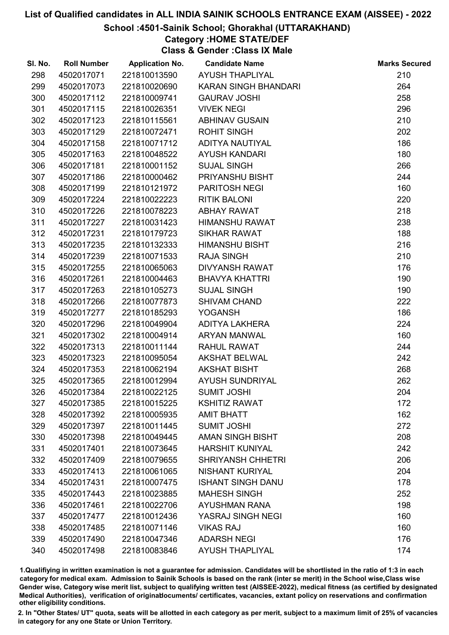#### School :4501-Sainik School; Ghorakhal (UTTARAKHAND)

### Category :HOME STATE/DEF

Class & Gender :Class IX Male

| SI. No. | <b>Roll Number</b> | <b>Application No.</b> | <b>Candidate Name</b>    | <b>Marks Secured</b> |
|---------|--------------------|------------------------|--------------------------|----------------------|
| 298     | 4502017071         | 221810013590           | <b>AYUSH THAPLIYAL</b>   | 210                  |
| 299     | 4502017073         | 221810020690           | KARAN SINGH BHANDARI     | 264                  |
| 300     | 4502017112         | 221810009741           | <b>GAURAV JOSHI</b>      | 258                  |
| 301     | 4502017115         | 221810026351           | <b>VIVEK NEGI</b>        | 296                  |
| 302     | 4502017123         | 221810115561           | <b>ABHINAV GUSAIN</b>    | 210                  |
| 303     | 4502017129         | 221810072471           | <b>ROHIT SINGH</b>       | 202                  |
| 304     | 4502017158         | 221810071712           | ADITYA NAUTIYAL          | 186                  |
| 305     | 4502017163         | 221810048522           | <b>AYUSH KANDARI</b>     | 180                  |
| 306     | 4502017181         | 221810001152           | <b>SUJAL SINGH</b>       | 266                  |
| 307     | 4502017186         | 221810000462           | PRIYANSHU BISHT          | 244                  |
| 308     | 4502017199         | 221810121972           | <b>PARITOSH NEGI</b>     | 160                  |
| 309     | 4502017224         | 221810022223           | <b>RITIK BALONI</b>      | 220                  |
| 310     | 4502017226         | 221810078223           | <b>ABHAY RAWAT</b>       | 218                  |
| 311     | 4502017227         | 221810031423           | <b>HIMANSHU RAWAT</b>    | 238                  |
| 312     | 4502017231         | 221810179723           | <b>SIKHAR RAWAT</b>      | 188                  |
| 313     | 4502017235         | 221810132333           | <b>HIMANSHU BISHT</b>    | 216                  |
| 314     | 4502017239         | 221810071533           | <b>RAJA SINGH</b>        | 210                  |
| 315     | 4502017255         | 221810065063           | <b>DIVYANSH RAWAT</b>    | 176                  |
| 316     | 4502017261         | 221810004463           | <b>BHAVYA KHATTRI</b>    | 190                  |
| 317     | 4502017263         | 221810105273           | <b>SUJAL SINGH</b>       | 190                  |
| 318     | 4502017266         | 221810077873           | <b>SHIVAM CHAND</b>      | 222                  |
| 319     | 4502017277         | 221810185293           | <b>YOGANSH</b>           | 186                  |
| 320     | 4502017296         | 221810049904           | ADITYA LAKHERA           | 224                  |
| 321     | 4502017302         | 221810004914           | ARYAN MANWAL             | 160                  |
| 322     | 4502017313         | 221810011144           | RAHUL RAWAT              | 244                  |
| 323     | 4502017323         | 221810095054           | <b>AKSHAT BELWAL</b>     | 242                  |
| 324     | 4502017353         | 221810062194           | <b>AKSHAT BISHT</b>      | 268                  |
| 325     | 4502017365         | 221810012994           | <b>AYUSH SUNDRIYAL</b>   | 262                  |
| 326     | 4502017384         | 221810022125           | <b>SUMIT JOSHI</b>       | 204                  |
| 327     | 4502017385         | 221810015225           | <b>KSHITIZ RAWAT</b>     | 172                  |
| 328     | 4502017392         | 221810005935           | <b>AMIT BHATT</b>        | 162                  |
| 329     | 4502017397         | 221810011445           | <b>SUMIT JOSHI</b>       | 272                  |
| 330     | 4502017398         | 221810049445           | AMAN SINGH BISHT         | 208                  |
| 331     | 4502017401         | 221810073645           | <b>HARSHIT KUNIYAL</b>   | 242                  |
| 332     | 4502017409         | 221810079655           | <b>SHRIYANSH CHHETRI</b> | 206                  |
| 333     | 4502017413         | 221810061065           | <b>NISHANT KURIYAL</b>   | 204                  |
| 334     | 4502017431         | 221810007475           | <b>ISHANT SINGH DANU</b> | 178                  |
| 335     | 4502017443         | 221810023885           | <b>MAHESH SINGH</b>      | 252                  |
| 336     | 4502017461         | 221810022706           | <b>AYUSHMAN RANA</b>     | 198                  |
| 337     | 4502017477         | 221810012436           | YASRAJ SINGH NEGI        | 160                  |
| 338     | 4502017485         | 221810071146           | <b>VIKAS RAJ</b>         | 160                  |
| 339     | 4502017490         | 221810047346           | <b>ADARSH NEGI</b>       | 176                  |
| 340     | 4502017498         | 221810083846           | <b>AYUSH THAPLIYAL</b>   | 174                  |

1.Qualifiying in written examination is not a guarantee for admission. Candidates will be shortlisted in the ratio of 1:3 in each category for medical exam. Admission to Sainik Schools is based on the rank (inter se merit) in the School wise,Class wise Gender wise, Category wise merit list, subject to qualifying written test (AISSEE-2022), medical fitness (as certified by designated Medical Authorities), verification of originablocuments/ certificates, vacancies, extant policy on reservations and confirmation other eligibility conditions.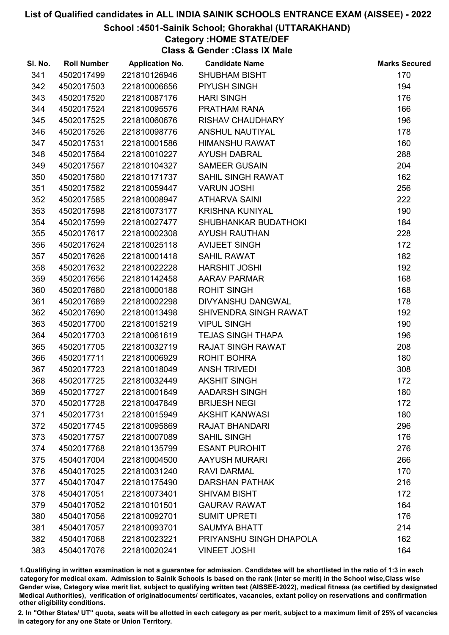#### School :4501-Sainik School; Ghorakhal (UTTARAKHAND)

## Category :HOME STATE/DEF

Class & Gender :Class IX Male

| SI. No. | <b>Roll Number</b> | <b>Application No.</b> | <b>Candidate Name</b>    | <b>Marks Secured</b> |
|---------|--------------------|------------------------|--------------------------|----------------------|
| 341     | 4502017499         | 221810126946           | <b>SHUBHAM BISHT</b>     | 170                  |
| 342     | 4502017503         | 221810006656           | PIYUSH SINGH             | 194                  |
| 343     | 4502017520         | 221810087176           | <b>HARI SINGH</b>        | 176                  |
| 344     | 4502017524         | 221810095576           | PRATHAM RANA             | 166                  |
| 345     | 4502017525         | 221810060676           | <b>RISHAV CHAUDHARY</b>  | 196                  |
| 346     | 4502017526         | 221810098776           | ANSHUL NAUTIYAL          | 178                  |
| 347     | 4502017531         | 221810001586           | <b>HIMANSHU RAWAT</b>    | 160                  |
| 348     | 4502017564         | 221810010227           | <b>AYUSH DABRAL</b>      | 288                  |
| 349     | 4502017567         | 221810104327           | <b>SAMEER GUSAIN</b>     | 204                  |
| 350     | 4502017580         | 221810171737           | SAHIL SINGH RAWAT        | 162                  |
| 351     | 4502017582         | 221810059447           | <b>VARUN JOSHI</b>       | 256                  |
| 352     | 4502017585         | 221810008947           | <b>ATHARVA SAINI</b>     | 222                  |
| 353     | 4502017598         | 221810073177           | <b>KRISHNA KUNIYAL</b>   | 190                  |
| 354     | 4502017599         | 221810027477           | SHUBHANKAR BUDATHOKI     | 184                  |
| 355     | 4502017617         | 221810002308           | <b>AYUSH RAUTHAN</b>     | 228                  |
| 356     | 4502017624         | 221810025118           | <b>AVIJEET SINGH</b>     | 172                  |
| 357     | 4502017626         | 221810001418           | <b>SAHIL RAWAT</b>       | 182                  |
| 358     | 4502017632         | 221810022228           | <b>HARSHIT JOSHI</b>     | 192                  |
| 359     | 4502017656         | 221810142458           | <b>AARAV PARMAR</b>      | 168                  |
| 360     | 4502017680         | 221810000188           | <b>ROHIT SINGH</b>       | 168                  |
| 361     | 4502017689         | 221810002298           | DIVYANSHU DANGWAL        | 178                  |
| 362     | 4502017690         | 221810013498           | SHIVENDRA SINGH RAWAT    | 192                  |
| 363     | 4502017700         | 221810015219           | <b>VIPUL SINGH</b>       | 190                  |
| 364     | 4502017703         | 221810061619           | <b>TEJAS SINGH THAPA</b> | 196                  |
| 365     | 4502017705         | 221810032719           | <b>RAJAT SINGH RAWAT</b> | 208                  |
| 366     | 4502017711         | 221810006929           | ROHIT BOHRA              | 180                  |
| 367     | 4502017723         | 221810018049           | <b>ANSH TRIVEDI</b>      | 308                  |
| 368     | 4502017725         | 221810032449           | <b>AKSHIT SINGH</b>      | 172                  |
| 369     | 4502017727         | 221810001649           | <b>AADARSH SINGH</b>     | 180                  |
| 370     | 4502017728         | 221810047849           | <b>BRIJESH NEGI</b>      | 172                  |
| 371     | 4502017731         | 221810015949           | <b>AKSHIT KANWASI</b>    | 180                  |
| 372     | 4502017745         | 221810095869           | <b>RAJAT BHANDARI</b>    | 296                  |
| 373     | 4502017757         | 221810007089           | <b>SAHIL SINGH</b>       | 176                  |
| 374     | 4502017768         | 221810135799           | <b>ESANT PUROHIT</b>     | 276                  |
| 375     | 4504017004         | 221810004500           | <b>AAYUSH MURARI</b>     | 266                  |
| 376     | 4504017025         | 221810031240           | <b>RAVI DARMAL</b>       | 170                  |
| 377     | 4504017047         | 221810175490           | <b>DARSHAN PATHAK</b>    | 216                  |
| 378     | 4504017051         | 221810073401           | <b>SHIVAM BISHT</b>      | 172                  |
| 379     | 4504017052         | 221810101501           | <b>GAURAV RAWAT</b>      | 164                  |
| 380     | 4504017056         | 221810092701           | <b>SUMIT UPRETI</b>      | 176                  |
| 381     | 4504017057         | 221810093701           | <b>SAUMYA BHATT</b>      | 214                  |
| 382     | 4504017068         | 221810023221           | PRIYANSHU SINGH DHAPOLA  | 162                  |
| 383     | 4504017076         | 221810020241           | <b>VINEET JOSHI</b>      | 164                  |

1.Qualifiying in written examination is not a guarantee for admission. Candidates will be shortlisted in the ratio of 1:3 in each category for medical exam. Admission to Sainik Schools is based on the rank (inter se merit) in the School wise,Class wise Gender wise, Category wise merit list, subject to qualifying written test (AISSEE-2022), medical fitness (as certified by designated Medical Authorities), verification of originablocuments/ certificates, vacancies, extant policy on reservations and confirmation other eligibility conditions.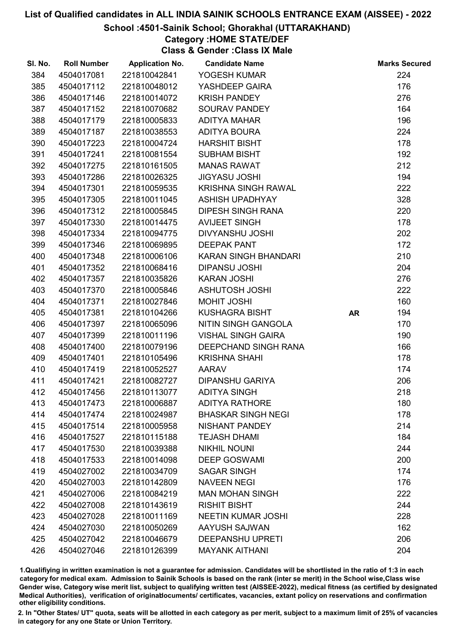#### School :4501-Sainik School; Ghorakhal (UTTARAKHAND)

## Category :HOME STATE/DEF

Class & Gender :Class IX Male

| SI. No. | <b>Roll Number</b> | <b>Application No.</b> | <b>Candidate Name</b>      |           | <b>Marks Secured</b> |
|---------|--------------------|------------------------|----------------------------|-----------|----------------------|
| 384     | 4504017081         | 221810042841           | YOGESH KUMAR               |           | 224                  |
| 385     | 4504017112         | 221810048012           | YASHDEEP GAIRA             |           | 176                  |
| 386     | 4504017146         | 221810014072           | <b>KRISH PANDEY</b>        |           | 276                  |
| 387     | 4504017152         | 221810070682           | <b>SOURAV PANDEY</b>       |           | 164                  |
| 388     | 4504017179         | 221810005833           | <b>ADITYA MAHAR</b>        |           | 196                  |
| 389     | 4504017187         | 221810038553           | <b>ADITYA BOURA</b>        |           | 224                  |
| 390     | 4504017223         | 221810004724           | <b>HARSHIT BISHT</b>       |           | 178                  |
| 391     | 4504017241         | 221810081554           | <b>SUBHAM BISHT</b>        |           | 192                  |
| 392     | 4504017275         | 221810161505           | <b>MANAS RAWAT</b>         |           | 212                  |
| 393     | 4504017286         | 221810026325           | <b>JIGYASU JOSHI</b>       |           | 194                  |
| 394     | 4504017301         | 221810059535           | <b>KRISHNA SINGH RAWAL</b> |           | 222                  |
| 395     | 4504017305         | 221810011045           | <b>ASHISH UPADHYAY</b>     |           | 328                  |
| 396     | 4504017312         | 221810005845           | <b>DIPESH SINGH RANA</b>   |           | 220                  |
| 397     | 4504017330         | 221810014475           | <b>AVIJEET SINGH</b>       |           | 178                  |
| 398     | 4504017334         | 221810094775           | <b>DIVYANSHU JOSHI</b>     |           | 202                  |
| 399     | 4504017346         | 221810069895           | <b>DEEPAK PANT</b>         |           | 172                  |
| 400     | 4504017348         | 221810006106           | KARAN SINGH BHANDARI       |           | 210                  |
| 401     | 4504017352         | 221810068416           | <b>DIPANSU JOSHI</b>       |           | 204                  |
| 402     | 4504017357         | 221810035826           | <b>KARAN JOSHI</b>         |           | 276                  |
| 403     | 4504017370         | 221810005846           | <b>ASHUTOSH JOSHI</b>      |           | 222                  |
| 404     | 4504017371         | 221810027846           | <b>MOHIT JOSHI</b>         |           | 160                  |
| 405     | 4504017381         | 221810104266           | <b>KUSHAGRA BISHT</b>      | <b>AR</b> | 194                  |
| 406     | 4504017397         | 221810065096           | NITIN SINGH GANGOLA        |           | 170                  |
| 407     | 4504017399         | 221810011196           | <b>VISHAL SINGH GAIRA</b>  |           | 190                  |
| 408     | 4504017400         | 221810079196           | DEEPCHAND SINGH RANA       |           | 166                  |
| 409     | 4504017401         | 221810105496           | <b>KRISHNA SHAHI</b>       |           | 178                  |
| 410     | 4504017419         | 221810052527           | <b>AARAV</b>               |           | 174                  |
| 411     | 4504017421         | 221810082727           | <b>DIPANSHU GARIYA</b>     |           | 206                  |
| 412     | 4504017456         | 221810113077           | <b>ADITYA SINGH</b>        |           | 218                  |
| 413     | 4504017473         | 221810006887           | <b>ADITYA RATHORE</b>      |           | 180                  |
| 414     | 4504017474         | 221810024987           | <b>BHASKAR SINGH NEGI</b>  |           | 178                  |
| 415     | 4504017514         | 221810005958           | <b>NISHANT PANDEY</b>      |           | 214                  |
| 416     | 4504017527         | 221810115188           | <b>TEJASH DHAMI</b>        |           | 184                  |
| 417     | 4504017530         | 221810039388           | <b>NIKHIL NOUNI</b>        |           | 244                  |
| 418     | 4504017533         | 221810014098           | <b>DEEP GOSWAMI</b>        |           | 200                  |
| 419     | 4504027002         | 221810034709           | <b>SAGAR SINGH</b>         |           | 174                  |
| 420     | 4504027003         | 221810142809           | <b>NAVEEN NEGI</b>         |           | 176                  |
| 421     | 4504027006         | 221810084219           | <b>MAN MOHAN SINGH</b>     |           | 222                  |
| 422     | 4504027008         | 221810143619           | <b>RISHIT BISHT</b>        |           | 244                  |
| 423     | 4504027028         | 221810011169           | <b>NEETIN KUMAR JOSHI</b>  |           | 228                  |
| 424     | 4504027030         | 221810050269           | AAYUSH SAJWAN              |           | 162                  |
| 425     | 4504027042         | 221810046679           | <b>DEEPANSHU UPRETI</b>    |           | 206                  |
| 426     | 4504027046         | 221810126399           | <b>MAYANK AITHANI</b>      |           | 204                  |

1.Qualifiying in written examination is not a guarantee for admission. Candidates will be shortlisted in the ratio of 1:3 in each category for medical exam. Admission to Sainik Schools is based on the rank (inter se merit) in the School wise,Class wise Gender wise, Category wise merit list, subject to qualifying written test (AISSEE-2022), medical fitness (as certified by designated Medical Authorities), verification of originablocuments/ certificates, vacancies, extant policy on reservations and confirmation other eligibility conditions.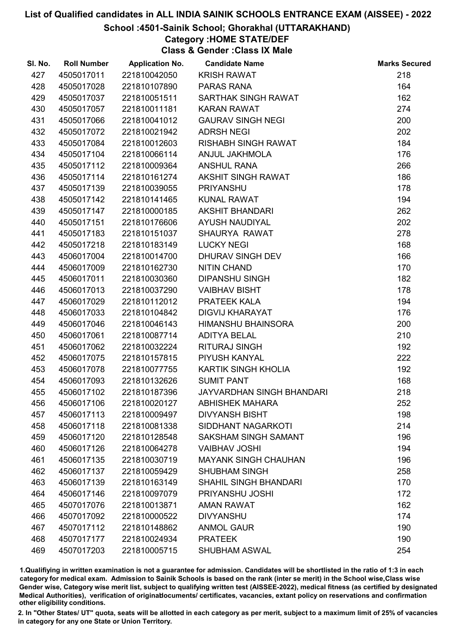#### School :4501-Sainik School; Ghorakhal (UTTARAKHAND)

## Category :HOME STATE/DEF

Class & Gender :Class IX Male

| SI. No. | <b>Roll Number</b> | <b>Application No.</b> | <b>Candidate Name</b>            | <b>Marks Secured</b> |
|---------|--------------------|------------------------|----------------------------------|----------------------|
| 427     | 4505017011         | 221810042050           | <b>KRISH RAWAT</b>               | 218                  |
| 428     | 4505017028         | 221810107890           | PARAS RANA                       | 164                  |
| 429     | 4505017037         | 221810051511           | SARTHAK SINGH RAWAT              | 162                  |
| 430     | 4505017057         | 221810011181           | <b>KARAN RAWAT</b>               | 274                  |
| 431     | 4505017066         | 221810041012           | <b>GAURAV SINGH NEGI</b>         | 200                  |
| 432     | 4505017072         | 221810021942           | <b>ADRSH NEGI</b>                | 202                  |
| 433     | 4505017084         | 221810012603           | <b>RISHABH SINGH RAWAT</b>       | 184                  |
| 434     | 4505017104         | 221810066114           | ANJUL JAKHMOLA                   | 176                  |
| 435     | 4505017112         | 221810009364           | <b>ANSHUL RANA</b>               | 266                  |
| 436     | 4505017114         | 221810161274           | <b>AKSHIT SINGH RAWAT</b>        | 186                  |
| 437     | 4505017139         | 221810039055           | <b>PRIYANSHU</b>                 | 178                  |
| 438     | 4505017142         | 221810141465           | <b>KUNAL RAWAT</b>               | 194                  |
| 439     | 4505017147         | 221810000185           | <b>AKSHIT BHANDARI</b>           | 262                  |
| 440     | 4505017151         | 221810176606           | <b>AYUSH NAUDIYAL</b>            | 202                  |
| 441     | 4505017183         | 221810151037           | SHAURYA RAWAT                    | 278                  |
| 442     | 4505017218         | 221810183149           | <b>LUCKY NEGI</b>                | 168                  |
| 443     | 4506017004         | 221810014700           | DHURAV SINGH DEV                 | 166                  |
| 444     | 4506017009         | 221810162730           | <b>NITIN CHAND</b>               | 170                  |
| 445     | 4506017011         | 221810030360           | <b>DIPANSHU SINGH</b>            | 182                  |
| 446     | 4506017013         | 221810037290           | <b>VAIBHAV BISHT</b>             | 178                  |
| 447     | 4506017029         | 221810112012           | PRATEEK KALA                     | 194                  |
| 448     | 4506017033         | 221810104842           | <b>DIGVIJ KHARAYAT</b>           | 176                  |
| 449     | 4506017046         | 221810046143           | <b>HIMANSHU BHAINSORA</b>        | 200                  |
| 450     | 4506017061         | 221810087714           | <b>ADITYA BELAL</b>              | 210                  |
| 451     | 4506017062         | 221810032224           | <b>RITURAJ SINGH</b>             | 192                  |
| 452     | 4506017075         | 221810157815           | PIYUSH KANYAL                    | 222                  |
| 453     | 4506017078         | 221810077755           | KARTIK SINGH KHOLIA              | 192                  |
| 454     | 4506017093         | 221810132626           | <b>SUMIT PANT</b>                | 168                  |
| 455     | 4506017102         | 221810187396           | <b>JAYVARDHAN SINGH BHANDARI</b> | 218                  |
| 456     | 4506017106         | 221810020127           | <b>ABHISHEK MAHARA</b>           | 252                  |
| 457     | 4506017113         | 221810009497           | <b>DIVYANSH BISHT</b>            | 198                  |
| 458     | 4506017118         | 221810081338           | <b>SIDDHANT NAGARKOTI</b>        | 214                  |
| 459     | 4506017120         | 221810128548           | <b>SAKSHAM SINGH SAMANT</b>      | 196                  |
| 460     | 4506017126         | 221810064278           | <b>VAIBHAV JOSHI</b>             | 194                  |
| 461     | 4506017135         | 221810030719           | <b>MAYANK SINGH CHAUHAN</b>      | 196                  |
| 462     | 4506017137         | 221810059429           | <b>SHUBHAM SINGH</b>             | 258                  |
| 463     | 4506017139         | 221810163149           | <b>SHAHIL SINGH BHANDARI</b>     | 170                  |
| 464     | 4506017146         | 221810097079           | PRIYANSHU JOSHI                  | 172                  |
| 465     | 4507017076         | 221810013871           | <b>AMAN RAWAT</b>                | 162                  |
| 466     | 4507017092         | 221810000522           | <b>DIVYANSHU</b>                 | 174                  |
| 467     | 4507017112         | 221810148862           | <b>ANMOL GAUR</b>                | 190                  |
| 468     | 4507017177         | 221810024934           | <b>PRATEEK</b>                   | 190                  |
| 469     | 4507017203         | 221810005715           | <b>SHUBHAM ASWAL</b>             | 254                  |

1.Qualifiying in written examination is not a guarantee for admission. Candidates will be shortlisted in the ratio of 1:3 in each category for medical exam. Admission to Sainik Schools is based on the rank (inter se merit) in the School wise,Class wise Gender wise, Category wise merit list, subject to qualifying written test (AISSEE-2022), medical fitness (as certified by designated Medical Authorities), verification of originablocuments/ certificates, vacancies, extant policy on reservations and confirmation other eligibility conditions.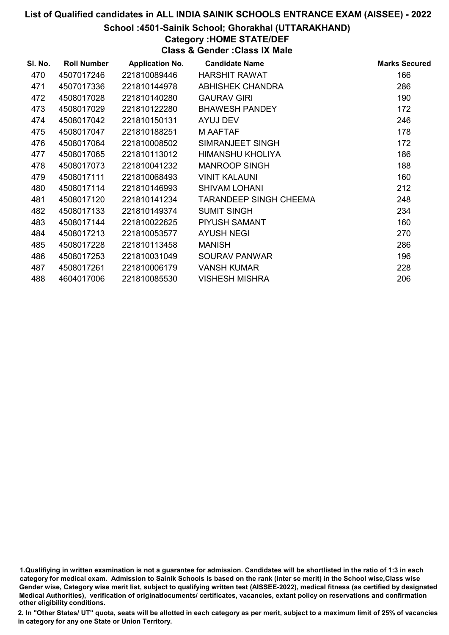#### School :4501-Sainik School; Ghorakhal (UTTARAKHAND)

## Category :HOME STATE/DEF

Class & Gender :Class IX Male

| SI. No. | <b>Roll Number</b> | <b>Application No.</b> | <b>Candidate Name</b>         | <b>Marks Secured</b> |
|---------|--------------------|------------------------|-------------------------------|----------------------|
| 470     | 4507017246         | 221810089446           | <b>HARSHIT RAWAT</b>          | 166                  |
| 471     | 4507017336         | 221810144978           | <b>ABHISHEK CHANDRA</b>       | 286                  |
| 472     | 4508017028         | 221810140280           | <b>GAURAV GIRI</b>            | 190                  |
| 473     | 4508017029         | 221810122280           | <b>BHAWESH PANDEY</b>         | 172                  |
| 474     | 4508017042         | 221810150131           | AYUJ DEV                      | 246                  |
| 475     | 4508017047         | 221810188251           | M AAFTAF                      | 178                  |
| 476     | 4508017064         | 221810008502           | SIMRANJEET SINGH              | 172                  |
| 477     | 4508017065         | 221810113012           | HIMANSHU KHOLIYA              | 186                  |
| 478     | 4508017073         | 221810041232           | <b>MANROOP SINGH</b>          | 188                  |
| 479     | 4508017111         | 221810068493           | <b>VINIT KALAUNI</b>          | 160                  |
| 480     | 4508017114         | 221810146993           | <b>SHIVAM LOHANI</b>          | 212                  |
| 481     | 4508017120         | 221810141234           | <b>TARANDEEP SINGH CHEEMA</b> | 248                  |
| 482     | 4508017133         | 221810149374           | <b>SUMIT SINGH</b>            | 234                  |
| 483     | 4508017144         | 221810022625           | PIYUSH SAMANT                 | 160                  |
| 484     | 4508017213         | 221810053577           | <b>AYUSH NEGI</b>             | 270                  |
| 485     | 4508017228         | 221810113458           | <b>MANISH</b>                 | 286                  |
| 486     | 4508017253         | 221810031049           | <b>SOURAV PANWAR</b>          | 196                  |
| 487     | 4508017261         | 221810006179           | <b>VANSH KUMAR</b>            | 228                  |
| 488     | 4604017006         | 221810085530           | <b>VISHESH MISHRA</b>         | 206                  |

1.Qualifiying in written examination is not a guarantee for admission. Candidates will be shortlisted in the ratio of 1:3 in each category for medical exam. Admission to Sainik Schools is based on the rank (inter se merit) in the School wise,Class wise Gender wise, Category wise merit list, subject to qualifying written test (AISSEE-2022), medical fitness (as certified by designated Medical Authorities), verification of originablocuments/ certificates, vacancies, extant policy on reservations and confirmation other eligibility conditions.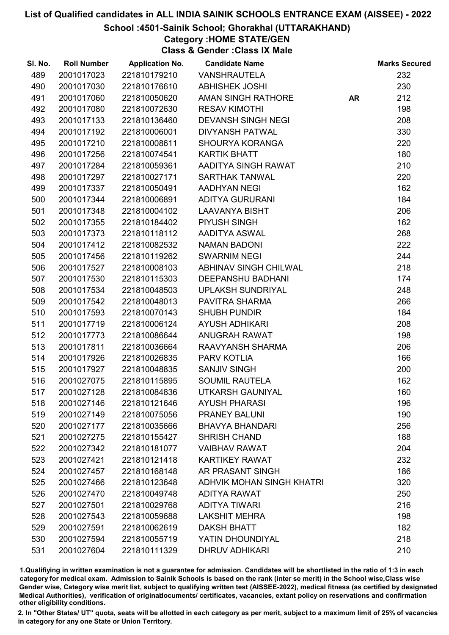#### School :4501-Sainik School; Ghorakhal (UTTARAKHAND)

Category :HOME STATE/GEN

Class & Gender :Class IX Male

| SI. No. | <b>Roll Number</b> | <b>Application No.</b> | <b>Candidate Name</b>            |           | <b>Marks Secured</b> |
|---------|--------------------|------------------------|----------------------------------|-----------|----------------------|
| 489     | 2001017023         | 221810179210           | <b>VANSHRAUTELA</b>              |           | 232                  |
| 490     | 2001017030         | 221810176610           | <b>ABHISHEK JOSHI</b>            |           | 230                  |
| 491     | 2001017060         | 221810050620           | <b>AMAN SINGH RATHORE</b>        | <b>AR</b> | 212                  |
| 492     | 2001017080         | 221810072630           | <b>RESAV KIMOTHI</b>             |           | 198                  |
| 493     | 2001017133         | 221810136460           | <b>DEVANSH SINGH NEGI</b>        |           | 208                  |
| 494     | 2001017192         | 221810006001           | <b>DIVYANSH PATWAL</b>           |           | 330                  |
| 495     | 2001017210         | 221810008611           | <b>SHOURYA KORANGA</b>           |           | 220                  |
| 496     | 2001017256         | 221810074541           | <b>KARTIK BHATT</b>              |           | 180                  |
| 497     | 2001017284         | 221810059361           | AADITYA SINGH RAWAT              |           | 210                  |
| 498     | 2001017297         | 221810027171           | <b>SARTHAK TANWAL</b>            |           | 220                  |
| 499     | 2001017337         | 221810050491           | <b>AADHYAN NEGI</b>              |           | 162                  |
| 500     | 2001017344         | 221810006891           | <b>ADITYA GURURANI</b>           |           | 184                  |
| 501     | 2001017348         | 221810004102           | <b>LAAVANYA BISHT</b>            |           | 206                  |
| 502     | 2001017355         | 221810184402           | PIYUSH SINGH                     |           | 162                  |
| 503     | 2001017373         | 221810118112           | AADITYA ASWAL                    |           | 268                  |
| 504     | 2001017412         | 221810082532           | <b>NAMAN BADONI</b>              |           | 222                  |
| 505     | 2001017456         | 221810119262           | <b>SWARNIM NEGI</b>              |           | 244                  |
| 506     | 2001017527         | 221810008103           | <b>ABHINAV SINGH CHILWAL</b>     |           | 218                  |
| 507     | 2001017530         | 221810115303           | <b>DEEPANSHU BADHANI</b>         |           | 174                  |
| 508     | 2001017534         | 221810048503           | <b>UPLAKSH SUNDRIYAL</b>         |           | 248                  |
| 509     | 2001017542         | 221810048013           | PAVITRA SHARMA                   |           | 266                  |
| 510     | 2001017593         | 221810070143           | <b>SHUBH PUNDIR</b>              |           | 184                  |
| 511     | 2001017719         | 221810006124           | <b>AYUSH ADHIKARI</b>            |           | 208                  |
| 512     | 2001017773         | 221810086644           | <b>ANUGRAH RAWAT</b>             |           | 198                  |
| 513     | 2001017811         | 221810036664           | RAAVYANSH SHARMA                 |           | 206                  |
| 514     | 2001017926         | 221810026835           | PARV KOTLIA                      |           | 166                  |
| 515     | 2001017927         | 221810048835           | <b>SANJIV SINGH</b>              |           | 200                  |
| 516     | 2001027075         | 221810115895           | <b>SOUMIL RAUTELA</b>            |           | 162                  |
| 517     | 2001027128         | 221810084836           | UTKARSH GAUNIYAL                 |           | 160                  |
| 518     | 2001027146         | 221810121646           | <b>AYUSH PHARASI</b>             |           | 196                  |
| 519     | 2001027149         | 221810075056           | PRANEY BALUNI                    |           | 190                  |
| 520     | 2001027177         | 221810035666           | <b>BHAVYA BHANDARI</b>           |           | 256                  |
| 521     | 2001027275         | 221810155427           | <b>SHRISH CHAND</b>              |           | 188                  |
| 522     | 2001027342         | 221810181077           | <b>VAIBHAV RAWAT</b>             |           | 204                  |
| 523     | 2001027421         | 221810121418           | <b>KARTIKEY RAWAT</b>            |           | 232                  |
| 524     | 2001027457         | 221810168148           | AR PRASANT SINGH                 |           | 186                  |
| 525     | 2001027466         | 221810123648           | <b>ADHVIK MOHAN SINGH KHATRI</b> |           | 320                  |
| 526     | 2001027470         | 221810049748           | <b>ADITYA RAWAT</b>              |           | 250                  |
| 527     | 2001027501         | 221810029768           | <b>ADITYA TIWARI</b>             |           | 216                  |
| 528     | 2001027543         | 221810059688           | <b>LAKSHIT MEHRA</b>             |           | 198                  |
| 529     | 2001027591         | 221810062619           | <b>DAKSH BHATT</b>               |           | 182                  |
| 530     | 2001027594         | 221810055719           | YATIN DHOUNDIYAL                 |           | 218                  |
| 531     | 2001027604         | 221810111329           | <b>DHRUV ADHIKARI</b>            |           | 210                  |

1.Qualifiying in written examination is not a guarantee for admission. Candidates will be shortlisted in the ratio of 1:3 in each category for medical exam. Admission to Sainik Schools is based on the rank (inter se merit) in the School wise,Class wise Gender wise, Category wise merit list, subject to qualifying written test (AISSEE-2022), medical fitness (as certified by designated Medical Authorities), verification of originablocuments/ certificates, vacancies, extant policy on reservations and confirmation other eligibility conditions.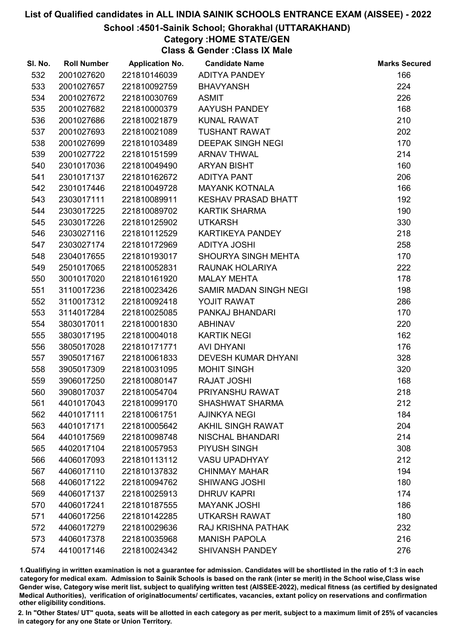#### School :4501-Sainik School; Ghorakhal (UTTARAKHAND)

## Category :HOME STATE/GEN

Class & Gender :Class IX Male

| SI. No. | <b>Roll Number</b> | <b>Application No.</b> | <b>Candidate Name</b>      | <b>Marks Secured</b> |
|---------|--------------------|------------------------|----------------------------|----------------------|
| 532     | 2001027620         | 221810146039           | <b>ADITYA PANDEY</b>       | 166                  |
| 533     | 2001027657         | 221810092759           | <b>BHAVYANSH</b>           | 224                  |
| 534     | 2001027672         | 221810030769           | <b>ASMIT</b>               | 226                  |
| 535     | 2001027682         | 221810000379           | AAYUSH PANDEY              | 168                  |
| 536     | 2001027686         | 221810021879           | <b>KUNAL RAWAT</b>         | 210                  |
| 537     | 2001027693         | 221810021089           | <b>TUSHANT RAWAT</b>       | 202                  |
| 538     | 2001027699         | 221810103489           | <b>DEEPAK SINGH NEGI</b>   | 170                  |
| 539     | 2001027722         | 221810151599           | <b>ARNAV THWAL</b>         | 214                  |
| 540     | 2301017036         | 221810049490           | <b>ARYAN BISHT</b>         | 160                  |
| 541     | 2301017137         | 221810162672           | <b>ADITYA PANT</b>         | 206                  |
| 542     | 2301017446         | 221810049728           | <b>MAYANK KOTNALA</b>      | 166                  |
| 543     | 2303017111         | 221810089911           | <b>KESHAV PRASAD BHATT</b> | 192                  |
| 544     | 2303017225         | 221810089702           | <b>KARTIK SHARMA</b>       | 190                  |
| 545     | 2303017226         | 221810125902           | <b>UTKARSH</b>             | 330                  |
| 546     | 2303027116         | 221810112529           | KARTIKEYA PANDEY           | 218                  |
| 547     | 2303027174         | 221810172969           | <b>ADITYA JOSHI</b>        | 258                  |
| 548     | 2304017655         | 221810193017           | <b>SHOURYA SINGH MEHTA</b> | 170                  |
| 549     | 2501017065         | 221810052831           | RAUNAK HOLARIYA            | 222                  |
| 550     | 3001017020         | 221810161920           | <b>MALAY MEHTA</b>         | 178                  |
| 551     | 3110017236         | 221810023426           | SAMIR MADAN SINGH NEGI     | 198                  |
| 552     | 3110017312         | 221810092418           | YOJIT RAWAT                | 286                  |
| 553     | 3114017284         | 221810025085           | PANKAJ BHANDARI            | 170                  |
| 554     | 3803017011         | 221810001830           | <b>ABHINAV</b>             | 220                  |
| 555     | 3803017195         | 221810004018           | <b>KARTIK NEGI</b>         | 162                  |
| 556     | 3805017028         | 221810171771           | <b>AVI DHYANI</b>          | 176                  |
| 557     | 3905017167         | 221810061833           | <b>DEVESH KUMAR DHYANI</b> | 328                  |
| 558     | 3905017309         | 221810031095           | <b>MOHIT SINGH</b>         | 320                  |
| 559     | 3906017250         | 221810080147           | <b>RAJAT JOSHI</b>         | 168                  |
| 560     | 3908017037         | 221810054704           | PRIYANSHU RAWAT            | 218                  |
| 561     | 4401017043         | 221810099170           | <b>SHASHWAT SHARMA</b>     | 212                  |
| 562     | 4401017111         | 221810061751           | <b>AJINKYA NEGI</b>        | 184                  |
| 563     | 4401017171         | 221810005642           | <b>AKHIL SINGH RAWAT</b>   | 204                  |
| 564     | 4401017569         | 221810098748           | <b>NISCHAL BHANDARI</b>    | 214                  |
| 565     | 4402017104         | 221810057953           | PIYUSH SINGH               | 308                  |
| 566     | 4406017093         | 221810113112           | <b>VASU UPADHYAY</b>       | 212                  |
| 567     | 4406017110         | 221810137832           | <b>CHINMAY MAHAR</b>       | 194                  |
| 568     | 4406017122         | 221810094762           | <b>SHIWANG JOSHI</b>       | 180                  |
| 569     | 4406017137         | 221810025913           | <b>DHRUV KAPRI</b>         | 174                  |
| 570     | 4406017241         | 221810187555           | <b>MAYANK JOSHI</b>        | 186                  |
| 571     | 4406017256         | 221810142285           | <b>UTKARSH RAWAT</b>       | 180                  |
| 572     | 4406017279         | 221810029636           | RAJ KRISHNA PATHAK         | 232                  |
| 573     | 4406017378         | 221810035968           | <b>MANISH PAPOLA</b>       | 216                  |
| 574     | 4410017146         | 221810024342           | <b>SHIVANSH PANDEY</b>     | 276                  |

1.Qualifiying in written examination is not a guarantee for admission. Candidates will be shortlisted in the ratio of 1:3 in each category for medical exam. Admission to Sainik Schools is based on the rank (inter se merit) in the School wise,Class wise Gender wise, Category wise merit list, subject to qualifying written test (AISSEE-2022), medical fitness (as certified by designated Medical Authorities), verification of originablocuments/ certificates, vacancies, extant policy on reservations and confirmation other eligibility conditions.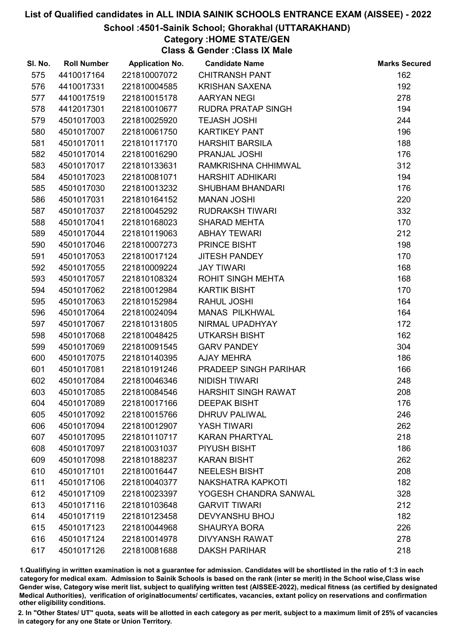#### School :4501-Sainik School; Ghorakhal (UTTARAKHAND)

## Category :HOME STATE/GEN

Class & Gender :Class IX Male

| SI. No. | <b>Roll Number</b> | <b>Application No.</b> | <b>Candidate Name</b>      | <b>Marks Secured</b> |
|---------|--------------------|------------------------|----------------------------|----------------------|
| 575     | 4410017164         | 221810007072           | <b>CHITRANSH PANT</b>      | 162                  |
| 576     | 4410017331         | 221810004585           | <b>KRISHAN SAXENA</b>      | 192                  |
| 577     | 4410017519         | 221810015178           | <b>AARYAN NEGI</b>         | 278                  |
| 578     | 4412017301         | 221810010677           | RUDRA PRATAP SINGH         | 194                  |
| 579     | 4501017003         | 221810025920           | <b>TEJASH JOSHI</b>        | 244                  |
| 580     | 4501017007         | 221810061750           | <b>KARTIKEY PANT</b>       | 196                  |
| 581     | 4501017011         | 221810117170           | <b>HARSHIT BARSILA</b>     | 188                  |
| 582     | 4501017014         | 221810016290           | PRANJAL JOSHI              | 176                  |
| 583     | 4501017017         | 221810133631           | RAMKRISHNA CHHIMWAL        | 312                  |
| 584     | 4501017023         | 221810081071           | <b>HARSHIT ADHIKARI</b>    | 194                  |
| 585     | 4501017030         | 221810013232           | <b>SHUBHAM BHANDARI</b>    | 176                  |
| 586     | 4501017031         | 221810164152           | <b>MANAN JOSHI</b>         | 220                  |
| 587     | 4501017037         | 221810045292           | <b>RUDRAKSH TIWARI</b>     | 332                  |
| 588     | 4501017041         | 221810168023           | <b>SHARAD MEHTA</b>        | 170                  |
| 589     | 4501017044         | 221810119063           | <b>ABHAY TEWARI</b>        | 212                  |
| 590     | 4501017046         | 221810007273           | PRINCE BISHT               | 198                  |
| 591     | 4501017053         | 221810017124           | <b>JITESH PANDEY</b>       | 170                  |
| 592     | 4501017055         | 221810009224           | <b>JAY TIWARI</b>          | 168                  |
| 593     | 4501017057         | 221810108324           | <b>ROHIT SINGH MEHTA</b>   | 168                  |
| 594     | 4501017062         | 221810012984           | <b>KARTIK BISHT</b>        | 170                  |
| 595     | 4501017063         | 221810152984           | RAHUL JOSHI                | 164                  |
| 596     | 4501017064         | 221810024094           | <b>MANAS PILKHWAL</b>      | 164                  |
| 597     | 4501017067         | 221810131805           | NIRMAL UPADHYAY            | 172                  |
| 598     | 4501017068         | 221810048425           | <b>UTKARSH BISHT</b>       | 162                  |
| 599     | 4501017069         | 221810091545           | <b>GARV PANDEY</b>         | 304                  |
| 600     | 4501017075         | 221810140395           | <b>AJAY MEHRA</b>          | 186                  |
| 601     | 4501017081         | 221810191246           | PRADEEP SINGH PARIHAR      | 166                  |
| 602     | 4501017084         | 221810046346           | <b>NIDISH TIWARI</b>       | 248                  |
| 603     | 4501017085         | 221810084546           | <b>HARSHIT SINGH RAWAT</b> | 208                  |
| 604     | 4501017089         | 221810017166           | <b>DEEPAK BISHT</b>        | 176                  |
| 605     | 4501017092         | 221810015766           | <b>DHRUV PALIWAL</b>       | 246                  |
| 606     | 4501017094         | 221810012907           | <b>YASH TIWARI</b>         | 262                  |
| 607     | 4501017095         | 221810110717           | <b>KARAN PHARTYAL</b>      | 218                  |
| 608     | 4501017097         | 221810031037           | PIYUSH BISHT               | 186                  |
| 609     | 4501017098         | 221810188237           | <b>KARAN BISHT</b>         | 262                  |
| 610     | 4501017101         | 221810016447           | <b>NEELESH BISHT</b>       | 208                  |
| 611     | 4501017106         | 221810040377           | NAKSHATRA KAPKOTI          | 182                  |
| 612     | 4501017109         | 221810023397           | YOGESH CHANDRA SANWAL      | 328                  |
| 613     | 4501017116         | 221810103648           | <b>GARVIT TIWARI</b>       | 212                  |
| 614     | 4501017119         | 221810123458           | <b>DEVYANSHU BHOJ</b>      | 182                  |
| 615     | 4501017123         | 221810044968           | <b>SHAURYA BORA</b>        | 226                  |
| 616     | 4501017124         | 221810014978           | <b>DIVYANSH RAWAT</b>      | 278                  |
| 617     | 4501017126         | 221810081688           | <b>DAKSH PARIHAR</b>       | 218                  |

1.Qualifiying in written examination is not a guarantee for admission. Candidates will be shortlisted in the ratio of 1:3 in each category for medical exam. Admission to Sainik Schools is based on the rank (inter se merit) in the School wise,Class wise Gender wise, Category wise merit list, subject to qualifying written test (AISSEE-2022), medical fitness (as certified by designated Medical Authorities), verification of originablocuments/ certificates, vacancies, extant policy on reservations and confirmation other eligibility conditions.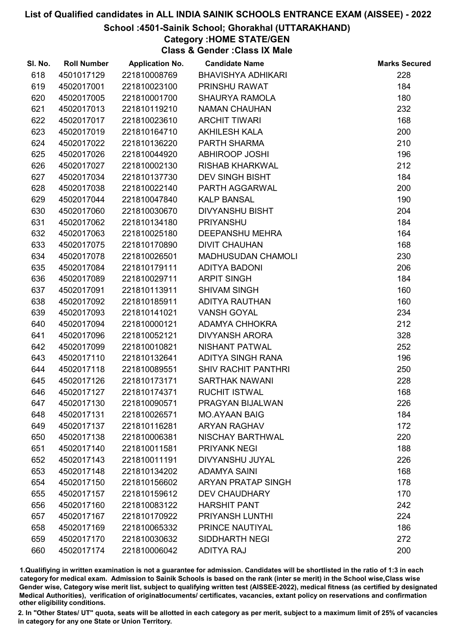#### School :4501-Sainik School; Ghorakhal (UTTARAKHAND)

### Category :HOME STATE/GEN

Class & Gender :Class IX Male

| SI. No. | <b>Roll Number</b> | <b>Application No.</b> | <b>Candidate Name</b>      | <b>Marks Secured</b> |
|---------|--------------------|------------------------|----------------------------|----------------------|
| 618     | 4501017129         | 221810008769           | <b>BHAVISHYA ADHIKARI</b>  | 228                  |
| 619     | 4502017001         | 221810023100           | PRINSHU RAWAT              | 184                  |
| 620     | 4502017005         | 221810001700           | <b>SHAURYA RAMOLA</b>      | 180                  |
| 621     | 4502017013         | 221810119210           | <b>NAMAN CHAUHAN</b>       | 232                  |
| 622     | 4502017017         | 221810023610           | <b>ARCHIT TIWARI</b>       | 168                  |
| 623     | 4502017019         | 221810164710           | <b>AKHILESH KALA</b>       | 200                  |
| 624     | 4502017022         | 221810136220           | PARTH SHARMA               | 210                  |
| 625     | 4502017026         | 221810044920           | <b>ABHIROOP JOSHI</b>      | 196                  |
| 626     | 4502017027         | 221810002130           | <b>RISHAB KHARKWAL</b>     | 212                  |
| 627     | 4502017034         | 221810137730           | <b>DEV SINGH BISHT</b>     | 184                  |
| 628     | 4502017038         | 221810022140           | PARTH AGGARWAL             | 200                  |
| 629     | 4502017044         | 221810047840           | <b>KALP BANSAL</b>         | 190                  |
| 630     | 4502017060         | 221810030670           | <b>DIVYANSHU BISHT</b>     | 204                  |
| 631     | 4502017062         | 221810134180           | <b>PRIYANSHU</b>           | 184                  |
| 632     | 4502017063         | 221810025180           | <b>DEEPANSHU MEHRA</b>     | 164                  |
| 633     | 4502017075         | 221810170890           | <b>DIVIT CHAUHAN</b>       | 168                  |
| 634     | 4502017078         | 221810026501           | <b>MADHUSUDAN CHAMOLI</b>  | 230                  |
| 635     | 4502017084         | 221810179111           | <b>ADITYA BADONI</b>       | 206                  |
| 636     | 4502017089         | 221810029711           | <b>ARPIT SINGH</b>         | 184                  |
| 637     | 4502017091         | 221810113911           | <b>SHIVAM SINGH</b>        | 160                  |
| 638     | 4502017092         | 221810185911           | ADITYA RAUTHAN             | 160                  |
| 639     | 4502017093         | 221810141021           | <b>VANSH GOYAL</b>         | 234                  |
| 640     | 4502017094         | 221810000121           | ADAMYA CHHOKRA             | 212                  |
| 641     | 4502017096         | 221810052121           | <b>DIVYANSH ARORA</b>      | 328                  |
| 642     | 4502017099         | 221810010821           | <b>NISHANT PATWAL</b>      | 252                  |
| 643     | 4502017110         | 221810132641           | <b>ADITYA SINGH RANA</b>   | 196                  |
| 644     | 4502017118         | 221810089551           | <b>SHIV RACHIT PANTHRI</b> | 250                  |
| 645     | 4502017126         | 221810173171           | <b>SARTHAK NAWANI</b>      | 228                  |
| 646     | 4502017127         | 221810174371           | <b>RUCHIT ISTWAL</b>       | 168                  |
| 647     | 4502017130         | 221810090571           | PRAGYAN BIJALWAN           | 226                  |
| 648     | 4502017131         | 221810026571           | <b>MO.AYAAN BAIG</b>       | 184                  |
| 649     | 4502017137         | 221810116281           | <b>ARYAN RAGHAV</b>        | 172                  |
| 650     | 4502017138         | 221810006381           | NISCHAY BARTHWAL           | 220                  |
| 651     | 4502017140         | 221810011581           | <b>PRIYANK NEGI</b>        | 188                  |
| 652     | 4502017143         | 221810011191           | DIVYANSHU JUYAL            | 226                  |
| 653     | 4502017148         | 221810134202           | <b>ADAMYA SAINI</b>        | 168                  |
| 654     | 4502017150         | 221810156602           | <b>ARYAN PRATAP SINGH</b>  | 178                  |
| 655     | 4502017157         | 221810159612           | <b>DEV CHAUDHARY</b>       | 170                  |
| 656     | 4502017160         | 221810083122           | <b>HARSHIT PANT</b>        | 242                  |
| 657     | 4502017167         | 221810170922           | PRIYANSH LUNTHI            | 224                  |
| 658     | 4502017169         | 221810065332           | PRINCE NAUTIYAL            | 186                  |
| 659     | 4502017170         | 221810030632           | <b>SIDDHARTH NEGI</b>      | 272                  |
| 660     | 4502017174         | 221810006042           | <b>ADITYA RAJ</b>          | 200                  |

1.Qualifiying in written examination is not a guarantee for admission. Candidates will be shortlisted in the ratio of 1:3 in each category for medical exam. Admission to Sainik Schools is based on the rank (inter se merit) in the School wise,Class wise Gender wise, Category wise merit list, subject to qualifying written test (AISSEE-2022), medical fitness (as certified by designated Medical Authorities), verification of originablocuments/ certificates, vacancies, extant policy on reservations and confirmation other eligibility conditions.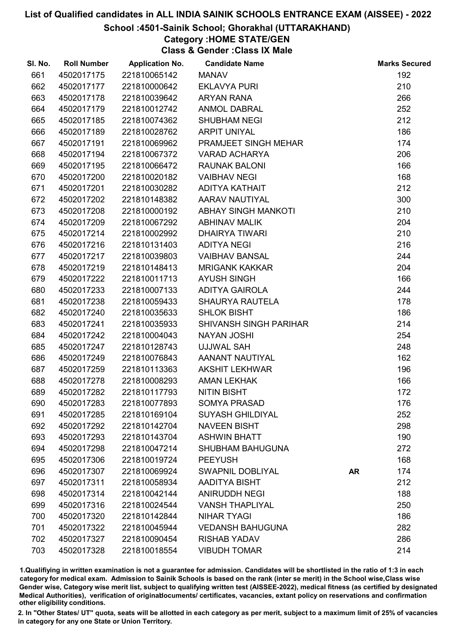#### School :4501-Sainik School; Ghorakhal (UTTARAKHAND)

## Category :HOME STATE/GEN

Class & Gender :Class IX Male

| SI. No. | <b>Roll Number</b> | <b>Application No.</b> | <b>Candidate Name</b>         |           | <b>Marks Secured</b> |
|---------|--------------------|------------------------|-------------------------------|-----------|----------------------|
| 661     | 4502017175         | 221810065142           | <b>MANAV</b>                  |           | 192                  |
| 662     | 4502017177         | 221810000642           | <b>EKLAVYA PURI</b>           |           | 210                  |
| 663     | 4502017178         | 221810039642           | <b>ARYAN RANA</b>             |           | 266                  |
| 664     | 4502017179         | 221810012742           | <b>ANMOL DABRAL</b>           |           | 252                  |
| 665     | 4502017185         | 221810074362           | <b>SHUBHAM NEGI</b>           |           | 212                  |
| 666     | 4502017189         | 221810028762           | <b>ARPIT UNIYAL</b>           |           | 186                  |
| 667     | 4502017191         | 221810069962           | PRAMJEET SINGH MEHAR          |           | 174                  |
| 668     | 4502017194         | 221810067372           | <b>VARAD ACHARYA</b>          |           | 206                  |
| 669     | 4502017195         | 221810066472           | <b>RAUNAK BALONI</b>          |           | 166                  |
| 670     | 4502017200         | 221810020182           | <b>VAIBHAV NEGI</b>           |           | 168                  |
| 671     | 4502017201         | 221810030282           | ADITYA KATHAIT                |           | 212                  |
| 672     | 4502017202         | 221810148382           | AARAV NAUTIYAL                |           | 300                  |
| 673     | 4502017208         | 221810000192           | <b>ABHAY SINGH MANKOTI</b>    |           | 210                  |
| 674     | 4502017209         | 221810067292           | <b>ABHINAV MALIK</b>          |           | 204                  |
| 675     | 4502017214         | 221810002992           | <b>DHAIRYA TIWARI</b>         |           | 210                  |
| 676     | 4502017216         | 221810131403           | <b>ADITYA NEGI</b>            |           | 216                  |
| 677     | 4502017217         | 221810039803           | <b>VAIBHAV BANSAL</b>         |           | 244                  |
| 678     | 4502017219         | 221810148413           | <b>MRIGANK KAKKAR</b>         |           | 204                  |
| 679     | 4502017222         | 221810011713           | <b>AYUSH SINGH</b>            |           | 166                  |
| 680     | 4502017233         | 221810007133           | <b>ADITYA GAIROLA</b>         |           | 244                  |
| 681     | 4502017238         | 221810059433           | <b>SHAURYA RAUTELA</b>        |           | 178                  |
| 682     | 4502017240         | 221810035633           | <b>SHLOK BISHT</b>            |           | 186                  |
| 683     | 4502017241         | 221810035933           | <b>SHIVANSH SINGH PARIHAR</b> |           | 214                  |
| 684     | 4502017242         | 221810004043           | <b>NAYAN JOSHI</b>            |           | 254                  |
| 685     | 4502017247         | 221810128743           | <b>UJJWAL SAH</b>             |           | 248                  |
| 686     | 4502017249         | 221810076843           | AANANT NAUTIYAL               |           | 162                  |
| 687     | 4502017259         | 221810113363           | <b>AKSHIT LEKHWAR</b>         |           | 196                  |
| 688     | 4502017278         | 221810008293           | <b>AMAN LEKHAK</b>            |           | 166                  |
| 689     | 4502017282         | 221810117793           | <b>NITIN BISHT</b>            |           | 172                  |
| 690     | 4502017283         | 221810077893           | <b>SOMYA PRASAD</b>           |           | 176                  |
| 691     | 4502017285         | 221810169104           | <b>SUYASH GHILDIYAL</b>       |           | 252                  |
| 692     | 4502017292         | 221810142704           | <b>NAVEEN BISHT</b>           |           | 298                  |
| 693     | 4502017293         | 221810143704           | <b>ASHWIN BHATT</b>           |           | 190                  |
| 694     | 4502017298         | 221810047214           | <b>SHUBHAM BAHUGUNA</b>       |           | 272                  |
| 695     | 4502017306         | 221810019724           | <b>PEEYUSH</b>                |           | 168                  |
| 696     | 4502017307         | 221810069924           | <b>SWAPNIL DOBLIYAL</b>       | <b>AR</b> | 174                  |
| 697     | 4502017311         | 221810058934           | AADITYA BISHT                 |           | 212                  |
| 698     | 4502017314         | 221810042144           | <b>ANIRUDDH NEGI</b>          |           | 188                  |
| 699     | 4502017316         | 221810024544           | <b>VANSH THAPLIYAL</b>        |           | 250                  |
| 700     | 4502017320         | 221810142844           | <b>NIHAR TYAGI</b>            |           | 186                  |
| 701     | 4502017322         | 221810045944           | <b>VEDANSH BAHUGUNA</b>       |           | 282                  |
| 702     | 4502017327         | 221810090454           | <b>RISHAB YADAV</b>           |           | 286                  |
| 703     | 4502017328         | 221810018554           | <b>VIBUDH TOMAR</b>           |           | 214                  |

1.Qualifiying in written examination is not a guarantee for admission. Candidates will be shortlisted in the ratio of 1:3 in each category for medical exam. Admission to Sainik Schools is based on the rank (inter se merit) in the School wise,Class wise Gender wise, Category wise merit list, subject to qualifying written test (AISSEE-2022), medical fitness (as certified by designated Medical Authorities), verification of originablocuments/ certificates, vacancies, extant policy on reservations and confirmation other eligibility conditions.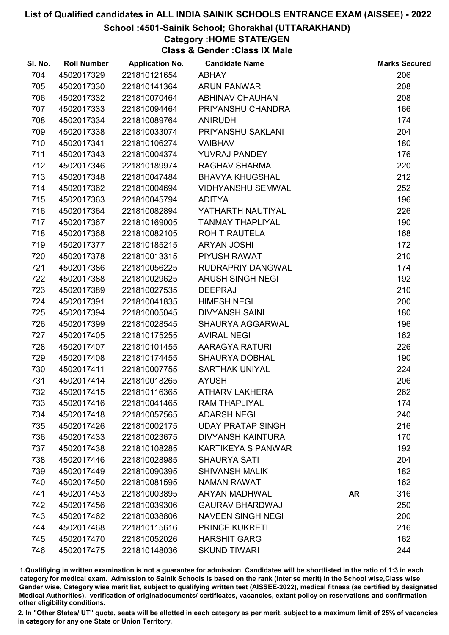#### School :4501-Sainik School; Ghorakhal (UTTARAKHAND)

## Category :HOME STATE/GEN

Class & Gender :Class IX Male

| SI. No. | <b>Roll Number</b> | <b>Application No.</b> | <b>Candidate Name</b>     |           | <b>Marks Secured</b> |
|---------|--------------------|------------------------|---------------------------|-----------|----------------------|
| 704     | 4502017329         | 221810121654           | <b>ABHAY</b>              |           | 206                  |
| 705     | 4502017330         | 221810141364           | <b>ARUN PANWAR</b>        |           | 208                  |
| 706     | 4502017332         | 221810070464           | <b>ABHINAV CHAUHAN</b>    |           | 208                  |
| 707     | 4502017333         | 221810094464           | PRIYANSHU CHANDRA         |           | 166                  |
| 708     | 4502017334         | 221810089764           | <b>ANIRUDH</b>            |           | 174                  |
| 709     | 4502017338         | 221810033074           | PRIYANSHU SAKLANI         |           | 204                  |
| 710     | 4502017341         | 221810106274           | <b>VAIBHAV</b>            |           | 180                  |
| 711     | 4502017343         | 221810004374           | YUVRAJ PANDEY             |           | 176                  |
| 712     | 4502017346         | 221810189974           | RAGHAV SHARMA             |           | 220                  |
| 713     | 4502017348         | 221810047484           | <b>BHAVYA KHUGSHAL</b>    |           | 212                  |
| 714     | 4502017362         | 221810004694           | <b>VIDHYANSHU SEMWAL</b>  |           | 252                  |
| 715     | 4502017363         | 221810045794           | <b>ADITYA</b>             |           | 196                  |
| 716     | 4502017364         | 221810082894           | YATHARTH NAUTIYAL         |           | 226                  |
| 717     | 4502017367         | 221810169005           | <b>TANMAY THAPLIYAL</b>   |           | 190                  |
| 718     | 4502017368         | 221810082105           | <b>ROHIT RAUTELA</b>      |           | 168                  |
| 719     | 4502017377         | 221810185215           | <b>ARYAN JOSHI</b>        |           | 172                  |
| 720     | 4502017378         | 221810013315           | <b>PIYUSH RAWAT</b>       |           | 210                  |
| 721     | 4502017386         | 221810056225           | RUDRAPRIY DANGWAL         |           | 174                  |
| 722     | 4502017388         | 221810029625           | <b>ARUSH SINGH NEGI</b>   |           | 192                  |
| 723     | 4502017389         | 221810027535           | <b>DEEPRAJ</b>            |           | 210                  |
| 724     | 4502017391         | 221810041835           | <b>HIMESH NEGI</b>        |           | 200                  |
| 725     | 4502017394         | 221810005045           | <b>DIVYANSH SAINI</b>     |           | 180                  |
| 726     | 4502017399         | 221810028545           | SHAURYA AGGARWAL          |           | 196                  |
| 727     | 4502017405         | 221810175255           | <b>AVIRAL NEGI</b>        |           | 162                  |
| 728     | 4502017407         | 221810101455           | AARAGYA RATURI            |           | 226                  |
| 729     | 4502017408         | 221810174455           | <b>SHAURYA DOBHAL</b>     |           | 190                  |
| 730     | 4502017411         | 221810007755           | <b>SARTHAK UNIYAL</b>     |           | 224                  |
| 731     | 4502017414         | 221810018265           | <b>AYUSH</b>              |           | 206                  |
| 732     | 4502017415         | 221810116365           | <b>ATHARV LAKHERA</b>     |           | 262                  |
| 733     | 4502017416         | 221810041465           | <b>RAM THAPLIYAL</b>      |           | 174                  |
| 734     | 4502017418         | 221810057565           | <b>ADARSH NEGI</b>        |           | 240                  |
| 735     | 4502017426         | 221810002175           | <b>UDAY PRATAP SINGH</b>  |           | 216                  |
| 736     | 4502017433         | 221810023675           | <b>DIVYANSH KAINTURA</b>  |           | 170                  |
| 737     | 4502017438         | 221810108285           | <b>KARTIKEYA S PANWAR</b> |           | 192                  |
| 738     | 4502017446         | 221810028985           | <b>SHAURYA SATI</b>       |           | 204                  |
| 739     | 4502017449         | 221810090395           | <b>SHIVANSH MALIK</b>     |           | 182                  |
| 740     | 4502017450         | 221810081595           | <b>NAMAN RAWAT</b>        |           | 162                  |
| 741     | 4502017453         | 221810003895           | <b>ARYAN MADHWAL</b>      | <b>AR</b> | 316                  |
| 742     | 4502017456         | 221810039306           | <b>GAURAV BHARDWAJ</b>    |           | 250                  |
| 743     | 4502017462         | 221810038806           | <b>NAVEEN SINGH NEGI</b>  |           | 200                  |
| 744     | 4502017468         | 221810115616           | <b>PRINCE KUKRETI</b>     |           | 216                  |
| 745     | 4502017470         | 221810052026           | <b>HARSHIT GARG</b>       |           | 162                  |
| 746     | 4502017475         | 221810148036           | <b>SKUND TIWARI</b>       |           | 244                  |

1.Qualifiying in written examination is not a guarantee for admission. Candidates will be shortlisted in the ratio of 1:3 in each category for medical exam. Admission to Sainik Schools is based on the rank (inter se merit) in the School wise,Class wise Gender wise, Category wise merit list, subject to qualifying written test (AISSEE-2022), medical fitness (as certified by designated Medical Authorities), verification of originablocuments/ certificates, vacancies, extant policy on reservations and confirmation other eligibility conditions.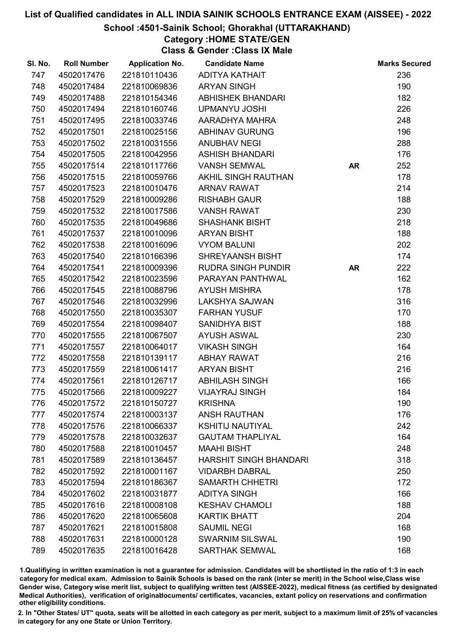#### School :4501-Sainik School; Ghorakhal (UTTARAKHAND)

Category :HOME STATE/GEN

Class & Gender :Class IX Male

| SI. No. | <b>Roll Number</b> | <b>Application No.</b> | <b>Candidate Name</b>         |           | <b>Marks Secured</b> |
|---------|--------------------|------------------------|-------------------------------|-----------|----------------------|
| 747     | 4502017476         | 221810110436           | ADITYA KATHAIT                |           | 236                  |
| 748     | 4502017484         | 221810069836           | <b>ARYAN SINGH</b>            |           | 190                  |
| 749     | 4502017488         | 221810154346           | <b>ABHISHEK BHANDARI</b>      |           | 182                  |
| 750     | 4502017494         | 221810160746           | <b>UPMANYU JOSHI</b>          |           | 226                  |
| 751     | 4502017495         | 221810033746           | AARADHYA MAHRA                |           | 248                  |
| 752     | 4502017501         | 221810025156           | <b>ABHINAV GURUNG</b>         |           | 196                  |
| 753     | 4502017502         | 221810031556           | <b>ANUBHAV NEGI</b>           |           | 288                  |
| 754     | 4502017505         | 221810042956           | <b>ASHISH BHANDARI</b>        |           | 176                  |
| 755     | 4502017514         | 221810117766           | <b>VANSH SEMWAL</b>           | <b>AR</b> | 252                  |
| 756     | 4502017515         | 221810059766           | AKHIL SINGH RAUTHAN           |           | 178                  |
| 757     | 4502017523         | 221810010476           | <b>ARNAV RAWAT</b>            |           | 214                  |
| 758     | 4502017529         | 221810009286           | <b>RISHABH GAUR</b>           |           | 188                  |
| 759     | 4502017532         | 221810017586           | <b>VANSH RAWAT</b>            |           | 230                  |
| 760     | 4502017535         | 221810049686           | <b>SHASHANK BISHT</b>         |           | 218                  |
| 761     | 4502017537         | 221810010096           | <b>ARYAN BISHT</b>            |           | 188                  |
| 762     | 4502017538         | 221810016096           | <b>VYOM BALUNI</b>            |           | 202                  |
| 763     | 4502017540         | 221810166396           | SHREYAANSH BISHT              |           | 174                  |
| 764     | 4502017541         | 221810009396           | <b>RUDRA SINGH PUNDIR</b>     | <b>AR</b> | 222                  |
| 765     | 4502017542         | 221810023596           | PARAYAN PANTHWAL              |           | 162                  |
| 766     | 4502017545         | 221810088796           | <b>AYUSH MISHRA</b>           |           | 178                  |
| 767     | 4502017546         | 221810032996           | LAKSHYA SAJWAN                |           | 316                  |
| 768     | 4502017550         | 221810035307           | <b>FARHAN YUSUF</b>           |           | 170                  |
| 769     | 4502017554         | 221810098407           | <b>SANIDHYA BIST</b>          |           | 188                  |
| 770     | 4502017555         | 221810067507           | <b>AYUSH ASWAL</b>            |           | 230                  |
| 771     | 4502017557         | 221810064017           | <b>VIKASH SINGH</b>           |           | 164                  |
| 772     | 4502017558         | 221810139117           | <b>ABHAY RAWAT</b>            |           | 216                  |
| 773     | 4502017559         | 221810061417           | <b>ARYAN BISHT</b>            |           | 216                  |
| 774     | 4502017561         | 221810126717           | <b>ABHILASH SINGH</b>         |           | 166                  |
| 775     | 4502017566         | 221810009227           | <b>VIJAYRAJ SINGH</b>         |           | 184                  |
| 776     | 4502017572         | 221810150727           | <b>KRISHNA</b>                |           | 190                  |
| 777     | 4502017574         | 221810003137           | <b>ANSH RAUTHAN</b>           |           | 176                  |
| 778     | 4502017576         | 221810066337           | <b>KSHITIJ NAUTIYAL</b>       |           | 242                  |
| 779     | 4502017578         | 221810032637           | <b>GAUTAM THAPLIYAL</b>       |           | 164                  |
| 780     | 4502017588         | 221810010457           | <b>MAAHI BISHT</b>            |           | 248                  |
| 781     | 4502017589         | 221810136457           | <b>HARSHIT SINGH BHANDARI</b> |           | 318                  |
| 782     | 4502017592         | 221810001167           | <b>VIDARBH DABRAL</b>         |           | 250                  |
| 783     | 4502017594         | 221810186367           | <b>SAMARTH CHHETRI</b>        |           | 172                  |
| 784     | 4502017602         | 221810031877           | <b>ADITYA SINGH</b>           |           | 166                  |
| 785     | 4502017616         | 221810008108           | <b>KESHAV CHAMOLI</b>         |           | 188                  |
| 786     | 4502017620         | 221810065608           | <b>KARTIK BHATT</b>           |           | 204                  |
| 787     | 4502017621         | 221810015808           | <b>SAUMIL NEGI</b>            |           | 168                  |
| 788     | 4502017631         | 221810000128           | <b>SWARNIM SILSWAL</b>        |           | 190                  |
| 789     | 4502017635         | 221810016428           | <b>SARTHAK SEMWAL</b>         |           | 168                  |

1.Qualifiying in written examination is not a guarantee for admission. Candidates will be shortlisted in the ratio of 1:3 in each category for medical exam. Admission to Sainik Schools is based on the rank (inter se merit) in the School wise,Class wise Gender wise, Category wise merit list, subject to qualifying written test (AISSEE-2022), medical fitness (as certified by designated Medical Authorities), verification of originablocuments/ certificates, vacancies, extant policy on reservations and confirmation other eligibility conditions.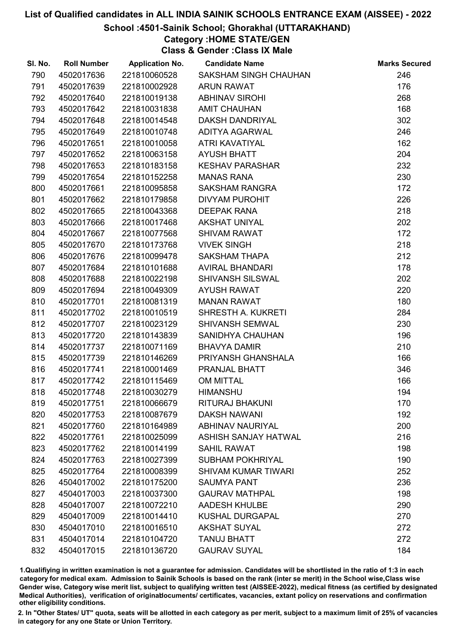#### School :4501-Sainik School; Ghorakhal (UTTARAKHAND)

## Category :HOME STATE/GEN

Class & Gender :Class IX Male

| SI. No. | <b>Roll Number</b> | <b>Application No.</b> | <b>Candidate Name</b>       | <b>Marks Secured</b> |
|---------|--------------------|------------------------|-----------------------------|----------------------|
| 790     | 4502017636         | 221810060528           | SAKSHAM SINGH CHAUHAN       | 246                  |
| 791     | 4502017639         | 221810002928           | <b>ARUN RAWAT</b>           | 176                  |
| 792     | 4502017640         | 221810019138           | <b>ABHINAV SIROHI</b>       | 268                  |
| 793     | 4502017642         | 221810031838           | <b>AMIT CHAUHAN</b>         | 168                  |
| 794     | 4502017648         | 221810014548           | <b>DAKSH DANDRIYAL</b>      | 302                  |
| 795     | 4502017649         | 221810010748           | <b>ADITYA AGARWAL</b>       | 246                  |
| 796     | 4502017651         | 221810010058           | ATRI KAVATIYAL              | 162                  |
| 797     | 4502017652         | 221810063158           | <b>AYUSH BHATT</b>          | 204                  |
| 798     | 4502017653         | 221810183158           | <b>KESHAV PARASHAR</b>      | 232                  |
| 799     | 4502017654         | 221810152258           | <b>MANAS RANA</b>           | 230                  |
| 800     | 4502017661         | 221810095858           | <b>SAKSHAM RANGRA</b>       | 172                  |
| 801     | 4502017662         | 221810179858           | <b>DIVYAM PUROHIT</b>       | 226                  |
| 802     | 4502017665         | 221810043368           | <b>DEEPAK RANA</b>          | 218                  |
| 803     | 4502017666         | 221810017468           | <b>AKSHAT UNIYAL</b>        | 202                  |
| 804     | 4502017667         | 221810077568           | <b>SHIVAM RAWAT</b>         | 172                  |
| 805     | 4502017670         | 221810173768           | <b>VIVEK SINGH</b>          | 218                  |
| 806     | 4502017676         | 221810099478           | <b>SAKSHAM THAPA</b>        | 212                  |
| 807     | 4502017684         | 221810101688           | <b>AVIRAL BHANDARI</b>      | 178                  |
| 808     | 4502017688         | 221810022198           | <b>SHIVANSH SILSWAL</b>     | 202                  |
| 809     | 4502017694         | 221810049309           | <b>AYUSH RAWAT</b>          | 220                  |
| 810     | 4502017701         | 221810081319           | <b>MANAN RAWAT</b>          | 180                  |
| 811     | 4502017702         | 221810010519           | SHRESTH A. KUKRETI          | 284                  |
| 812     | 4502017707         | 221810023129           | <b>SHIVANSH SEMWAL</b>      | 230                  |
| 813     | 4502017720         | 221810143839           | SANIDHYA CHAUHAN            | 196                  |
| 814     | 4502017737         | 221810071169           | <b>BHAVYA DAMIR</b>         | 210                  |
| 815     | 4502017739         | 221810146269           | PRIYANSH GHANSHALA          | 166                  |
| 816     | 4502017741         | 221810001469           | PRANJAL BHATT               | 346                  |
| 817     | 4502017742         | 221810115469           | <b>OM MITTAL</b>            | 166                  |
| 818     | 4502017748         | 221810030279           | <b>HIMANSHU</b>             | 194                  |
| 819     | 4502017751         | 221810066679           | RITURAJ BHAKUNI             | 170                  |
| 820     | 4502017753         | 221810087679           | <b>DAKSH NAWANI</b>         | 192                  |
| 821     | 4502017760         | 221810164989           | <b>ABHINAV NAURIYAL</b>     | 200                  |
| 822     | 4502017761         | 221810025099           | <b>ASHISH SANJAY HATWAL</b> | 216                  |
| 823     | 4502017762         | 221810014199           | <b>SAHIL RAWAT</b>          | 198                  |
| 824     | 4502017763         | 221810027399           | <b>SUBHAM POKHRIYAL</b>     | 190                  |
| 825     | 4502017764         | 221810008399           | <b>SHIVAM KUMAR TIWARI</b>  | 252                  |
| 826     | 4504017002         | 221810175200           | <b>SAUMYA PANT</b>          | 236                  |
| 827     | 4504017003         | 221810037300           | <b>GAURAV MATHPAL</b>       | 198                  |
| 828     | 4504017007         | 221810072210           | <b>AADESH KHULBE</b>        | 290                  |
| 829     | 4504017009         | 221810014410           | <b>KUSHAL DURGAPAL</b>      | 270                  |
| 830     | 4504017010         | 221810016510           | <b>AKSHAT SUYAL</b>         | 272                  |
| 831     | 4504017014         | 221810104720           | <b>TANUJ BHATT</b>          | 272                  |
| 832     | 4504017015         | 221810136720           | <b>GAURAV SUYAL</b>         | 184                  |

1.Qualifiying in written examination is not a guarantee for admission. Candidates will be shortlisted in the ratio of 1:3 in each category for medical exam. Admission to Sainik Schools is based on the rank (inter se merit) in the School wise,Class wise Gender wise, Category wise merit list, subject to qualifying written test (AISSEE-2022), medical fitness (as certified by designated Medical Authorities), verification of originablocuments/ certificates, vacancies, extant policy on reservations and confirmation other eligibility conditions.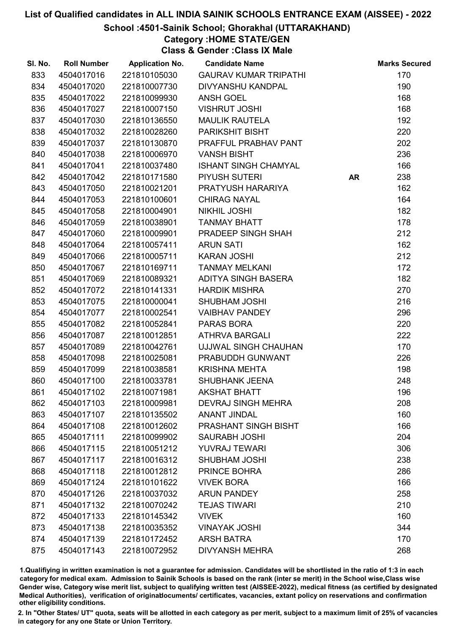#### School :4501-Sainik School; Ghorakhal (UTTARAKHAND)

## Category :HOME STATE/GEN

Class & Gender :Class IX Male

| SI. No. | <b>Roll Number</b> | <b>Application No.</b> | <b>Candidate Name</b>        |           | <b>Marks Secured</b> |
|---------|--------------------|------------------------|------------------------------|-----------|----------------------|
| 833     | 4504017016         | 221810105030           | <b>GAURAV KUMAR TRIPATHI</b> |           | 170                  |
| 834     | 4504017020         | 221810007730           | <b>DIVYANSHU KANDPAL</b>     |           | 190                  |
| 835     | 4504017022         | 221810099930           | ANSH GOEL                    |           | 168                  |
| 836     | 4504017027         | 221810007150           | <b>VISHRUT JOSHI</b>         |           | 168                  |
| 837     | 4504017030         | 221810136550           | <b>MAULIK RAUTELA</b>        |           | 192                  |
| 838     | 4504017032         | 221810028260           | PARIKSHIT BISHT              |           | 220                  |
| 839     | 4504017037         | 221810130870           | PRAFFUL PRABHAV PANT         |           | 202                  |
| 840     | 4504017038         | 221810006970           | <b>VANSH BISHT</b>           |           | 236                  |
| 841     | 4504017041         | 221810037480           | <b>ISHANT SINGH CHAMYAL</b>  |           | 166                  |
| 842     | 4504017042         | 221810171580           | PIYUSH SUTERI                | <b>AR</b> | 238                  |
| 843     | 4504017050         | 221810021201           | PRATYUSH HARARIYA            |           | 162                  |
| 844     | 4504017053         | 221810100601           | <b>CHIRAG NAYAL</b>          |           | 164                  |
| 845     | 4504017058         | 221810004901           | <b>NIKHIL JOSHI</b>          |           | 182                  |
| 846     | 4504017059         | 221810038901           | <b>TANMAY BHATT</b>          |           | 178                  |
| 847     | 4504017060         | 221810009901           | PRADEEP SINGH SHAH           |           | 212                  |
| 848     | 4504017064         | 221810057411           | <b>ARUN SATI</b>             |           | 162                  |
| 849     | 4504017066         | 221810005711           | <b>KARAN JOSHI</b>           |           | 212                  |
| 850     | 4504017067         | 221810169711           | <b>TANMAY MELKANI</b>        |           | 172                  |
| 851     | 4504017069         | 221810089321           | ADITYA SINGH BASERA          |           | 182                  |
| 852     | 4504017072         | 221810141331           | <b>HARDIK MISHRA</b>         |           | 270                  |
| 853     | 4504017075         | 221810000041           | <b>SHUBHAM JOSHI</b>         |           | 216                  |
| 854     | 4504017077         | 221810002541           | <b>VAIBHAV PANDEY</b>        |           | 296                  |
| 855     | 4504017082         | 221810052841           | <b>PARAS BORA</b>            |           | 220                  |
| 856     | 4504017087         | 221810012851           | <b>ATHRVA BARGALI</b>        |           | 222                  |
| 857     | 4504017089         | 221810042761           | UJJWAL SINGH CHAUHAN         |           | 170                  |
| 858     | 4504017098         | 221810025081           | PRABUDDH GUNWANT             |           | 226                  |
| 859     | 4504017099         | 221810038581           | <b>KRISHNA MEHTA</b>         |           | 198                  |
| 860     | 4504017100         | 221810033781           | SHUBHANK JEENA               |           | 248                  |
| 861     | 4504017102         | 221810071981           | <b>AKSHAT BHATT</b>          |           | 196                  |
| 862     | 4504017103         | 221810009981           | <b>DEVRAJ SINGH MEHRA</b>    |           | 208                  |
| 863     | 4504017107         | 221810135502           | <b>ANANT JINDAL</b>          |           | 160                  |
| 864     | 4504017108         | 221810012602           | PRASHANT SINGH BISHT         |           | 166                  |
| 865     | 4504017111         | 221810099902           | <b>SAURABH JOSHI</b>         |           | 204                  |
| 866     | 4504017115         | 221810051212           | <b>YUVRAJ TEWARI</b>         |           | 306                  |
| 867     | 4504017117         | 221810016312           | <b>SHUBHAM JOSHI</b>         |           | 238                  |
| 868     | 4504017118         | 221810012812           | PRINCE BOHRA                 |           | 286                  |
| 869     | 4504017124         | 221810101622           | <b>VIVEK BORA</b>            |           | 166                  |
| 870     | 4504017126         | 221810037032           | <b>ARUN PANDEY</b>           |           | 258                  |
| 871     | 4504017132         | 221810070242           | <b>TEJAS TIWARI</b>          |           | 210                  |
| 872     | 4504017133         | 221810145342           | <b>VIVEK</b>                 |           | 160                  |
| 873     | 4504017138         | 221810035352           | <b>VINAYAK JOSHI</b>         |           | 344                  |
| 874     | 4504017139         | 221810172452           | <b>ARSH BATRA</b>            |           | 170                  |
| 875     | 4504017143         | 221810072952           | <b>DIVYANSH MEHRA</b>        |           | 268                  |

1.Qualifiying in written examination is not a guarantee for admission. Candidates will be shortlisted in the ratio of 1:3 in each category for medical exam. Admission to Sainik Schools is based on the rank (inter se merit) in the School wise,Class wise Gender wise, Category wise merit list, subject to qualifying written test (AISSEE-2022), medical fitness (as certified by designated Medical Authorities), verification of originablocuments/ certificates, vacancies, extant policy on reservations and confirmation other eligibility conditions.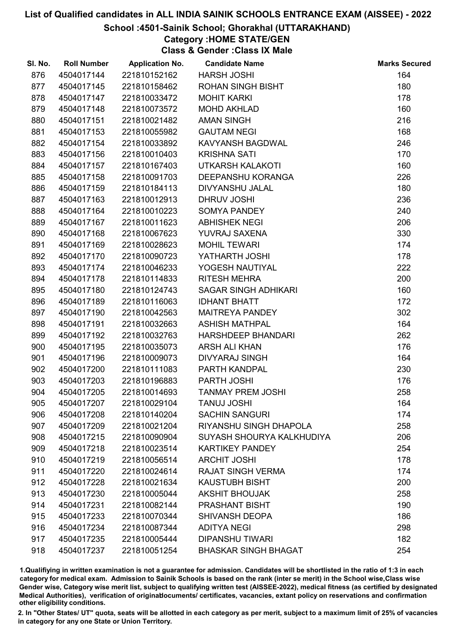#### School :4501-Sainik School; Ghorakhal (UTTARAKHAND)

# Category :HOME STATE/GEN

Class & Gender :Class IX Male

| SI. No. | <b>Roll Number</b> | <b>Application No.</b> | <b>Candidate Name</b>       | <b>Marks Secured</b> |
|---------|--------------------|------------------------|-----------------------------|----------------------|
| 876     | 4504017144         | 221810152162           | <b>HARSH JOSHI</b>          | 164                  |
| 877     | 4504017145         | 221810158462           | <b>ROHAN SINGH BISHT</b>    | 180                  |
| 878     | 4504017147         | 221810033472           | <b>MOHIT KARKI</b>          | 178                  |
| 879     | 4504017148         | 221810073572           | <b>MOHD AKHLAD</b>          | 160                  |
| 880     | 4504017151         | 221810021482           | <b>AMAN SINGH</b>           | 216                  |
| 881     | 4504017153         | 221810055982           | <b>GAUTAM NEGI</b>          | 168                  |
| 882     | 4504017154         | 221810033892           | KAVYANSH BAGDWAL            | 246                  |
| 883     | 4504017156         | 221810010403           | <b>KRISHNA SATI</b>         | 170                  |
| 884     | 4504017157         | 221810167403           | <b>UTKARSH KALAKOTI</b>     | 160                  |
| 885     | 4504017158         | 221810091703           | DEEPANSHU KORANGA           | 226                  |
| 886     | 4504017159         | 221810184113           | DIVYANSHU JALAL             | 180                  |
| 887     | 4504017163         | 221810012913           | DHRUV JOSHI                 | 236                  |
| 888     | 4504017164         | 221810010223           | <b>SOMYA PANDEY</b>         | 240                  |
| 889     | 4504017167         | 221810011623           | <b>ABHISHEK NEGI</b>        | 206                  |
| 890     | 4504017168         | 221810067623           | YUVRAJ SAXENA               | 330                  |
| 891     | 4504017169         | 221810028623           | <b>MOHIL TEWARI</b>         | 174                  |
| 892     | 4504017170         | 221810090723           | YATHARTH JOSHI              | 178                  |
| 893     | 4504017174         | 221810046233           | YOGESH NAUTIYAL             | 222                  |
| 894     | 4504017178         | 221810114833           | <b>RITESH MEHRA</b>         | 200                  |
| 895     | 4504017180         | 221810124743           | <b>SAGAR SINGH ADHIKARI</b> | 160                  |
| 896     | 4504017189         | 221810116063           | <b>IDHANT BHATT</b>         | 172                  |
| 897     | 4504017190         | 221810042563           | MAITREYA PANDEY             | 302                  |
| 898     | 4504017191         | 221810032663           | <b>ASHISH MATHPAL</b>       | 164                  |
| 899     | 4504017192         | 221810032763           | HARSHDEEP BHANDARI          | 262                  |
| 900     | 4504017195         | 221810035073           | <b>ARSH ALI KHAN</b>        | 176                  |
| 901     | 4504017196         | 221810009073           | <b>DIVYARAJ SINGH</b>       | 164                  |
| 902     | 4504017200         | 221810111083           | PARTH KANDPAL               | 230                  |
| 903     | 4504017203         | 221810196883           | PARTH JOSHI                 | 176                  |
| 904     | 4504017205         | 221810014693           | <b>TANMAY PREM JOSHI</b>    | 258                  |
| 905     | 4504017207         | 221810029104           | <b>TANUJ JOSHI</b>          | 164                  |
| 906     | 4504017208         | 221810140204           | <b>SACHIN SANGURI</b>       | 174                  |
| 907     | 4504017209         | 221810021204           | RIYANSHU SINGH DHAPOLA      | 258                  |
| 908     | 4504017215         | 221810090904           | SUYASH SHOURYA KALKHUDIYA   | 206                  |
| 909     | 4504017218         | 221810023514           | <b>KARTIKEY PANDEY</b>      | 254                  |
| 910     | 4504017219         | 221810056514           | <b>ARCHIT JOSHI</b>         | 178                  |
| 911     | 4504017220         | 221810024614           | <b>RAJAT SINGH VERMA</b>    | 174                  |
| 912     | 4504017228         | 221810021634           | <b>KAUSTUBH BISHT</b>       | 200                  |
| 913     | 4504017230         | 221810005044           | <b>AKSHIT BHOUJAK</b>       | 258                  |
| 914     | 4504017231         | 221810082144           | <b>PRASHANT BISHT</b>       | 190                  |
| 915     | 4504017233         | 221810070344           | <b>SHIVANSH DEOPA</b>       | 186                  |
| 916     | 4504017234         | 221810087344           | <b>ADITYA NEGI</b>          | 298                  |
| 917     | 4504017235         | 221810005444           | <b>DIPANSHU TIWARI</b>      | 182                  |
| 918     | 4504017237         | 221810051254           | <b>BHASKAR SINGH BHAGAT</b> | 254                  |

1.Qualifiying in written examination is not a guarantee for admission. Candidates will be shortlisted in the ratio of 1:3 in each category for medical exam. Admission to Sainik Schools is based on the rank (inter se merit) in the School wise,Class wise Gender wise, Category wise merit list, subject to qualifying written test (AISSEE-2022), medical fitness (as certified by designated Medical Authorities), verification of originablocuments/ certificates, vacancies, extant policy on reservations and confirmation other eligibility conditions.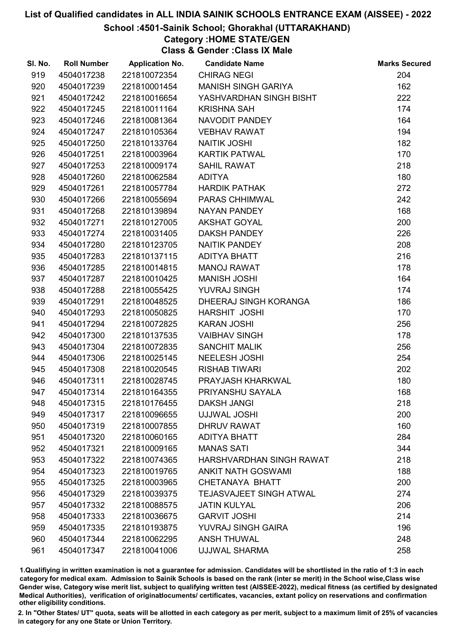#### School :4501-Sainik School; Ghorakhal (UTTARAKHAND)

## Category :HOME STATE/GEN

Class & Gender :Class IX Male

| SI. No. | <b>Roll Number</b> | <b>Application No.</b> | <b>Candidate Name</b>          | <b>Marks Secured</b> |
|---------|--------------------|------------------------|--------------------------------|----------------------|
| 919     | 4504017238         | 221810072354           | <b>CHIRAG NEGI</b>             | 204                  |
| 920     | 4504017239         | 221810001454           | <b>MANISH SINGH GARIYA</b>     | 162                  |
| 921     | 4504017242         | 221810016654           | YASHVARDHAN SINGH BISHT        | 222                  |
| 922     | 4504017245         | 221810011164           | <b>KRISHNA SAH</b>             | 174                  |
| 923     | 4504017246         | 221810081364           | NAVODIT PANDEY                 | 164                  |
| 924     | 4504017247         | 221810105364           | <b>VEBHAV RAWAT</b>            | 194                  |
| 925     | 4504017250         | 221810133764           | <b>NAITIK JOSHI</b>            | 182                  |
| 926     | 4504017251         | 221810003964           | <b>KARTIK PATWAL</b>           | 170                  |
| 927     | 4504017253         | 221810009174           | <b>SAHIL RAWAT</b>             | 218                  |
| 928     | 4504017260         | 221810062584           | <b>ADITYA</b>                  | 180                  |
| 929     | 4504017261         | 221810057784           | <b>HARDIK PATHAK</b>           | 272                  |
| 930     | 4504017266         | 221810055694           | PARAS CHHIMWAL                 | 242                  |
| 931     | 4504017268         | 221810139894           | NAYAN PANDEY                   | 168                  |
| 932     | 4504017271         | 221810127005           | <b>AKSHAT GOYAL</b>            | 200                  |
| 933     | 4504017274         | 221810031405           | <b>DAKSH PANDEY</b>            | 226                  |
| 934     | 4504017280         | 221810123705           | NAITIK PANDEY                  | 208                  |
| 935     | 4504017283         | 221810137115           | ADITYA BHATT                   | 216                  |
| 936     | 4504017285         | 221810014815           | <b>MANOJ RAWAT</b>             | 178                  |
| 937     | 4504017287         | 221810010425           | <b>MANISH JOSHI</b>            | 164                  |
| 938     | 4504017288         | 221810055425           | YUVRAJ SINGH                   | 174                  |
| 939     | 4504017291         | 221810048525           | DHEERAJ SINGH KORANGA          | 186                  |
| 940     | 4504017293         | 221810050825           | HARSHIT JOSHI                  | 170                  |
| 941     | 4504017294         | 221810072825           | <b>KARAN JOSHI</b>             | 256                  |
| 942     | 4504017300         | 221810137535           | <b>VAIBHAV SINGH</b>           | 178                  |
| 943     | 4504017304         | 221810072835           | <b>SANCHIT MALIK</b>           | 256                  |
| 944     | 4504017306         | 221810025145           | <b>NEELESH JOSHI</b>           | 254                  |
| 945     | 4504017308         | 221810020545           | <b>RISHAB TIWARI</b>           | 202                  |
| 946     | 4504017311         | 221810028745           | PRAYJASH KHARKWAL              | 180                  |
| 947     | 4504017314         | 221810164355           | PRIYANSHU SAYALA               | 168                  |
| 948     | 4504017315         | 221810176455           | <b>DAKSH JANGI</b>             | 218                  |
| 949     | 4504017317         | 221810096655           | <b>UJJWAL JOSHI</b>            | 200                  |
| 950     | 4504017319         | 221810007855           | <b>DHRUV RAWAT</b>             | 160                  |
| 951     | 4504017320         | 221810060165           | <b>ADITYA BHATT</b>            | 284                  |
| 952     | 4504017321         | 221810009165           | <b>MANAS SATI</b>              | 344                  |
| 953     | 4504017322         | 221810074365           | HARSHVARDHAN SINGH RAWAT       | 218                  |
| 954     | 4504017323         | 221810019765           | <b>ANKIT NATH GOSWAMI</b>      | 188                  |
| 955     | 4504017325         | 221810003965           | CHETANAYA BHATT                | 200                  |
| 956     | 4504017329         | 221810039375           | <b>TEJASVAJEET SINGH ATWAL</b> | 274                  |
| 957     | 4504017332         | 221810088575           | <b>JATIN KULYAL</b>            | 206                  |
| 958     | 4504017333         | 221810036675           | <b>GARVIT JOSHI</b>            | 214                  |
| 959     | 4504017335         | 221810193875           | <b>YUVRAJ SINGH GAIRA</b>      | 196                  |
| 960     | 4504017344         | 221810062295           | <b>ANSH THUWAL</b>             | 248                  |
| 961     | 4504017347         | 221810041006           | <b>UJJWAL SHARMA</b>           | 258                  |

1.Qualifiying in written examination is not a guarantee for admission. Candidates will be shortlisted in the ratio of 1:3 in each category for medical exam. Admission to Sainik Schools is based on the rank (inter se merit) in the School wise,Class wise Gender wise, Category wise merit list, subject to qualifying written test (AISSEE-2022), medical fitness (as certified by designated Medical Authorities), verification of originablocuments/ certificates, vacancies, extant policy on reservations and confirmation other eligibility conditions.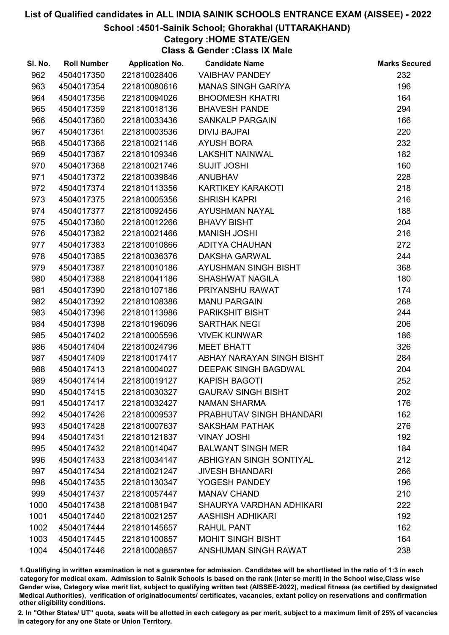#### School :4501-Sainik School; Ghorakhal (UTTARAKHAND)

## Category :HOME STATE/GEN

Class & Gender :Class IX Male

| SI. No. | <b>Roll Number</b> | <b>Application No.</b> | <b>Candidate Name</b>     | <b>Marks Secured</b> |
|---------|--------------------|------------------------|---------------------------|----------------------|
| 962     | 4504017350         | 221810028406           | <b>VAIBHAV PANDEY</b>     | 232                  |
| 963     | 4504017354         | 221810080616           | <b>MANAS SINGH GARIYA</b> | 196                  |
| 964     | 4504017356         | 221810094026           | <b>BHOOMESH KHATRI</b>    | 164                  |
| 965     | 4504017359         | 221810018136           | <b>BHAVESH PANDE</b>      | 294                  |
| 966     | 4504017360         | 221810033436           | <b>SANKALP PARGAIN</b>    | 166                  |
| 967     | 4504017361         | 221810003536           | <b>DIVIJ BAJPAI</b>       | 220                  |
| 968     | 4504017366         | 221810021146           | <b>AYUSH BORA</b>         | 232                  |
| 969     | 4504017367         | 221810109346           | <b>LAKSHIT NAINWAL</b>    | 182                  |
| 970     | 4504017368         | 221810021746           | <b>SUJIT JOSHI</b>        | 160                  |
| 971     | 4504017372         | 221810039846           | <b>ANUBHAV</b>            | 228                  |
| 972     | 4504017374         | 221810113356           | <b>KARTIKEY KARAKOTI</b>  | 218                  |
| 973     | 4504017375         | 221810005356           | <b>SHRISH KAPRI</b>       | 216                  |
| 974     | 4504017377         | 221810092456           | AYUSHMAN NAYAL            | 188                  |
| 975     | 4504017380         | 221810012266           | <b>BHAVY BISHT</b>        | 204                  |
| 976     | 4504017382         | 221810021466           | <b>MANISH JOSHI</b>       | 216                  |
| 977     | 4504017383         | 221810010866           | <b>ADITYA CHAUHAN</b>     | 272                  |
| 978     | 4504017385         | 221810036376           | <b>DAKSHA GARWAL</b>      | 244                  |
| 979     | 4504017387         | 221810010186           | AYUSHMAN SINGH BISHT      | 368                  |
| 980     | 4504017388         | 221810041186           | <b>SHASHWAT NAGILA</b>    | 180                  |
| 981     | 4504017390         | 221810107186           | PRIYANSHU RAWAT           | 174                  |
| 982     | 4504017392         | 221810108386           | <b>MANU PARGAIN</b>       | 268                  |
| 983     | 4504017396         | 221810113986           | <b>PARIKSHIT BISHT</b>    | 244                  |
| 984     | 4504017398         | 221810196096           | <b>SARTHAK NEGI</b>       | 206                  |
| 985     | 4504017402         | 221810005596           | <b>VIVEK KUNWAR</b>       | 186                  |
| 986     | 4504017404         | 221810024796           | <b>MEET BHATT</b>         | 326                  |
| 987     | 4504017409         | 221810017417           | ABHAY NARAYAN SINGH BISHT | 284                  |
| 988     | 4504017413         | 221810004027           | DEEPAK SINGH BAGDWAL      | 204                  |
| 989     | 4504017414         | 221810019127           | <b>KAPISH BAGOTI</b>      | 252                  |
| 990     | 4504017415         | 221810030327           | <b>GAURAV SINGH BISHT</b> | 202                  |
| 991     | 4504017417         | 221810032427           | <b>NAMAN SHARMA</b>       | 176                  |
| 992     | 4504017426         | 221810009537           | PRABHUTAV SINGH BHANDARI  | 162                  |
| 993     | 4504017428         | 221810007637           | <b>SAKSHAM PATHAK</b>     | 276                  |
| 994     | 4504017431         | 221810121837           | <b>VINAY JOSHI</b>        | 192                  |
| 995     | 4504017432         | 221810014047           | <b>BALWANT SINGH MER</b>  | 184                  |
| 996     | 4504017433         | 221810034147           | ABHIGYAN SINGH SONTIYAL   | 212                  |
| 997     | 4504017434         | 221810021247           | <b>JIVESH BHANDARI</b>    | 266                  |
| 998     | 4504017435         | 221810130347           | YOGESH PANDEY             | 196                  |
| 999     | 4504017437         | 221810057447           | <b>MANAV CHAND</b>        | 210                  |
| 1000    | 4504017438         | 221810081947           | SHAURYA VARDHAN ADHIKARI  | 222                  |
| 1001    | 4504017440         | 221810021257           | AASHISH ADHIKARI          | 192                  |
| 1002    | 4504017444         | 221810145657           | <b>RAHUL PANT</b>         | 162                  |
| 1003    | 4504017445         | 221810100857           | <b>MOHIT SINGH BISHT</b>  | 164                  |
| 1004    | 4504017446         | 221810008857           | ANSHUMAN SINGH RAWAT      | 238                  |

1.Qualifiying in written examination is not a guarantee for admission. Candidates will be shortlisted in the ratio of 1:3 in each category for medical exam. Admission to Sainik Schools is based on the rank (inter se merit) in the School wise,Class wise Gender wise, Category wise merit list, subject to qualifying written test (AISSEE-2022), medical fitness (as certified by designated Medical Authorities), verification of originablocuments/ certificates, vacancies, extant policy on reservations and confirmation other eligibility conditions.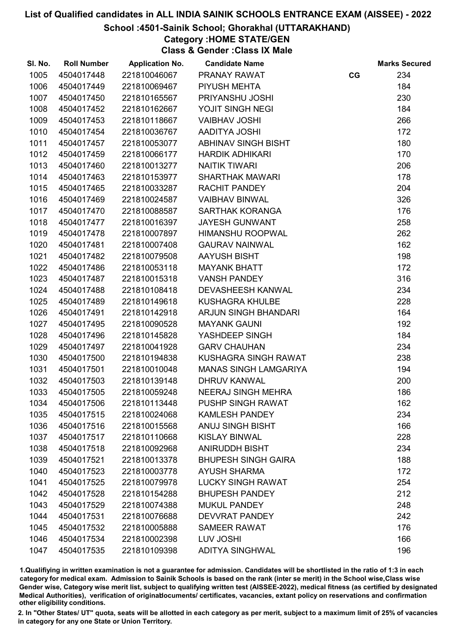#### School :4501-Sainik School; Ghorakhal (UTTARAKHAND)

Category :HOME STATE/GEN

Class & Gender :Class IX Male

| SI. No. | <b>Roll Number</b> | <b>Application No.</b> | <b>Candidate Name</b>        |    | <b>Marks Secured</b> |
|---------|--------------------|------------------------|------------------------------|----|----------------------|
| 1005    | 4504017448         | 221810046067           | PRANAY RAWAT                 | CG | 234                  |
| 1006    | 4504017449         | 221810069467           | PIYUSH MEHTA                 |    | 184                  |
| 1007    | 4504017450         | 221810165567           | PRIYANSHU JOSHI              |    | 230                  |
| 1008    | 4504017452         | 221810162667           | YOJIT SINGH NEGI             |    | 184                  |
| 1009    | 4504017453         | 221810118667           | <b>VAIBHAV JOSHI</b>         |    | 266                  |
| 1010    | 4504017454         | 221810036767           | <b>AADITYA JOSHI</b>         |    | 172                  |
| 1011    | 4504017457         | 221810053077           | <b>ABHINAV SINGH BISHT</b>   |    | 180                  |
| 1012    | 4504017459         | 221810066177           | <b>HARDIK ADHIKARI</b>       |    | 170                  |
| 1013    | 4504017460         | 221810013277           | <b>NAITIK TIWARI</b>         |    | 206                  |
| 1014    | 4504017463         | 221810153977           | <b>SHARTHAK MAWARI</b>       |    | 178                  |
| 1015    | 4504017465         | 221810033287           | <b>RACHIT PANDEY</b>         |    | 204                  |
| 1016    | 4504017469         | 221810024587           | <b>VAIBHAV BINWAL</b>        |    | 326                  |
| 1017    | 4504017470         | 221810088587           | SARTHAK KORANGA              |    | 176                  |
| 1018    | 4504017477         | 221810016397           | <b>JAYESH GUNWANT</b>        |    | 258                  |
| 1019    | 4504017478         | 221810007897           | <b>HIMANSHU ROOPWAL</b>      |    | 262                  |
| 1020    | 4504017481         | 221810007408           | <b>GAURAV NAINWAL</b>        |    | 162                  |
| 1021    | 4504017482         | 221810079508           | AAYUSH BISHT                 |    | 198                  |
| 1022    | 4504017486         | 221810053118           | <b>MAYANK BHATT</b>          |    | 172                  |
| 1023    | 4504017487         | 221810015318           | <b>VANSH PANDEY</b>          |    | 316                  |
| 1024    | 4504017488         | 221810108418           | <b>DEVASHEESH KANWAL</b>     |    | 234                  |
| 1025    | 4504017489         | 221810149618           | <b>KUSHAGRA KHULBE</b>       |    | 228                  |
| 1026    | 4504017491         | 221810142918           | <b>ARJUN SINGH BHANDARI</b>  |    | 164                  |
| 1027    | 4504017495         | 221810090528           | <b>MAYANK GAUNI</b>          |    | 192                  |
| 1028    | 4504017496         | 221810145828           | YASHDEEP SINGH               |    | 184                  |
| 1029    | 4504017497         | 221810041928           | <b>GARV CHAUHAN</b>          |    | 234                  |
| 1030    | 4504017500         | 221810194838           | KUSHAGRA SINGH RAWAT         |    | 238                  |
| 1031    | 4504017501         | 221810010048           | <b>MANAS SINGH LAMGARIYA</b> |    | 194                  |
| 1032    | 4504017503         | 221810139148           | <b>DHRUV KANWAL</b>          |    | 200                  |
| 1033    | 4504017505         | 221810059248           | <b>NEERAJ SINGH MEHRA</b>    |    | 186                  |
| 1034    | 4504017506         | 221810113448           | <b>PUSHP SINGH RAWAT</b>     |    | 162                  |
| 1035    | 4504017515         | 221810024068           | <b>KAMLESH PANDEY</b>        |    | 234                  |
| 1036    | 4504017516         | 221810015568           | <b>ANUJ SINGH BISHT</b>      |    | 166                  |
| 1037    | 4504017517         | 221810110668           | <b>KISLAY BINWAL</b>         |    | 228                  |
| 1038    | 4504017518         | 221810092968           | <b>ANIRUDDH BISHT</b>        |    | 234                  |
| 1039    | 4504017521         | 221810013378           | <b>BHUPESH SINGH GAIRA</b>   |    | 188                  |
| 1040    | 4504017523         | 221810003778           | <b>AYUSH SHARMA</b>          |    | 172                  |
| 1041    | 4504017525         | 221810079978           | <b>LUCKY SINGH RAWAT</b>     |    | 254                  |
| 1042    | 4504017528         | 221810154288           | <b>BHUPESH PANDEY</b>        |    | 212                  |
| 1043    | 4504017529         | 221810074388           | <b>MUKUL PANDEY</b>          |    | 248                  |
| 1044    | 4504017531         | 221810076688           | <b>DEVVRAT PANDEY</b>        |    | 242                  |
| 1045    | 4504017532         | 221810005888           | <b>SAMEER RAWAT</b>          |    | 176                  |
| 1046    | 4504017534         | 221810002398           | LUV JOSHI                    |    | 166                  |
| 1047    | 4504017535         | 221810109398           | <b>ADITYA SINGHWAL</b>       |    | 196                  |

1.Qualifiying in written examination is not a guarantee for admission. Candidates will be shortlisted in the ratio of 1:3 in each category for medical exam. Admission to Sainik Schools is based on the rank (inter se merit) in the School wise,Class wise Gender wise, Category wise merit list, subject to qualifying written test (AISSEE-2022), medical fitness (as certified by designated Medical Authorities), verification of originablocuments/ certificates, vacancies, extant policy on reservations and confirmation other eligibility conditions.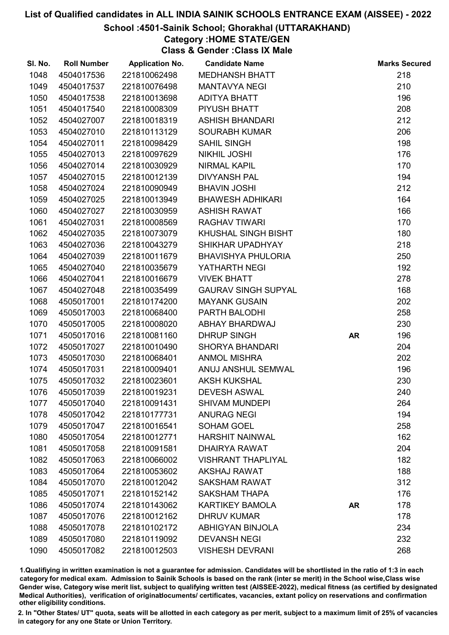#### School :4501-Sainik School; Ghorakhal (UTTARAKHAND)

## Category :HOME STATE/GEN

Class & Gender :Class IX Male

| SI. No. | <b>Roll Number</b> | <b>Application No.</b> | <b>Candidate Name</b>      |           | <b>Marks Secured</b> |
|---------|--------------------|------------------------|----------------------------|-----------|----------------------|
| 1048    | 4504017536         | 221810062498           | <b>MEDHANSH BHATT</b>      |           | 218                  |
| 1049    | 4504017537         | 221810076498           | <b>MANTAVYA NEGI</b>       |           | 210                  |
| 1050    | 4504017538         | 221810013698           | <b>ADITYA BHATT</b>        |           | 196                  |
| 1051    | 4504017540         | 221810008309           | PIYUSH BHATT               |           | 208                  |
| 1052    | 4504027007         | 221810018319           | <b>ASHISH BHANDARI</b>     |           | 212                  |
| 1053    | 4504027010         | 221810113129           | <b>SOURABH KUMAR</b>       |           | 206                  |
| 1054    | 4504027011         | 221810098429           | <b>SAHIL SINGH</b>         |           | 198                  |
| 1055    | 4504027013         | 221810097629           | <b>NIKHIL JOSHI</b>        |           | 176                  |
| 1056    | 4504027014         | 221810030929           | <b>NIRMAL KAPIL</b>        |           | 170                  |
| 1057    | 4504027015         | 221810012139           | <b>DIVYANSH PAL</b>        |           | 194                  |
| 1058    | 4504027024         | 221810090949           | <b>BHAVIN JOSHI</b>        |           | 212                  |
| 1059    | 4504027025         | 221810013949           | <b>BHAWESH ADHIKARI</b>    |           | 164                  |
| 1060    | 4504027027         | 221810030959           | <b>ASHISH RAWAT</b>        |           | 166                  |
| 1061    | 4504027031         | 221810008569           | <b>RAGHAV TIWARI</b>       |           | 170                  |
| 1062    | 4504027035         | 221810073079           | KHUSHAL SINGH BISHT        |           | 180                  |
| 1063    | 4504027036         | 221810043279           | SHIKHAR UPADHYAY           |           | 218                  |
| 1064    | 4504027039         | 221810011679           | <b>BHAVISHYA PHULORIA</b>  |           | 250                  |
| 1065    | 4504027040         | 221810035679           | YATHARTH NEGI              |           | 192                  |
| 1066    | 4504027041         | 221810016679           | <b>VIVEK BHATT</b>         |           | 278                  |
| 1067    | 4504027048         | 221810035499           | <b>GAURAV SINGH SUPYAL</b> |           | 168                  |
| 1068    | 4505017001         | 221810174200           | <b>MAYANK GUSAIN</b>       |           | 202                  |
| 1069    | 4505017003         | 221810068400           | PARTH BALODHI              |           | 258                  |
| 1070    | 4505017005         | 221810008020           | <b>ABHAY BHARDWAJ</b>      |           | 230                  |
| 1071    | 4505017016         | 221810081160           | <b>DHRUP SINGH</b>         | <b>AR</b> | 196                  |
| 1072    | 4505017027         | 221810010490           | <b>SHORYA BHANDARI</b>     |           | 204                  |
| 1073    | 4505017030         | 221810068401           | <b>ANMOL MISHRA</b>        |           | 202                  |
| 1074    | 4505017031         | 221810009401           | ANUJ ANSHUL SEMWAL         |           | 196                  |
| 1075    | 4505017032         | 221810023601           | <b>AKSH KUKSHAL</b>        |           | 230                  |
| 1076    | 4505017039         | 221810019231           | <b>DEVESH ASWAL</b>        |           | 240                  |
| 1077    | 4505017040         | 221810091431           | <b>SHIVAM MUNDEPI</b>      |           | 264                  |
| 1078    | 4505017042         | 221810177731           | <b>ANURAG NEGI</b>         |           | 194                  |
| 1079    | 4505017047         | 221810016541           | <b>SOHAM GOEL</b>          |           | 258                  |
| 1080    | 4505017054         | 221810012771           | <b>HARSHIT NAINWAL</b>     |           | 162                  |
| 1081    | 4505017058         | 221810091581           | <b>DHAIRYA RAWAT</b>       |           | 204                  |
| 1082    | 4505017063         | 221810066002           | <b>VISHRANT THAPLIYAL</b>  |           | 182                  |
| 1083    | 4505017064         | 221810053602           | <b>AKSHAJ RAWAT</b>        |           | 188                  |
| 1084    | 4505017070         | 221810012042           | <b>SAKSHAM RAWAT</b>       |           | 312                  |
| 1085    | 4505017071         | 221810152142           | <b>SAKSHAM THAPA</b>       |           | 176                  |
| 1086    | 4505017074         | 221810143062           | <b>KARTIKEY BAMOLA</b>     | <b>AR</b> | 178                  |
| 1087    | 4505017076         | 221810012162           | <b>DHRUV KUMAR</b>         |           | 178                  |
| 1088    | 4505017078         | 221810102172           | <b>ABHIGYAN BINJOLA</b>    |           | 234                  |
| 1089    | 4505017080         | 221810119092           | <b>DEVANSH NEGI</b>        |           | 232                  |
| 1090    | 4505017082         | 221810012503           | <b>VISHESH DEVRANI</b>     |           | 268                  |

1.Qualifiying in written examination is not a guarantee for admission. Candidates will be shortlisted in the ratio of 1:3 in each category for medical exam. Admission to Sainik Schools is based on the rank (inter se merit) in the School wise,Class wise Gender wise, Category wise merit list, subject to qualifying written test (AISSEE-2022), medical fitness (as certified by designated Medical Authorities), verification of originablocuments/ certificates, vacancies, extant policy on reservations and confirmation other eligibility conditions.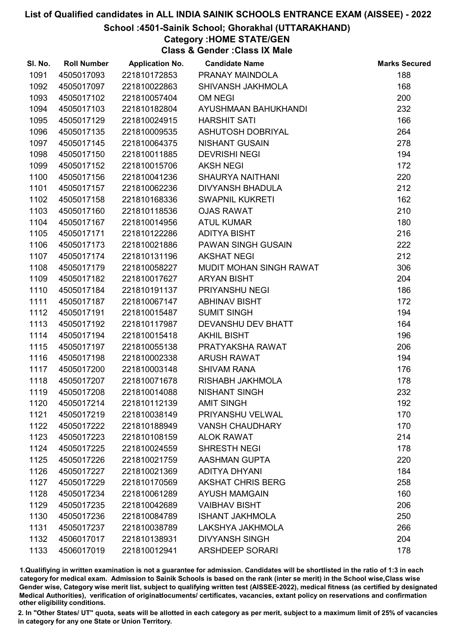#### School :4501-Sainik School; Ghorakhal (UTTARAKHAND)

## Category :HOME STATE/GEN

Class & Gender :Class IX Male

| SI. No. | <b>Roll Number</b> | <b>Application No.</b> | <b>Candidate Name</b>    | <b>Marks Secured</b> |
|---------|--------------------|------------------------|--------------------------|----------------------|
| 1091    | 4505017093         | 221810172853           | PRANAY MAINDOLA          | 188                  |
| 1092    | 4505017097         | 221810022863           | SHIVANSH JAKHMOLA        | 168                  |
| 1093    | 4505017102         | 221810057404           | OM NEGI                  | 200                  |
| 1094    | 4505017103         | 221810182804           | AYUSHMAAN BAHUKHANDI     | 232                  |
| 1095    | 4505017129         | 221810024915           | <b>HARSHIT SATI</b>      | 166                  |
| 1096    | 4505017135         | 221810009535           | ASHUTOSH DOBRIYAL        | 264                  |
| 1097    | 4505017145         | 221810064375           | <b>NISHANT GUSAIN</b>    | 278                  |
| 1098    | 4505017150         | 221810011885           | <b>DEVRISHI NEGI</b>     | 194                  |
| 1099    | 4505017152         | 221810015706           | <b>AKSH NEGI</b>         | 172                  |
| 1100    | 4505017156         | 221810041236           | <b>SHAURYA NAITHANI</b>  | 220                  |
| 1101    | 4505017157         | 221810062236           | <b>DIVYANSH BHADULA</b>  | 212                  |
| 1102    | 4505017158         | 221810168336           | <b>SWAPNIL KUKRETI</b>   | 162                  |
| 1103    | 4505017160         | 221810118536           | <b>OJAS RAWAT</b>        | 210                  |
| 1104    | 4505017167         | 221810014956           | <b>ATUL KUMAR</b>        | 180                  |
| 1105    | 4505017171         | 221810122286           | <b>ADITYA BISHT</b>      | 216                  |
| 1106    | 4505017173         | 221810021886           | PAWAN SINGH GUSAIN       | 222                  |
| 1107    | 4505017174         | 221810131196           | <b>AKSHAT NEGI</b>       | 212                  |
| 1108    | 4505017179         | 221810058227           | MUDIT MOHAN SINGH RAWAT  | 306                  |
| 1109    | 4505017182         | 221810017627           | <b>ARYAN BISHT</b>       | 204                  |
| 1110    | 4505017184         | 221810191137           | PRIYANSHU NEGI           | 186                  |
| 1111    | 4505017187         | 221810067147           | <b>ABHINAV BISHT</b>     | 172                  |
| 1112    | 4505017191         | 221810015487           | <b>SUMIT SINGH</b>       | 194                  |
| 1113    | 4505017192         | 221810117987           | DEVANSHU DEV BHATT       | 164                  |
| 1114    | 4505017194         | 221810015418           | <b>AKHIL BISHT</b>       | 196                  |
| 1115    | 4505017197         | 221810055138           | PRATYAKSHA RAWAT         | 206                  |
| 1116    | 4505017198         | 221810002338           | <b>ARUSH RAWAT</b>       | 194                  |
| 1117    | 4505017200         | 221810003148           | <b>SHIVAM RANA</b>       | 176                  |
| 1118    | 4505017207         | 221810071678           | RISHABH JAKHMOLA         | 178                  |
| 1119    | 4505017208         | 221810014088           | <b>NISHANT SINGH</b>     | 232                  |
| 1120    | 4505017214         | 221810112139           | <b>AMIT SINGH</b>        | 192                  |
| 1121    | 4505017219         | 221810038149           | PRIYANSHU VELWAL         | 170                  |
| 1122    | 4505017222         | 221810188949           | <b>VANSH CHAUDHARY</b>   | 170                  |
| 1123    | 4505017223         | 221810108159           | <b>ALOK RAWAT</b>        | 214                  |
| 1124    | 4505017225         | 221810024559           | <b>SHRESTH NEGI</b>      | 178                  |
| 1125    | 4505017226         | 221810021759           | <b>AASHMAN GUPTA</b>     | 220                  |
| 1126    | 4505017227         | 221810021369           | <b>ADITYA DHYANI</b>     | 184                  |
| 1127    | 4505017229         | 221810170569           | <b>AKSHAT CHRIS BERG</b> | 258                  |
| 1128    | 4505017234         | 221810061289           | <b>AYUSH MAMGAIN</b>     | 160                  |
| 1129    | 4505017235         | 221810042689           | <b>VAIBHAV BISHT</b>     | 206                  |
| 1130    | 4505017236         | 221810084789           | <b>ISHANT JAKHMOLA</b>   | 250                  |
| 1131    | 4505017237         | 221810038789           | LAKSHYA JAKHMOLA         | 266                  |
| 1132    | 4506017017         | 221810138931           | <b>DIVYANSH SINGH</b>    | 204                  |
| 1133    | 4506017019         | 221810012941           | <b>ARSHDEEP SORARI</b>   | 178                  |

1.Qualifiying in written examination is not a guarantee for admission. Candidates will be shortlisted in the ratio of 1:3 in each category for medical exam. Admission to Sainik Schools is based on the rank (inter se merit) in the School wise,Class wise Gender wise, Category wise merit list, subject to qualifying written test (AISSEE-2022), medical fitness (as certified by designated Medical Authorities), verification of originablocuments/ certificates, vacancies, extant policy on reservations and confirmation other eligibility conditions.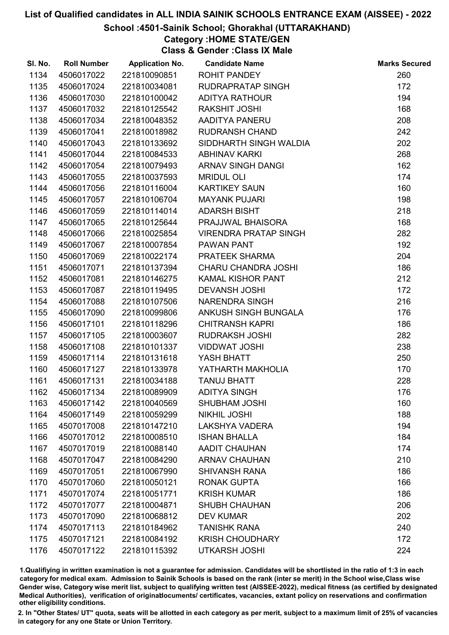#### School :4501-Sainik School; Ghorakhal (UTTARAKHAND)

## Category :HOME STATE/GEN

Class & Gender :Class IX Male

| SI. No. | <b>Roll Number</b> | <b>Application No.</b> | <b>Candidate Name</b>        | <b>Marks Secured</b> |
|---------|--------------------|------------------------|------------------------------|----------------------|
| 1134    | 4506017022         | 221810090851           | <b>ROHIT PANDEY</b>          | 260                  |
| 1135    | 4506017024         | 221810034081           | <b>RUDRAPRATAP SINGH</b>     | 172                  |
| 1136    | 4506017030         | 221810100042           | <b>ADITYA RATHOUR</b>        | 194                  |
| 1137    | 4506017032         | 221810125542           | <b>RAKSHIT JOSHI</b>         | 168                  |
| 1138    | 4506017034         | 221810048352           | AADITYA PANERU               | 208                  |
| 1139    | 4506017041         | 221810018982           | <b>RUDRANSH CHAND</b>        | 242                  |
| 1140    | 4506017043         | 221810133692           | SIDDHARTH SINGH WALDIA       | 202                  |
| 1141    | 4506017044         | 221810084533           | <b>ABHINAV KARKI</b>         | 268                  |
| 1142    | 4506017054         | 221810079493           | <b>ARNAV SINGH DANGI</b>     | 162                  |
| 1143    | 4506017055         | 221810037593           | <b>MRIDUL OLI</b>            | 174                  |
| 1144    | 4506017056         | 221810116004           | <b>KARTIKEY SAUN</b>         | 160                  |
| 1145    | 4506017057         | 221810106704           | <b>MAYANK PUJARI</b>         | 198                  |
| 1146    | 4506017059         | 221810114014           | <b>ADARSH BISHT</b>          | 218                  |
| 1147    | 4506017065         | 221810125644           | PRAJJWAL BHAISORA            | 168                  |
| 1148    | 4506017066         | 221810025854           | <b>VIRENDRA PRATAP SINGH</b> | 282                  |
| 1149    | 4506017067         | 221810007854           | PAWAN PANT                   | 192                  |
| 1150    | 4506017069         | 221810022174           | PRATEEK SHARMA               | 204                  |
| 1151    | 4506017071         | 221810137394           | <b>CHARU CHANDRA JOSHI</b>   | 186                  |
| 1152    | 4506017081         | 221810146275           | <b>KAMAL KISHOR PANT</b>     | 212                  |
| 1153    | 4506017087         | 221810119495           | <b>DEVANSH JOSHI</b>         | 172                  |
| 1154    | 4506017088         | 221810107506           | <b>NARENDRA SINGH</b>        | 216                  |
| 1155    | 4506017090         | 221810099806           | ANKUSH SINGH BUNGALA         | 176                  |
| 1156    | 4506017101         | 221810118296           | <b>CHITRANSH KAPRI</b>       | 186                  |
| 1157    | 4506017105         | 221810003607           | <b>RUDRAKSH JOSHI</b>        | 282                  |
| 1158    | 4506017108         | 221810101337           | <b>VIDDWAT JOSHI</b>         | 238                  |
| 1159    | 4506017114         | 221810131618           | YASH BHATT                   | 250                  |
| 1160    | 4506017127         | 221810133978           | YATHARTH MAKHOLIA            | 170                  |
| 1161    | 4506017131         | 221810034188           | <b>TANUJ BHATT</b>           | 228                  |
| 1162    | 4506017134         | 221810089909           | <b>ADITYA SINGH</b>          | 176                  |
| 1163    | 4506017142         | 221810040569           | <b>SHUBHAM JOSHI</b>         | 160                  |
| 1164    | 4506017149         | 221810059299           | <b>NIKHIL JOSHI</b>          | 188                  |
| 1165    | 4507017008         | 221810147210           | <b>LAKSHYA VADERA</b>        | 194                  |
| 1166    | 4507017012         | 221810008510           | <b>ISHAN BHALLA</b>          | 184                  |
| 1167    | 4507017019         | 221810088140           | <b>AADIT CHAUHAN</b>         | 174                  |
| 1168    | 4507017047         | 221810084290           | <b>ARNAV CHAUHAN</b>         | 210                  |
| 1169    | 4507017051         | 221810067990           | <b>SHIVANSH RANA</b>         | 186                  |
| 1170    | 4507017060         | 221810050121           | <b>RONAK GUPTA</b>           | 166                  |
| 1171    | 4507017074         | 221810051771           | <b>KRISH KUMAR</b>           | 186                  |
| 1172    | 4507017077         | 221810004871           | <b>SHUBH CHAUHAN</b>         | 206                  |
| 1173    | 4507017090         | 221810068812           | <b>DEV KUMAR</b>             | 202                  |
| 1174    | 4507017113         | 221810184962           | <b>TANISHK RANA</b>          | 240                  |
| 1175    | 4507017121         | 221810084192           | <b>KRISH CHOUDHARY</b>       | 172                  |
| 1176    | 4507017122         | 221810115392           | <b>UTKARSH JOSHI</b>         | 224                  |

1.Qualifiying in written examination is not a guarantee for admission. Candidates will be shortlisted in the ratio of 1:3 in each category for medical exam. Admission to Sainik Schools is based on the rank (inter se merit) in the School wise,Class wise Gender wise, Category wise merit list, subject to qualifying written test (AISSEE-2022), medical fitness (as certified by designated Medical Authorities), verification of originablocuments/ certificates, vacancies, extant policy on reservations and confirmation other eligibility conditions.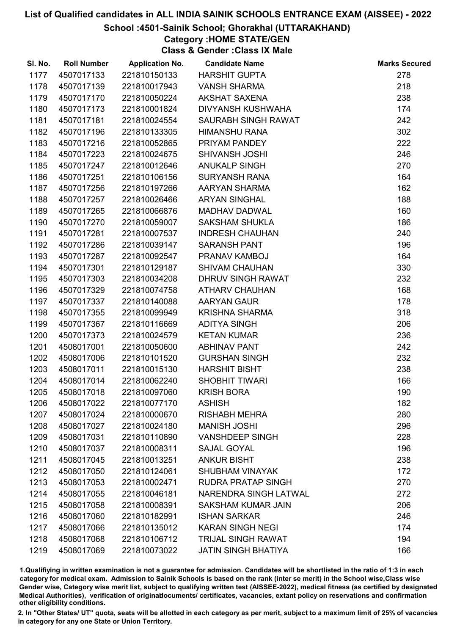#### School :4501-Sainik School; Ghorakhal (UTTARAKHAND)

## Category :HOME STATE/GEN

Class & Gender :Class IX Male

| SI. No. | <b>Roll Number</b> | <b>Application No.</b> | <b>Candidate Name</b>      | <b>Marks Secured</b> |
|---------|--------------------|------------------------|----------------------------|----------------------|
| 1177    | 4507017133         | 221810150133           | <b>HARSHIT GUPTA</b>       | 278                  |
| 1178    | 4507017139         | 221810017943           | <b>VANSH SHARMA</b>        | 218                  |
| 1179    | 4507017170         | 221810050224           | AKSHAT SAXENA              | 238                  |
| 1180    | 4507017173         | 221810001824           | DIVYANSH KUSHWAHA          | 174                  |
| 1181    | 4507017181         | 221810024554           | SAURABH SINGH RAWAT        | 242                  |
| 1182    | 4507017196         | 221810133305           | <b>HIMANSHU RANA</b>       | 302                  |
| 1183    | 4507017216         | 221810052865           | PRIYAM PANDEY              | 222                  |
| 1184    | 4507017223         | 221810024675           | <b>SHIVANSH JOSHI</b>      | 246                  |
| 1185    | 4507017247         | 221810012646           | <b>ANUKALP SINGH</b>       | 270                  |
| 1186    | 4507017251         | 221810106156           | <b>SURYANSH RANA</b>       | 164                  |
| 1187    | 4507017256         | 221810197266           | AARYAN SHARMA              | 162                  |
| 1188    | 4507017257         | 221810026466           | <b>ARYAN SINGHAL</b>       | 188                  |
| 1189    | 4507017265         | 221810066876           | MADHAV DADWAL              | 160                  |
| 1190    | 4507017270         | 221810059007           | <b>SAKSHAM SHUKLA</b>      | 186                  |
| 1191    | 4507017281         | 221810007537           | <b>INDRESH CHAUHAN</b>     | 240                  |
| 1192    | 4507017286         | 221810039147           | <b>SARANSH PANT</b>        | 196                  |
| 1193    | 4507017287         | 221810092547           | PRANAV KAMBOJ              | 164                  |
| 1194    | 4507017301         | 221810129187           | <b>SHIVAM CHAUHAN</b>      | 330                  |
| 1195    | 4507017303         | 221810034208           | DHRUV SINGH RAWAT          | 232                  |
| 1196    | 4507017329         | 221810074758           | <b>ATHARV CHAUHAN</b>      | 168                  |
| 1197    | 4507017337         | 221810140088           | <b>AARYAN GAUR</b>         | 178                  |
| 1198    | 4507017355         | 221810099949           | <b>KRISHNA SHARMA</b>      | 318                  |
| 1199    | 4507017367         | 221810116669           | <b>ADITYA SINGH</b>        | 206                  |
| 1200    | 4507017373         | 221810024579           | <b>KETAN KUMAR</b>         | 236                  |
| 1201    | 4508017001         | 221810050600           | <b>ABHINAV PANT</b>        | 242                  |
| 1202    | 4508017006         | 221810101520           | <b>GURSHAN SINGH</b>       | 232                  |
| 1203    | 4508017011         | 221810015130           | <b>HARSHIT BISHT</b>       | 238                  |
| 1204    | 4508017014         | 221810062240           | <b>SHOBHIT TIWARI</b>      | 166                  |
| 1205    | 4508017018         | 221810097060           | <b>KRISH BORA</b>          | 190                  |
| 1206    | 4508017022         | 221810077170           | <b>ASHISH</b>              | 182                  |
| 1207    | 4508017024         | 221810000670           | <b>RISHABH MEHRA</b>       | 280                  |
| 1208    | 4508017027         | 221810024180           | <b>MANISH JOSHI</b>        | 296                  |
| 1209    | 4508017031         | 221810110890           | <b>VANSHDEEP SINGH</b>     | 228                  |
| 1210    | 4508017037         | 221810008311           | <b>SAJAL GOYAL</b>         | 196                  |
| 1211    | 4508017045         | 221810013251           | <b>ANKUR BISHT</b>         | 238                  |
| 1212    | 4508017050         | 221810124061           | <b>SHUBHAM VINAYAK</b>     | 172                  |
| 1213    | 4508017053         | 221810002471           | <b>RUDRA PRATAP SINGH</b>  | 270                  |
| 1214    | 4508017055         | 221810046181           | NARENDRA SINGH LATWAL      | 272                  |
| 1215    | 4508017058         | 221810008391           | <b>SAKSHAM KUMAR JAIN</b>  | 206                  |
| 1216    | 4508017060         | 221810182991           | <b>ISHAN SARKAR</b>        | 246                  |
| 1217    | 4508017066         | 221810135012           | <b>KARAN SINGH NEGI</b>    | 174                  |
| 1218    | 4508017068         | 221810106712           | <b>TRIJAL SINGH RAWAT</b>  | 194                  |
| 1219    | 4508017069         | 221810073022           | <b>JATIN SINGH BHATIYA</b> | 166                  |

1.Qualifiying in written examination is not a guarantee for admission. Candidates will be shortlisted in the ratio of 1:3 in each category for medical exam. Admission to Sainik Schools is based on the rank (inter se merit) in the School wise,Class wise Gender wise, Category wise merit list, subject to qualifying written test (AISSEE-2022), medical fitness (as certified by designated Medical Authorities), verification of originablocuments/ certificates, vacancies, extant policy on reservations and confirmation other eligibility conditions.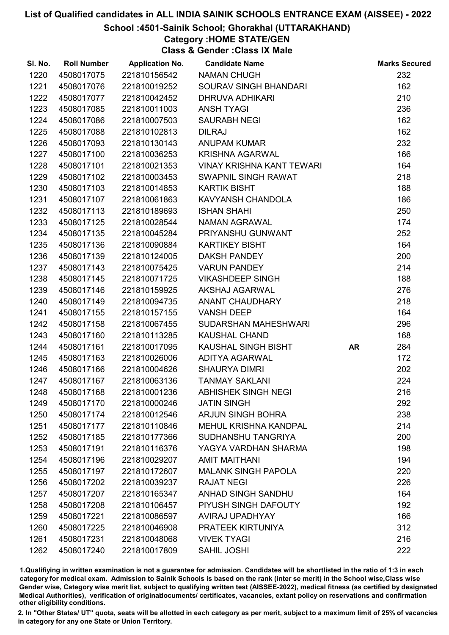#### School :4501-Sainik School; Ghorakhal (UTTARAKHAND)

## Category :HOME STATE/GEN

Class & Gender :Class IX Male

| SI. No. | <b>Roll Number</b> | <b>Application No.</b> | <b>Candidate Name</b>            |           | <b>Marks Secured</b> |
|---------|--------------------|------------------------|----------------------------------|-----------|----------------------|
| 1220    | 4508017075         | 221810156542           | <b>NAMAN CHUGH</b>               |           | 232                  |
| 1221    | 4508017076         | 221810019252           | SOURAV SINGH BHANDARI            |           | 162                  |
| 1222    | 4508017077         | 221810042452           | DHRUVA ADHIKARI                  |           | 210                  |
| 1223    | 4508017085         | 221810011003           | <b>ANSH TYAGI</b>                |           | 236                  |
| 1224    | 4508017086         | 221810007503           | <b>SAURABH NEGI</b>              |           | 162                  |
| 1225    | 4508017088         | 221810102813           | <b>DILRAJ</b>                    |           | 162                  |
| 1226    | 4508017093         | 221810130143           | <b>ANUPAM KUMAR</b>              |           | 232                  |
| 1227    | 4508017100         | 221810036253           | <b>KRISHNA AGARWAL</b>           |           | 166                  |
| 1228    | 4508017101         | 221810021353           | <b>VINAY KRISHNA KANT TEWARI</b> |           | 164                  |
| 1229    | 4508017102         | 221810003453           | SWAPNIL SINGH RAWAT              |           | 218                  |
| 1230    | 4508017103         | 221810014853           | <b>KARTIK BISHT</b>              |           | 188                  |
| 1231    | 4508017107         | 221810061863           | KAVYANSH CHANDOLA                |           | 186                  |
| 1232    | 4508017113         | 221810189693           | <b>ISHAN SHAHI</b>               |           | 250                  |
| 1233    | 4508017125         | 221810028544           | NAMAN AGRAWAL                    |           | 174                  |
| 1234    | 4508017135         | 221810045284           | PRIYANSHU GUNWANT                |           | 252                  |
| 1235    | 4508017136         | 221810090884           | <b>KARTIKEY BISHT</b>            |           | 164                  |
| 1236    | 4508017139         | 221810124005           | <b>DAKSH PANDEY</b>              |           | 200                  |
| 1237    | 4508017143         | 221810075425           | <b>VARUN PANDEY</b>              |           | 214                  |
| 1238    | 4508017145         | 221810071725           | <b>VIKASHDEEP SINGH</b>          |           | 188                  |
| 1239    | 4508017146         | 221810159925           | AKSHAJ AGARWAL                   |           | 276                  |
| 1240    | 4508017149         | 221810094735           | ANANT CHAUDHARY                  |           | 218                  |
| 1241    | 4508017155         | 221810157155           | <b>VANSH DEEP</b>                |           | 164                  |
| 1242    | 4508017158         | 221810067455           | SUDARSHAN MAHESHWARI             |           | 296                  |
| 1243    | 4508017160         | 221810113285           | <b>KAUSHAL CHAND</b>             |           | 168                  |
| 1244    | 4508017161         | 221810017095           | KAUSHAL SINGH BISHT              | <b>AR</b> | 284                  |
| 1245    | 4508017163         | 221810026006           | <b>ADITYA AGARWAL</b>            |           | 172                  |
| 1246    | 4508017166         | 221810004626           | <b>SHAURYA DIMRI</b>             |           | 202                  |
| 1247    | 4508017167         | 221810063136           | <b>TANMAY SAKLANI</b>            |           | 224                  |
| 1248    | 4508017168         | 221810001236           | <b>ABHISHEK SINGH NEGI</b>       |           | 216                  |
| 1249    | 4508017170         | 221810000246           | <b>JATIN SINGH</b>               |           | 292                  |
| 1250    | 4508017174         | 221810012546           | <b>ARJUN SINGH BOHRA</b>         |           | 238                  |
| 1251    | 4508017177         | 221810110846           | <b>MEHUL KRISHNA KANDPAL</b>     |           | 214                  |
| 1252    | 4508017185         | 221810177366           | <b>SUDHANSHU TANGRIYA</b>        |           | 200                  |
| 1253    | 4508017191         | 221810116376           | YAGYA VARDHAN SHARMA             |           | 198                  |
| 1254    | 4508017196         | 221810029207           | <b>AMIT MAITHANI</b>             |           | 194                  |
| 1255    | 4508017197         | 221810172607           | <b>MALANK SINGH PAPOLA</b>       |           | 220                  |
| 1256    | 4508017202         | 221810039237           | <b>RAJAT NEGI</b>                |           | 226                  |
| 1257    | 4508017207         | 221810165347           | ANHAD SINGH SANDHU               |           | 164                  |
| 1258    | 4508017208         | 221810106457           | PIYUSH SINGH DAFOUTY             |           | 192                  |
| 1259    | 4508017221         | 221810086597           | AVIRAJ UPADHYAY                  |           | 166                  |
| 1260    | 4508017225         | 221810046908           | PRATEEK KIRTUNIYA                |           | 312                  |
| 1261    | 4508017231         | 221810048068           | <b>VIVEK TYAGI</b>               |           | 216                  |
| 1262    | 4508017240         | 221810017809           | SAHIL JOSHI                      |           | 222                  |

1.Qualifiying in written examination is not a guarantee for admission. Candidates will be shortlisted in the ratio of 1:3 in each category for medical exam. Admission to Sainik Schools is based on the rank (inter se merit) in the School wise,Class wise Gender wise, Category wise merit list, subject to qualifying written test (AISSEE-2022), medical fitness (as certified by designated Medical Authorities), verification of originablocuments/ certificates, vacancies, extant policy on reservations and confirmation other eligibility conditions.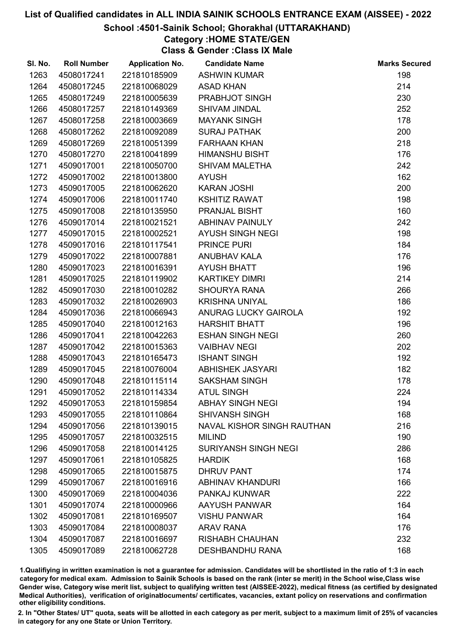#### School :4501-Sainik School; Ghorakhal (UTTARAKHAND)

## Category :HOME STATE/GEN

Class & Gender :Class IX Male

| SI. No. | <b>Roll Number</b> | <b>Application No.</b> | <b>Candidate Name</b>             | <b>Marks Secured</b> |
|---------|--------------------|------------------------|-----------------------------------|----------------------|
| 1263    | 4508017241         | 221810185909           | <b>ASHWIN KUMAR</b>               | 198                  |
| 1264    | 4508017245         | 221810068029           | <b>ASAD KHAN</b>                  | 214                  |
| 1265    | 4508017249         | 221810005639           | PRABHJOT SINGH                    | 230                  |
| 1266    | 4508017257         | 221810149369           | <b>SHIVAM JINDAL</b>              | 252                  |
| 1267    | 4508017258         | 221810003669           | <b>MAYANK SINGH</b>               | 178                  |
| 1268    | 4508017262         | 221810092089           | <b>SURAJ PATHAK</b>               | 200                  |
| 1269    | 4508017269         | 221810051399           | <b>FARHAAN KHAN</b>               | 218                  |
| 1270    | 4508017270         | 221810041899           | <b>HIMANSHU BISHT</b>             | 176                  |
| 1271    | 4509017001         | 221810050700           | <b>SHIVAM MALETHA</b>             | 242                  |
| 1272    | 4509017002         | 221810013800           | <b>AYUSH</b>                      | 162                  |
| 1273    | 4509017005         | 221810062620           | <b>KARAN JOSHI</b>                | 200                  |
| 1274    | 4509017006         | 221810011740           | <b>KSHITIZ RAWAT</b>              | 198                  |
| 1275    | 4509017008         | 221810135950           | PRANJAL BISHT                     | 160                  |
| 1276    | 4509017014         | 221810021521           | <b>ABHINAV PAINULY</b>            | 242                  |
| 1277    | 4509017015         | 221810002521           | <b>AYUSH SINGH NEGI</b>           | 198                  |
| 1278    | 4509017016         | 221810117541           | PRINCE PURI                       | 184                  |
| 1279    | 4509017022         | 221810007881           | ANUBHAV KALA                      | 176                  |
| 1280    | 4509017023         | 221810016391           | <b>AYUSH BHATT</b>                | 196                  |
| 1281    | 4509017025         | 221810119902           | <b>KARTIKEY DIMRI</b>             | 214                  |
| 1282    | 4509017030         | 221810010282           | <b>SHOURYA RANA</b>               | 266                  |
| 1283    | 4509017032         | 221810026903           | <b>KRISHNA UNIYAL</b>             | 186                  |
| 1284    | 4509017036         | 221810066943           | ANURAG LUCKY GAIROLA              | 192                  |
| 1285    | 4509017040         | 221810012163           | <b>HARSHIT BHATT</b>              | 196                  |
| 1286    | 4509017041         | 221810042263           | <b>ESHAN SINGH NEGI</b>           | 260                  |
| 1287    | 4509017042         | 221810015363           | <b>VAIBHAV NEGI</b>               | 202                  |
| 1288    | 4509017043         | 221810165473           | <b>ISHANT SINGH</b>               | 192                  |
| 1289    | 4509017045         | 221810076004           | <b>ABHISHEK JASYARI</b>           | 182                  |
| 1290    | 4509017048         | 221810115114           | <b>SAKSHAM SINGH</b>              | 178                  |
| 1291    | 4509017052         | 221810114334           | <b>ATUL SINGH</b>                 | 224                  |
| 1292    | 4509017053         | 221810159854           | <b>ABHAY SINGH NEGI</b>           | 194                  |
| 1293    | 4509017055         | 221810110864           | <b>SHIVANSH SINGH</b>             | 168                  |
| 1294    | 4509017056         | 221810139015           | <b>NAVAL KISHOR SINGH RAUTHAN</b> | 216                  |
| 1295    | 4509017057         | 221810032515           | <b>MILIND</b>                     | 190                  |
| 1296    | 4509017058         | 221810014125           | <b>SURIYANSH SINGH NEGI</b>       | 286                  |
| 1297    | 4509017061         | 221810105825           | <b>HARDIK</b>                     | 168                  |
| 1298    | 4509017065         | 221810015875           | <b>DHRUV PANT</b>                 | 174                  |
| 1299    | 4509017067         | 221810016916           | <b>ABHINAV KHANDURI</b>           | 166                  |
| 1300    | 4509017069         | 221810004036           | PANKAJ KUNWAR                     | 222                  |
| 1301    | 4509017074         | 221810000966           | AAYUSH PANWAR                     | 164                  |
| 1302    | 4509017081         | 221810169507           | <b>VISHU PANWAR</b>               | 164                  |
| 1303    | 4509017084         | 221810008037           | <b>ARAV RANA</b>                  | 176                  |
| 1304    | 4509017087         | 221810016697           | <b>RISHABH CHAUHAN</b>            | 232                  |
| 1305    | 4509017089         | 221810062728           | <b>DESHBANDHU RANA</b>            | 168                  |

1.Qualifiying in written examination is not a guarantee for admission. Candidates will be shortlisted in the ratio of 1:3 in each category for medical exam. Admission to Sainik Schools is based on the rank (inter se merit) in the School wise,Class wise Gender wise, Category wise merit list, subject to qualifying written test (AISSEE-2022), medical fitness (as certified by designated Medical Authorities), verification of originablocuments/ certificates, vacancies, extant policy on reservations and confirmation other eligibility conditions.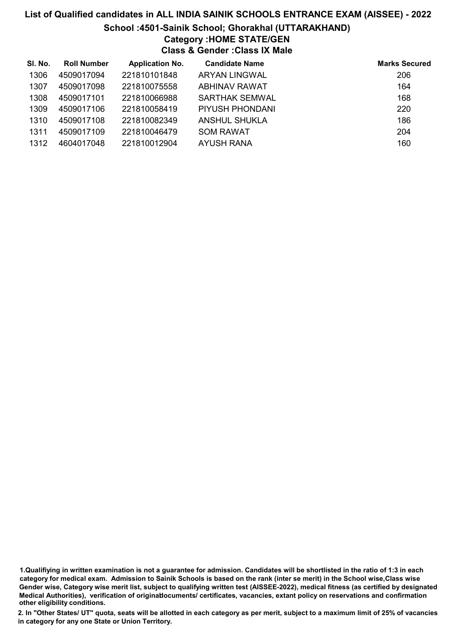### List of Qualified candidates in ALL INDIA SAINIK SCHOOLS ENTRANCE EXAM (AISSEE) - 2022 School :4501-Sainik School; Ghorakhal (UTTARAKHAND) Category :HOME STATE/GEN Class & Gender :Class IX Male

| SI. No. | <b>Roll Number</b> | <b>Application No.</b> | <b>Candidate Name</b> | <b>Marks Secured</b> |
|---------|--------------------|------------------------|-----------------------|----------------------|
| 1306    | 4509017094         | 221810101848           | ARYAN LINGWAL         | 206                  |
| 1307    | 4509017098         | 221810075558           | ABHINAV RAWAT         | 164                  |
| 1308    | 4509017101         | 221810066988           | <b>SARTHAK SEMWAL</b> | 168                  |
| 1309    | 4509017106         | 221810058419           | PIYUSH PHONDANI       | 220                  |
| 1310    | 4509017108         | 221810082349           | ANSHUL SHUKLA         | 186                  |
| 1311    | 4509017109         | 221810046479           | <b>SOM RAWAT</b>      | 204                  |
| 1312    | 4604017048         | 221810012904           | AYUSH RANA            | 160                  |

<sup>1.</sup>Qualifiying in written examination is not a guarantee for admission. Candidates will be shortlisted in the ratio of 1:3 in each category for medical exam. Admission to Sainik Schools is based on the rank (inter se merit) in the School wise,Class wise Gender wise, Category wise merit list, subject to qualifying written test (AISSEE-2022), medical fitness (as certified by designated Medical Authorities), verification of originablocuments/ certificates, vacancies, extant policy on reservations and confirmation other eligibility conditions.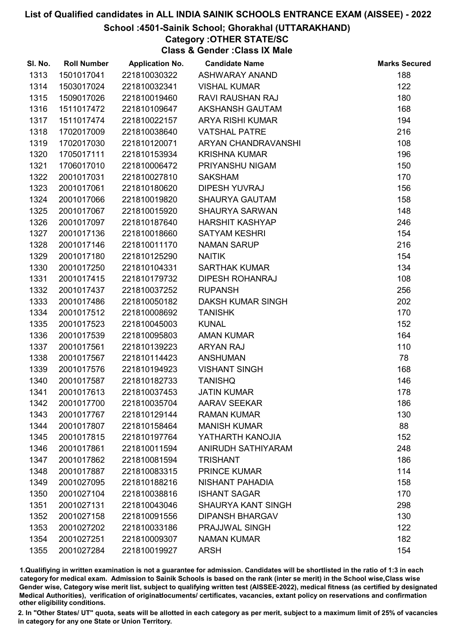#### School :4501-Sainik School; Ghorakhal (UTTARAKHAND)

### Category :OTHER STATE/SC

Class & Gender :Class IX Male

| SI. No. | <b>Roll Number</b> | <b>Application No.</b> | <b>Candidate Name</b>     | <b>Marks Secured</b> |
|---------|--------------------|------------------------|---------------------------|----------------------|
| 1313    | 1501017041         | 221810030322           | <b>ASHWARAY ANAND</b>     | 188                  |
| 1314    | 1503017024         | 221810032341           | <b>VISHAL KUMAR</b>       | 122                  |
| 1315    | 1509017026         | 221810019460           | RAVI RAUSHAN RAJ          | 180                  |
| 1316    | 1511017472         | 221810109647           | AKSHANSH GAUTAM           | 168                  |
| 1317    | 1511017474         | 221810022157           | <b>ARYA RISHI KUMAR</b>   | 194                  |
| 1318    | 1702017009         | 221810038640           | <b>VATSHAL PATRE</b>      | 216                  |
| 1319    | 1702017030         | 221810120071           | ARYAN CHANDRAVANSHI       | 108                  |
| 1320    | 1705017111         | 221810153934           | <b>KRISHNA KUMAR</b>      | 196                  |
| 1321    | 1706017010         | 221810006472           | PRIYANSHU NIGAM           | 150                  |
| 1322    | 2001017031         | 221810027810           | <b>SAKSHAM</b>            | 170                  |
| 1323    | 2001017061         | 221810180620           | <b>DIPESH YUVRAJ</b>      | 156                  |
| 1324    | 2001017066         | 221810019820           | <b>SHAURYA GAUTAM</b>     | 158                  |
| 1325    | 2001017067         | 221810015920           | <b>SHAURYA SARWAN</b>     | 148                  |
| 1326    | 2001017097         | 221810187640           | <b>HARSHIT KASHYAP</b>    | 246                  |
| 1327    | 2001017136         | 221810018660           | <b>SATYAM KESHRI</b>      | 154                  |
| 1328    | 2001017146         | 221810011170           | <b>NAMAN SARUP</b>        | 216                  |
| 1329    | 2001017180         | 221810125290           | <b>NAITIK</b>             | 154                  |
| 1330    | 2001017250         | 221810104331           | <b>SARTHAK KUMAR</b>      | 134                  |
| 1331    | 2001017415         | 221810179732           | <b>DIPESH ROHANRAJ</b>    | 108                  |
| 1332    | 2001017437         | 221810037252           | <b>RUPANSH</b>            | 256                  |
| 1333    | 2001017486         | 221810050182           | <b>DAKSH KUMAR SINGH</b>  | 202                  |
| 1334    | 2001017512         | 221810008692           | <b>TANISHK</b>            | 170                  |
| 1335    | 2001017523         | 221810045003           | <b>KUNAL</b>              | 152                  |
| 1336    | 2001017539         | 221810095803           | <b>AMAN KUMAR</b>         | 164                  |
| 1337    | 2001017561         | 221810139223           | <b>ARYAN RAJ</b>          | 110                  |
| 1338    | 2001017567         | 221810114423           | <b>ANSHUMAN</b>           | 78                   |
| 1339    | 2001017576         | 221810194923           | <b>VISHANT SINGH</b>      | 168                  |
| 1340    | 2001017587         | 221810182733           | <b>TANISHQ</b>            | 146                  |
| 1341    | 2001017613         | 221810037453           | <b>JATIN KUMAR</b>        | 178                  |
| 1342    | 2001017700         | 221810035704           | <b>AARAV SEEKAR</b>       | 186                  |
| 1343    | 2001017767         | 221810129144           | <b>RAMAN KUMAR</b>        | 130                  |
| 1344    | 2001017807         | 221810158464           | <b>MANISH KUMAR</b>       | 88                   |
| 1345    | 2001017815         | 221810197764           | YATHARTH KANOJIA          | 152                  |
| 1346    | 2001017861         | 221810011594           | ANIRUDH SATHIYARAM        | 248                  |
| 1347    | 2001017862         | 221810081594           | <b>TRISHANT</b>           | 186                  |
| 1348    | 2001017887         | 221810083315           | <b>PRINCE KUMAR</b>       | 114                  |
| 1349    | 2001027095         | 221810188216           | NISHANT PAHADIA           | 158                  |
| 1350    | 2001027104         | 221810038816           | <b>ISHANT SAGAR</b>       | 170                  |
| 1351    | 2001027131         | 221810043046           | <b>SHAURYA KANT SINGH</b> | 298                  |
| 1352    | 2001027158         | 221810091556           | <b>DIPANSH BHARGAV</b>    | 130                  |
| 1353    | 2001027202         | 221810033186           | PRAJJWAL SINGH            | 122                  |
| 1354    | 2001027251         | 221810009307           | <b>NAMAN KUMAR</b>        | 182                  |
| 1355    | 2001027284         | 221810019927           | <b>ARSH</b>               | 154                  |

1.Qualifiying in written examination is not a guarantee for admission. Candidates will be shortlisted in the ratio of 1:3 in each category for medical exam. Admission to Sainik Schools is based on the rank (inter se merit) in the School wise,Class wise Gender wise, Category wise merit list, subject to qualifying written test (AISSEE-2022), medical fitness (as certified by designated Medical Authorities), verification of originablocuments/ certificates, vacancies, extant policy on reservations and confirmation other eligibility conditions.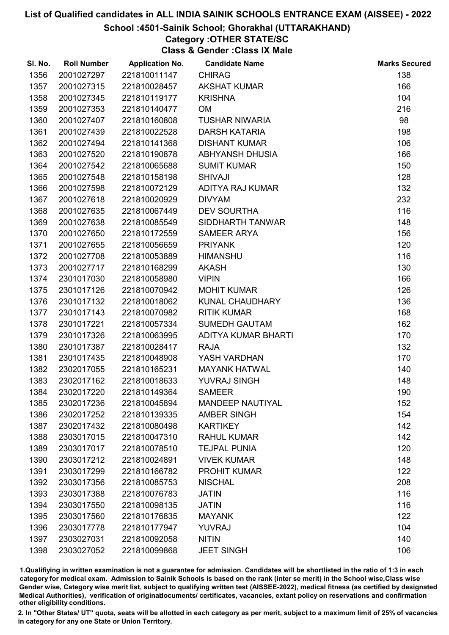#### School :4501-Sainik School; Ghorakhal (UTTARAKHAND)

### Category :OTHER STATE/SC

Class & Gender :Class IX Male

| SI. No. | <b>Roll Number</b> | <b>Application No.</b> | <b>Candidate Name</b>   | <b>Marks Secured</b> |
|---------|--------------------|------------------------|-------------------------|----------------------|
| 1356    | 2001027297         | 221810011147           | <b>CHIRAG</b>           | 138                  |
| 1357    | 2001027315         | 221810028457           | <b>AKSHAT KUMAR</b>     | 166                  |
| 1358    | 2001027345         | 221810119177           | <b>KRISHNA</b>          | 104                  |
| 1359    | 2001027353         | 221810140477           | <b>OM</b>               | 216                  |
| 1360    | 2001027407         | 221810160808           | <b>TUSHAR NIWARIA</b>   | 98                   |
| 1361    | 2001027439         | 221810022528           | <b>DARSH KATARIA</b>    | 198                  |
| 1362    | 2001027494         | 221810141368           | <b>DISHANT KUMAR</b>    | 106                  |
| 1363    | 2001027520         | 221810190878           | <b>ABHYANSH DHUSIA</b>  | 166                  |
| 1364    | 2001027542         | 221810065688           | <b>SUMIT KUMAR</b>      | 150                  |
| 1365    | 2001027548         | 221810158198           | <b>SHIVAJI</b>          | 128                  |
| 1366    | 2001027598         | 221810072129           | ADITYA RAJ KUMAR        | 132                  |
| 1367    | 2001027618         | 221810020929           | <b>DIVYAM</b>           | 232                  |
| 1368    | 2001027635         | 221810067449           | <b>DEV SOURTHA</b>      | 116                  |
| 1369    | 2001027638         | 221810085549           | SIDDHARTH TANWAR        | 148                  |
| 1370    | 2001027650         | 221810172559           | <b>SAMEER ARYA</b>      | 156                  |
| 1371    | 2001027655         | 221810056659           | <b>PRIYANK</b>          | 120                  |
| 1372    | 2001027708         | 221810053889           | <b>HIMANSHU</b>         | 116                  |
| 1373    | 2001027717         | 221810168299           | <b>AKASH</b>            | 130                  |
| 1374    | 2301017030         | 221810058980           | <b>VIPIN</b>            | 166                  |
| 1375    | 2301017126         | 221810070942           | <b>MOHIT KUMAR</b>      | 126                  |
| 1376    | 2301017132         | 221810018062           | KUNAL CHAUDHARY         | 136                  |
| 1377    | 2301017143         | 221810070982           | <b>RITIK KUMAR</b>      | 168                  |
| 1378    | 2301017221         | 221810057334           | <b>SUMEDH GAUTAM</b>    | 162                  |
| 1379    | 2301017326         | 221810063995           | ADITYA KUMAR BHARTI     | 170                  |
| 1380    | 2301017387         | 221810028417           | <b>RAJA</b>             | 132                  |
| 1381    | 2301017435         | 221810048908           | YASH VARDHAN            | 170                  |
| 1382    | 2302017055         | 221810165231           | <b>MAYANK HATWAL</b>    | 140                  |
| 1383    | 2302017162         | 221810018633           | <b>YUVRAJ SINGH</b>     | 148                  |
| 1384    | 2302017220         | 221810149364           | <b>SAMEER</b>           | 190                  |
| 1385    | 2302017236         | 221810045894           | <b>MANDEEP NAUTIYAL</b> | 152                  |
| 1386    | 2302017252         | 221810139335           | <b>AMBER SINGH</b>      | 154                  |
| 1387    | 2302017432         | 221810080498           | <b>KARTIKEY</b>         | 142                  |
| 1388    | 2303017015         | 221810047310           | <b>RAHUL KUMAR</b>      | 142                  |
| 1389    | 2303017017         | 221810078510           | <b>TEJPAL PUNIA</b>     | 120                  |
| 1390    | 2303017212         | 221810024891           | <b>VIVEK KUMAR</b>      | 148                  |
| 1391    | 2303017299         | 221810166782           | <b>PROHIT KUMAR</b>     | 122                  |
| 1392    | 2303017356         | 221810085753           | <b>NISCHAL</b>          | 208                  |
| 1393    | 2303017388         | 221810076783           | <b>JATIN</b>            | 116                  |
| 1394    | 2303017550         | 221810098135           | <b>JATIN</b>            | 116                  |
| 1395    | 2303017560         | 221810176835           | <b>MAYANK</b>           | 122                  |
| 1396    | 2303017778         | 221810177947           | <b>YUVRAJ</b>           | 104                  |
| 1397    | 2303027031         | 221810092058           | <b>NITIN</b>            | 140                  |
| 1398    | 2303027052         | 221810099868           | <b>JEET SINGH</b>       | 106                  |
|         |                    |                        |                         |                      |

1.Qualifiying in written examination is not a guarantee for admission. Candidates will be shortlisted in the ratio of 1:3 in each category for medical exam. Admission to Sainik Schools is based on the rank (inter se merit) in the School wise,Class wise Gender wise, Category wise merit list, subject to qualifying written test (AISSEE-2022), medical fitness (as certified by designated Medical Authorities), verification of originablocuments/ certificates, vacancies, extant policy on reservations and confirmation other eligibility conditions.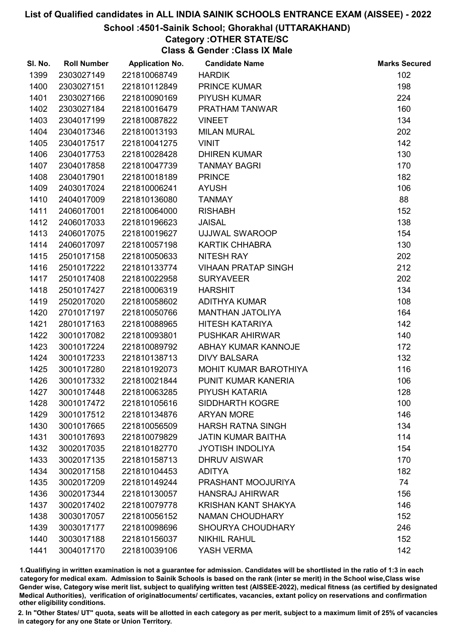## School :4501-Sainik School; Ghorakhal (UTTARAKHAND)

## Category :OTHER STATE/SC

Class & Gender :Class IX Male

| SI. No. | <b>Roll Number</b> | <b>Application No.</b> | <b>Candidate Name</b>      | <b>Marks Secured</b> |
|---------|--------------------|------------------------|----------------------------|----------------------|
| 1399    | 2303027149         | 221810068749           | <b>HARDIK</b>              | 102                  |
| 1400    | 2303027151         | 221810112849           | <b>PRINCE KUMAR</b>        | 198                  |
| 1401    | 2303027166         | 221810090169           | <b>PIYUSH KUMAR</b>        | 224                  |
| 1402    | 2303027184         | 221810016479           | PRATHAM TANWAR             | 160                  |
| 1403    | 2304017199         | 221810087822           | <b>VINEET</b>              | 134                  |
| 1404    | 2304017346         | 221810013193           | <b>MILAN MURAL</b>         | 202                  |
| 1405    | 2304017517         | 221810041275           | <b>VINIT</b>               | 142                  |
| 1406    | 2304017753         | 221810028428           | <b>DHIREN KUMAR</b>        | 130                  |
| 1407    | 2304017858         | 221810047739           | <b>TANMAY BAGRI</b>        | 170                  |
| 1408    | 2304017901         | 221810018189           | <b>PRINCE</b>              | 182                  |
| 1409    | 2403017024         | 221810006241           | <b>AYUSH</b>               | 106                  |
| 1410    | 2404017009         | 221810136080           | <b>TANMAY</b>              | 88                   |
| 1411    | 2406017001         | 221810064000           | <b>RISHABH</b>             | 152                  |
| 1412    | 2406017033         | 221810196623           | <b>JAISAL</b>              | 138                  |
| 1413    | 2406017075         | 221810019627           | UJJWAL SWAROOP             | 154                  |
| 1414    | 2406017097         | 221810057198           | <b>KARTIK CHHABRA</b>      | 130                  |
| 1415    | 2501017158         | 221810050633           | <b>NITESH RAY</b>          | 202                  |
| 1416    | 2501017222         | 221810133774           | <b>VIHAAN PRATAP SINGH</b> | 212                  |
| 1417    | 2501017408         | 221810022958           | <b>SURYAVEER</b>           | 202                  |
| 1418    | 2501017427         | 221810006319           | <b>HARSHIT</b>             | 134                  |
| 1419    | 2502017020         | 221810058602           | ADITHYA KUMAR              | 108                  |
| 1420    | 2701017197         | 221810050766           | <b>MANTHAN JATOLIYA</b>    | 164                  |
| 1421    | 2801017163         | 221810088965           | <b>HITESH KATARIYA</b>     | 142                  |
| 1422    | 3001017082         | 221810093801           | <b>PUSHKAR AHIRWAR</b>     | 140                  |
| 1423    | 3001017224         | 221810089792           | ABHAY KUMAR KANNOJE        | 172                  |
| 1424    | 3001017233         | 221810138713           | <b>DIVY BALSARA</b>        | 132                  |
| 1425    | 3001017280         | 221810192073           | MOHIT KUMAR BAROTHIYA      | 116                  |
| 1426    | 3001017332         | 221810021844           | PUNIT KUMAR KANERIA        | 106                  |
| 1427    | 3001017448         | 221810063285           | PIYUSH KATARIA             | 128                  |
| 1428    | 3001017472         | 221810105616           | <b>SIDDHARTH KOGRE</b>     | 100                  |
| 1429    | 3001017512         | 221810134876           | <b>ARYAN MORE</b>          | 146                  |
| 1430    | 3001017665         | 221810056509           | <b>HARSH RATNA SINGH</b>   | 134                  |
| 1431    | 3001017693         | 221810079829           | <b>JATIN KUMAR BAITHA</b>  | 114                  |
| 1432    | 3002017035         | 221810182770           | <b>JYOTISH INDOLIYA</b>    | 154                  |
| 1433    | 3002017135         | 221810158713           | <b>DHRUV AISWAR</b>        | 170                  |
| 1434    | 3002017158         | 221810104453           | <b>ADITYA</b>              | 182                  |
| 1435    | 3002017209         | 221810149244           | PRASHANT MOOJURIYA         | 74                   |
| 1436    | 3002017344         | 221810130057           | <b>HANSRAJ AHIRWAR</b>     | 156                  |
| 1437    | 3002017402         | 221810079778           | <b>KRISHAN KANT SHAKYA</b> | 146                  |
| 1438    | 3003017057         | 221810056152           | <b>NAMAN CHOUDHARY</b>     | 152                  |
| 1439    | 3003017177         | 221810098696           | <b>SHOURYA CHOUDHARY</b>   | 246                  |
| 1440    | 3003017188         | 221810156037           | <b>NIKHIL RAHUL</b>        | 152                  |
| 1441    | 3004017170         | 221810039106           | YASH VERMA                 | 142                  |

1.Qualifiying in written examination is not a guarantee for admission. Candidates will be shortlisted in the ratio of 1:3 in each category for medical exam. Admission to Sainik Schools is based on the rank (inter se merit) in the School wise,Class wise Gender wise, Category wise merit list, subject to qualifying written test (AISSEE-2022), medical fitness (as certified by designated Medical Authorities), verification of originablocuments/ certificates, vacancies, extant policy on reservations and confirmation other eligibility conditions.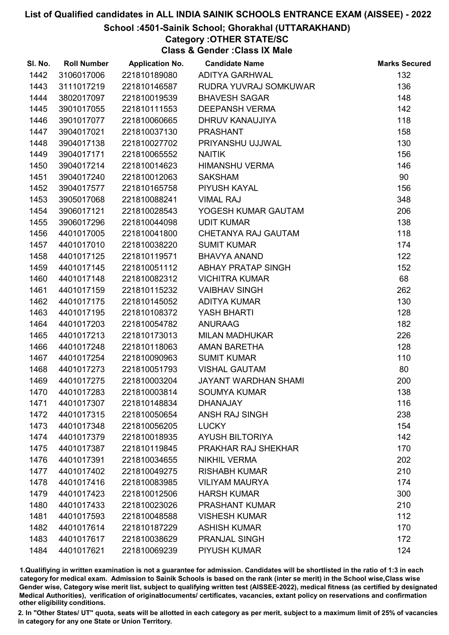## School :4501-Sainik School; Ghorakhal (UTTARAKHAND)

## Category :OTHER STATE/SC

Class & Gender :Class IX Male

| SI. No. | <b>Roll Number</b> | <b>Application No.</b> | <b>Candidate Name</b>       | <b>Marks Secured</b> |
|---------|--------------------|------------------------|-----------------------------|----------------------|
| 1442    | 3106017006         | 221810189080           | <b>ADITYA GARHWAL</b>       | 132                  |
| 1443    | 3111017219         | 221810146587           | RUDRA YUVRAJ SOMKUWAR       | 136                  |
| 1444    | 3802017097         | 221810019539           | <b>BHAVESH SAGAR</b>        | 148                  |
| 1445    | 3901017055         | 221810111553           | <b>DEEPANSH VERMA</b>       | 142                  |
| 1446    | 3901017077         | 221810060665           | DHRUV KANAUJIYA             | 118                  |
| 1447    | 3904017021         | 221810037130           | <b>PRASHANT</b>             | 158                  |
| 1448    | 3904017138         | 221810027702           | PRIYANSHU UJJWAL            | 130                  |
| 1449    | 3904017171         | 221810065552           | <b>NAITIK</b>               | 156                  |
| 1450    | 3904017214         | 221810014623           | <b>HIMANSHU VERMA</b>       | 146                  |
| 1451    | 3904017240         | 221810012063           | <b>SAKSHAM</b>              | 90                   |
| 1452    | 3904017577         | 221810165758           | PIYUSH KAYAL                | 156                  |
| 1453    | 3905017068         | 221810088241           | <b>VIMAL RAJ</b>            | 348                  |
| 1454    | 3906017121         | 221810028543           | YOGESH KUMAR GAUTAM         | 206                  |
| 1455    | 3906017296         | 221810044098           | <b>UDIT KUMAR</b>           | 138                  |
| 1456    | 4401017005         | 221810041800           | CHETANYA RAJ GAUTAM         | 118                  |
| 1457    | 4401017010         | 221810038220           | <b>SUMIT KUMAR</b>          | 174                  |
| 1458    | 4401017125         | 221810119571           | <b>BHAVYA ANAND</b>         | 122                  |
| 1459    | 4401017145         | 221810051112           | ABHAY PRATAP SINGH          | 152                  |
| 1460    | 4401017148         | 221810082312           | <b>VICHITRA KUMAR</b>       | 68                   |
| 1461    | 4401017159         | 221810115232           | <b>VAIBHAV SINGH</b>        | 262                  |
| 1462    | 4401017175         | 221810145052           | ADITYA KUMAR                | 130                  |
| 1463    | 4401017195         | 221810108372           | <b>YASH BHARTI</b>          | 128                  |
| 1464    | 4401017203         | 221810054782           | <b>ANURAAG</b>              | 182                  |
| 1465    | 4401017213         | 221810173013           | <b>MILAN MADHUKAR</b>       | 226                  |
| 1466    | 4401017248         | 221810118063           | AMAN BARETHA                | 128                  |
| 1467    | 4401017254         | 221810090963           | <b>SUMIT KUMAR</b>          | 110                  |
| 1468    | 4401017273         | 221810051793           | <b>VISHAL GAUTAM</b>        | 80                   |
| 1469    | 4401017275         | 221810003204           | <b>JAYANT WARDHAN SHAMI</b> | 200                  |
| 1470    | 4401017283         | 221810003814           | <b>SOUMYA KUMAR</b>         | 138                  |
| 1471    | 4401017307         | 221810148834           | <b>DHANAJAY</b>             | 116                  |
| 1472    | 4401017315         | 221810050654           | <b>ANSH RAJ SINGH</b>       | 238                  |
| 1473    | 4401017348         | 221810056205           | <b>LUCKY</b>                | 154                  |
| 1474    | 4401017379         | 221810018935           | <b>AYUSH BILTORIYA</b>      | 142                  |
| 1475    | 4401017387         | 221810119845           | PRAKHAR RAJ SHEKHAR         | 170                  |
| 1476    | 4401017391         | 221810034655           | <b>NIKHIL VERMA</b>         | 202                  |
| 1477    | 4401017402         | 221810049275           | <b>RISHABH KUMAR</b>        | 210                  |
| 1478    | 4401017416         | 221810083985           | <b>VILIYAM MAURYA</b>       | 174                  |
| 1479    | 4401017423         | 221810012506           | <b>HARSH KUMAR</b>          | 300                  |
| 1480    | 4401017433         | 221810023026           | <b>PRASHANT KUMAR</b>       | 210                  |
| 1481    | 4401017593         | 221810048588           | <b>VISHESH KUMAR</b>        | 112                  |
| 1482    | 4401017614         | 221810187229           | <b>ASHISH KUMAR</b>         | 170                  |
| 1483    | 4401017617         | 221810038629           | <b>PRANJAL SINGH</b>        | 172                  |
| 1484    | 4401017621         | 221810069239           | PIYUSH KUMAR                | 124                  |

1.Qualifiying in written examination is not a guarantee for admission. Candidates will be shortlisted in the ratio of 1:3 in each category for medical exam. Admission to Sainik Schools is based on the rank (inter se merit) in the School wise,Class wise Gender wise, Category wise merit list, subject to qualifying written test (AISSEE-2022), medical fitness (as certified by designated Medical Authorities), verification of originablocuments/ certificates, vacancies, extant policy on reservations and confirmation other eligibility conditions.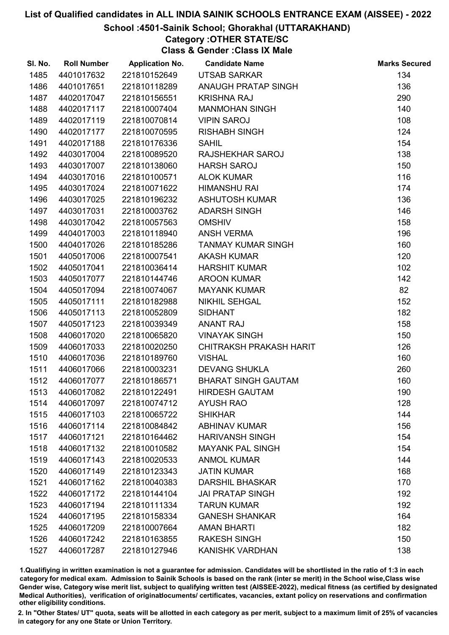## School :4501-Sainik School; Ghorakhal (UTTARAKHAND)

## Category :OTHER STATE/SC

Class & Gender :Class IX Male

| SI. No. | <b>Roll Number</b> | <b>Application No.</b> | <b>Candidate Name</b>      | <b>Marks Secured</b> |
|---------|--------------------|------------------------|----------------------------|----------------------|
| 1485    | 4401017632         | 221810152649           | UTSAB SARKAR               | 134                  |
| 1486    | 4401017651         | 221810118289           | ANAUGH PRATAP SINGH        | 136                  |
| 1487    | 4402017047         | 221810156551           | <b>KRISHNA RAJ</b>         | 290                  |
| 1488    | 4402017117         | 221810007404           | <b>MANMOHAN SINGH</b>      | 140                  |
| 1489    | 4402017119         | 221810070814           | <b>VIPIN SAROJ</b>         | 108                  |
| 1490    | 4402017177         | 221810070595           | <b>RISHABH SINGH</b>       | 124                  |
| 1491    | 4402017188         | 221810176336           | <b>SAHIL</b>               | 154                  |
| 1492    | 4403017004         | 221810089520           | RAJSHEKHAR SAROJ           | 138                  |
| 1493    | 4403017007         | 221810138060           | <b>HARSH SAROJ</b>         | 150                  |
| 1494    | 4403017016         | 221810100571           | <b>ALOK KUMAR</b>          | 116                  |
| 1495    | 4403017024         | 221810071622           | <b>HIMANSHU RAI</b>        | 174                  |
| 1496    | 4403017025         | 221810196232           | <b>ASHUTOSH KUMAR</b>      | 136                  |
| 1497    | 4403017031         | 221810003762           | <b>ADARSH SINGH</b>        | 146                  |
| 1498    | 4403017042         | 221810057563           | <b>OMSHIV</b>              | 158                  |
| 1499    | 4404017003         | 221810118940           | <b>ANSH VERMA</b>          | 196                  |
| 1500    | 4404017026         | 221810185286           | <b>TANMAY KUMAR SINGH</b>  | 160                  |
| 1501    | 4405017006         | 221810007541           | <b>AKASH KUMAR</b>         | 120                  |
| 1502    | 4405017041         | 221810036414           | <b>HARSHIT KUMAR</b>       | 102                  |
| 1503    | 4405017077         | 221810144746           | <b>AROON KUMAR</b>         | 142                  |
| 1504    | 4405017094         | 221810074067           | <b>MAYANK KUMAR</b>        | 82                   |
| 1505    | 4405017111         | 221810182988           | <b>NIKHIL SEHGAL</b>       | 152                  |
| 1506    | 4405017113         | 221810052809           | <b>SIDHANT</b>             | 182                  |
| 1507    | 4405017123         | 221810039349           | <b>ANANT RAJ</b>           | 158                  |
| 1508    | 4406017020         | 221810065820           | <b>VINAYAK SINGH</b>       | 150                  |
| 1509    | 4406017033         | 221810020250           | CHITRAKSH PRAKASH HARIT    | 126                  |
| 1510    | 4406017036         | 221810189760           | <b>VISHAL</b>              | 160                  |
| 1511    | 4406017066         | 221810003231           | <b>DEVANG SHUKLA</b>       | 260                  |
| 1512    | 4406017077         | 221810186571           | <b>BHARAT SINGH GAUTAM</b> | 160                  |
| 1513    | 4406017082         | 221810122491           | <b>HIRDESH GAUTAM</b>      | 190                  |
| 1514    | 4406017097         | 221810074712           | <b>AYUSH RAO</b>           | 128                  |
| 1515    | 4406017103         | 221810065722           | <b>SHIKHAR</b>             | 144                  |
| 1516    | 4406017114         | 221810084842           | <b>ABHINAV KUMAR</b>       | 156                  |
| 1517    | 4406017121         | 221810164462           | <b>HARIVANSH SINGH</b>     | 154                  |
| 1518    | 4406017132         | 221810010582           | <b>MAYANK PAL SINGH</b>    | 154                  |
| 1519    | 4406017143         | 221810020533           | <b>ANMOL KUMAR</b>         | 144                  |
| 1520    | 4406017149         | 221810123343           | <b>JATIN KUMAR</b>         | 168                  |
| 1521    | 4406017162         | 221810040383           | <b>DARSHIL BHASKAR</b>     | 170                  |
| 1522    | 4406017172         | 221810144104           | <b>JAI PRATAP SINGH</b>    | 192                  |
| 1523    | 4406017194         | 221810111334           | <b>TARUN KUMAR</b>         | 192                  |
| 1524    | 4406017195         | 221810158334           | <b>GANESH SHANKAR</b>      | 164                  |
| 1525    | 4406017209         | 221810007664           | <b>AMAN BHARTI</b>         | 182                  |
| 1526    | 4406017242         | 221810163855           | <b>RAKESH SINGH</b>        | 150                  |
| 1527    | 4406017287         | 221810127946           | <b>KANISHK VARDHAN</b>     | 138                  |

1.Qualifiying in written examination is not a guarantee for admission. Candidates will be shortlisted in the ratio of 1:3 in each category for medical exam. Admission to Sainik Schools is based on the rank (inter se merit) in the School wise,Class wise Gender wise, Category wise merit list, subject to qualifying written test (AISSEE-2022), medical fitness (as certified by designated Medical Authorities), verification of originablocuments/ certificates, vacancies, extant policy on reservations and confirmation other eligibility conditions.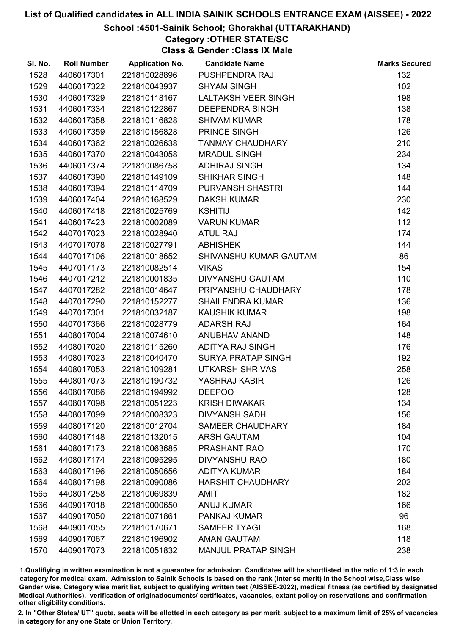## School :4501-Sainik School; Ghorakhal (UTTARAKHAND)

## Category :OTHER STATE/SC

Class & Gender :Class IX Male

| SI. No. | <b>Roll Number</b> | <b>Application No.</b> | <b>Candidate Name</b>      | <b>Marks Secured</b> |
|---------|--------------------|------------------------|----------------------------|----------------------|
| 1528    | 4406017301         | 221810028896           | PUSHPENDRA RAJ             | 132                  |
| 1529    | 4406017322         | 221810043937           | <b>SHYAM SINGH</b>         | 102                  |
| 1530    | 4406017329         | 221810118167           | <b>LALTAKSH VEER SINGH</b> | 198                  |
| 1531    | 4406017334         | 221810122867           | <b>DEEPENDRA SINGH</b>     | 138                  |
| 1532    | 4406017358         | 221810116828           | <b>SHIVAM KUMAR</b>        | 178                  |
| 1533    | 4406017359         | 221810156828           | PRINCE SINGH               | 126                  |
| 1534    | 4406017362         | 221810026638           | <b>TANMAY CHAUDHARY</b>    | 210                  |
| 1535    | 4406017370         | 221810043058           | <b>MRADUL SINGH</b>        | 234                  |
| 1536    | 4406017374         | 221810086758           | <b>ADHIRAJ SINGH</b>       | 134                  |
| 1537    | 4406017390         | 221810149109           | <b>SHIKHAR SINGH</b>       | 148                  |
| 1538    | 4406017394         | 221810114709           | <b>PURVANSH SHASTRI</b>    | 144                  |
| 1539    | 4406017404         | 221810168529           | <b>DAKSH KUMAR</b>         | 230                  |
| 1540    | 4406017418         | 221810025769           | <b>KSHITIJ</b>             | 142                  |
| 1541    | 4406017423         | 221810002089           | <b>VARUN KUMAR</b>         | 112                  |
| 1542    | 4407017023         | 221810028940           | <b>ATUL RAJ</b>            | 174                  |
| 1543    | 4407017078         | 221810027791           | <b>ABHISHEK</b>            | 144                  |
| 1544    | 4407017106         | 221810018652           | SHIVANSHU KUMAR GAUTAM     | 86                   |
| 1545    | 4407017173         | 221810082514           | <b>VIKAS</b>               | 154                  |
| 1546    | 4407017212         | 221810001835           | <b>DIVYANSHU GAUTAM</b>    | 110                  |
| 1547    | 4407017282         | 221810014647           | PRIYANSHU CHAUDHARY        | 178                  |
| 1548    | 4407017290         | 221810152277           | <b>SHAILENDRA KUMAR</b>    | 136                  |
| 1549    | 4407017301         | 221810032187           | <b>KAUSHIK KUMAR</b>       | 198                  |
| 1550    | 4407017366         | 221810028779           | <b>ADARSH RAJ</b>          | 164                  |
| 1551    | 4408017004         | 221810074610           | ANUBHAV ANAND              | 148                  |
| 1552    | 4408017020         | 221810115260           | ADITYA RAJ SINGH           | 176                  |
| 1553    | 4408017023         | 221810040470           | <b>SURYA PRATAP SINGH</b>  | 192                  |
| 1554    | 4408017053         | 221810109281           | <b>UTKARSH SHRIVAS</b>     | 258                  |
| 1555    | 4408017073         | 221810190732           | YASHRAJ KABIR              | 126                  |
| 1556    | 4408017086         | 221810194992           | <b>DEEPOO</b>              | 128                  |
| 1557    | 4408017098         | 221810051223           | <b>KRISH DIWAKAR</b>       | 134                  |
| 1558    | 4408017099         | 221810008323           | <b>DIVYANSH SADH</b>       | 156                  |
| 1559    | 4408017120         | 221810012704           | <b>SAMEER CHAUDHARY</b>    | 184                  |
| 1560    | 4408017148         | 221810132015           | <b>ARSH GAUTAM</b>         | 104                  |
| 1561    | 4408017173         | 221810063685           | PRASHANT RAO               | 170                  |
| 1562    | 4408017174         | 221810095295           | <b>DIVYANSHU RAO</b>       | 180                  |
| 1563    | 4408017196         | 221810050656           | <b>ADITYA KUMAR</b>        | 184                  |
| 1564    | 4408017198         | 221810090086           | <b>HARSHIT CHAUDHARY</b>   | 202                  |
| 1565    | 4408017258         | 221810069839           | <b>AMIT</b>                | 182                  |
| 1566    | 4409017018         | 221810000650           | <b>ANUJ KUMAR</b>          | 166                  |
| 1567    | 4409017050         | 221810071861           | PANKAJ KUMAR               | 96                   |
| 1568    | 4409017055         | 221810170671           | <b>SAMEER TYAGI</b>        | 168                  |
| 1569    | 4409017067         | 221810196902           | <b>AMAN GAUTAM</b>         | 118                  |
| 1570    | 4409017073         | 221810051832           | <b>MANJUL PRATAP SINGH</b> | 238                  |

1.Qualifiying in written examination is not a guarantee for admission. Candidates will be shortlisted in the ratio of 1:3 in each category for medical exam. Admission to Sainik Schools is based on the rank (inter se merit) in the School wise,Class wise Gender wise, Category wise merit list, subject to qualifying written test (AISSEE-2022), medical fitness (as certified by designated Medical Authorities), verification of originablocuments/ certificates, vacancies, extant policy on reservations and confirmation other eligibility conditions.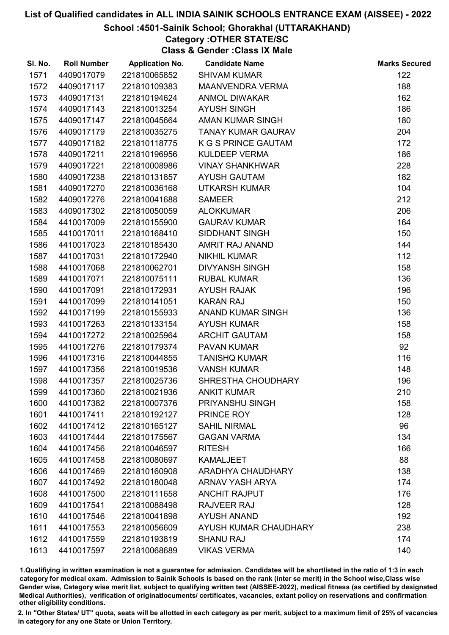## School :4501-Sainik School; Ghorakhal (UTTARAKHAND)

## Category :OTHER STATE/SC

Class & Gender :Class IX Male

| SI. No. | <b>Roll Number</b> | <b>Application No.</b> | <b>Candidate Name</b>      | <b>Marks Secured</b> |
|---------|--------------------|------------------------|----------------------------|----------------------|
| 1571    | 4409017079         | 221810065852           | <b>SHIVAM KUMAR</b>        | 122                  |
| 1572    | 4409017117         | 221810109383           | <b>MAANVENDRA VERMA</b>    | 188                  |
| 1573    | 4409017131         | 221810194624           | <b>ANMOL DIWAKAR</b>       | 162                  |
| 1574    | 4409017143         | 221810013254           | <b>AYUSH SINGH</b>         | 186                  |
| 1575    | 4409017147         | 221810045664           | <b>AMAN KUMAR SINGH</b>    | 180                  |
| 1576    | 4409017179         | 221810035275           | <b>TANAY KUMAR GAURAV</b>  | 204                  |
| 1577    | 4409017182         | 221810118775           | <b>K G S PRINCE GAUTAM</b> | 172                  |
| 1578    | 4409017211         | 221810196956           | <b>KULDEEP VERMA</b>       | 186                  |
| 1579    | 4409017221         | 221810008986           | <b>VINAY SHANKHWAR</b>     | 228                  |
| 1580    | 4409017238         | 221810131857           | <b>AYUSH GAUTAM</b>        | 182                  |
| 1581    | 4409017270         | 221810036168           | <b>UTKARSH KUMAR</b>       | 104                  |
| 1582    | 4409017276         | 221810041688           | <b>SAMEER</b>              | 212                  |
| 1583    | 4409017302         | 221810050059           | <b>ALOKKUMAR</b>           | 206                  |
| 1584    | 4410017009         | 221810155900           | <b>GAURAV KUMAR</b>        | 164                  |
| 1585    | 4410017011         | 221810168410           | SIDDHANT SINGH             | 150                  |
| 1586    | 4410017023         | 221810185430           | AMRIT RAJ ANAND            | 144                  |
| 1587    | 4410017031         | 221810172940           | <b>NIKHIL KUMAR</b>        | 112                  |
| 1588    | 4410017068         | 221810062701           | <b>DIVYANSH SINGH</b>      | 158                  |
| 1589    | 4410017071         | 221810075111           | <b>RUBAL KUMAR</b>         | 136                  |
| 1590    | 4410017091         | 221810172931           | <b>AYUSH RAJAK</b>         | 196                  |
| 1591    | 4410017099         | 221810141051           | <b>KARAN RAJ</b>           | 150                  |
| 1592    | 4410017199         | 221810155933           | <b>ANAND KUMAR SINGH</b>   | 136                  |
| 1593    | 4410017263         | 221810133154           | <b>AYUSH KUMAR</b>         | 158                  |
| 1594    | 4410017272         | 221810025964           | <b>ARCHIT GAUTAM</b>       | 158                  |
| 1595    | 4410017276         | 221810179374           | <b>PAVAN KUMAR</b>         | 92                   |
| 1596    | 4410017316         | 221810044855           | <b>TANISHQ KUMAR</b>       | 116                  |
| 1597    | 4410017356         | 221810019536           | <b>VANSH KUMAR</b>         | 148                  |
| 1598    | 4410017357         | 221810025736           | SHRESTHA CHOUDHARY         | 196                  |
| 1599    | 4410017360         | 221810021936           | <b>ANKIT KUMAR</b>         | 210                  |
| 1600    | 4410017382         | 221810007376           | PRIYANSHU SINGH            | 158                  |
| 1601    | 4410017411         | 221810192127           | PRINCE ROY                 | 128                  |
| 1602    | 4410017412         | 221810165127           | <b>SAHIL NIRMAL</b>        | 96                   |
| 1603    | 4410017444         | 221810175567           | <b>GAGAN VARMA</b>         | 134                  |
| 1604    | 4410017456         | 221810046597           | <b>RITESH</b>              | 166                  |
| 1605    | 4410017458         | 221810080697           | <b>KAMALJEET</b>           | 88                   |
| 1606    | 4410017469         | 221810160908           | <b>ARADHYA CHAUDHARY</b>   | 138                  |
| 1607    | 4410017492         | 221810180048           | <b>ARNAV YASH ARYA</b>     | 174                  |
| 1608    | 4410017500         | 221810111658           | <b>ANCHIT RAJPUT</b>       | 176                  |
| 1609    | 4410017541         | 221810088498           | RAJVEER RAJ                | 128                  |
| 1610    | 4410017546         | 221810041898           | <b>AYUSH ANAND</b>         | 192                  |
| 1611    | 4410017553         | 221810056609           | AYUSH KUMAR CHAUDHARY      | 238                  |
| 1612    | 4410017559         | 221810193819           | <b>SHANU RAJ</b>           | 174                  |
| 1613    | 4410017597         | 221810068689           | <b>VIKAS VERMA</b>         | 140                  |

1.Qualifiying in written examination is not a guarantee for admission. Candidates will be shortlisted in the ratio of 1:3 in each category for medical exam. Admission to Sainik Schools is based on the rank (inter se merit) in the School wise,Class wise Gender wise, Category wise merit list, subject to qualifying written test (AISSEE-2022), medical fitness (as certified by designated Medical Authorities), verification of originablocuments/ certificates, vacancies, extant policy on reservations and confirmation other eligibility conditions.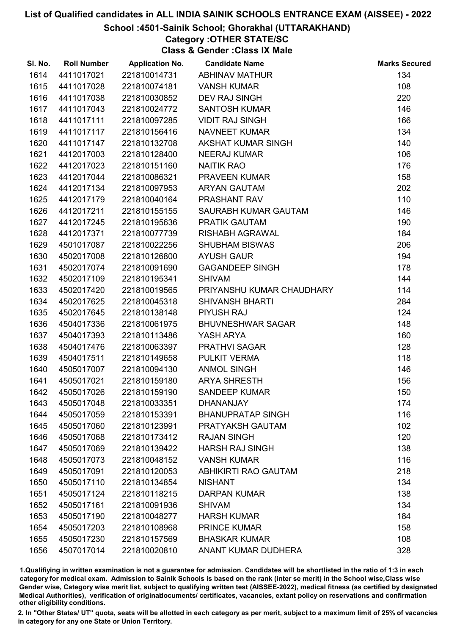## School :4501-Sainik School; Ghorakhal (UTTARAKHAND)

## Category :OTHER STATE/SC

Class & Gender :Class IX Male

| SI. No. | <b>Roll Number</b> | <b>Application No.</b> | <b>Candidate Name</b>       | <b>Marks Secured</b> |
|---------|--------------------|------------------------|-----------------------------|----------------------|
| 1614    | 4411017021         | 221810014731           | <b>ABHINAV MATHUR</b>       | 134                  |
| 1615    | 4411017028         | 221810074181           | <b>VANSH KUMAR</b>          | 108                  |
| 1616    | 4411017038         | 221810030852           | <b>DEV RAJ SINGH</b>        | 220                  |
| 1617    | 4411017043         | 221810024772           | <b>SANTOSH KUMAR</b>        | 146                  |
| 1618    | 4411017111         | 221810097285           | <b>VIDIT RAJ SINGH</b>      | 166                  |
| 1619    | 4411017117         | 221810156416           | <b>NAVNEET KUMAR</b>        | 134                  |
| 1620    | 4411017147         | 221810132708           | AKSHAT KUMAR SINGH          | 140                  |
| 1621    | 4412017003         | 221810128400           | <b>NEERAJ KUMAR</b>         | 106                  |
| 1622    | 4412017023         | 221810151160           | <b>NAITIK RAO</b>           | 176                  |
| 1623    | 4412017044         | 221810086321           | PRAVEEN KUMAR               | 158                  |
| 1624    | 4412017134         | 221810097953           | <b>ARYAN GAUTAM</b>         | 202                  |
| 1625    | 4412017179         | 221810040164           | PRASHANT RAV                | 110                  |
| 1626    | 4412017211         | 221810155155           | SAURABH KUMAR GAUTAM        | 146                  |
| 1627    | 4412017245         | 221810195636           | PRATIK GAUTAM               | 190                  |
| 1628    | 4412017371         | 221810077739           | <b>RISHABH AGRAWAL</b>      | 184                  |
| 1629    | 4501017087         | 221810022256           | <b>SHUBHAM BISWAS</b>       | 206                  |
| 1630    | 4502017008         | 221810126800           | <b>AYUSH GAUR</b>           | 194                  |
| 1631    | 4502017074         | 221810091690           | <b>GAGANDEEP SINGH</b>      | 178                  |
| 1632    | 4502017109         | 221810195341           | <b>SHIVAM</b>               | 144                  |
| 1633    | 4502017420         | 221810019565           | PRIYANSHU KUMAR CHAUDHARY   | 114                  |
| 1634    | 4502017625         | 221810045318           | <b>SHIVANSH BHARTI</b>      | 284                  |
| 1635    | 4502017645         | 221810138148           | <b>PIYUSH RAJ</b>           | 124                  |
| 1636    | 4504017336         | 221810061975           | <b>BHUVNESHWAR SAGAR</b>    | 148                  |
| 1637    | 4504017393         | 221810113486           | YASH ARYA                   | 160                  |
| 1638    | 4504017476         | 221810063397           | <b>PRATHVI SAGAR</b>        | 128                  |
| 1639    | 4504017511         | 221810149658           | PULKIT VERMA                | 118                  |
| 1640    | 4505017007         | 221810094130           | <b>ANMOL SINGH</b>          | 146                  |
| 1641    | 4505017021         | 221810159180           | <b>ARYA SHRESTH</b>         | 156                  |
| 1642    | 4505017026         | 221810159190           | <b>SANDEEP KUMAR</b>        | 150                  |
| 1643    | 4505017048         | 221810033351           | <b>DHANANJAY</b>            | 174                  |
| 1644    | 4505017059         | 221810153391           | <b>BHANUPRATAP SINGH</b>    | 116                  |
| 1645    | 4505017060         | 221810123991           | PRATYAKSH GAUTAM            | 102                  |
| 1646    | 4505017068         | 221810173412           | <b>RAJAN SINGH</b>          | 120                  |
| 1647    | 4505017069         | 221810139422           | <b>HARSH RAJ SINGH</b>      | 138                  |
| 1648    | 4505017073         | 221810048152           | <b>VANSH KUMAR</b>          | 116                  |
| 1649    | 4505017091         | 221810120053           | <b>ABHIKIRTI RAO GAUTAM</b> | 218                  |
| 1650    | 4505017110         | 221810134854           | <b>NISHANT</b>              | 134                  |
| 1651    | 4505017124         | 221810118215           | <b>DARPAN KUMAR</b>         | 138                  |
| 1652    | 4505017161         | 221810091936           | <b>SHIVAM</b>               | 134                  |
| 1653    | 4505017190         | 221810048277           | <b>HARSH KUMAR</b>          | 184                  |
| 1654    | 4505017203         | 221810108968           | <b>PRINCE KUMAR</b>         | 158                  |
| 1655    | 4505017230         | 221810157569           | <b>BHASKAR KUMAR</b>        | 108                  |
| 1656    | 4507017014         | 221810020810           | ANANT KUMAR DUDHERA         | 328                  |

1.Qualifiying in written examination is not a guarantee for admission. Candidates will be shortlisted in the ratio of 1:3 in each category for medical exam. Admission to Sainik Schools is based on the rank (inter se merit) in the School wise,Class wise Gender wise, Category wise merit list, subject to qualifying written test (AISSEE-2022), medical fitness (as certified by designated Medical Authorities), verification of originablocuments/ certificates, vacancies, extant policy on reservations and confirmation other eligibility conditions.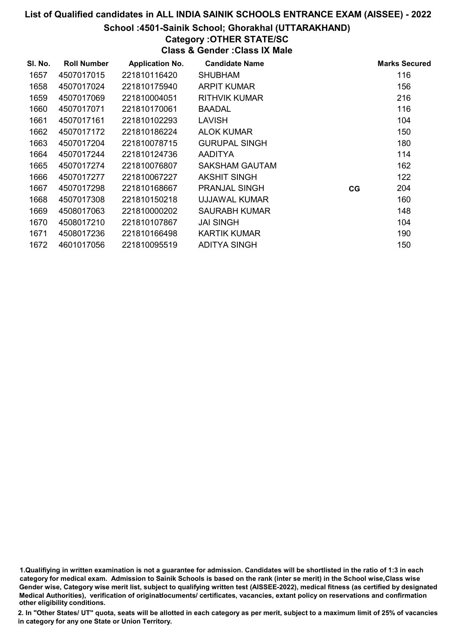School :4501-Sainik School; Ghorakhal (UTTARAKHAND)

## Category :OTHER STATE/SC

Class & Gender :Class IX Male

| SI. No. | <b>Roll Number</b> | <b>Application No.</b> | <b>Candidate Name</b> |    | <b>Marks Secured</b> |
|---------|--------------------|------------------------|-----------------------|----|----------------------|
| 1657    | 4507017015         | 221810116420           | <b>SHUBHAM</b>        |    | 116                  |
| 1658    | 4507017024         | 221810175940           | <b>ARPIT KUMAR</b>    |    | 156                  |
| 1659    | 4507017069         | 221810004051           | <b>RITHVIK KUMAR</b>  |    | 216                  |
| 1660    | 4507017071         | 221810170061           | <b>BAADAL</b>         |    | 116                  |
| 1661    | 4507017161         | 221810102293           | <b>LAVISH</b>         |    | 104                  |
| 1662    | 4507017172         | 221810186224           | ALOK KUMAR            |    | 150                  |
| 1663    | 4507017204         | 221810078715           | <b>GURUPAL SINGH</b>  |    | 180                  |
| 1664    | 4507017244         | 221810124736           | <b>AADITYA</b>        |    | 114                  |
| 1665    | 4507017274         | 221810076807           | SAKSHAM GAUTAM        |    | 162                  |
| 1666    | 4507017277         | 221810067227           | AKSHIT SINGH          |    | 122                  |
| 1667    | 4507017298         | 221810168667           | <b>PRANJAL SINGH</b>  | CG | 204                  |
| 1668    | 4507017308         | 221810150218           | UJJAWAL KUMAR         |    | 160                  |
| 1669    | 4508017063         | 221810000202           | SAURABH KUMAR         |    | 148                  |
| 1670    | 4508017210         | 221810107867           | <b>JAI SINGH</b>      |    | 104                  |
| 1671    | 4508017236         | 221810166498           | <b>KARTIK KUMAR</b>   |    | 190                  |
| 1672    | 4601017056         | 221810095519           | <b>ADITYA SINGH</b>   |    | 150                  |

1.Qualifiying in written examination is not a guarantee for admission. Candidates will be shortlisted in the ratio of 1:3 in each category for medical exam. Admission to Sainik Schools is based on the rank (inter se merit) in the School wise,Class wise Gender wise, Category wise merit list, subject to qualifying written test (AISSEE-2022), medical fitness (as certified by designated Medical Authorities), verification of originablocuments/ certificates, vacancies, extant policy on reservations and confirmation other eligibility conditions.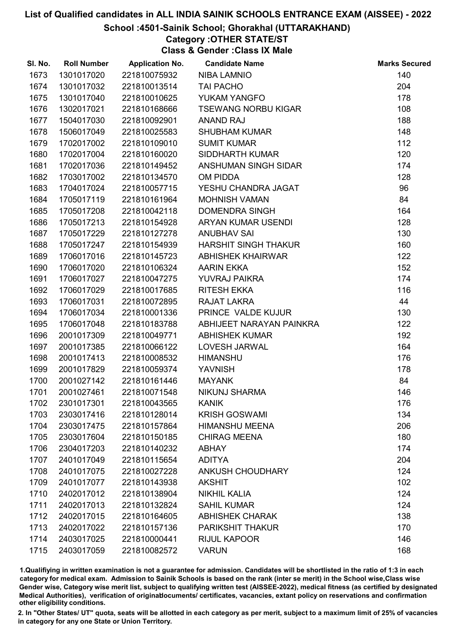# School :4501-Sainik School; Ghorakhal (UTTARAKHAND)

## Category :OTHER STATE/ST

Class & Gender :Class IX Male

| SI. No. | <b>Roll Number</b> | <b>Application No.</b> | <b>Candidate Name</b>       | <b>Marks Secured</b> |
|---------|--------------------|------------------------|-----------------------------|----------------------|
| 1673    | 1301017020         | 221810075932           | <b>NIBA LAMNIO</b>          | 140                  |
| 1674    | 1301017032         | 221810013514           | <b>TAI PACHO</b>            | 204                  |
| 1675    | 1301017040         | 221810010625           | YUKAM YANGFO                | 178                  |
| 1676    | 1302017021         | 221810168666           | <b>TSEWANG NORBU KIGAR</b>  | 108                  |
| 1677    | 1504017030         | 221810092901           | <b>ANAND RAJ</b>            | 188                  |
| 1678    | 1506017049         | 221810025583           | <b>SHUBHAM KUMAR</b>        | 148                  |
| 1679    | 1702017002         | 221810109010           | <b>SUMIT KUMAR</b>          | 112                  |
| 1680    | 1702017004         | 221810160020           | <b>SIDDHARTH KUMAR</b>      | 120                  |
| 1681    | 1702017036         | 221810149452           | ANSHUMAN SINGH SIDAR        | 174                  |
| 1682    | 1703017002         | 221810134570           | <b>OM PIDDA</b>             | 128                  |
| 1683    | 1704017024         | 221810057715           | YESHU CHANDRA JAGAT         | 96                   |
| 1684    | 1705017119         | 221810161964           | <b>MOHNISH VAMAN</b>        | 84                   |
| 1685    | 1705017208         | 221810042118           | <b>DOMENDRA SINGH</b>       | 164                  |
| 1686    | 1705017213         | 221810154928           | ARYAN KUMAR USENDI          | 128                  |
| 1687    | 1705017229         | 221810127278           | <b>ANUBHAV SAI</b>          | 130                  |
| 1688    | 1705017247         | 221810154939           | <b>HARSHIT SINGH THAKUR</b> | 160                  |
| 1689    | 1706017016         | 221810145723           | <b>ABHISHEK KHAIRWAR</b>    | 122                  |
| 1690    | 1706017020         | 221810106324           | <b>AARIN EKKA</b>           | 152                  |
| 1691    | 1706017027         | 221810047275           | <b>YUVRAJ PAIKRA</b>        | 174                  |
| 1692    | 1706017029         | 221810017685           | <b>RITESH EKKA</b>          | 116                  |
| 1693    | 1706017031         | 221810072895           | RAJAT LAKRA                 | 44                   |
| 1694    | 1706017034         | 221810001336           | PRINCE VALDE KUJUR          | 130                  |
| 1695    | 1706017048         | 221810183788           | ABHIJEET NARAYAN PAINKRA    | 122                  |
| 1696    | 2001017309         | 221810049771           | <b>ABHISHEK KUMAR</b>       | 192                  |
| 1697    | 2001017385         | 221810066122           | LOVESH JARWAL               | 164                  |
| 1698    | 2001017413         | 221810008532           | <b>HIMANSHU</b>             | 176                  |
| 1699    | 2001017829         | 221810059374           | <b>YAVNISH</b>              | 178                  |
| 1700    | 2001027142         | 221810161446           | <b>MAYANK</b>               | 84                   |
| 1701    | 2001027461         | 221810071548           | <b>NIKUNJ SHARMA</b>        | 146                  |
| 1702    | 2301017301         | 221810043565           | <b>KANIK</b>                | 176                  |
| 1703    | 2303017416         | 221810128014           | <b>KRISH GOSWAMI</b>        | 134                  |
| 1704    | 2303017475         | 221810157864           | <b>HIMANSHU MEENA</b>       | 206                  |
| 1705    | 2303017604         | 221810150185           | <b>CHIRAG MEENA</b>         | 180                  |
| 1706    | 2304017203         | 221810140232           | <b>ABHAY</b>                | 174                  |
| 1707    | 2401017049         | 221810115654           | <b>ADITYA</b>               | 204                  |
| 1708    | 2401017075         | 221810027228           | <b>ANKUSH CHOUDHARY</b>     | 124                  |
| 1709    | 2401017077         | 221810143938           | <b>AKSHIT</b>               | 102                  |
| 1710    | 2402017012         | 221810138904           | <b>NIKHIL KALIA</b>         | 124                  |
| 1711    | 2402017013         | 221810132824           | <b>SAHIL KUMAR</b>          | 124                  |
| 1712    | 2402017015         | 221810164605           | <b>ABHISHEK CHARAK</b>      | 138                  |
| 1713    | 2402017022         | 221810157136           | <b>PARIKSHIT THAKUR</b>     | 170                  |
| 1714    | 2403017025         | 221810000441           | <b>RIJUL KAPOOR</b>         | 146                  |
| 1715    | 2403017059         | 221810082572           | <b>VARUN</b>                | 168                  |

1.Qualifiying in written examination is not a guarantee for admission. Candidates will be shortlisted in the ratio of 1:3 in each category for medical exam. Admission to Sainik Schools is based on the rank (inter se merit) in the School wise,Class wise Gender wise, Category wise merit list, subject to qualifying written test (AISSEE-2022), medical fitness (as certified by designated Medical Authorities), verification of originablocuments/ certificates, vacancies, extant policy on reservations and confirmation other eligibility conditions.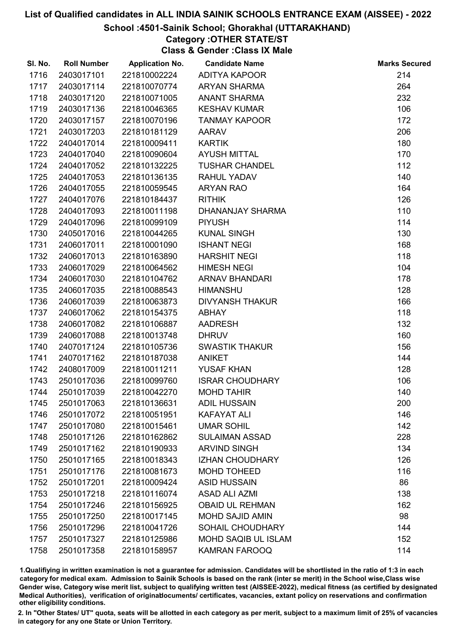# School :4501-Sainik School; Ghorakhal (UTTARAKHAND)

## Category :OTHER STATE/ST

Class & Gender :Class IX Male

| SI. No. | <b>Roll Number</b> | <b>Application No.</b> | <b>Candidate Name</b>      | <b>Marks Secured</b> |
|---------|--------------------|------------------------|----------------------------|----------------------|
| 1716    | 2403017101         | 221810002224           | ADITYA KAPOOR              | 214                  |
| 1717    | 2403017114         | 221810070774           | <b>ARYAN SHARMA</b>        | 264                  |
| 1718    | 2403017120         | 221810071005           | <b>ANANT SHARMA</b>        | 232                  |
| 1719    | 2403017136         | 221810046365           | <b>KESHAV KUMAR</b>        | 106                  |
| 1720    | 2403017157         | 221810070196           | <b>TANMAY KAPOOR</b>       | 172                  |
| 1721    | 2403017203         | 221810181129           | <b>AARAV</b>               | 206                  |
| 1722    | 2404017014         | 221810009411           | <b>KARTIK</b>              | 180                  |
| 1723    | 2404017040         | 221810090604           | <b>AYUSH MITTAL</b>        | 170                  |
| 1724    | 2404017052         | 221810132225           | <b>TUSHAR CHANDEL</b>      | 112                  |
| 1725    | 2404017053         | 221810136135           | <b>RAHUL YADAV</b>         | 140                  |
| 1726    | 2404017055         | 221810059545           | <b>ARYAN RAO</b>           | 164                  |
| 1727    | 2404017076         | 221810184437           | <b>RITHIK</b>              | 126                  |
| 1728    | 2404017093         | 221810011198           | DHANANJAY SHARMA           | 110                  |
| 1729    | 2404017096         | 221810099109           | <b>PIYUSH</b>              | 114                  |
| 1730    | 2405017016         | 221810044265           | <b>KUNAL SINGH</b>         | 130                  |
| 1731    | 2406017011         | 221810001090           | <b>ISHANT NEGI</b>         | 168                  |
| 1732    | 2406017013         | 221810163890           | <b>HARSHIT NEGI</b>        | 118                  |
| 1733    | 2406017029         | 221810064562           | <b>HIMESH NEGI</b>         | 104                  |
| 1734    | 2406017030         | 221810104762           | <b>ARNAV BHANDARI</b>      | 178                  |
| 1735    | 2406017035         | 221810088543           | <b>HIMANSHU</b>            | 128                  |
| 1736    | 2406017039         | 221810063873           | <b>DIVYANSH THAKUR</b>     | 166                  |
| 1737    | 2406017062         | 221810154375           | <b>ABHAY</b>               | 118                  |
| 1738    | 2406017082         | 221810106887           | <b>AADRESH</b>             | 132                  |
| 1739    | 2406017088         | 221810013748           | <b>DHRUV</b>               | 160                  |
| 1740    | 2407017124         | 221810105736           | <b>SWASTIK THAKUR</b>      | 156                  |
| 1741    | 2407017162         | 221810187038           | <b>ANIKET</b>              | 144                  |
| 1742    | 2408017009         | 221810011211           | <b>YUSAF KHAN</b>          | 128                  |
| 1743    | 2501017036         | 221810099760           | <b>ISRAR CHOUDHARY</b>     | 106                  |
| 1744    | 2501017039         | 221810042270           | <b>MOHD TAHIR</b>          | 140                  |
| 1745    | 2501017063         | 221810136631           | <b>ADIL HUSSAIN</b>        | 200                  |
| 1746    | 2501017072         | 221810051951           | <b>KAFAYAT ALI</b>         | 146                  |
| 1747    | 2501017080         | 221810015461           | <b>UMAR SOHIL</b>          | 142                  |
| 1748    | 2501017126         | 221810162862           | <b>SULAIMAN ASSAD</b>      | 228                  |
| 1749    | 2501017162         | 221810190933           | <b>ARVIND SINGH</b>        | 134                  |
| 1750    | 2501017165         | 221810018343           | <b>IZHAN CHOUDHARY</b>     | 126                  |
| 1751    | 2501017176         | 221810081673           | <b>MOHD TOHEED</b>         | 116                  |
| 1752    | 2501017201         | 221810009424           | <b>ASID HUSSAIN</b>        | 86                   |
| 1753    | 2501017218         | 221810116074           | <b>ASAD ALI AZMI</b>       | 138                  |
| 1754    | 2501017246         | 221810156925           | <b>OBAID UL REHMAN</b>     | 162                  |
| 1755    | 2501017250         | 221810017145           | <b>MOHD SAJID AMIN</b>     | 98                   |
| 1756    | 2501017296         | 221810041726           | SOHAIL CHOUDHARY           | 144                  |
| 1757    | 2501017327         | 221810125986           | <b>MOHD SAQIB UL ISLAM</b> | 152                  |
| 1758    | 2501017358         | 221810158957           | <b>KAMRAN FAROOQ</b>       | 114                  |

1.Qualifiying in written examination is not a guarantee for admission. Candidates will be shortlisted in the ratio of 1:3 in each category for medical exam. Admission to Sainik Schools is based on the rank (inter se merit) in the School wise,Class wise Gender wise, Category wise merit list, subject to qualifying written test (AISSEE-2022), medical fitness (as certified by designated Medical Authorities), verification of originablocuments/ certificates, vacancies, extant policy on reservations and confirmation other eligibility conditions.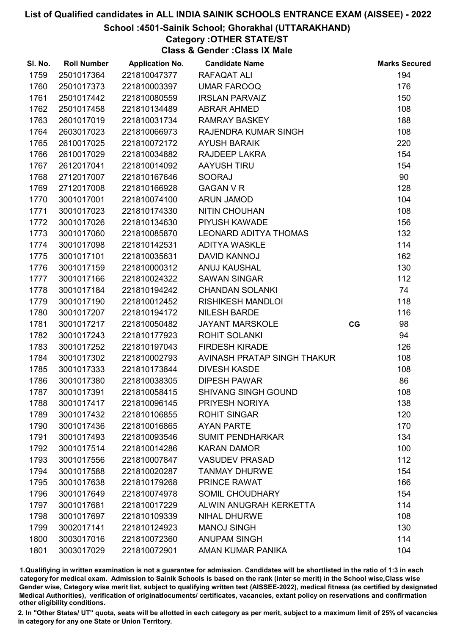School :4501-Sainik School; Ghorakhal (UTTARAKHAND)

## Category :OTHER STATE/ST

Class & Gender :Class IX Male

| SI. No. | <b>Roll Number</b> | <b>Application No.</b> | <b>Candidate Name</b>        |    | <b>Marks Secured</b> |
|---------|--------------------|------------------------|------------------------------|----|----------------------|
| 1759    | 2501017364         | 221810047377           | RAFAQAT ALI                  |    | 194                  |
| 1760    | 2501017373         | 221810003397           | <b>UMAR FAROOQ</b>           |    | 176                  |
| 1761    | 2501017442         | 221810080559           | <b>IRSLAN PARVAIZ</b>        |    | 150                  |
| 1762    | 2501017458         | 221810134489           | <b>ABRAR AHMED</b>           |    | 108                  |
| 1763    | 2601017019         | 221810031734           | <b>RAMRAY BASKEY</b>         |    | 188                  |
| 1764    | 2603017023         | 221810066973           | RAJENDRA KUMAR SINGH         |    | 108                  |
| 1765    | 2610017025         | 221810072172           | <b>AYUSH BARAIK</b>          |    | 220                  |
| 1766    | 2610017029         | 221810034882           | RAJDEEP LAKRA                |    | 154                  |
| 1767    | 2612017041         | 221810014092           | <b>AAYUSH TIRU</b>           |    | 154                  |
| 1768    | 2712017007         | 221810167646           | <b>SOORAJ</b>                |    | 90                   |
| 1769    | 2712017008         | 221810166928           | <b>GAGAN V R</b>             |    | 128                  |
| 1770    | 3001017001         | 221810074100           | <b>ARUN JAMOD</b>            |    | 104                  |
| 1771    | 3001017023         | 221810174330           | <b>NITIN CHOUHAN</b>         |    | 108                  |
| 1772    | 3001017026         | 221810134630           | PIYUSH KAWADE                |    | 156                  |
| 1773    | 3001017060         | 221810085870           | <b>LEONARD ADITYA THOMAS</b> |    | 132                  |
| 1774    | 3001017098         | 221810142531           | <b>ADITYA WASKLE</b>         |    | 114                  |
| 1775    | 3001017101         | 221810035631           | DAVID KANNOJ                 |    | 162                  |
| 1776    | 3001017159         | 221810000312           | ANUJ KAUSHAL                 |    | 130                  |
| 1777    | 3001017166         | 221810024322           | <b>SAWAN SINGAR</b>          |    | 112                  |
| 1778    | 3001017184         | 221810194242           | <b>CHANDAN SOLANKI</b>       |    | 74                   |
| 1779    | 3001017190         | 221810012452           | <b>RISHIKESH MANDLOI</b>     |    | 118                  |
| 1780    | 3001017207         | 221810194172           | <b>NILESH BARDE</b>          |    | 116                  |
| 1781    | 3001017217         | 221810050482           | <b>JAYANT MARSKOLE</b>       | CG | 98                   |
| 1782    | 3001017243         | 221810177923           | <b>ROHIT SOLANKI</b>         |    | 94                   |
| 1783    | 3001017252         | 221810197043           | <b>FIRDESH KIRADE</b>        |    | 126                  |
| 1784    | 3001017302         | 221810002793           | AVINASH PRATAP SINGH THAKUR  |    | 108                  |
| 1785    | 3001017333         | 221810173844           | <b>DIVESH KASDE</b>          |    | 108                  |
| 1786    | 3001017380         | 221810038305           | <b>DIPESH PAWAR</b>          |    | 86                   |
| 1787    | 3001017391         | 221810058415           | <b>SHIVANG SINGH GOUND</b>   |    | 108                  |
| 1788    | 3001017417         | 221810096145           | PRIYESH NORIYA               |    | 138                  |
| 1789    | 3001017432         | 221810106855           | <b>ROHIT SINGAR</b>          |    | 120                  |
| 1790    | 3001017436         | 221810016865           | <b>AYAN PARTE</b>            |    | 170                  |
| 1791    | 3001017493         | 221810093546           | <b>SUMIT PENDHARKAR</b>      |    | 134                  |
| 1792    | 3001017514         | 221810014286           | <b>KARAN DAMOR</b>           |    | 100                  |
| 1793    | 3001017556         | 221810007847           | <b>VASUDEV PRASAD</b>        |    | 112                  |
| 1794    | 3001017588         | 221810020287           | <b>TANMAY DHURWE</b>         |    | 154                  |
| 1795    | 3001017638         | 221810179268           | PRINCE RAWAT                 |    | 166                  |
| 1796    | 3001017649         | 221810074978           | <b>SOMIL CHOUDHARY</b>       |    | 154                  |
| 1797    | 3001017681         | 221810017229           | ALWIN ANUGRAH KERKETTA       |    | 114                  |
| 1798    | 3001017697         | 221810109339           | <b>NIHAL DHURWE</b>          |    | 108                  |
| 1799    | 3002017141         | 221810124923           | <b>MANOJ SINGH</b>           |    | 130                  |
| 1800    | 3003017016         | 221810072360           | <b>ANUPAM SINGH</b>          |    | 114                  |
| 1801    | 3003017029         | 221810072901           | AMAN KUMAR PANIKA            |    | 104                  |

1.Qualifiying in written examination is not a guarantee for admission. Candidates will be shortlisted in the ratio of 1:3 in each category for medical exam. Admission to Sainik Schools is based on the rank (inter se merit) in the School wise,Class wise Gender wise, Category wise merit list, subject to qualifying written test (AISSEE-2022), medical fitness (as certified by designated Medical Authorities), verification of originablocuments/ certificates, vacancies, extant policy on reservations and confirmation other eligibility conditions.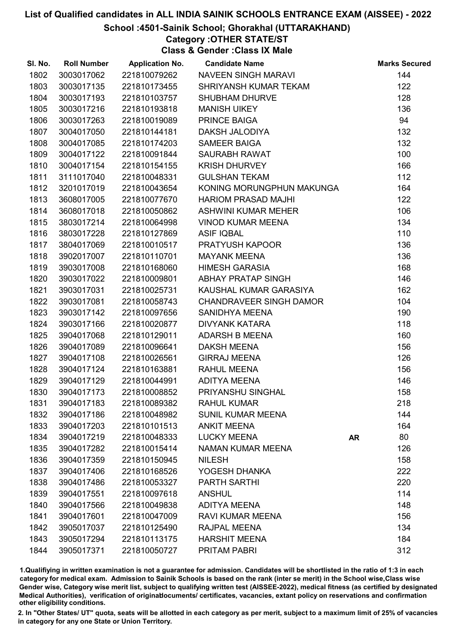# School :4501-Sainik School; Ghorakhal (UTTARAKHAND)

Category :OTHER STATE/ST

Class & Gender :Class IX Male

| SI. No. | <b>Roll Number</b> | <b>Application No.</b> | <b>Candidate Name</b>          |           | <b>Marks Secured</b> |
|---------|--------------------|------------------------|--------------------------------|-----------|----------------------|
| 1802    | 3003017062         | 221810079262           | NAVEEN SINGH MARAVI            |           | 144                  |
| 1803    | 3003017135         | 221810173455           | SHRIYANSH KUMAR TEKAM          |           | 122                  |
| 1804    | 3003017193         | 221810103757           | <b>SHUBHAM DHURVE</b>          |           | 128                  |
| 1805    | 3003017216         | 221810193818           | <b>MANISH UIKEY</b>            |           | 136                  |
| 1806    | 3003017263         | 221810019089           | PRINCE BAIGA                   |           | 94                   |
| 1807    | 3004017050         | 221810144181           | DAKSH JALODIYA                 |           | 132                  |
| 1808    | 3004017085         | 221810174203           | <b>SAMEER BAIGA</b>            |           | 132                  |
| 1809    | 3004017122         | 221810091844           | <b>SAURABH RAWAT</b>           |           | 100                  |
| 1810    | 3004017154         | 221810154155           | <b>KRISH DHURVEY</b>           |           | 166                  |
| 1811    | 3111017040         | 221810048331           | <b>GULSHAN TEKAM</b>           |           | 112                  |
| 1812    | 3201017019         | 221810043654           | KONING MORUNGPHUN MAKUNGA      |           | 164                  |
| 1813    | 3608017005         | 221810077670           | <b>HARIOM PRASAD MAJHI</b>     |           | 122                  |
| 1814    | 3608017018         | 221810050862           | ASHWINI KUMAR MEHER            |           | 106                  |
| 1815    | 3803017214         | 221810064998           | <b>VINOD KUMAR MEENA</b>       |           | 134                  |
| 1816    | 3803017228         | 221810127869           | <b>ASIF IQBAL</b>              |           | 110                  |
| 1817    | 3804017069         | 221810010517           | <b>PRATYUSH KAPOOR</b>         |           | 136                  |
| 1818    | 3902017007         | 221810110701           | <b>MAYANK MEENA</b>            |           | 136                  |
| 1819    | 3903017008         | 221810168060           | <b>HIMESH GARASIA</b>          |           | 168                  |
| 1820    | 3903017022         | 221810009801           | ABHAY PRATAP SINGH             |           | 146                  |
| 1821    | 3903017031         | 221810025731           | KAUSHAL KUMAR GARASIYA         |           | 162                  |
| 1822    | 3903017081         | 221810058743           | <b>CHANDRAVEER SINGH DAMOR</b> |           | 104                  |
| 1823    | 3903017142         | 221810097656           | <b>SANIDHYA MEENA</b>          |           | 190                  |
| 1824    | 3903017166         | 221810020877           | <b>DIVYANK KATARA</b>          |           | 118                  |
| 1825    | 3904017068         | 221810129011           | ADARSH B MEENA                 |           | 160                  |
| 1826    | 3904017089         | 221810096641           | <b>DAKSH MEENA</b>             |           | 156                  |
| 1827    | 3904017108         | 221810026561           | <b>GIRRAJ MEENA</b>            |           | 126                  |
| 1828    | 3904017124         | 221810163881           | RAHUL MEENA                    |           | 156                  |
| 1829    | 3904017129         | 221810044991           | <b>ADITYA MEENA</b>            |           | 146                  |
| 1830    | 3904017173         | 221810008852           | PRIYANSHU SINGHAL              |           | 158                  |
| 1831    | 3904017183         | 221810089382           | <b>RAHUL KUMAR</b>             |           | 218                  |
| 1832    | 3904017186         | 221810048982           | <b>SUNIL KUMAR MEENA</b>       |           | 144                  |
| 1833    | 3904017203         | 221810101513           | <b>ANKIT MEENA</b>             |           | 164                  |
| 1834    | 3904017219         | 221810048333           | <b>LUCKY MEENA</b>             | <b>AR</b> | 80                   |
| 1835    | 3904017282         | 221810015414           | <b>NAMAN KUMAR MEENA</b>       |           | 126                  |
| 1836    | 3904017359         | 221810150945           | <b>NILESH</b>                  |           | 158                  |
| 1837    | 3904017406         | 221810168526           | YOGESH DHANKA                  |           | 222                  |
| 1838    | 3904017486         | 221810053327           | <b>PARTH SARTHI</b>            |           | 220                  |
| 1839    | 3904017551         | 221810097618           | <b>ANSHUL</b>                  |           | 114                  |
| 1840    | 3904017566         | 221810049838           | <b>ADITYA MEENA</b>            |           | 148                  |
| 1841    | 3904017601         | 221810047009           | <b>RAVI KUMAR MEENA</b>        |           | 156                  |
| 1842    | 3905017037         | 221810125490           | <b>RAJPAL MEENA</b>            |           | 134                  |
| 1843    | 3905017294         | 221810113175           | <b>HARSHIT MEENA</b>           |           | 184                  |
| 1844    | 3905017371         | 221810050727           | <b>PRITAM PABRI</b>            |           | 312                  |

1.Qualifiying in written examination is not a guarantee for admission. Candidates will be shortlisted in the ratio of 1:3 in each category for medical exam. Admission to Sainik Schools is based on the rank (inter se merit) in the School wise,Class wise Gender wise, Category wise merit list, subject to qualifying written test (AISSEE-2022), medical fitness (as certified by designated Medical Authorities), verification of originablocuments/ certificates, vacancies, extant policy on reservations and confirmation other eligibility conditions.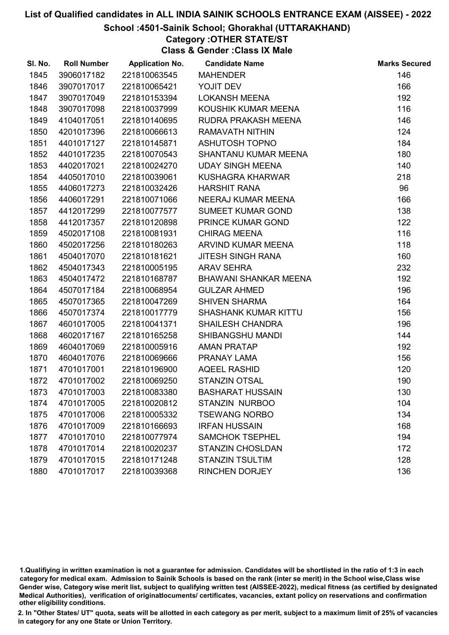# School :4501-Sainik School; Ghorakhal (UTTARAKHAND)

## Category :OTHER STATE/ST

Class & Gender :Class IX Male

| SI. No. | <b>Roll Number</b> | <b>Application No.</b> | <b>Candidate Name</b>        | <b>Marks Secured</b> |
|---------|--------------------|------------------------|------------------------------|----------------------|
| 1845    | 3906017182         | 221810063545           | <b>MAHENDER</b>              | 146                  |
| 1846    | 3907017017         | 221810065421           | YOJIT DEV                    | 166                  |
| 1847    | 3907017049         | 221810153394           | <b>LOKANSH MEENA</b>         | 192                  |
| 1848    | 3907017098         | 221810037999           | KOUSHIK KUMAR MEENA          | 116                  |
| 1849    | 4104017051         | 221810140695           | RUDRA PRAKASH MEENA          | 146                  |
| 1850    | 4201017396         | 221810066613           | <b>RAMAVATH NITHIN</b>       | 124                  |
| 1851    | 4401017127         | 221810145871           | <b>ASHUTOSH TOPNO</b>        | 184                  |
| 1852    | 4401017235         | 221810070543           | SHANTANU KUMAR MEENA         | 180                  |
| 1853    | 4402017021         | 221810024270           | <b>UDAY SINGH MEENA</b>      | 140                  |
| 1854    | 4405017010         | 221810039061           | KUSHAGRA KHARWAR             | 218                  |
| 1855    | 4406017273         | 221810032426           | <b>HARSHIT RANA</b>          | 96                   |
| 1856    | 4406017291         | 221810071066           | NEERAJ KUMAR MEENA           | 166                  |
| 1857    | 4412017299         | 221810077577           | <b>SUMEET KUMAR GOND</b>     | 138                  |
| 1858    | 4412017357         | 221810120898           | PRINCE KUMAR GOND            | 122                  |
| 1859    | 4502017108         | 221810081931           | <b>CHIRAG MEENA</b>          | 116                  |
| 1860    | 4502017256         | 221810180263           | ARVIND KUMAR MEENA           | 118                  |
| 1861    | 4504017070         | 221810181621           | <b>JITESH SINGH RANA</b>     | 160                  |
| 1862    | 4504017343         | 221810005195           | <b>ARAV SEHRA</b>            | 232                  |
| 1863    | 4504017472         | 221810168787           | <b>BHAWANI SHANKAR MEENA</b> | 192                  |
| 1864    | 4507017184         | 221810068954           | <b>GULZAR AHMED</b>          | 196                  |
| 1865    | 4507017365         | 221810047269           | <b>SHIVEN SHARMA</b>         | 164                  |
| 1866    | 4507017374         | 221810017779           | <b>SHASHANK KUMAR KITTU</b>  | 156                  |
| 1867    | 4601017005         | 221810041371           | <b>SHAILESH CHANDRA</b>      | 196                  |
| 1868    | 4602017167         | 221810165258           | SHIBANGSHU MANDI             | 144                  |
| 1869    | 4604017069         | 221810005916           | <b>AMAN PRATAP</b>           | 192                  |
| 1870    | 4604017076         | 221810069666           | PRANAY LAMA                  | 156                  |
| 1871    | 4701017001         | 221810196900           | <b>AQEEL RASHID</b>          | 120                  |
| 1872    | 4701017002         | 221810069250           | <b>STANZIN OTSAL</b>         | 190                  |
| 1873    | 4701017003         | 221810083380           | <b>BASHARAT HUSSAIN</b>      | 130                  |
| 1874    | 4701017005         | 221810020812           | <b>STANZIN NURBOO</b>        | 104                  |
| 1875    | 4701017006         | 221810005332           | <b>TSEWANG NORBO</b>         | 134                  |
| 1876    | 4701017009         | 221810166693           | <b>IRFAN HUSSAIN</b>         | 168                  |
| 1877    | 4701017010         | 221810077974           | <b>SAMCHOK TSEPHEL</b>       | 194                  |
| 1878    | 4701017014         | 221810020237           | <b>STANZIN CHOSLDAN</b>      | 172                  |
| 1879    | 4701017015         | 221810171248           | <b>STANZIN TSULTIM</b>       | 128                  |
| 1880    | 4701017017         | 221810039368           | <b>RINCHEN DORJEY</b>        | 136                  |

1.Qualifiying in written examination is not a guarantee for admission. Candidates will be shortlisted in the ratio of 1:3 in each category for medical exam. Admission to Sainik Schools is based on the rank (inter se merit) in the School wise,Class wise Gender wise, Category wise merit list, subject to qualifying written test (AISSEE-2022), medical fitness (as certified by designated Medical Authorities), verification of originablocuments/ certificates, vacancies, extant policy on reservations and confirmation other eligibility conditions.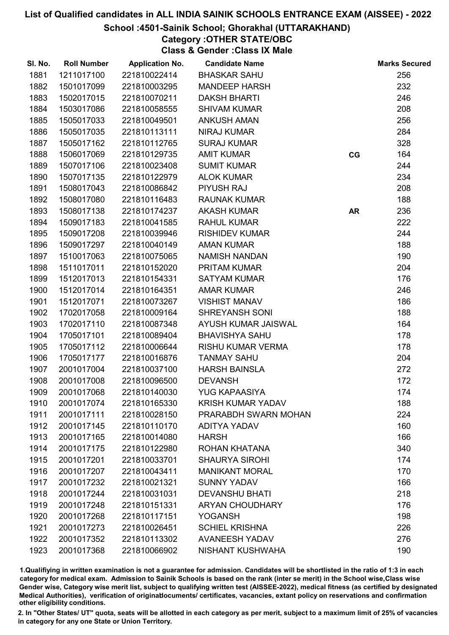## School :4501-Sainik School; Ghorakhal (UTTARAKHAND)

Category :OTHER STATE/OBC

Class & Gender :Class IX Male

| SI. No. | <b>Roll Number</b> | <b>Application No.</b> | <b>Candidate Name</b>    |           | <b>Marks Secured</b> |
|---------|--------------------|------------------------|--------------------------|-----------|----------------------|
| 1881    | 1211017100         | 221810022414           | <b>BHASKAR SAHU</b>      |           | 256                  |
| 1882    | 1501017099         | 221810003295           | <b>MANDEEP HARSH</b>     |           | 232                  |
| 1883    | 1502017015         | 221810070211           | <b>DAKSH BHARTI</b>      |           | 246                  |
| 1884    | 1503017086         | 221810058555           | <b>SHIVAM KUMAR</b>      |           | 208                  |
| 1885    | 1505017033         | 221810049501           | <b>ANKUSH AMAN</b>       |           | 256                  |
| 1886    | 1505017035         | 221810113111           | <b>NIRAJ KUMAR</b>       |           | 284                  |
| 1887    | 1505017162         | 221810112765           | <b>SURAJ KUMAR</b>       |           | 328                  |
| 1888    | 1506017069         | 221810129735           | <b>AMIT KUMAR</b>        | CG        | 164                  |
| 1889    | 1507017106         | 221810023408           | <b>SUMIT KUMAR</b>       |           | 244                  |
| 1890    | 1507017135         | 221810122979           | <b>ALOK KUMAR</b>        |           | 234                  |
| 1891    | 1508017043         | 221810086842           | <b>PIYUSH RAJ</b>        |           | 208                  |
| 1892    | 1508017080         | 221810116483           | <b>RAUNAK KUMAR</b>      |           | 188                  |
| 1893    | 1508017138         | 221810174237           | <b>AKASH KUMAR</b>       | <b>AR</b> | 236                  |
| 1894    | 1509017183         | 221810041585           | <b>RAHUL KUMAR</b>       |           | 222                  |
| 1895    | 1509017208         | 221810039946           | <b>RISHIDEV KUMAR</b>    |           | 244                  |
| 1896    | 1509017297         | 221810040149           | <b>AMAN KUMAR</b>        |           | 188                  |
| 1897    | 1510017063         | 221810075065           | <b>NAMISH NANDAN</b>     |           | 190                  |
| 1898    | 1511017011         | 221810152020           | <b>PRITAM KUMAR</b>      |           | 204                  |
| 1899    | 1512017013         | 221810154331           | <b>SATYAM KUMAR</b>      |           | 176                  |
| 1900    | 1512017014         | 221810164351           | <b>AMAR KUMAR</b>        |           | 246                  |
| 1901    | 1512017071         | 221810073267           | <b>VISHIST MANAV</b>     |           | 186                  |
| 1902    | 1702017058         | 221810009164           | <b>SHREYANSH SONI</b>    |           | 188                  |
| 1903    | 1702017110         | 221810087348           | AYUSH KUMAR JAISWAL      |           | 164                  |
| 1904    | 1705017101         | 221810089404           | <b>BHAVISHYA SAHU</b>    |           | 178                  |
| 1905    | 1705017112         | 221810006644           | RISHU KUMAR VERMA        |           | 178                  |
| 1906    | 1705017177         | 221810016876           | <b>TANMAY SAHU</b>       |           | 204                  |
| 1907    | 2001017004         | 221810037100           | <b>HARSH BAINSLA</b>     |           | 272                  |
| 1908    | 2001017008         | 221810096500           | <b>DEVANSH</b>           |           | 172                  |
| 1909    | 2001017068         | 221810140030           | <b>YUG KAPAASIYA</b>     |           | 174                  |
| 1910    | 2001017074         | 221810165330           | <b>KRISH KUMAR YADAV</b> |           | 188                  |
| 1911    | 2001017111         | 221810028150           | PRARABDH SWARN MOHAN     |           | 224                  |
| 1912    | 2001017145         | 221810110170           | <b>ADITYA YADAV</b>      |           | 160                  |
| 1913    | 2001017165         | 221810014080           | <b>HARSH</b>             |           | 166                  |
| 1914    | 2001017175         | 221810122980           | ROHAN KHATANA            |           | 340                  |
| 1915    | 2001017201         | 221810033701           | <b>SHAURYA SIROHI</b>    |           | 174                  |
| 1916    | 2001017207         | 221810043411           | <b>MANIKANT MORAL</b>    |           | 170                  |
| 1917    | 2001017232         | 221810021321           | <b>SUNNY YADAV</b>       |           | 166                  |
| 1918    | 2001017244         | 221810031031           | <b>DEVANSHU BHATI</b>    |           | 218                  |
| 1919    | 2001017248         | 221810151331           | <b>ARYAN CHOUDHARY</b>   |           | 176                  |
| 1920    | 2001017268         | 221810117151           | <b>YOGANSH</b>           |           | 198                  |
| 1921    | 2001017273         | 221810026451           | <b>SCHIEL KRISHNA</b>    |           | 226                  |
| 1922    | 2001017352         | 221810113302           | <b>AVANEESH YADAV</b>    |           | 276                  |
| 1923    | 2001017368         | 221810066902           | NISHANT KUSHWAHA         |           | 190                  |

1.Qualifiying in written examination is not a guarantee for admission. Candidates will be shortlisted in the ratio of 1:3 in each category for medical exam. Admission to Sainik Schools is based on the rank (inter se merit) in the School wise,Class wise Gender wise, Category wise merit list, subject to qualifying written test (AISSEE-2022), medical fitness (as certified by designated Medical Authorities), verification of originablocuments/ certificates, vacancies, extant policy on reservations and confirmation other eligibility conditions.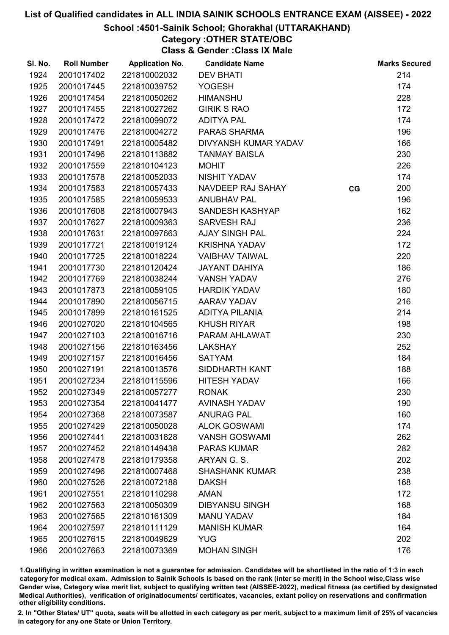## School :4501-Sainik School; Ghorakhal (UTTARAKHAND)

Category :OTHER STATE/OBC

Class & Gender :Class IX Male

| SI. No. | <b>Roll Number</b> | <b>Application No.</b> | <b>Candidate Name</b> |    | <b>Marks Secured</b> |
|---------|--------------------|------------------------|-----------------------|----|----------------------|
| 1924    | 2001017402         | 221810002032           | <b>DEV BHATI</b>      |    | 214                  |
| 1925    | 2001017445         | 221810039752           | <b>YOGESH</b>         |    | 174                  |
| 1926    | 2001017454         | 221810050262           | <b>HIMANSHU</b>       |    | 228                  |
| 1927    | 2001017455         | 221810027262           | <b>GIRIK S RAO</b>    |    | 172                  |
| 1928    | 2001017472         | 221810099072           | <b>ADITYA PAL</b>     |    | 174                  |
| 1929    | 2001017476         | 221810004272           | PARAS SHARMA          |    | 196                  |
| 1930    | 2001017491         | 221810005482           | DIVYANSH KUMAR YADAV  |    | 166                  |
| 1931    | 2001017496         | 221810113882           | <b>TANMAY BAISLA</b>  |    | 230                  |
| 1932    | 2001017559         | 221810104123           | <b>MOHIT</b>          |    | 226                  |
| 1933    | 2001017578         | 221810052033           | <b>NISHIT YADAV</b>   |    | 174                  |
| 1934    | 2001017583         | 221810057433           | NAVDEEP RAJ SAHAY     | CG | 200                  |
| 1935    | 2001017585         | 221810059533           | <b>ANUBHAV PAL</b>    |    | 196                  |
| 1936    | 2001017608         | 221810007943           | SANDESH KASHYAP       |    | 162                  |
| 1937    | 2001017627         | 221810009363           | SARVESH RAJ           |    | 236                  |
| 1938    | 2001017631         | 221810097663           | <b>AJAY SINGH PAL</b> |    | 224                  |
| 1939    | 2001017721         | 221810019124           | <b>KRISHNA YADAV</b>  |    | 172                  |
| 1940    | 2001017725         | 221810018224           | <b>VAIBHAV TAIWAL</b> |    | 220                  |
| 1941    | 2001017730         | 221810120424           | <b>JAYANT DAHIYA</b>  |    | 186                  |
| 1942    | 2001017769         | 221810038244           | <b>VANSH YADAV</b>    |    | 276                  |
| 1943    | 2001017873         | 221810059105           | <b>HARDIK YADAV</b>   |    | 180                  |
| 1944    | 2001017890         | 221810056715           | AARAV YADAV           |    | 216                  |
| 1945    | 2001017899         | 221810161525           | <b>ADITYA PILANIA</b> |    | 214                  |
| 1946    | 2001027020         | 221810104565           | <b>KHUSH RIYAR</b>    |    | 198                  |
| 1947    | 2001027103         | 221810016716           | PARAM AHLAWAT         |    | 230                  |
| 1948    | 2001027156         | 221810163456           | <b>LAKSHAY</b>        |    | 252                  |
| 1949    | 2001027157         | 221810016456           | <b>SATYAM</b>         |    | 184                  |
| 1950    | 2001027191         | 221810013576           | SIDDHARTH KANT        |    | 188                  |
| 1951    | 2001027234         | 221810115596           | <b>HITESH YADAV</b>   |    | 166                  |
| 1952    | 2001027349         | 221810057277           | <b>RONAK</b>          |    | 230                  |
| 1953    | 2001027354         | 221810041477           | <b>AVINASH YADAV</b>  |    | 190                  |
| 1954    | 2001027368         | 221810073587           | <b>ANURAG PAL</b>     |    | 160                  |
| 1955    | 2001027429         | 221810050028           | <b>ALOK GOSWAMI</b>   |    | 174                  |
| 1956    | 2001027441         | 221810031828           | <b>VANSH GOSWAMI</b>  |    | 262                  |
| 1957    | 2001027452         | 221810149438           | <b>PARAS KUMAR</b>    |    | 282                  |
| 1958    | 2001027478         | 221810179358           | ARYAN G. S.           |    | 202                  |
| 1959    | 2001027496         | 221810007468           | <b>SHASHANK KUMAR</b> |    | 238                  |
| 1960    | 2001027526         | 221810072188           | <b>DAKSH</b>          |    | 168                  |
| 1961    | 2001027551         | 221810110298           | <b>AMAN</b>           |    | 172                  |
| 1962    | 2001027563         | 221810050309           | <b>DIBYANSU SINGH</b> |    | 168                  |
| 1963    | 2001027565         | 221810161309           | <b>MANU YADAV</b>     |    | 184                  |
| 1964    | 2001027597         | 221810111129           | <b>MANISH KUMAR</b>   |    | 164                  |
| 1965    | 2001027615         | 221810049629           | <b>YUG</b>            |    | 202                  |
| 1966    | 2001027663         | 221810073369           | <b>MOHAN SINGH</b>    |    | 176                  |

1.Qualifiying in written examination is not a guarantee for admission. Candidates will be shortlisted in the ratio of 1:3 in each category for medical exam. Admission to Sainik Schools is based on the rank (inter se merit) in the School wise,Class wise Gender wise, Category wise merit list, subject to qualifying written test (AISSEE-2022), medical fitness (as certified by designated Medical Authorities), verification of originablocuments/ certificates, vacancies, extant policy on reservations and confirmation other eligibility conditions.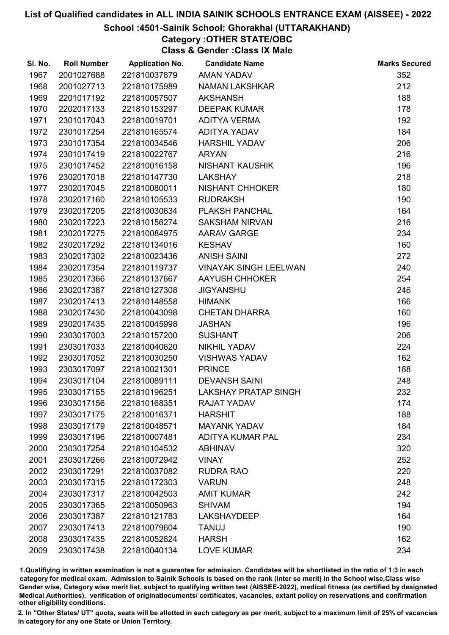## School :4501-Sainik School; Ghorakhal (UTTARAKHAND)

# Category :OTHER STATE/OBC

Class & Gender :Class IX Male

| SI. No. | <b>Roll Number</b> | <b>Application No.</b> | <b>Candidate Name</b>        | <b>Marks Secured</b> |
|---------|--------------------|------------------------|------------------------------|----------------------|
| 1967    | 2001027688         | 221810037879           | <b>AMAN YADAV</b>            | 352                  |
| 1968    | 2001027713         | 221810175989           | <b>NAMAN LAKSHKAR</b>        | 212                  |
| 1969    | 2201017192         | 221810057507           | <b>AKSHANSH</b>              | 188                  |
| 1970    | 2202017133         | 221810153297           | <b>DEEPAK KUMAR</b>          | 178                  |
| 1971    | 2301017043         | 221810019701           | <b>ADITYA VERMA</b>          | 192                  |
| 1972    | 2301017254         | 221810165574           | ADITYA YADAV                 | 184                  |
| 1973    | 2301017354         | 221810034546           | <b>HARSHIL YADAV</b>         | 206                  |
| 1974    | 2301017419         | 221810022767           | <b>ARYAN</b>                 | 216                  |
| 1975    | 2301017452         | 221810016158           | <b>NISHANT KAUSHIK</b>       | 196                  |
| 1976    | 2302017018         | 221810147730           | <b>LAKSHAY</b>               | 218                  |
| 1977    | 2302017045         | 221810080011           | NISHANT CHHOKER              | 180                  |
| 1978    | 2302017160         | 221810105533           | <b>RUDRAKSH</b>              | 190                  |
| 1979    | 2302017205         | 221810030634           | <b>PLAKSH PANCHAL</b>        | 164                  |
| 1980    | 2302017223         | 221810156274           | <b>SAKSHAM NIRVAN</b>        | 216                  |
| 1981    | 2302017275         | 221810084975           | <b>AARAV GARGE</b>           | 234                  |
| 1982    | 2302017292         | 221810134016           | <b>KESHAV</b>                | 160                  |
| 1983    | 2302017302         | 221810023436           | <b>ANISH SAINI</b>           | 272                  |
| 1984    | 2302017354         | 221810119737           | <b>VINAYAK SINGH LEELWAN</b> | 240                  |
| 1985    | 2302017366         | 221810137667           | AAYUSH CHHOKER               | 254                  |
| 1986    | 2302017387         | 221810127308           | <b>JIGYANSHU</b>             | 246                  |
| 1987    | 2302017413         | 221810148558           | <b>HIMANK</b>                | 166                  |
| 1988    | 2302017430         | 221810043098           | <b>CHETAN DHARRA</b>         | 160                  |
| 1989    | 2302017435         | 221810045998           | <b>JASHAN</b>                | 196                  |
| 1990    | 2303017003         | 221810157200           | <b>SUSHANT</b>               | 206                  |
| 1991    | 2303017033         | 221810040620           | NIKHIL YADAV                 | 224                  |
| 1992    | 2303017052         | 221810030250           | <b>VISHWAS YADAV</b>         | 162                  |
| 1993    | 2303017097         | 221810021301           | <b>PRINCE</b>                | 188                  |
| 1994    | 2303017104         | 221810089111           | <b>DEVANSH SAINI</b>         | 248                  |
| 1995    | 2303017155         | 221810196251           | <b>LAKSHAY PRATAP SINGH</b>  | 232                  |
| 1996    | 2303017156         | 221810168351           | RAJAT YADAV                  | 174                  |
| 1997    | 2303017175         | 221810016371           | <b>HARSHIT</b>               | 188                  |
| 1998    | 2303017179         | 221810048571           | <b>MAYANK YADAV</b>          | 184                  |
| 1999    | 2303017196         | 221810007481           | <b>ADITYA KUMAR PAL</b>      | 234                  |
| 2000    | 2303017254         | 221810104532           | <b>ABHINAV</b>               | 320                  |
| 2001    | 2303017266         | 221810072942           | <b>VINAY</b>                 | 252                  |
| 2002    | 2303017291         | 221810037082           | <b>RUDRA RAO</b>             | 220                  |
| 2003    | 2303017315         | 221810172303           | <b>VARUN</b>                 | 248                  |
| 2004    | 2303017317         | 221810042503           | <b>AMIT KUMAR</b>            | 242                  |
| 2005    | 2303017365         | 221810050963           | <b>SHIVAM</b>                | 194                  |
| 2006    | 2303017387         | 221810121783           | <b>LAKSHAYDEEP</b>           | 164                  |
| 2007    | 2303017413         | 221810079604           | <b>TANUJ</b>                 | 190                  |
| 2008    | 2303017435         | 221810052824           | <b>HARSH</b>                 | 162                  |
| 2009    | 2303017438         | 221810040134           | <b>LOVE KUMAR</b>            | 234                  |

1.Qualifiying in written examination is not a guarantee for admission. Candidates will be shortlisted in the ratio of 1:3 in each category for medical exam. Admission to Sainik Schools is based on the rank (inter se merit) in the School wise,Class wise Gender wise, Category wise merit list, subject to qualifying written test (AISSEE-2022), medical fitness (as certified by designated Medical Authorities), verification of originablocuments/ certificates, vacancies, extant policy on reservations and confirmation other eligibility conditions.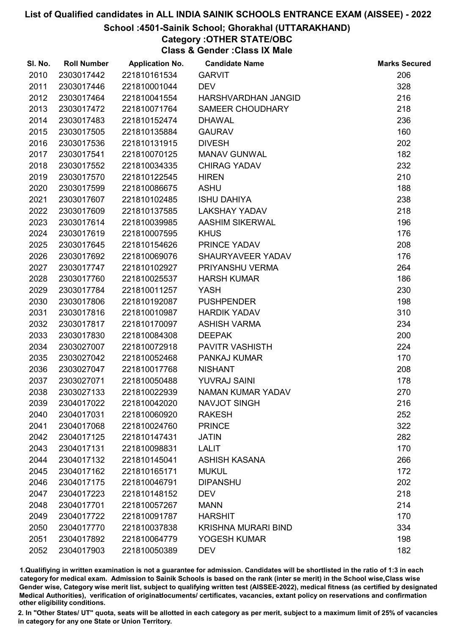## School :4501-Sainik School; Ghorakhal (UTTARAKHAND)

# Category :OTHER STATE/OBC

Class & Gender :Class IX Male

| SI. No. | <b>Roll Number</b> | <b>Application No.</b> | <b>Candidate Name</b>      | <b>Marks Secured</b> |
|---------|--------------------|------------------------|----------------------------|----------------------|
| 2010    | 2303017442         | 221810161534           | <b>GARVIT</b>              | 206                  |
| 2011    | 2303017446         | 221810001044           | <b>DEV</b>                 | 328                  |
| 2012    | 2303017464         | 221810041554           | HARSHVARDHAN JANGID        | 216                  |
| 2013    | 2303017472         | 221810071764           | <b>SAMEER CHOUDHARY</b>    | 218                  |
| 2014    | 2303017483         | 221810152474           | <b>DHAWAL</b>              | 236                  |
| 2015    | 2303017505         | 221810135884           | <b>GAURAV</b>              | 160                  |
| 2016    | 2303017536         | 221810131915           | <b>DIVESH</b>              | 202                  |
| 2017    | 2303017541         | 221810070125           | <b>MANAV GUNWAL</b>        | 182                  |
| 2018    | 2303017552         | 221810034335           | <b>CHIRAG YADAV</b>        | 232                  |
| 2019    | 2303017570         | 221810122545           | <b>HIREN</b>               | 210                  |
| 2020    | 2303017599         | 221810086675           | <b>ASHU</b>                | 188                  |
| 2021    | 2303017607         | 221810102485           | <b>ISHU DAHIYA</b>         | 238                  |
| 2022    | 2303017609         | 221810137585           | <b>LAKSHAY YADAV</b>       | 218                  |
| 2023    | 2303017614         | 221810039985           | <b>AASHIM SIKERWAL</b>     | 196                  |
| 2024    | 2303017619         | 221810007595           | <b>KHUS</b>                | 176                  |
| 2025    | 2303017645         | 221810154626           | PRINCE YADAV               | 208                  |
| 2026    | 2303017692         | 221810069076           | SHAURYAVEER YADAV          | 176                  |
| 2027    | 2303017747         | 221810102927           | PRIYANSHU VERMA            | 264                  |
| 2028    | 2303017760         | 221810025537           | <b>HARSH KUMAR</b>         | 186                  |
| 2029    | 2303017784         | 221810011257           | YASH                       | 230                  |
| 2030    | 2303017806         | 221810192087           | <b>PUSHPENDER</b>          | 198                  |
| 2031    | 2303017816         | 221810010987           | <b>HARDIK YADAV</b>        | 310                  |
| 2032    | 2303017817         | 221810170097           | <b>ASHISH VARMA</b>        | 234                  |
| 2033    | 2303017830         | 221810084308           | <b>DEEPAK</b>              | 200                  |
| 2034    | 2303027007         | 221810072918           | <b>PAVITR VASHISTH</b>     | 224                  |
| 2035    | 2303027042         | 221810052468           | PANKAJ KUMAR               | 170                  |
| 2036    | 2303027047         | 221810017768           | <b>NISHANT</b>             | 208                  |
| 2037    | 2303027071         | 221810050488           | <b>YUVRAJ SAINI</b>        | 178                  |
| 2038    | 2303027133         | 221810022939           | <b>NAMAN KUMAR YADAV</b>   | 270                  |
| 2039    | 2304017022         | 221810042020           | <b>NAVJOT SINGH</b>        | 216                  |
| 2040    | 2304017031         | 221810060920           | <b>RAKESH</b>              | 252                  |
| 2041    | 2304017068         | 221810024760           | <b>PRINCE</b>              | 322                  |
| 2042    | 2304017125         | 221810147431           | <b>JATIN</b>               | 282                  |
| 2043    | 2304017131         | 221810098831           | <b>LALIT</b>               | 170                  |
| 2044    | 2304017132         | 221810145041           | <b>ASHISH KASANA</b>       | 266                  |
| 2045    | 2304017162         | 221810165171           | <b>MUKUL</b>               | 172                  |
| 2046    | 2304017175         | 221810046791           | <b>DIPANSHU</b>            | 202                  |
| 2047    | 2304017223         | 221810148152           | <b>DEV</b>                 | 218                  |
| 2048    | 2304017701         | 221810057267           | <b>MANN</b>                | 214                  |
| 2049    | 2304017722         | 221810091787           | <b>HARSHIT</b>             | 170                  |
| 2050    | 2304017770         | 221810037838           | <b>KRISHNA MURARI BIND</b> | 334                  |
| 2051    | 2304017892         | 221810064779           | YOGESH KUMAR               | 198                  |
| 2052    | 2304017903         | 221810050389           | <b>DEV</b>                 | 182                  |

1.Qualifiying in written examination is not a guarantee for admission. Candidates will be shortlisted in the ratio of 1:3 in each category for medical exam. Admission to Sainik Schools is based on the rank (inter se merit) in the School wise,Class wise Gender wise, Category wise merit list, subject to qualifying written test (AISSEE-2022), medical fitness (as certified by designated Medical Authorities), verification of originablocuments/ certificates, vacancies, extant policy on reservations and confirmation other eligibility conditions.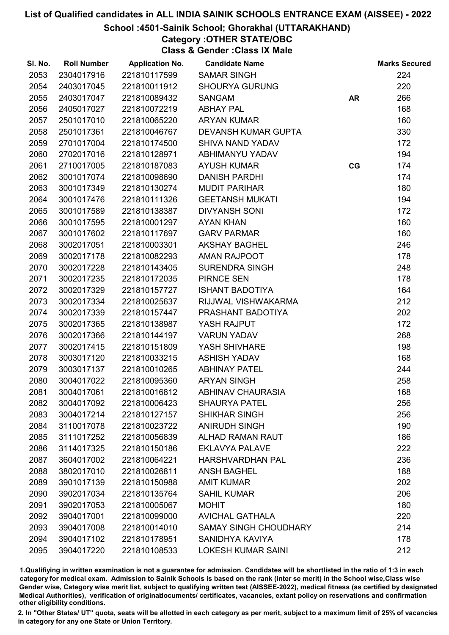## School :4501-Sainik School; Ghorakhal (UTTARAKHAND)

Category :OTHER STATE/OBC Class & Gender :Class IX Male

| SI. No. | <b>Roll Number</b> | <b>Application No.</b> | <b>Candidate Name</b>        |           | <b>Marks Secured</b> |
|---------|--------------------|------------------------|------------------------------|-----------|----------------------|
| 2053    | 2304017916         | 221810117599           | <b>SAMAR SINGH</b>           |           | 224                  |
| 2054    | 2403017045         | 221810011912           | <b>SHOURYA GURUNG</b>        |           | 220                  |
| 2055    | 2403017047         | 221810089432           | <b>SANGAM</b>                | <b>AR</b> | 266                  |
| 2056    | 2405017027         | 221810072219           | <b>ABHAY PAL</b>             |           | 168                  |
| 2057    | 2501017010         | 221810065220           | <b>ARYAN KUMAR</b>           |           | 160                  |
| 2058    | 2501017361         | 221810046767           | <b>DEVANSH KUMAR GUPTA</b>   |           | 330                  |
| 2059    | 2701017004         | 221810174500           | <b>SHIVA NAND YADAV</b>      |           | 172                  |
| 2060    | 2702017016         | 221810128971           | ABHIMANYU YADAV              |           | 194                  |
| 2061    | 2710017005         | 221810187083           | <b>AYUSH KUMAR</b>           | CG        | 174                  |
| 2062    | 3001017074         | 221810098690           | <b>DANISH PARDHI</b>         |           | 174                  |
| 2063    | 3001017349         | 221810130274           | <b>MUDIT PARIHAR</b>         |           | 180                  |
| 2064    | 3001017476         | 221810111326           | <b>GEETANSH MUKATI</b>       |           | 194                  |
| 2065    | 3001017589         | 221810138387           | <b>DIVYANSH SONI</b>         |           | 172                  |
| 2066    | 3001017595         | 221810001297           | <b>AYAN KHAN</b>             |           | 160                  |
| 2067    | 3001017602         | 221810117697           | <b>GARV PARMAR</b>           |           | 160                  |
| 2068    | 3002017051         | 221810003301           | <b>AKSHAY BAGHEL</b>         |           | 246                  |
| 2069    | 3002017178         | 221810082293           | AMAN RAJPOOT                 |           | 178                  |
| 2070    | 3002017228         | 221810143405           | SURENDRA SINGH               |           | 248                  |
| 2071    | 3002017235         | 221810172035           | <b>PIRNCE SEN</b>            |           | 178                  |
| 2072    | 3002017329         | 221810157727           | <b>ISHANT BADOTIYA</b>       |           | 164                  |
| 2073    | 3002017334         | 221810025637           | RIJJWAL VISHWAKARMA          |           | 212                  |
| 2074    | 3002017339         | 221810157447           | PRASHANT BADOTIYA            |           | 202                  |
| 2075    | 3002017365         | 221810138987           | YASH RAJPUT                  |           | 172                  |
| 2076    | 3002017366         | 221810144197           | <b>VARUN YADAV</b>           |           | 268                  |
| 2077    | 3002017415         | 221810151809           | YASH SHIVHARE                |           | 198                  |
| 2078    | 3003017120         | 221810033215           | <b>ASHISH YADAV</b>          |           | 168                  |
| 2079    | 3003017137         | 221810010265           | <b>ABHINAY PATEL</b>         |           | 244                  |
| 2080    | 3004017022         | 221810095360           | <b>ARYAN SINGH</b>           |           | 258                  |
| 2081    | 3004017061         | 221810016812           | <b>ABHINAV CHAURASIA</b>     |           | 168                  |
| 2082    | 3004017092         | 221810006423           | <b>SHAURYA PATEL</b>         |           | 256                  |
| 2083    | 3004017214         | 221810127157           | <b>SHIKHAR SINGH</b>         |           | 256                  |
| 2084    | 3110017078         | 221810023722           | <b>ANIRUDH SINGH</b>         |           | 190                  |
| 2085    | 3111017252         | 221810056839           | <b>ALHAD RAMAN RAUT</b>      |           | 186                  |
| 2086    | 3114017325         | 221810150186           | <b>EKLAVYA PALAVE</b>        |           | 222                  |
| 2087    | 3604017002         | 221810064221           | <b>HARSHVARDHAN PAL</b>      |           | 236                  |
| 2088    | 3802017010         | 221810026811           | <b>ANSH BAGHEL</b>           |           | 188                  |
| 2089    | 3901017139         | 221810150988           | <b>AMIT KUMAR</b>            |           | 202                  |
| 2090    | 3902017034         | 221810135764           | <b>SAHIL KUMAR</b>           |           | 206                  |
| 2091    | 3902017053         | 221810005067           | <b>MOHIT</b>                 |           | 180                  |
| 2092    | 3904017001         | 221810099000           | <b>AVICHAL GATHALA</b>       |           | 220                  |
| 2093    | 3904017008         | 221810014010           | <b>SAMAY SINGH CHOUDHARY</b> |           | 214                  |
| 2094    | 3904017102         | 221810178951           | SANIDHYA KAVIYA              |           | 178                  |
| 2095    | 3904017220         | 221810108533           | <b>LOKESH KUMAR SAINI</b>    |           | 212                  |
|         |                    |                        |                              |           |                      |

1.Qualifiying in written examination is not a guarantee for admission. Candidates will be shortlisted in the ratio of 1:3 in each category for medical exam. Admission to Sainik Schools is based on the rank (inter se merit) in the School wise,Class wise Gender wise, Category wise merit list, subject to qualifying written test (AISSEE-2022), medical fitness (as certified by designated Medical Authorities), verification of originablocuments/ certificates, vacancies, extant policy on reservations and confirmation other eligibility conditions.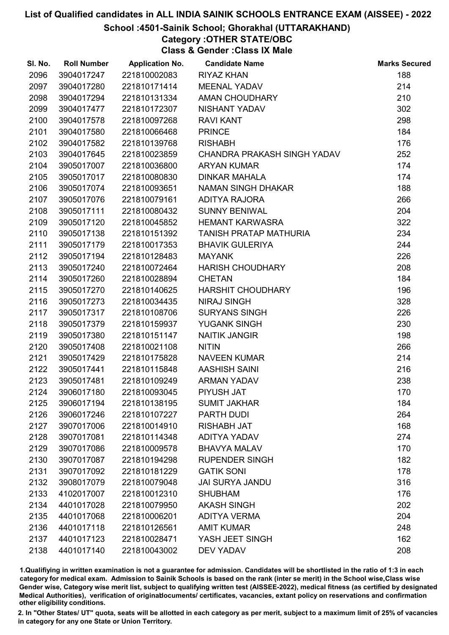## School :4501-Sainik School; Ghorakhal (UTTARAKHAND)

# Category :OTHER STATE/OBC

Class & Gender :Class IX Male

| SI. No. | <b>Roll Number</b> | <b>Application No.</b> | <b>Candidate Name</b>         | <b>Marks Secured</b> |
|---------|--------------------|------------------------|-------------------------------|----------------------|
| 2096    | 3904017247         | 221810002083           | <b>RIYAZ KHAN</b>             | 188                  |
| 2097    | 3904017280         | 221810171414           | <b>MEENAL YADAV</b>           | 214                  |
| 2098    | 3904017294         | 221810131334           | AMAN CHOUDHARY                | 210                  |
| 2099    | 3904017477         | 221810172307           | NISHANT YADAV                 | 302                  |
| 2100    | 3904017578         | 221810097268           | <b>RAVI KANT</b>              | 298                  |
| 2101    | 3904017580         | 221810066468           | <b>PRINCE</b>                 | 184                  |
| 2102    | 3904017582         | 221810139768           | <b>RISHABH</b>                | 176                  |
| 2103    | 3904017645         | 221810023859           | CHANDRA PRAKASH SINGH YADAV   | 252                  |
| 2104    | 3905017007         | 221810036800           | <b>ARYAN KUMAR</b>            | 174                  |
| 2105    | 3905017017         | 221810080830           | <b>DINKAR MAHALA</b>          | 174                  |
| 2106    | 3905017074         | 221810093651           | NAMAN SINGH DHAKAR            | 188                  |
| 2107    | 3905017076         | 221810079161           | ADITYA RAJORA                 | 266                  |
| 2108    | 3905017111         | 221810080432           | <b>SUNNY BENIWAL</b>          | 204                  |
| 2109    | 3905017120         | 221810045852           | <b>HEMANT KARWASRA</b>        | 322                  |
| 2110    | 3905017138         | 221810151392           | <b>TANISH PRATAP MATHURIA</b> | 234                  |
| 2111    | 3905017179         | 221810017353           | <b>BHAVIK GULERIYA</b>        | 244                  |
| 2112    | 3905017194         | 221810128483           | <b>MAYANK</b>                 | 226                  |
| 2113    | 3905017240         | 221810072464           | <b>HARISH CHOUDHARY</b>       | 208                  |
| 2114    | 3905017260         | 221810028894           | <b>CHETAN</b>                 | 184                  |
| 2115    | 3905017270         | 221810140625           | <b>HARSHIT CHOUDHARY</b>      | 196                  |
| 2116    | 3905017273         | 221810034435           | <b>NIRAJ SINGH</b>            | 328                  |
| 2117    | 3905017317         | 221810108706           | <b>SURYANS SINGH</b>          | 226                  |
| 2118    | 3905017379         | 221810159937           | YUGANK SINGH                  | 230                  |
| 2119    | 3905017380         | 221810151147           | <b>NAITIK JANGIR</b>          | 198                  |
| 2120    | 3905017408         | 221810021108           | <b>NITIN</b>                  | 266                  |
| 2121    | 3905017429         | 221810175828           | <b>NAVEEN KUMAR</b>           | 214                  |
| 2122    | 3905017441         | 221810115848           | <b>AASHISH SAINI</b>          | 216                  |
| 2123    | 3905017481         | 221810109249           | <b>ARMAN YADAV</b>            | 238                  |
| 2124    | 3906017180         | 221810093045           | PIYUSH JAT                    | 170                  |
| 2125    | 3906017194         | 221810138195           | <b>SUMIT JAKHAR</b>           | 184                  |
| 2126    | 3906017246         | 221810107227           | PARTH DUDI                    | 264                  |
| 2127    | 3907017006         | 221810014910           | <b>RISHABH JAT</b>            | 168                  |
| 2128    | 3907017081         | 221810114348           | <b>ADITYA YADAV</b>           | 274                  |
| 2129    | 3907017086         | 221810009578           | <b>BHAVYA MALAV</b>           | 170                  |
| 2130    | 3907017087         | 221810194298           | <b>RUPENDER SINGH</b>         | 182                  |
| 2131    | 3907017092         | 221810181229           | <b>GATIK SONI</b>             | 178                  |
| 2132    | 3908017079         | 221810079048           | <b>JAI SURYA JANDU</b>        | 316                  |
| 2133    | 4102017007         | 221810012310           | <b>SHUBHAM</b>                | 176                  |
| 2134    | 4401017028         | 221810079950           | <b>AKASH SINGH</b>            | 202                  |
| 2135    | 4401017068         | 221810006201           | <b>ADITYA VERMA</b>           | 204                  |
| 2136    | 4401017118         | 221810126561           | <b>AMIT KUMAR</b>             | 248                  |
| 2137    | 4401017123         | 221810028471           | YASH JEET SINGH               | 162                  |
| 2138    | 4401017140         | 221810043002           | <b>DEV YADAV</b>              | 208                  |

1.Qualifiying in written examination is not a guarantee for admission. Candidates will be shortlisted in the ratio of 1:3 in each category for medical exam. Admission to Sainik Schools is based on the rank (inter se merit) in the School wise,Class wise Gender wise, Category wise merit list, subject to qualifying written test (AISSEE-2022), medical fitness (as certified by designated Medical Authorities), verification of originablocuments/ certificates, vacancies, extant policy on reservations and confirmation other eligibility conditions.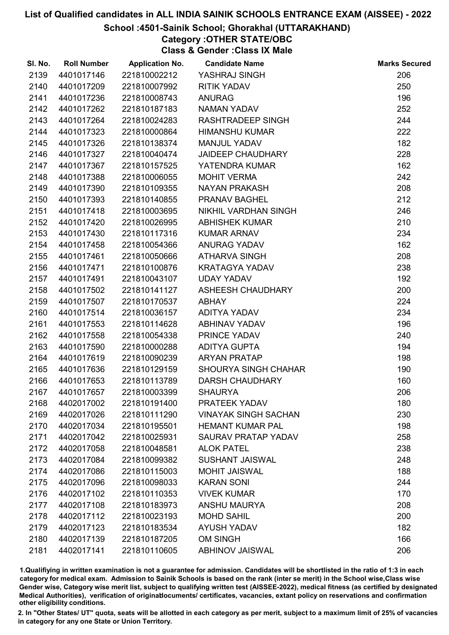## School :4501-Sainik School; Ghorakhal (UTTARAKHAND)

# Category :OTHER STATE/OBC

Class & Gender :Class IX Male

| SI. No. | <b>Roll Number</b> | <b>Application No.</b> | <b>Candidate Name</b>       | <b>Marks Secured</b> |
|---------|--------------------|------------------------|-----------------------------|----------------------|
| 2139    | 4401017146         | 221810002212           | YASHRAJ SINGH               | 206                  |
| 2140    | 4401017209         | 221810007992           | <b>RITIK YADAV</b>          | 250                  |
| 2141    | 4401017236         | 221810008743           | <b>ANURAG</b>               | 196                  |
| 2142    | 4401017262         | 221810187183           | <b>NAMAN YADAV</b>          | 252                  |
| 2143    | 4401017264         | 221810024283           | RASHTRADEEP SINGH           | 244                  |
| 2144    | 4401017323         | 221810000864           | <b>HIMANSHU KUMAR</b>       | 222                  |
| 2145    | 4401017326         | 221810138374           | <b>MANJUL YADAV</b>         | 182                  |
| 2146    | 4401017327         | 221810040474           | <b>JAIDEEP CHAUDHARY</b>    | 228                  |
| 2147    | 4401017367         | 221810157525           | YATENDRA KUMAR              | 162                  |
| 2148    | 4401017388         | 221810006055           | <b>MOHIT VERMA</b>          | 242                  |
| 2149    | 4401017390         | 221810109355           | <b>NAYAN PRAKASH</b>        | 208                  |
| 2150    | 4401017393         | 221810140855           | <b>PRANAV BAGHEL</b>        | 212                  |
| 2151    | 4401017418         | 221810003695           | NIKHIL VARDHAN SINGH        | 246                  |
| 2152    | 4401017420         | 221810026995           | <b>ABHISHEK KUMAR</b>       | 210                  |
| 2153    | 4401017430         | 221810117316           | <b>KUMAR ARNAV</b>          | 234                  |
| 2154    | 4401017458         | 221810054366           | ANURAG YADAV                | 162                  |
| 2155    | 4401017461         | 221810050666           | ATHARVA SINGH               | 208                  |
| 2156    | 4401017471         | 221810100876           | <b>KRATAGYA YADAV</b>       | 238                  |
| 2157    | 4401017491         | 221810043107           | <b>UDAY YADAV</b>           | 192                  |
| 2158    | 4401017502         | 221810141127           | ASHEESH CHAUDHARY           | 200                  |
| 2159    | 4401017507         | 221810170537           | <b>ABHAY</b>                | 224                  |
| 2160    | 4401017514         | 221810036157           | ADITYA YADAV                | 234                  |
| 2161    | 4401017553         | 221810114628           | ABHINAV YADAV               | 196                  |
| 2162    | 4401017558         | 221810054338           | PRINCE YADAV                | 240                  |
| 2163    | 4401017590         | 221810000288           | <b>ADITYA GUPTA</b>         | 194                  |
| 2164    | 4401017619         | 221810090239           | <b>ARYAN PRATAP</b>         | 198                  |
| 2165    | 4401017636         | 221810129159           | <b>SHOURYA SINGH CHAHAR</b> | 190                  |
| 2166    | 4401017653         | 221810113789           | <b>DARSH CHAUDHARY</b>      | 160                  |
| 2167    | 4401017657         | 221810003399           | <b>SHAURYA</b>              | 206                  |
| 2168    | 4402017002         | 221810191400           | PRATEEK YADAV               | 180                  |
| 2169    | 4402017026         | 221810111290           | <b>VINAYAK SINGH SACHAN</b> | 230                  |
| 2170    | 4402017034         | 221810195501           | <b>HEMANT KUMAR PAL</b>     | 198                  |
| 2171    | 4402017042         | 221810025931           | SAURAV PRATAP YADAV         | 258                  |
| 2172    | 4402017058         | 221810048581           | <b>ALOK PATEL</b>           | 238                  |
| 2173    | 4402017084         | 221810099382           | <b>SUSHANT JAISWAL</b>      | 248                  |
| 2174    | 4402017086         | 221810115003           | <b>MOHIT JAISWAL</b>        | 188                  |
| 2175    | 4402017096         | 221810098033           | <b>KARAN SONI</b>           | 244                  |
| 2176    | 4402017102         | 221810110353           | <b>VIVEK KUMAR</b>          | 170                  |
| 2177    | 4402017108         | 221810183973           | <b>ANSHU MAURYA</b>         | 208                  |
| 2178    | 4402017112         | 221810023193           | <b>MOHD SAHIL</b>           | 200                  |
| 2179    | 4402017123         | 221810183534           | <b>AYUSH YADAV</b>          | 182                  |
| 2180    | 4402017139         | 221810187205           | <b>OM SINGH</b>             | 166                  |
| 2181    | 4402017141         | 221810110605           | <b>ABHINOV JAISWAL</b>      | 206                  |

1.Qualifiying in written examination is not a guarantee for admission. Candidates will be shortlisted in the ratio of 1:3 in each category for medical exam. Admission to Sainik Schools is based on the rank (inter se merit) in the School wise,Class wise Gender wise, Category wise merit list, subject to qualifying written test (AISSEE-2022), medical fitness (as certified by designated Medical Authorities), verification of originablocuments/ certificates, vacancies, extant policy on reservations and confirmation other eligibility conditions.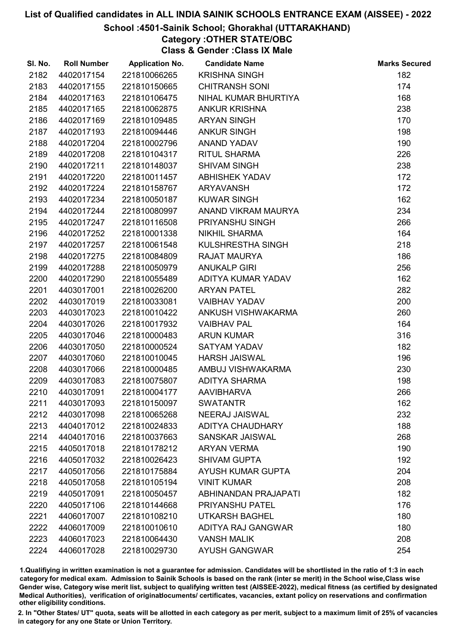## School :4501-Sainik School; Ghorakhal (UTTARAKHAND)

# Category :OTHER STATE/OBC

Class & Gender :Class IX Male

| SI. No. | <b>Roll Number</b> | <b>Application No.</b> | <b>Candidate Name</b>    | <b>Marks Secured</b> |
|---------|--------------------|------------------------|--------------------------|----------------------|
| 2182    | 4402017154         | 221810066265           | <b>KRISHNA SINGH</b>     | 182                  |
| 2183    | 4402017155         | 221810150665           | <b>CHITRANSH SONI</b>    | 174                  |
| 2184    | 4402017163         | 221810106475           | NIHAL KUMAR BHURTIYA     | 168                  |
| 2185    | 4402017165         | 221810062875           | <b>ANKUR KRISHNA</b>     | 238                  |
| 2186    | 4402017169         | 221810109485           | <b>ARYAN SINGH</b>       | 170                  |
| 2187    | 4402017193         | 221810094446           | <b>ANKUR SINGH</b>       | 198                  |
| 2188    | 4402017204         | 221810002796           | ANAND YADAV              | 190                  |
| 2189    | 4402017208         | 221810104317           | <b>RITUL SHARMA</b>      | 226                  |
| 2190    | 4402017211         | 221810148037           | <b>SHIVAM SINGH</b>      | 238                  |
| 2191    | 4402017220         | 221810011457           | <b>ABHISHEK YADAV</b>    | 172                  |
| 2192    | 4402017224         | 221810158767           | ARYAVANSH                | 172                  |
| 2193    | 4402017234         | 221810050187           | <b>KUWAR SINGH</b>       | 162                  |
| 2194    | 4402017244         | 221810080997           | ANAND VIKRAM MAURYA      | 234                  |
| 2195    | 4402017247         | 221810116508           | PRIYANSHU SINGH          | 266                  |
| 2196    | 4402017252         | 221810001338           | <b>NIKHIL SHARMA</b>     | 164                  |
| 2197    | 4402017257         | 221810061548           | KULSHRESTHA SINGH        | 218                  |
| 2198    | 4402017275         | 221810084809           | <b>RAJAT MAURYA</b>      | 186                  |
| 2199    | 4402017288         | 221810050979           | <b>ANUKALP GIRI</b>      | 256                  |
| 2200    | 4402017290         | 221810055489           | ADITYA KUMAR YADAV       | 162                  |
| 2201    | 4403017001         | 221810026200           | <b>ARYAN PATEL</b>       | 282                  |
| 2202    | 4403017019         | 221810033081           | <b>VAIBHAV YADAV</b>     | 200                  |
| 2203    | 4403017023         | 221810010422           | ANKUSH VISHWAKARMA       | 260                  |
| 2204    | 4403017026         | 221810017932           | <b>VAIBHAV PAL</b>       | 164                  |
| 2205    | 4403017046         | 221810000483           | <b>ARUN KUMAR</b>        | 316                  |
| 2206    | 4403017050         | 221810000524           | SATYAM YADAV             | 182                  |
| 2207    | 4403017060         | 221810010045           | <b>HARSH JAISWAL</b>     | 196                  |
| 2208    | 4403017066         | 221810000485           | AMBUJ VISHWAKARMA        | 230                  |
| 2209    | 4403017083         | 221810075807           | <b>ADITYA SHARMA</b>     | 198                  |
| 2210    | 4403017091         | 221810004177           | <b>AAVIBHARVA</b>        | 266                  |
| 2211    | 4403017093         | 221810150097           | <b>SWATANTR</b>          | 162                  |
| 2212    | 4403017098         | 221810065268           | <b>NEERAJ JAISWAL</b>    | 232                  |
| 2213    | 4404017012         | 221810024833           | <b>ADITYA CHAUDHARY</b>  | 188                  |
| 2214    | 4404017016         | 221810037663           | SANSKAR JAISWAL          | 268                  |
| 2215    | 4405017018         | 221810178212           | <b>ARYAN VERMA</b>       | 190                  |
| 2216    | 4405017032         | 221810026423           | <b>SHIVAM GUPTA</b>      | 192                  |
| 2217    | 4405017056         | 221810175884           | <b>AYUSH KUMAR GUPTA</b> | 204                  |
| 2218    | 4405017058         | 221810105194           | <b>VINIT KUMAR</b>       | 208                  |
| 2219    | 4405017091         | 221810050457           | ABHINANDAN PRAJAPATI     | 182                  |
| 2220    | 4405017106         | 221810144668           | <b>PRIYANSHU PATEL</b>   | 176                  |
| 2221    | 4406017007         | 221810108210           | <b>UTKARSH BAGHEL</b>    | 180                  |
| 2222    | 4406017009         | 221810010610           | ADITYA RAJ GANGWAR       | 180                  |
| 2223    | 4406017023         | 221810064430           | <b>VANSH MALIK</b>       | 208                  |
| 2224    | 4406017028         | 221810029730           | <b>AYUSH GANGWAR</b>     | 254                  |

1.Qualifiying in written examination is not a guarantee for admission. Candidates will be shortlisted in the ratio of 1:3 in each category for medical exam. Admission to Sainik Schools is based on the rank (inter se merit) in the School wise,Class wise Gender wise, Category wise merit list, subject to qualifying written test (AISSEE-2022), medical fitness (as certified by designated Medical Authorities), verification of originablocuments/ certificates, vacancies, extant policy on reservations and confirmation other eligibility conditions.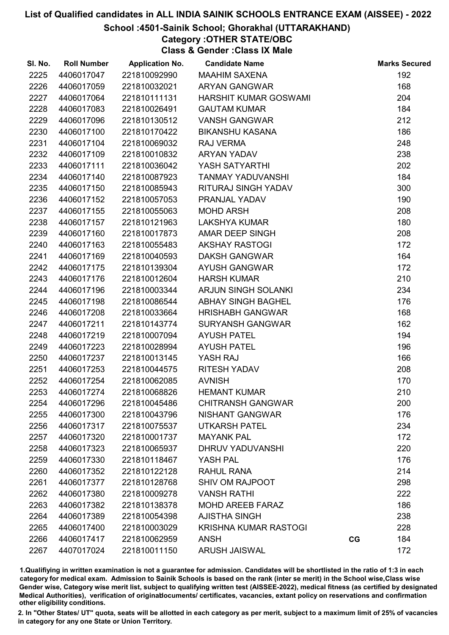## School :4501-Sainik School; Ghorakhal (UTTARAKHAND)

# Category :OTHER STATE/OBC

Class & Gender :Class IX Male

| SI. No. | <b>Roll Number</b> | <b>Application No.</b> | <b>Candidate Name</b>        |    | <b>Marks Secured</b> |
|---------|--------------------|------------------------|------------------------------|----|----------------------|
| 2225    | 4406017047         | 221810092990           | <b>MAAHIM SAXENA</b>         |    | 192                  |
| 2226    | 4406017059         | 221810032021           | <b>ARYAN GANGWAR</b>         |    | 168                  |
| 2227    | 4406017064         | 221810111131           | HARSHIT KUMAR GOSWAMI        |    | 204                  |
| 2228    | 4406017083         | 221810026491           | <b>GAUTAM KUMAR</b>          |    | 184                  |
| 2229    | 4406017096         | 221810130512           | <b>VANSH GANGWAR</b>         |    | 212                  |
| 2230    | 4406017100         | 221810170422           | <b>BIKANSHU KASANA</b>       |    | 186                  |
| 2231    | 4406017104         | 221810069032           | RAJ VERMA                    |    | 248                  |
| 2232    | 4406017109         | 221810010832           | <b>ARYAN YADAV</b>           |    | 238                  |
| 2233    | 4406017111         | 221810036042           | YASH SATYARTHI               |    | 202                  |
| 2234    | 4406017140         | 221810087923           | <b>TANMAY YADUVANSHI</b>     |    | 184                  |
| 2235    | 4406017150         | 221810085943           | RITURAJ SINGH YADAV          |    | 300                  |
| 2236    | 4406017152         | 221810057053           | PRANJAL YADAV                |    | 190                  |
| 2237    | 4406017155         | 221810055063           | <b>MOHD ARSH</b>             |    | 208                  |
| 2238    | 4406017157         | 221810121963           | <b>LAKSHYA KUMAR</b>         |    | 180                  |
| 2239    | 4406017160         | 221810017873           | AMAR DEEP SINGH              |    | 208                  |
| 2240    | 4406017163         | 221810055483           | <b>AKSHAY RASTOGI</b>        |    | 172                  |
| 2241    | 4406017169         | 221810040593           | <b>DAKSH GANGWAR</b>         |    | 164                  |
| 2242    | 4406017175         | 221810139304           | <b>AYUSH GANGWAR</b>         |    | 172                  |
| 2243    | 4406017176         | 221810012604           | <b>HARSH KUMAR</b>           |    | 210                  |
| 2244    | 4406017196         | 221810003344           | <b>ARJUN SINGH SOLANKI</b>   |    | 234                  |
| 2245    | 4406017198         | 221810086544           | ABHAY SINGH BAGHEL           |    | 176                  |
| 2246    | 4406017208         | 221810033664           | <b>HRISHABH GANGWAR</b>      |    | 168                  |
| 2247    | 4406017211         | 221810143774           | <b>SURYANSH GANGWAR</b>      |    | 162                  |
| 2248    | 4406017219         | 221810007094           | <b>AYUSH PATEL</b>           |    | 194                  |
| 2249    | 4406017223         | 221810028994           | <b>AYUSH PATEL</b>           |    | 196                  |
| 2250    | 4406017237         | 221810013145           | YASH RAJ                     |    | 166                  |
| 2251    | 4406017253         | 221810044575           | <b>RITESH YADAV</b>          |    | 208                  |
| 2252    | 4406017254         | 221810062085           | <b>AVNISH</b>                |    | 170                  |
| 2253    | 4406017274         | 221810068826           | <b>HEMANT KUMAR</b>          |    | 210                  |
| 2254    | 4406017296         | 221810045486           | <b>CHITRANSH GANGWAR</b>     |    | 200                  |
| 2255    | 4406017300         | 221810043796           | NISHANT GANGWAR              |    | 176                  |
| 2256    | 4406017317         | 221810075537           | <b>UTKARSH PATEL</b>         |    | 234                  |
| 2257    | 4406017320         | 221810001737           | <b>MAYANK PAL</b>            |    | 172                  |
| 2258    | 4406017323         | 221810065937           | DHRUV YADUVANSHI             |    | 220                  |
| 2259    | 4406017330         | 221810118467           | YASH PAL                     |    | 176                  |
| 2260    | 4406017352         | 221810122128           | <b>RAHUL RANA</b>            |    | 214                  |
| 2261    | 4406017377         | 221810128768           | <b>SHIV OM RAJPOOT</b>       |    | 298                  |
| 2262    | 4406017380         | 221810009278           | <b>VANSH RATHI</b>           |    | 222                  |
| 2263    | 4406017382         | 221810138378           | <b>MOHD AREEB FARAZ</b>      |    | 186                  |
| 2264    | 4406017389         | 221810054398           | <b>AJISTHA SINGH</b>         |    | 238                  |
| 2265    | 4406017400         | 221810003029           | <b>KRISHNA KUMAR RASTOGI</b> |    | 228                  |
| 2266    | 4406017417         | 221810062959           | <b>ANSH</b>                  | CG | 184                  |
| 2267    | 4407017024         | 221810011150           | <b>ARUSH JAISWAL</b>         |    | 172                  |

1.Qualifiying in written examination is not a guarantee for admission. Candidates will be shortlisted in the ratio of 1:3 in each category for medical exam. Admission to Sainik Schools is based on the rank (inter se merit) in the School wise,Class wise Gender wise, Category wise merit list, subject to qualifying written test (AISSEE-2022), medical fitness (as certified by designated Medical Authorities), verification of originablocuments/ certificates, vacancies, extant policy on reservations and confirmation other eligibility conditions.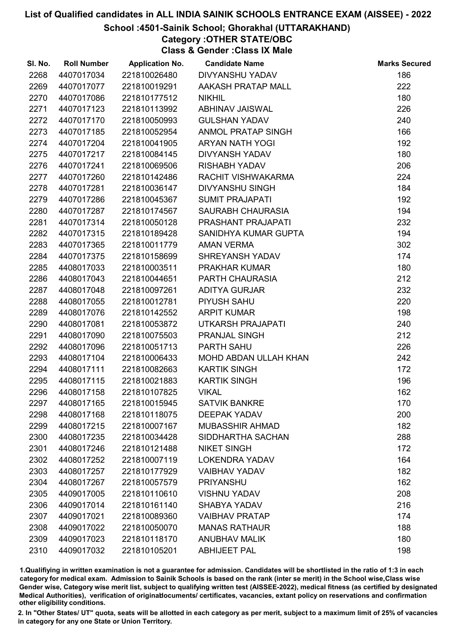## School :4501-Sainik School; Ghorakhal (UTTARAKHAND)

# Category :OTHER STATE/OBC

Class & Gender :Class IX Male

| SI. No. | <b>Roll Number</b> | <b>Application No.</b> | <b>Candidate Name</b>  | <b>Marks Secured</b> |
|---------|--------------------|------------------------|------------------------|----------------------|
| 2268    | 4407017034         | 221810026480           | DIVYANSHU YADAV        | 186                  |
| 2269    | 4407017077         | 221810019291           | AAKASH PRATAP MALL     | 222                  |
| 2270    | 4407017086         | 221810177512           | <b>NIKHIL</b>          | 180                  |
| 2271    | 4407017123         | 221810113992           | ABHINAV JAISWAL        | 226                  |
| 2272    | 4407017170         | 221810050993           | <b>GULSHAN YADAV</b>   | 240                  |
| 2273    | 4407017185         | 221810052954           | ANMOL PRATAP SINGH     | 166                  |
| 2274    | 4407017204         | 221810041905           | ARYAN NATH YOGI        | 192                  |
| 2275    | 4407017217         | 221810084145           | DIVYANSH YADAV         | 180                  |
| 2276    | 4407017241         | 221810069506           | <b>RISHABH YADAV</b>   | 206                  |
| 2277    | 4407017260         | 221810142486           | RACHIT VISHWAKARMA     | 224                  |
| 2278    | 4407017281         | 221810036147           | <b>DIVYANSHU SINGH</b> | 184                  |
| 2279    | 4407017286         | 221810045367           | <b>SUMIT PRAJAPATI</b> | 192                  |
| 2280    | 4407017287         | 221810174567           | SAURABH CHAURASIA      | 194                  |
| 2281    | 4407017314         | 221810050128           | PRASHANT PRAJAPATI     | 232                  |
| 2282    | 4407017315         | 221810189428           | SANIDHYA KUMAR GUPTA   | 194                  |
| 2283    | 4407017365         | 221810011779           | <b>AMAN VERMA</b>      | 302                  |
| 2284    | 4407017375         | 221810158699           | SHREYANSH YADAV        | 174                  |
| 2285    | 4408017033         | 221810003511           | <b>PRAKHAR KUMAR</b>   | 180                  |
| 2286    | 4408017043         | 221810044651           | <b>PARTH CHAURASIA</b> | 212                  |
| 2287    | 4408017048         | 221810097261           | <b>ADITYA GURJAR</b>   | 232                  |
| 2288    | 4408017055         | 221810012781           | PIYUSH SAHU            | 220                  |
| 2289    | 4408017076         | 221810142552           | <b>ARPIT KUMAR</b>     | 198                  |
| 2290    | 4408017081         | 221810053872           | UTKARSH PRAJAPATI      | 240                  |
| 2291    | 4408017090         | 221810075503           | <b>PRANJAL SINGH</b>   | 212                  |
| 2292    | 4408017096         | 221810051713           | <b>PARTH SAHU</b>      | 226                  |
| 2293    | 4408017104         | 221810006433           | MOHD ABDAN ULLAH KHAN  | 242                  |
| 2294    | 4408017111         | 221810082663           | <b>KARTIK SINGH</b>    | 172                  |
| 2295    | 4408017115         | 221810021883           | <b>KARTIK SINGH</b>    | 196                  |
| 2296    | 4408017158         | 221810107825           | <b>VIKAL</b>           | 162                  |
| 2297    | 4408017165         | 221810015945           | <b>SATVIK BANKRE</b>   | 170                  |
| 2298    | 4408017168         | 221810118075           | <b>DEEPAK YADAV</b>    | 200                  |
| 2299    | 4408017215         | 221810007167           | <b>MUBASSHIR AHMAD</b> | 182                  |
| 2300    | 4408017235         | 221810034428           | SIDDHARTHA SACHAN      | 288                  |
| 2301    | 4408017246         | 221810121488           | <b>NIKET SINGH</b>     | 172                  |
| 2302    | 4408017252         | 221810007119           | <b>LOKENDRA YADAV</b>  | 164                  |
| 2303    | 4408017257         | 221810177929           | <b>VAIBHAV YADAV</b>   | 182                  |
| 2304    | 4408017267         | 221810057579           | <b>PRIYANSHU</b>       | 162                  |
| 2305    | 4409017005         | 221810110610           | <b>VISHNU YADAV</b>    | 208                  |
| 2306    | 4409017014         | 221810161140           | <b>SHABYA YADAV</b>    | 216                  |
| 2307    | 4409017021         | 221810089360           | <b>VAIBHAV PRATAP</b>  | 174                  |
| 2308    | 4409017022         | 221810050070           | <b>MANAS RATHAUR</b>   | 188                  |
| 2309    | 4409017023         | 221810118170           | <b>ANUBHAV MALIK</b>   | 180                  |
| 2310    | 4409017032         | 221810105201           | <b>ABHIJEET PAL</b>    | 198                  |

1.Qualifiying in written examination is not a guarantee for admission. Candidates will be shortlisted in the ratio of 1:3 in each category for medical exam. Admission to Sainik Schools is based on the rank (inter se merit) in the School wise,Class wise Gender wise, Category wise merit list, subject to qualifying written test (AISSEE-2022), medical fitness (as certified by designated Medical Authorities), verification of originablocuments/ certificates, vacancies, extant policy on reservations and confirmation other eligibility conditions.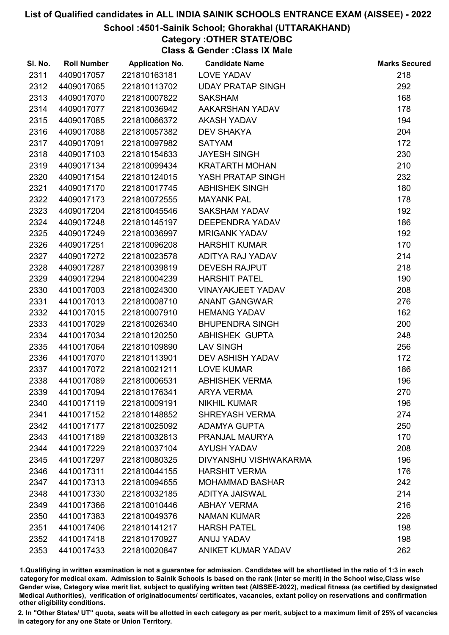## School :4501-Sainik School; Ghorakhal (UTTARAKHAND)

# Category :OTHER STATE/OBC

Class & Gender :Class IX Male

| SI. No. | <b>Roll Number</b> | <b>Application No.</b> | <b>Candidate Name</b>    | <b>Marks Secured</b> |
|---------|--------------------|------------------------|--------------------------|----------------------|
| 2311    | 4409017057         | 221810163181           | <b>LOVE YADAV</b>        | 218                  |
| 2312    | 4409017065         | 221810113702           | <b>UDAY PRATAP SINGH</b> | 292                  |
| 2313    | 4409017070         | 221810007822           | <b>SAKSHAM</b>           | 168                  |
| 2314    | 4409017077         | 221810036942           | AAKARSHAN YADAV          | 178                  |
| 2315    | 4409017085         | 221810066372           | <b>AKASH YADAV</b>       | 194                  |
| 2316    | 4409017088         | 221810057382           | <b>DEV SHAKYA</b>        | 204                  |
| 2317    | 4409017091         | 221810097982           | <b>SATYAM</b>            | 172                  |
| 2318    | 4409017103         | 221810154633           | <b>JAYESH SINGH</b>      | 230                  |
| 2319    | 4409017134         | 221810099434           | <b>KRATARTH MOHAN</b>    | 210                  |
| 2320    | 4409017154         | 221810124015           | YASH PRATAP SINGH        | 232                  |
| 2321    | 4409017170         | 221810017745           | <b>ABHISHEK SINGH</b>    | 180                  |
| 2322    | 4409017173         | 221810072555           | <b>MAYANK PAL</b>        | 178                  |
| 2323    | 4409017204         | 221810045546           | <b>SAKSHAM YADAV</b>     | 192                  |
| 2324    | 4409017248         | 221810145197           | <b>DEEPENDRA YADAV</b>   | 186                  |
| 2325    | 4409017249         | 221810036997           | <b>MRIGANK YADAV</b>     | 192                  |
| 2326    | 4409017251         | 221810096208           | <b>HARSHIT KUMAR</b>     | 170                  |
| 2327    | 4409017272         | 221810023578           | ADITYA RAJ YADAV         | 214                  |
| 2328    | 4409017287         | 221810039819           | <b>DEVESH RAJPUT</b>     | 218                  |
| 2329    | 4409017294         | 221810004239           | <b>HARSHIT PATEL</b>     | 190                  |
| 2330    | 4410017003         | 221810024300           | <b>VINAYAKJEET YADAV</b> | 208                  |
| 2331    | 4410017013         | 221810008710           | <b>ANANT GANGWAR</b>     | 276                  |
| 2332    | 4410017015         | 221810007910           | <b>HEMANG YADAV</b>      | 162                  |
| 2333    | 4410017029         | 221810026340           | <b>BHUPENDRA SINGH</b>   | 200                  |
| 2334    | 4410017034         | 221810120250           | ABHISHEK GUPTA           | 248                  |
| 2335    | 4410017064         | 221810109890           | <b>LAV SINGH</b>         | 256                  |
| 2336    | 4410017070         | 221810113901           | <b>DEV ASHISH YADAV</b>  | 172                  |
| 2337    | 4410017072         | 221810021211           | <b>LOVE KUMAR</b>        | 186                  |
| 2338    | 4410017089         | 221810006531           | <b>ABHISHEK VERMA</b>    | 196                  |
| 2339    | 4410017094         | 221810176341           | <b>ARYA VERMA</b>        | 270                  |
| 2340    | 4410017119         | 221810009191           | <b>NIKHIL KUMAR</b>      | 196                  |
| 2341    | 4410017152         | 221810148852           | <b>SHREYASH VERMA</b>    | 274                  |
| 2342    | 4410017177         | 221810025092           | <b>ADAMYA GUPTA</b>      | 250                  |
| 2343    | 4410017189         | 221810032813           | PRANJAL MAURYA           | 170                  |
| 2344    | 4410017229         | 221810037104           | <b>AYUSH YADAV</b>       | 208                  |
| 2345    | 4410017297         | 221810080325           | DIVYANSHU VISHWAKARMA    | 196                  |
| 2346    | 4410017311         | 221810044155           | <b>HARSHIT VERMA</b>     | 176                  |
| 2347    | 4410017313         | 221810094655           | <b>MOHAMMAD BASHAR</b>   | 242                  |
| 2348    | 4410017330         | 221810032185           | <b>ADITYA JAISWAL</b>    | 214                  |
| 2349    | 4410017366         | 221810010446           | <b>ABHAY VERMA</b>       | 216                  |
| 2350    | 4410017383         | 221810049376           | <b>NAMAN KUMAR</b>       | 226                  |
| 2351    | 4410017406         | 221810141217           | <b>HARSH PATEL</b>       | 198                  |
| 2352    | 4410017418         | 221810170927           | ANUJ YADAV               | 198                  |
| 2353    | 4410017433         | 221810020847           | ANIKET KUMAR YADAV       | 262                  |

1.Qualifiying in written examination is not a guarantee for admission. Candidates will be shortlisted in the ratio of 1:3 in each category for medical exam. Admission to Sainik Schools is based on the rank (inter se merit) in the School wise,Class wise Gender wise, Category wise merit list, subject to qualifying written test (AISSEE-2022), medical fitness (as certified by designated Medical Authorities), verification of originablocuments/ certificates, vacancies, extant policy on reservations and confirmation other eligibility conditions.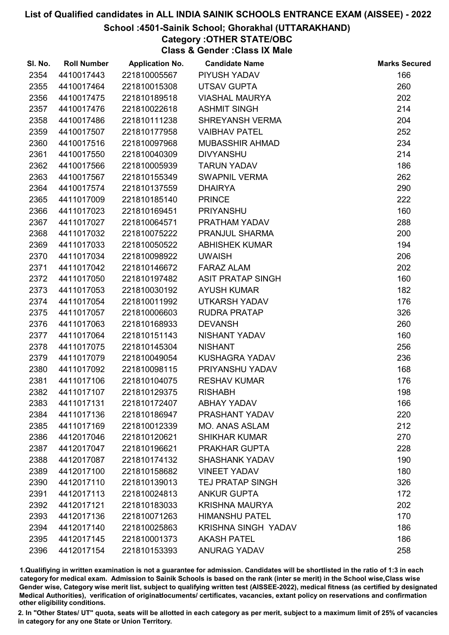## School :4501-Sainik School; Ghorakhal (UTTARAKHAND)

# Category :OTHER STATE/OBC

Class & Gender :Class IX Male

| SI. No. | <b>Roll Number</b> | <b>Application No.</b> | <b>Candidate Name</b>      | <b>Marks Secured</b> |
|---------|--------------------|------------------------|----------------------------|----------------------|
| 2354    | 4410017443         | 221810005567           | PIYUSH YADAV               | 166                  |
| 2355    | 4410017464         | 221810015308           | <b>UTSAV GUPTA</b>         | 260                  |
| 2356    | 4410017475         | 221810189518           | <b>VIASHAL MAURYA</b>      | 202                  |
| 2357    | 4410017476         | 221810022618           | <b>ASHMIT SINGH</b>        | 214                  |
| 2358    | 4410017486         | 221810111238           | <b>SHREYANSH VERMA</b>     | 204                  |
| 2359    | 4410017507         | 221810177958           | <b>VAIBHAV PATEL</b>       | 252                  |
| 2360    | 4410017516         | 221810097968           | <b>MUBASSHIR AHMAD</b>     | 234                  |
| 2361    | 4410017550         | 221810040309           | <b>DIVYANSHU</b>           | 214                  |
| 2362    | 4410017566         | 221810005939           | <b>TARUN YADAV</b>         | 186                  |
| 2363    | 4410017567         | 221810155349           | <b>SWAPNIL VERMA</b>       | 262                  |
| 2364    | 4410017574         | 221810137559           | <b>DHAIRYA</b>             | 290                  |
| 2365    | 4411017009         | 221810185140           | <b>PRINCE</b>              | 222                  |
| 2366    | 4411017023         | 221810169451           | <b>PRIYANSHU</b>           | 160                  |
| 2367    | 4411017027         | 221810064571           | PRATHAM YADAV              | 288                  |
| 2368    | 4411017032         | 221810075222           | PRANJUL SHARMA             | 200                  |
| 2369    | 4411017033         | 221810050522           | <b>ABHISHEK KUMAR</b>      | 194                  |
| 2370    | 4411017034         | 221810098922           | <b>UWAISH</b>              | 206                  |
| 2371    | 4411017042         | 221810146672           | <b>FARAZ ALAM</b>          | 202                  |
| 2372    | 4411017050         | 221810197482           | <b>ASIT PRATAP SINGH</b>   | 160                  |
| 2373    | 4411017053         | 221810030192           | <b>AYUSH KUMAR</b>         | 182                  |
| 2374    | 4411017054         | 221810011992           | <b>UTKARSH YADAV</b>       | 176                  |
| 2375    | 4411017057         | 221810006603           | <b>RUDRA PRATAP</b>        | 326                  |
| 2376    | 4411017063         | 221810168933           | <b>DEVANSH</b>             | 260                  |
| 2377    | 4411017064         | 221810151143           | NISHANT YADAV              | 160                  |
| 2378    | 4411017075         | 221810145304           | <b>NISHANT</b>             | 256                  |
| 2379    | 4411017079         | 221810049054           | KUSHAGRA YADAV             | 236                  |
| 2380    | 4411017092         | 221810098115           | PRIYANSHU YADAV            | 168                  |
| 2381    | 4411017106         | 221810104075           | <b>RESHAV KUMAR</b>        | 176                  |
| 2382    | 4411017107         | 221810129375           | <b>RISHABH</b>             | 198                  |
| 2383    | 4411017131         | 221810172407           | <b>ABHAY YADAV</b>         | 166                  |
| 2384    | 4411017136         | 221810186947           | PRASHANT YADAV             | 220                  |
| 2385    | 4411017169         | 221810012339           | <b>MO. ANAS ASLAM</b>      | 212                  |
| 2386    | 4412017046         | 221810120621           | <b>SHIKHAR KUMAR</b>       | 270                  |
| 2387    | 4412017047         | 221810196621           | PRAKHAR GUPTA              | 228                  |
| 2388    | 4412017087         | 221810174132           | <b>SHASHANK YADAV</b>      | 190                  |
| 2389    | 4412017100         | 221810158682           | <b>VINEET YADAV</b>        | 180                  |
| 2390    | 4412017110         | 221810139013           | <b>TEJ PRATAP SINGH</b>    | 326                  |
| 2391    | 4412017113         | 221810024813           | <b>ANKUR GUPTA</b>         | 172                  |
| 2392    | 4412017121         | 221810183033           | <b>KRISHNA MAURYA</b>      | 202                  |
| 2393    | 4412017136         | 221810071263           | <b>HIMANSHU PATEL</b>      | 170                  |
| 2394    | 4412017140         | 221810025863           | <b>KRISHNA SINGH YADAV</b> | 186                  |
| 2395    | 4412017145         | 221810001373           | <b>AKASH PATEL</b>         | 186                  |
| 2396    | 4412017154         | 221810153393           | <b>ANURAG YADAV</b>        | 258                  |

1.Qualifiying in written examination is not a guarantee for admission. Candidates will be shortlisted in the ratio of 1:3 in each category for medical exam. Admission to Sainik Schools is based on the rank (inter se merit) in the School wise,Class wise Gender wise, Category wise merit list, subject to qualifying written test (AISSEE-2022), medical fitness (as certified by designated Medical Authorities), verification of originablocuments/ certificates, vacancies, extant policy on reservations and confirmation other eligibility conditions.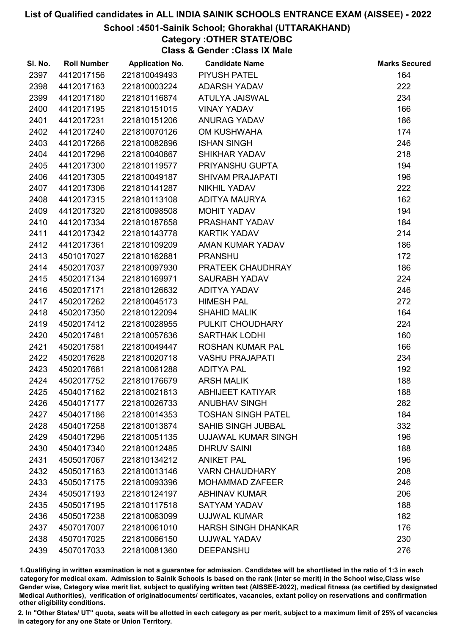## School :4501-Sainik School; Ghorakhal (UTTARAKHAND)

# Category :OTHER STATE/OBC

Class & Gender :Class IX Male

| SI. No. | <b>Roll Number</b> | <b>Application No.</b> | <b>Candidate Name</b>      | <b>Marks Secured</b> |
|---------|--------------------|------------------------|----------------------------|----------------------|
| 2397    | 4412017156         | 221810049493           | <b>PIYUSH PATEL</b>        | 164                  |
| 2398    | 4412017163         | 221810003224           | <b>ADARSH YADAV</b>        | 222                  |
| 2399    | 4412017180         | 221810116874           | ATULYA JAISWAL             | 234                  |
| 2400    | 4412017195         | 221810151015           | <b>VINAY YADAV</b>         | 166                  |
| 2401    | 4412017231         | 221810151206           | <b>ANURAG YADAV</b>        | 186                  |
| 2402    | 4412017240         | 221810070126           | OM KUSHWAHA                | 174                  |
| 2403    | 4412017266         | 221810082896           | <b>ISHAN SINGH</b>         | 246                  |
| 2404    | 4412017296         | 221810040867           | SHIKHAR YADAV              | 218                  |
| 2405    | 4412017300         | 221810119577           | PRIYANSHU GUPTA            | 194                  |
| 2406    | 4412017305         | 221810049187           | <b>SHIVAM PRAJAPATI</b>    | 196                  |
| 2407    | 4412017306         | 221810141287           | <b>NIKHIL YADAV</b>        | 222                  |
| 2408    | 4412017315         | 221810113108           | ADITYA MAURYA              | 162                  |
| 2409    | 4412017320         | 221810098508           | MOHIT YADAV                | 194                  |
| 2410    | 4412017334         | 221810187658           | PRASHANT YADAV             | 184                  |
| 2411    | 4412017342         | 221810143778           | <b>KARTIK YADAV</b>        | 214                  |
| 2412    | 4412017361         | 221810109209           | AMAN KUMAR YADAV           | 186                  |
| 2413    | 4501017027         | 221810162881           | <b>PRANSHU</b>             | 172                  |
| 2414    | 4502017037         | 221810097930           | PRATEEK CHAUDHRAY          | 186                  |
| 2415    | 4502017134         | 221810169971           | <b>SAURABH YADAV</b>       | 224                  |
| 2416    | 4502017171         | 221810126632           | ADITYA YADAV               | 246                  |
| 2417    | 4502017262         | 221810045173           | <b>HIMESH PAL</b>          | 272                  |
| 2418    | 4502017350         | 221810122094           | <b>SHAHID MALIK</b>        | 164                  |
| 2419    | 4502017412         | 221810028955           | PULKIT CHOUDHARY           | 224                  |
| 2420    | 4502017481         | 221810057636           | <b>SARTHAK LODHI</b>       | 160                  |
| 2421    | 4502017581         | 221810049447           | ROSHAN KUMAR PAL           | 166                  |
| 2422    | 4502017628         | 221810020718           | <b>VASHU PRAJAPATI</b>     | 234                  |
| 2423    | 4502017681         | 221810061288           | <b>ADITYA PAL</b>          | 192                  |
| 2424    | 4502017752         | 221810176679           | <b>ARSH MALIK</b>          | 188                  |
| 2425    | 4504017162         | 221810021813           | <b>ABHIJEET KATIYAR</b>    | 188                  |
| 2426    | 4504017177         | 221810026733           | <b>ANUBHAV SINGH</b>       | 282                  |
| 2427    | 4504017186         | 221810014353           | <b>TOSHAN SINGH PATEL</b>  | 184                  |
| 2428    | 4504017258         | 221810013874           | <b>SAHIB SINGH JUBBAL</b>  | 332                  |
| 2429    | 4504017296         | 221810051135           | <b>UJJAWAL KUMAR SINGH</b> | 196                  |
| 2430    | 4504017340         | 221810012485           | <b>DHRUV SAINI</b>         | 188                  |
| 2431    | 4505017067         | 221810134212           | <b>ANIKET PAL</b>          | 196                  |
| 2432    | 4505017163         | 221810013146           | <b>VARN CHAUDHARY</b>      | 208                  |
| 2433    | 4505017175         | 221810093396           | <b>MOHAMMAD ZAFEER</b>     | 246                  |
| 2434    | 4505017193         | 221810124197           | <b>ABHINAV KUMAR</b>       | 206                  |
| 2435    | 4505017195         | 221810117518           | <b>SATYAM YADAV</b>        | 188                  |
| 2436    | 4505017238         | 221810063099           | <b>UJJWAL KUMAR</b>        | 182                  |
| 2437    | 4507017007         | 221810061010           | <b>HARSH SINGH DHANKAR</b> | 176                  |
| 2438    | 4507017025         | 221810066150           | UJJWAL YADAV               | 230                  |
| 2439    | 4507017033         | 221810081360           | <b>DEEPANSHU</b>           | 276                  |

1.Qualifiying in written examination is not a guarantee for admission. Candidates will be shortlisted in the ratio of 1:3 in each category for medical exam. Admission to Sainik Schools is based on the rank (inter se merit) in the School wise,Class wise Gender wise, Category wise merit list, subject to qualifying written test (AISSEE-2022), medical fitness (as certified by designated Medical Authorities), verification of originablocuments/ certificates, vacancies, extant policy on reservations and confirmation other eligibility conditions.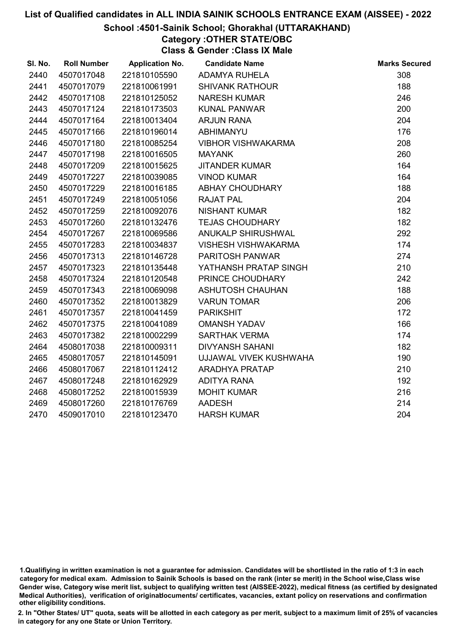## School :4501-Sainik School; Ghorakhal (UTTARAKHAND)

# Category :OTHER STATE/OBC

Class & Gender :Class IX Male

| SI. No. | <b>Roll Number</b> | <b>Application No.</b> | <b>Candidate Name</b>      | <b>Marks Secured</b> |
|---------|--------------------|------------------------|----------------------------|----------------------|
| 2440    | 4507017048         | 221810105590           | <b>ADAMYA RUHELA</b>       | 308                  |
| 2441    | 4507017079         | 221810061991           | <b>SHIVANK RATHOUR</b>     | 188                  |
| 2442    | 4507017108         | 221810125052           | <b>NARESH KUMAR</b>        | 246                  |
| 2443    | 4507017124         | 221810173503           | <b>KUNAL PANWAR</b>        | 200                  |
| 2444    | 4507017164         | 221810013404           | <b>ARJUN RANA</b>          | 204                  |
| 2445    | 4507017166         | 221810196014           | <b>ABHIMANYU</b>           | 176                  |
| 2446    | 4507017180         | 221810085254           | <b>VIBHOR VISHWAKARMA</b>  | 208                  |
| 2447    | 4507017198         | 221810016505           | <b>MAYANK</b>              | 260                  |
| 2448    | 4507017209         | 221810015625           | <b>JITANDER KUMAR</b>      | 164                  |
| 2449    | 4507017227         | 221810039085           | <b>VINOD KUMAR</b>         | 164                  |
| 2450    | 4507017229         | 221810016185           | ABHAY CHOUDHARY            | 188                  |
| 2451    | 4507017249         | 221810051056           | <b>RAJAT PAL</b>           | 204                  |
| 2452    | 4507017259         | 221810092076           | <b>NISHANT KUMAR</b>       | 182                  |
| 2453    | 4507017260         | 221810132476           | <b>TEJAS CHOUDHARY</b>     | 182                  |
| 2454    | 4507017267         | 221810069586           | ANUKALP SHIRUSHWAL         | 292                  |
| 2455    | 4507017283         | 221810034837           | <b>VISHESH VISHWAKARMA</b> | 174                  |
| 2456    | 4507017313         | 221810146728           | <b>PARITOSH PANWAR</b>     | 274                  |
| 2457    | 4507017323         | 221810135448           | YATHANSH PRATAP SINGH      | 210                  |
| 2458    | 4507017324         | 221810120548           | PRINCE CHOUDHARY           | 242                  |
| 2459    | 4507017343         | 221810069098           | <b>ASHUTOSH CHAUHAN</b>    | 188                  |
| 2460    | 4507017352         | 221810013829           | <b>VARUN TOMAR</b>         | 206                  |
| 2461    | 4507017357         | 221810041459           | <b>PARIKSHIT</b>           | 172                  |
| 2462    | 4507017375         | 221810041089           | <b>OMANSH YADAV</b>        | 166                  |
| 2463    | 4507017382         | 221810002299           | <b>SARTHAK VERMA</b>       | 174                  |
| 2464    | 4508017038         | 221810009311           | <b>DIVYANSH SAHANI</b>     | 182                  |
| 2465    | 4508017057         | 221810145091           | UJJAWAL VIVEK KUSHWAHA     | 190                  |
| 2466    | 4508017067         | 221810112412           | <b>ARADHYA PRATAP</b>      | 210                  |
| 2467    | 4508017248         | 221810162929           | <b>ADITYA RANA</b>         | 192                  |
| 2468    | 4508017252         | 221810015939           | <b>MOHIT KUMAR</b>         | 216                  |
| 2469    | 4508017260         | 221810176769           | <b>AADESH</b>              | 214                  |
| 2470    | 4509017010         | 221810123470           | <b>HARSH KUMAR</b>         | 204                  |

<sup>1.</sup>Qualifiying in written examination is not a guarantee for admission. Candidates will be shortlisted in the ratio of 1:3 in each category for medical exam. Admission to Sainik Schools is based on the rank (inter se merit) in the School wise,Class wise Gender wise, Category wise merit list, subject to qualifying written test (AISSEE-2022), medical fitness (as certified by designated Medical Authorities), verification of originablocuments/ certificates, vacancies, extant policy on reservations and confirmation other eligibility conditions.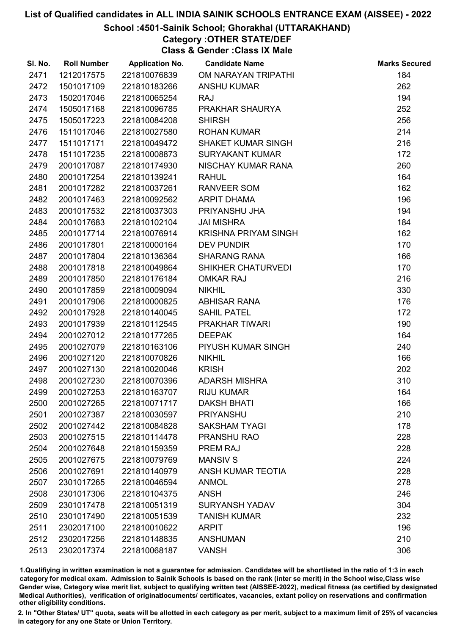## School :4501-Sainik School; Ghorakhal (UTTARAKHAND)

# Category :OTHER STATE/DEF

Class & Gender :Class IX Male

| SI. No. | <b>Roll Number</b> | <b>Application No.</b> | <b>Candidate Name</b>       | <b>Marks Secured</b> |
|---------|--------------------|------------------------|-----------------------------|----------------------|
| 2471    | 1212017575         | 221810076839           | OM NARAYAN TRIPATHI         | 184                  |
| 2472    | 1501017109         | 221810183266           | <b>ANSHU KUMAR</b>          | 262                  |
| 2473    | 1502017046         | 221810065254           | <b>RAJ</b>                  | 194                  |
| 2474    | 1505017168         | 221810096785           | PRAKHAR SHAURYA             | 252                  |
| 2475    | 1505017223         | 221810084208           | <b>SHIRSH</b>               | 256                  |
| 2476    | 1511017046         | 221810027580           | <b>ROHAN KUMAR</b>          | 214                  |
| 2477    | 1511017171         | 221810049472           | <b>SHAKET KUMAR SINGH</b>   | 216                  |
| 2478    | 1511017235         | 221810008873           | <b>SURYAKANT KUMAR</b>      | 172                  |
| 2479    | 2001017087         | 221810174930           | NISCHAY KUMAR RANA          | 260                  |
| 2480    | 2001017254         | 221810139241           | <b>RAHUL</b>                | 164                  |
| 2481    | 2001017282         | 221810037261           | <b>RANVEER SOM</b>          | 162                  |
| 2482    | 2001017463         | 221810092562           | <b>ARPIT DHAMA</b>          | 196                  |
| 2483    | 2001017532         | 221810037303           | PRIYANSHU JHA               | 194                  |
| 2484    | 2001017683         | 221810102104           | <b>JAI MISHRA</b>           | 184                  |
| 2485    | 2001017714         | 221810076914           | <b>KRISHNA PRIYAM SINGH</b> | 162                  |
| 2486    | 2001017801         | 221810000164           | <b>DEV PUNDIR</b>           | 170                  |
| 2487    | 2001017804         | 221810136364           | <b>SHARANG RANA</b>         | 166                  |
| 2488    | 2001017818         | 221810049864           | SHIKHER CHATURVEDI          | 170                  |
| 2489    | 2001017850         | 221810176184           | <b>OMKAR RAJ</b>            | 216                  |
| 2490    | 2001017859         | 221810009094           | <b>NIKHIL</b>               | 330                  |
| 2491    | 2001017906         | 221810000825           | <b>ABHISAR RANA</b>         | 176                  |
| 2492    | 2001017928         | 221810140045           | <b>SAHIL PATEL</b>          | 172                  |
| 2493    | 2001017939         | 221810112545           | <b>PRAKHAR TIWARI</b>       | 190                  |
| 2494    | 2001027012         | 221810177265           | <b>DEEPAK</b>               | 164                  |
| 2495    | 2001027079         | 221810163106           | PIYUSH KUMAR SINGH          | 240                  |
| 2496    | 2001027120         | 221810070826           | <b>NIKHIL</b>               | 166                  |
| 2497    | 2001027130         | 221810020046           | <b>KRISH</b>                | 202                  |
| 2498    | 2001027230         | 221810070396           | <b>ADARSH MISHRA</b>        | 310                  |
| 2499    | 2001027253         | 221810163707           | <b>RIJU KUMAR</b>           | 164                  |
| 2500    | 2001027265         | 221810071717           | <b>DAKSH BHATI</b>          | 166                  |
| 2501    | 2001027387         | 221810030597           | <b>PRIYANSHU</b>            | 210                  |
| 2502    | 2001027442         | 221810084828           | <b>SAKSHAM TYAGI</b>        | 178                  |
| 2503    | 2001027515         | 221810114478           | PRANSHU RAO                 | 228                  |
| 2504    | 2001027648         | 221810159359           | PREM RAJ                    | 228                  |
| 2505    | 2001027675         | 221810079769           | <b>MANSIV S</b>             | 224                  |
| 2506    | 2001027691         | 221810140979           | <b>ANSH KUMAR TEOTIA</b>    | 228                  |
| 2507    | 2301017265         | 221810046594           | <b>ANMOL</b>                | 278                  |
| 2508    | 2301017306         | 221810104375           | <b>ANSH</b>                 | 246                  |
| 2509    | 2301017478         | 221810051319           | <b>SURYANSH YADAV</b>       | 304                  |
| 2510    | 2301017490         | 221810051539           | <b>TANISH KUMAR</b>         | 232                  |
| 2511    | 2302017100         | 221810010622           | <b>ARPIT</b>                | 196                  |
| 2512    | 2302017256         | 221810148835           | <b>ANSHUMAN</b>             | 210                  |
| 2513    | 2302017374         | 221810068187           | <b>VANSH</b>                | 306                  |

1.Qualifiying in written examination is not a guarantee for admission. Candidates will be shortlisted in the ratio of 1:3 in each category for medical exam. Admission to Sainik Schools is based on the rank (inter se merit) in the School wise,Class wise Gender wise, Category wise merit list, subject to qualifying written test (AISSEE-2022), medical fitness (as certified by designated Medical Authorities), verification of originablocuments/ certificates, vacancies, extant policy on reservations and confirmation other eligibility conditions.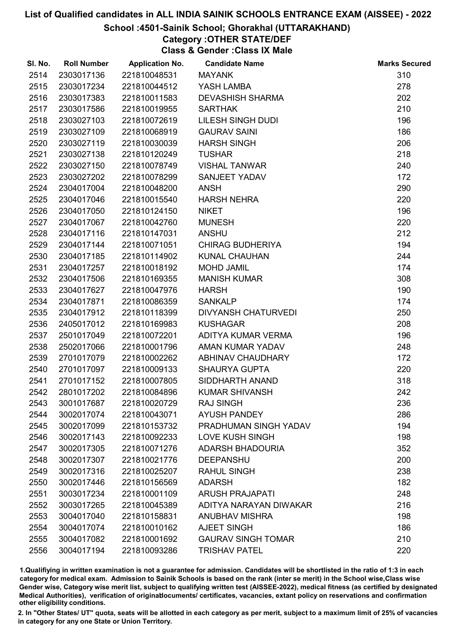## School :4501-Sainik School; Ghorakhal (UTTARAKHAND)

# Category :OTHER STATE/DEF

Class & Gender :Class IX Male

| SI. No. | <b>Roll Number</b> | <b>Application No.</b> | <b>Candidate Name</b>      | <b>Marks Secured</b> |
|---------|--------------------|------------------------|----------------------------|----------------------|
| 2514    | 2303017136         | 221810048531           | <b>MAYANK</b>              | 310                  |
| 2515    | 2303017234         | 221810044512           | YASH LAMBA                 | 278                  |
| 2516    | 2303017383         | 221810011583           | <b>DEVASHISH SHARMA</b>    | 202                  |
| 2517    | 2303017586         | 221810019955           | <b>SARTHAK</b>             | 210                  |
| 2518    | 2303027103         | 221810072619           | LILESH SINGH DUDI          | 196                  |
| 2519    | 2303027109         | 221810068919           | <b>GAURAV SAINI</b>        | 186                  |
| 2520    | 2303027119         | 221810030039           | <b>HARSH SINGH</b>         | 206                  |
| 2521    | 2303027138         | 221810120249           | <b>TUSHAR</b>              | 218                  |
| 2522    | 2303027150         | 221810078749           | <b>VISHAL TANWAR</b>       | 240                  |
| 2523    | 2303027202         | 221810078299           | SANJEET YADAV              | 172                  |
| 2524    | 2304017004         | 221810048200           | <b>ANSH</b>                | 290                  |
| 2525    | 2304017046         | 221810015540           | <b>HARSH NEHRA</b>         | 220                  |
| 2526    | 2304017050         | 221810124150           | <b>NIKET</b>               | 196                  |
| 2527    | 2304017067         | 221810042760           | <b>MUNESH</b>              | 220                  |
| 2528    | 2304017116         | 221810147031           | <b>ANSHU</b>               | 212                  |
| 2529    | 2304017144         | 221810071051           | <b>CHIRAG BUDHERIYA</b>    | 194                  |
| 2530    | 2304017185         | 221810114902           | <b>KUNAL CHAUHAN</b>       | 244                  |
| 2531    | 2304017257         | 221810018192           | <b>MOHD JAMIL</b>          | 174                  |
| 2532    | 2304017506         | 221810169355           | <b>MANISH KUMAR</b>        | 308                  |
| 2533    | 2304017627         | 221810047976           | <b>HARSH</b>               | 190                  |
| 2534    | 2304017871         | 221810086359           | <b>SANKALP</b>             | 174                  |
| 2535    | 2304017912         | 221810118399           | <b>DIVYANSH CHATURVEDI</b> | 250                  |
| 2536    | 2405017012         | 221810169983           | <b>KUSHAGAR</b>            | 208                  |
| 2537    | 2501017049         | 221810072201           | ADITYA KUMAR VERMA         | 196                  |
| 2538    | 2502017066         | 221810001796           | AMAN KUMAR YADAV           | 248                  |
| 2539    | 2701017079         | 221810002262           | ABHINAV CHAUDHARY          | 172                  |
| 2540    | 2701017097         | 221810009133           | <b>SHAURYA GUPTA</b>       | 220                  |
| 2541    | 2701017152         | 221810007805           | SIDDHARTH ANAND            | 318                  |
| 2542    | 2801017202         | 221810084896           | <b>KUMAR SHIVANSH</b>      | 242                  |
| 2543    | 3001017687         | 221810020729           | <b>RAJ SINGH</b>           | 236                  |
| 2544    | 3002017074         | 221810043071           | <b>AYUSH PANDEY</b>        | 286                  |
| 2545    | 3002017099         | 221810153732           | PRADHUMAN SINGH YADAV      | 194                  |
| 2546    | 3002017143         | 221810092233           | <b>LOVE KUSH SINGH</b>     | 198                  |
| 2547    | 3002017305         | 221810071276           | <b>ADARSH BHADOURIA</b>    | 352                  |
| 2548    | 3002017307         | 221810021776           | <b>DEEPANSHU</b>           | 200                  |
| 2549    | 3002017316         | 221810025207           | <b>RAHUL SINGH</b>         | 238                  |
| 2550    | 3002017446         | 221810156569           | <b>ADARSH</b>              | 182                  |
| 2551    | 3003017234         | 221810001109           | <b>ARUSH PRAJAPATI</b>     | 248                  |
| 2552    | 3003017265         | 221810045389           | ADITYA NARAYAN DIWAKAR     | 216                  |
| 2553    | 3004017040         | 221810158831           | <b>ANUBHAV MISHRA</b>      | 198                  |
| 2554    | 3004017074         | 221810010162           | AJEET SINGH                | 186                  |
| 2555    | 3004017082         | 221810001692           | <b>GAURAV SINGH TOMAR</b>  | 210                  |
| 2556    | 3004017194         | 221810093286           | <b>TRISHAV PATEL</b>       | 220                  |

1.Qualifiying in written examination is not a guarantee for admission. Candidates will be shortlisted in the ratio of 1:3 in each category for medical exam. Admission to Sainik Schools is based on the rank (inter se merit) in the School wise,Class wise Gender wise, Category wise merit list, subject to qualifying written test (AISSEE-2022), medical fitness (as certified by designated Medical Authorities), verification of originablocuments/ certificates, vacancies, extant policy on reservations and confirmation other eligibility conditions.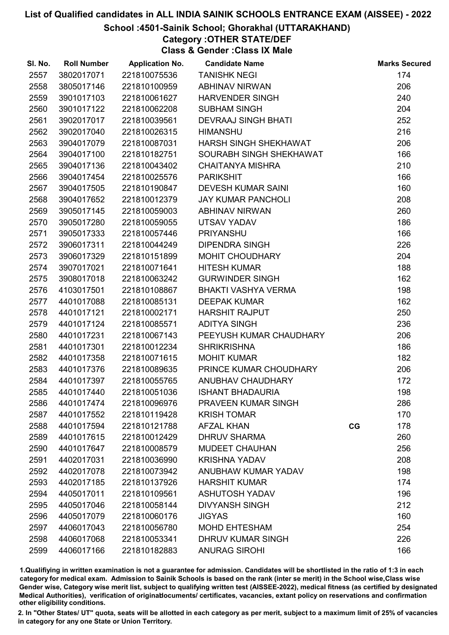## School :4501-Sainik School; Ghorakhal (UTTARAKHAND)

# Category :OTHER STATE/DEF

Class & Gender :Class IX Male

| SI. No. | <b>Roll Number</b> | <b>Application No.</b> | <b>Candidate Name</b>      |    | <b>Marks Secured</b> |
|---------|--------------------|------------------------|----------------------------|----|----------------------|
| 2557    | 3802017071         | 221810075536           | <b>TANISHK NEGI</b>        |    | 174                  |
| 2558    | 3805017146         | 221810100959           | <b>ABHINAV NIRWAN</b>      |    | 206                  |
| 2559    | 3901017103         | 221810061627           | <b>HARVENDER SINGH</b>     |    | 240                  |
| 2560    | 3901017122         | 221810062208           | <b>SUBHAM SINGH</b>        |    | 204                  |
| 2561    | 3902017017         | 221810039561           | <b>DEVRAAJ SINGH BHATI</b> |    | 252                  |
| 2562    | 3902017040         | 221810026315           | <b>HIMANSHU</b>            |    | 216                  |
| 2563    | 3904017079         | 221810087031           | HARSH SINGH SHEKHAWAT      |    | 206                  |
| 2564    | 3904017100         | 221810182751           | SOURABH SINGH SHEKHAWAT    |    | 166                  |
| 2565    | 3904017136         | 221810043402           | <b>CHAITANYA MISHRA</b>    |    | 210                  |
| 2566    | 3904017454         | 221810025576           | <b>PARIKSHIT</b>           |    | 166                  |
| 2567    | 3904017505         | 221810190847           | <b>DEVESH KUMAR SAINI</b>  |    | 160                  |
| 2568    | 3904017652         | 221810012379           | <b>JAY KUMAR PANCHOLI</b>  |    | 208                  |
| 2569    | 3905017145         | 221810059003           | <b>ABHINAV NIRWAN</b>      |    | 260                  |
| 2570    | 3905017280         | 221810059055           | <b>UTSAV YADAV</b>         |    | 186                  |
| 2571    | 3905017333         | 221810057446           | <b>PRIYANSHU</b>           |    | 166                  |
| 2572    | 3906017311         | 221810044249           | <b>DIPENDRA SINGH</b>      |    | 226                  |
| 2573    | 3906017329         | 221810151899           | MOHIT CHOUDHARY            |    | 204                  |
| 2574    | 3907017021         | 221810071641           | <b>HITESH KUMAR</b>        |    | 188                  |
| 2575    | 3908017018         | 221810063242           | <b>GURWINDER SINGH</b>     |    | 162                  |
| 2576    | 4103017501         | 221810108867           | BHAKTI VASHYA VERMA        |    | 198                  |
| 2577    | 4401017088         | 221810085131           | <b>DEEPAK KUMAR</b>        |    | 162                  |
| 2578    | 4401017121         | 221810002171           | <b>HARSHIT RAJPUT</b>      |    | 250                  |
| 2579    | 4401017124         | 221810085571           | <b>ADITYA SINGH</b>        |    | 236                  |
| 2580    | 4401017231         | 221810067143           | PEEYUSH KUMAR CHAUDHARY    |    | 206                  |
| 2581    | 4401017301         | 221810012234           | <b>SHRIKRISHNA</b>         |    | 186                  |
| 2582    | 4401017358         | 221810071615           | <b>MOHIT KUMAR</b>         |    | 182                  |
| 2583    | 4401017376         | 221810089635           | PRINCE KUMAR CHOUDHARY     |    | 206                  |
| 2584    | 4401017397         | 221810055765           | ANUBHAV CHAUDHARY          |    | 172                  |
| 2585    | 4401017440         | 221810051036           | <b>ISHANT BHADAURIA</b>    |    | 198                  |
| 2586    | 4401017474         | 221810096976           | PRAVEEN KUMAR SINGH        |    | 286                  |
| 2587    | 4401017552         | 221810119428           | <b>KRISH TOMAR</b>         |    | 170                  |
| 2588    | 4401017594         | 221810121788           | <b>AFZAL KHAN</b>          | CG | 178                  |
| 2589    | 4401017615         | 221810012429           | <b>DHRUV SHARMA</b>        |    | 260                  |
| 2590    | 4401017647         | 221810008579           | <b>MUDEET CHAUHAN</b>      |    | 256                  |
| 2591    | 4402017031         | 221810036990           | <b>KRISHNA YADAV</b>       |    | 208                  |
| 2592    | 4402017078         | 221810073942           | ANUBHAW KUMAR YADAV        |    | 198                  |
| 2593    | 4402017185         | 221810137926           | <b>HARSHIT KUMAR</b>       |    | 174                  |
| 2594    | 4405017011         | 221810109561           | <b>ASHUTOSH YADAV</b>      |    | 196                  |
| 2595    | 4405017046         | 221810058144           | <b>DIVYANSH SINGH</b>      |    | 212                  |
| 2596    | 4405017079         | 221810060176           | <b>JIGYAS</b>              |    | 160                  |
| 2597    | 4406017043         | 221810056780           | <b>MOHD EHTESHAM</b>       |    | 254                  |
| 2598    | 4406017068         | 221810053341           | <b>DHRUV KUMAR SINGH</b>   |    | 226                  |
| 2599    | 4406017166         | 221810182883           | <b>ANURAG SIROHI</b>       |    | 166                  |

1.Qualifiying in written examination is not a guarantee for admission. Candidates will be shortlisted in the ratio of 1:3 in each category for medical exam. Admission to Sainik Schools is based on the rank (inter se merit) in the School wise,Class wise Gender wise, Category wise merit list, subject to qualifying written test (AISSEE-2022), medical fitness (as certified by designated Medical Authorities), verification of originablocuments/ certificates, vacancies, extant policy on reservations and confirmation other eligibility conditions.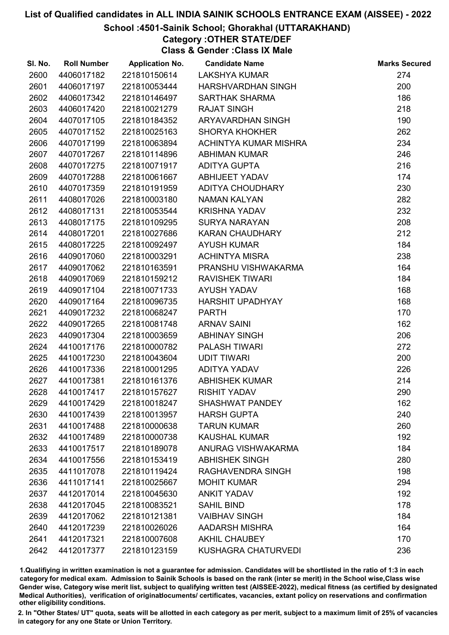## School :4501-Sainik School; Ghorakhal (UTTARAKHAND)

# Category :OTHER STATE/DEF

Class & Gender :Class IX Male

| SI. No. | <b>Roll Number</b> | <b>Application No.</b> | <b>Candidate Name</b>      | <b>Marks Secured</b> |
|---------|--------------------|------------------------|----------------------------|----------------------|
| 2600    | 4406017182         | 221810150614           | <b>LAKSHYA KUMAR</b>       | 274                  |
| 2601    | 4406017197         | 221810053444           | HARSHVARDHAN SINGH         | 200                  |
| 2602    | 4406017342         | 221810146497           | <b>SARTHAK SHARMA</b>      | 186                  |
| 2603    | 4406017420         | 221810021279           | <b>RAJAT SINGH</b>         | 218                  |
| 2604    | 4407017105         | 221810184352           | ARYAVARDHAN SINGH          | 190                  |
| 2605    | 4407017152         | 221810025163           | <b>SHORYA KHOKHER</b>      | 262                  |
| 2606    | 4407017199         | 221810063894           | ACHINTYA KUMAR MISHRA      | 234                  |
| 2607    | 4407017267         | 221810114896           | <b>ABHIMAN KUMAR</b>       | 246                  |
| 2608    | 4407017275         | 221810071917           | <b>ADITYA GUPTA</b>        | 216                  |
| 2609    | 4407017288         | 221810061667           | <b>ABHIJEET YADAV</b>      | 174                  |
| 2610    | 4407017359         | 221810191959           | ADITYA CHOUDHARY           | 230                  |
| 2611    | 4408017026         | 221810003180           | <b>NAMAN KALYAN</b>        | 282                  |
| 2612    | 4408017131         | 221810053544           | <b>KRISHNA YADAV</b>       | 232                  |
| 2613    | 4408017175         | 221810109295           | <b>SURYA NARAYAN</b>       | 208                  |
| 2614    | 4408017201         | 221810027686           | <b>KARAN CHAUDHARY</b>     | 212                  |
| 2615    | 4408017225         | 221810092497           | <b>AYUSH KUMAR</b>         | 184                  |
| 2616    | 4409017060         | 221810003291           | <b>ACHINTYA MISRA</b>      | 238                  |
| 2617    | 4409017062         | 221810163591           | PRANSHU VISHWAKARMA        | 164                  |
| 2618    | 4409017069         | 221810159212           | <b>RAVISHEK TIWARI</b>     | 184                  |
| 2619    | 4409017104         | 221810071733           | <b>AYUSH YADAV</b>         | 168                  |
| 2620    | 4409017164         | 221810096735           | <b>HARSHIT UPADHYAY</b>    | 168                  |
| 2621    | 4409017232         | 221810068247           | <b>PARTH</b>               | 170                  |
| 2622    | 4409017265         | 221810081748           | <b>ARNAV SAINI</b>         | 162                  |
| 2623    | 4409017304         | 221810003659           | <b>ABHINAY SINGH</b>       | 206                  |
| 2624    | 4410017176         | 221810000782           | <b>PALASH TIWARI</b>       | 272                  |
| 2625    | 4410017230         | 221810043604           | <b>UDIT TIWARI</b>         | 200                  |
| 2626    | 4410017336         | 221810001295           | ADITYA YADAV               | 226                  |
| 2627    | 4410017381         | 221810161376           | <b>ABHISHEK KUMAR</b>      | 214                  |
| 2628    | 4410017417         | 221810157627           | <b>RISHIT YADAV</b>        | 290                  |
| 2629    | 4410017429         | 221810018247           | <b>SHASHWAT PANDEY</b>     | 162                  |
| 2630    | 4410017439         | 221810013957           | <b>HARSH GUPTA</b>         | 240                  |
| 2631    | 4410017488         | 221810000638           | <b>TARUN KUMAR</b>         | 260                  |
| 2632    | 4410017489         | 221810000738           | <b>KAUSHAL KUMAR</b>       | 192                  |
| 2633    | 4410017517         | 221810189078           | ANURAG VISHWAKARMA         | 184                  |
| 2634    | 4410017556         | 221810153419           | <b>ABHISHEK SINGH</b>      | 280                  |
| 2635    | 4411017078         | 221810119424           | RAGHAVENDRA SINGH          | 198                  |
| 2636    | 4411017141         | 221810025667           | <b>MOHIT KUMAR</b>         | 294                  |
| 2637    | 4412017014         | 221810045630           | <b>ANKIT YADAV</b>         | 192                  |
| 2638    | 4412017045         | 221810083521           | <b>SAHIL BIND</b>          | 178                  |
| 2639    | 4412017062         | 221810121381           | <b>VAIBHAV SINGH</b>       | 184                  |
| 2640    | 4412017239         | 221810026026           | <b>AADARSH MISHRA</b>      | 164                  |
| 2641    | 4412017321         | 221810007608           | <b>AKHIL CHAUBEY</b>       | 170                  |
| 2642    | 4412017377         | 221810123159           | <b>KUSHAGRA CHATURVEDI</b> | 236                  |

1.Qualifiying in written examination is not a guarantee for admission. Candidates will be shortlisted in the ratio of 1:3 in each category for medical exam. Admission to Sainik Schools is based on the rank (inter se merit) in the School wise,Class wise Gender wise, Category wise merit list, subject to qualifying written test (AISSEE-2022), medical fitness (as certified by designated Medical Authorities), verification of originablocuments/ certificates, vacancies, extant policy on reservations and confirmation other eligibility conditions.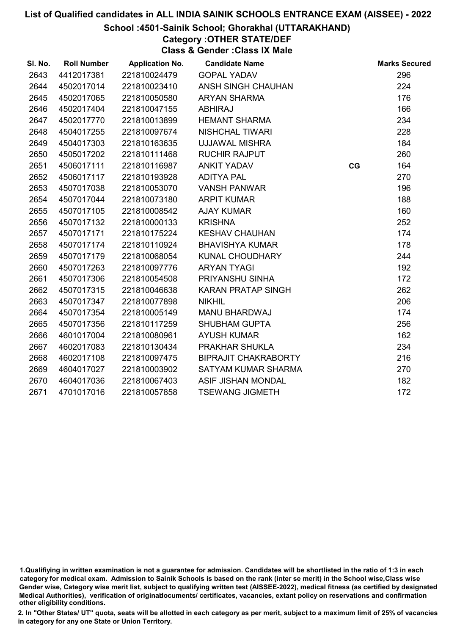## School :4501-Sainik School; Ghorakhal (UTTARAKHAND)

# Category :OTHER STATE/DEF

Class & Gender :Class IX Male

| SI. No. | <b>Roll Number</b> | <b>Application No.</b> | <b>Candidate Name</b>       |    | <b>Marks Secured</b> |
|---------|--------------------|------------------------|-----------------------------|----|----------------------|
| 2643    | 4412017381         | 221810024479           | <b>GOPAL YADAV</b>          |    | 296                  |
| 2644    | 4502017014         | 221810023410           | <b>ANSH SINGH CHAUHAN</b>   |    | 224                  |
| 2645    | 4502017065         | 221810050580           | <b>ARYAN SHARMA</b>         |    | 176                  |
| 2646    | 4502017404         | 221810047155           | <b>ABHIRAJ</b>              |    | 166                  |
| 2647    | 4502017770         | 221810013899           | <b>HEMANT SHARMA</b>        |    | 234                  |
| 2648    | 4504017255         | 221810097674           | <b>NISHCHAL TIWARI</b>      |    | 228                  |
| 2649    | 4504017303         | 221810163635           | <b>UJJAWAL MISHRA</b>       |    | 184                  |
| 2650    | 4505017202         | 221810111468           | <b>RUCHIR RAJPUT</b>        |    | 260                  |
| 2651    | 4506017111         | 221810116987           | <b>ANKIT YADAV</b>          | CG | 164                  |
| 2652    | 4506017117         | 221810193928           | <b>ADITYA PAL</b>           |    | 270                  |
| 2653    | 4507017038         | 221810053070           | <b>VANSH PANWAR</b>         |    | 196                  |
| 2654    | 4507017044         | 221810073180           | <b>ARPIT KUMAR</b>          |    | 188                  |
| 2655    | 4507017105         | 221810008542           | <b>AJAY KUMAR</b>           |    | 160                  |
| 2656    | 4507017132         | 221810000133           | <b>KRISHNA</b>              |    | 252                  |
| 2657    | 4507017171         | 221810175224           | <b>KESHAV CHAUHAN</b>       |    | 174                  |
| 2658    | 4507017174         | 221810110924           | <b>BHAVISHYA KUMAR</b>      |    | 178                  |
| 2659    | 4507017179         | 221810068054           | KUNAL CHOUDHARY             |    | 244                  |
| 2660    | 4507017263         | 221810097776           | <b>ARYAN TYAGI</b>          |    | 192                  |
| 2661    | 4507017306         | 221810054508           | PRIYANSHU SINHA             |    | 172                  |
| 2662    | 4507017315         | 221810046638           | <b>KARAN PRATAP SINGH</b>   |    | 262                  |
| 2663    | 4507017347         | 221810077898           | <b>NIKHIL</b>               |    | 206                  |
| 2664    | 4507017354         | 221810005149           | MANU BHARDWAJ               |    | 174                  |
| 2665    | 4507017356         | 221810117259           | <b>SHUBHAM GUPTA</b>        |    | 256                  |
| 2666    | 4601017004         | 221810080961           | <b>AYUSH KUMAR</b>          |    | 162                  |
| 2667    | 4602017083         | 221810130434           | PRAKHAR SHUKLA              |    | 234                  |
| 2668    | 4602017108         | 221810097475           | <b>BIPRAJIT CHAKRABORTY</b> |    | 216                  |
| 2669    | 4604017027         | 221810003902           | SATYAM KUMAR SHARMA         |    | 270                  |
| 2670    | 4604017036         | 221810067403           | <b>ASIF JISHAN MONDAL</b>   |    | 182                  |
| 2671    | 4701017016         | 221810057858           | <b>TSEWANG JIGMETH</b>      |    | 172                  |

<sup>1.</sup>Qualifiying in written examination is not a guarantee for admission. Candidates will be shortlisted in the ratio of 1:3 in each category for medical exam. Admission to Sainik Schools is based on the rank (inter se merit) in the School wise,Class wise Gender wise, Category wise merit list, subject to qualifying written test (AISSEE-2022), medical fitness (as certified by designated Medical Authorities), verification of originablocuments/ certificates, vacancies, extant policy on reservations and confirmation other eligibility conditions.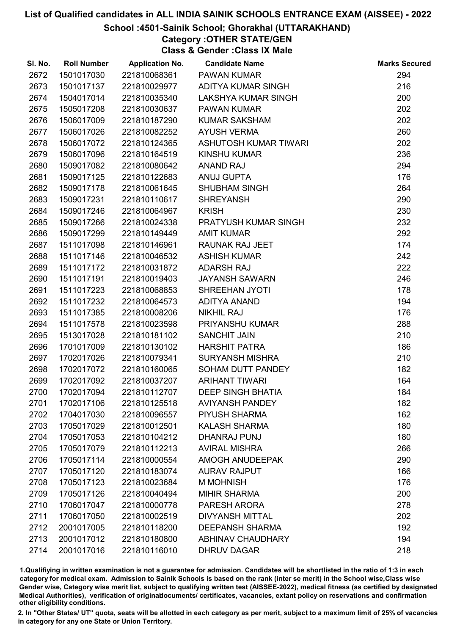## School :4501-Sainik School; Ghorakhal (UTTARAKHAND)

Category :OTHER STATE/GEN Class & Gender :Class IX Male

| SI. No. | <b>Roll Number</b> | <b>Application No.</b> | <b>Candidate Name</b>    | <b>Marks Secured</b> |
|---------|--------------------|------------------------|--------------------------|----------------------|
| 2672    | 1501017030         | 221810068361           | <b>PAWAN KUMAR</b>       | 294                  |
| 2673    | 1501017137         | 221810029977           | ADITYA KUMAR SINGH       | 216                  |
| 2674    | 1504017014         | 221810035340           | LAKSHYA KUMAR SINGH      | 200                  |
| 2675    | 1505017208         | 221810030637           | <b>PAWAN KUMAR</b>       | 202                  |
| 2676    | 1506017009         | 221810187290           | <b>KUMAR SAKSHAM</b>     | 202                  |
| 2677    | 1506017026         | 221810082252           | <b>AYUSH VERMA</b>       | 260                  |
| 2678    | 1506017072         | 221810124365           | ASHUTOSH KUMAR TIWARI    | 202                  |
| 2679    | 1506017096         | 221810164519           | <b>KINSHU KUMAR</b>      | 236                  |
| 2680    | 1509017082         | 221810080642           | <b>ANAND RAJ</b>         | 294                  |
| 2681    | 1509017125         | 221810122683           | <b>ANUJ GUPTA</b>        | 176                  |
| 2682    | 1509017178         | 221810061645           | <b>SHUBHAM SINGH</b>     | 264                  |
| 2683    | 1509017231         | 221810110617           | <b>SHREYANSH</b>         | 290                  |
| 2684    | 1509017246         | 221810064967           | <b>KRISH</b>             | 230                  |
| 2685    | 1509017266         | 221810024338           | PRATYUSH KUMAR SINGH     | 232                  |
| 2686    | 1509017299         | 221810149449           | <b>AMIT KUMAR</b>        | 292                  |
| 2687    | 1511017098         | 221810146961           | RAUNAK RAJ JEET          | 174                  |
| 2688    | 1511017146         | 221810046532           | <b>ASHISH KUMAR</b>      | 242                  |
| 2689    | 1511017172         | 221810031872           | <b>ADARSH RAJ</b>        | 222                  |
| 2690    | 1511017191         | 221810019403           | <b>JAYANSH SAWARN</b>    | 246                  |
| 2691    | 1511017223         | 221810068853           | SHREEHAN JYOTI           | 178                  |
| 2692    | 1511017232         | 221810064573           | <b>ADITYA ANAND</b>      | 194                  |
| 2693    | 1511017385         | 221810008206           | <b>NIKHIL RAJ</b>        | 176                  |
| 2694    | 1511017578         | 221810023598           | <b>PRIYANSHU KUMAR</b>   | 288                  |
| 2695    | 1513017028         | 221810181102           | <b>SANCHIT JAIN</b>      | 210                  |
| 2696    | 1701017009         | 221810130102           | <b>HARSHIT PATRA</b>     | 186                  |
| 2697    | 1702017026         | 221810079341           | <b>SURYANSH MISHRA</b>   | 210                  |
| 2698    | 1702017072         | 221810160065           | SOHAM DUTT PANDEY        | 182                  |
| 2699    | 1702017092         | 221810037207           | <b>ARIHANT TIWARI</b>    | 164                  |
| 2700    | 1702017094         | 221810112707           | <b>DEEP SINGH BHATIA</b> | 184                  |
| 2701    | 1702017106         | 221810125518           | <b>AVIYANSH PANDEY</b>   | 182                  |
| 2702    | 1704017030         | 221810096557           | PIYUSH SHARMA            | 162                  |
| 2703    | 1705017029         | 221810012501           | <b>KALASH SHARMA</b>     | 180                  |
| 2704    | 1705017053         | 221810104212           | DHANRAJ PUNJ             | 180                  |
| 2705    | 1705017079         | 221810112213           | <b>AVIRAL MISHRA</b>     | 266                  |
| 2706    | 1705017114         | 221810000554           | AMOGH ANUDEEPAK          | 290                  |
| 2707    | 1705017120         | 221810183074           | <b>AURAV RAJPUT</b>      | 166                  |
| 2708    | 1705017123         | 221810023684           | <b>M MOHNISH</b>         | 176                  |
| 2709    | 1705017126         | 221810040494           | <b>MIHIR SHARMA</b>      | 200                  |
| 2710    | 1706017047         | 221810000778           | PARESH ARORA             | 278                  |
| 2711    | 1706017050         | 221810002519           | <b>DIVYANSH MITTAL</b>   | 202                  |
| 2712    | 2001017005         | 221810118200           | <b>DEEPANSH SHARMA</b>   | 192                  |
| 2713    | 2001017012         | 221810180800           | <b>ABHINAV CHAUDHARY</b> | 194                  |
| 2714    | 2001017016         | 221810116010           | <b>DHRUV DAGAR</b>       | 218                  |

1.Qualifiying in written examination is not a guarantee for admission. Candidates will be shortlisted in the ratio of 1:3 in each category for medical exam. Admission to Sainik Schools is based on the rank (inter se merit) in the School wise,Class wise Gender wise, Category wise merit list, subject to qualifying written test (AISSEE-2022), medical fitness (as certified by designated Medical Authorities), verification of originablocuments/ certificates, vacancies, extant policy on reservations and confirmation other eligibility conditions.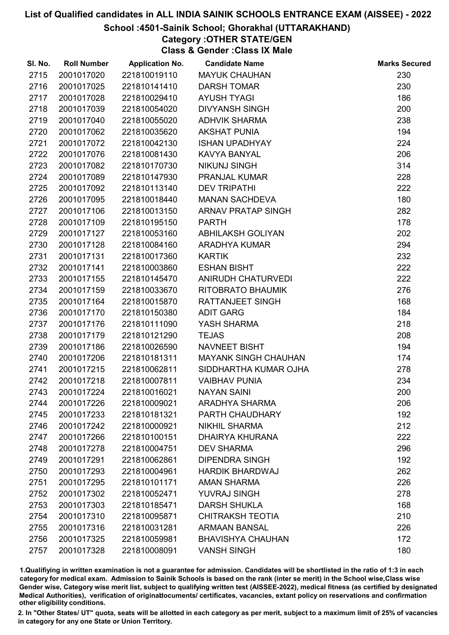## School :4501-Sainik School; Ghorakhal (UTTARAKHAND)

Category :OTHER STATE/GEN Class & Gender :Class IX Male

| SI. No. | <b>Roll Number</b> | <b>Application No.</b> | <b>Candidate Name</b>       | <b>Marks Secured</b> |
|---------|--------------------|------------------------|-----------------------------|----------------------|
| 2715    | 2001017020         | 221810019110           | <b>MAYUK CHAUHAN</b>        | 230                  |
| 2716    | 2001017025         | 221810141410           | <b>DARSH TOMAR</b>          | 230                  |
| 2717    | 2001017028         | 221810029410           | <b>AYUSH TYAGI</b>          | 186                  |
| 2718    | 2001017039         | 221810054020           | <b>DIVYANSH SINGH</b>       | 200                  |
| 2719    | 2001017040         | 221810055020           | <b>ADHVIK SHARMA</b>        | 238                  |
| 2720    | 2001017062         | 221810035620           | <b>AKSHAT PUNIA</b>         | 194                  |
| 2721    | 2001017072         | 221810042130           | <b>ISHAN UPADHYAY</b>       | 224                  |
| 2722    | 2001017076         | 221810081430           | <b>KAVYA BANYAL</b>         | 206                  |
| 2723    | 2001017082         | 221810170730           | <b>NIKUNJ SINGH</b>         | 314                  |
| 2724    | 2001017089         | 221810147930           | PRANJAL KUMAR               | 228                  |
| 2725    | 2001017092         | 221810113140           | <b>DEV TRIPATHI</b>         | 222                  |
| 2726    | 2001017095         | 221810018440           | <b>MANAN SACHDEVA</b>       | 180                  |
| 2727    | 2001017106         | 221810013150           | <b>ARNAV PRATAP SINGH</b>   | 282                  |
| 2728    | 2001017109         | 221810195150           | <b>PARTH</b>                | 178                  |
| 2729    | 2001017127         | 221810053160           | <b>ABHILAKSH GOLIYAN</b>    | 202                  |
| 2730    | 2001017128         | 221810084160           | <b>ARADHYA KUMAR</b>        | 294                  |
| 2731    | 2001017131         | 221810017360           | <b>KARTIK</b>               | 232                  |
| 2732    | 2001017141         | 221810003860           | <b>ESHAN BISHT</b>          | 222                  |
| 2733    | 2001017155         | 221810145470           | ANIRUDH CHATURVEDI          | 222                  |
| 2734    | 2001017159         | 221810033670           | RITOBRATO BHAUMIK           | 276                  |
| 2735    | 2001017164         | 221810015870           | <b>RATTANJEET SINGH</b>     | 168                  |
| 2736    | 2001017170         | 221810150380           | <b>ADIT GARG</b>            | 184                  |
| 2737    | 2001017176         | 221810111090           | YASH SHARMA                 | 218                  |
| 2738    | 2001017179         | 221810121290           | <b>TEJAS</b>                | 208                  |
| 2739    | 2001017186         | 221810026590           | <b>NAVNEET BISHT</b>        | 194                  |
| 2740    | 2001017206         | 221810181311           | <b>MAYANK SINGH CHAUHAN</b> | 174                  |
| 2741    | 2001017215         | 221810062811           | SIDDHARTHA KUMAR OJHA       | 278                  |
| 2742    | 2001017218         | 221810007811           | <b>VAIBHAV PUNIA</b>        | 234                  |
| 2743    | 2001017224         | 221810016021           | <b>NAYAN SAINI</b>          | 200                  |
| 2744    | 2001017226         | 221810009021           | <b>ARADHYA SHARMA</b>       | 206                  |
| 2745    | 2001017233         | 221810181321           | PARTH CHAUDHARY             | 192                  |
| 2746    | 2001017242         | 221810000921           | <b>NIKHIL SHARMA</b>        | 212                  |
| 2747    | 2001017266         | 221810100151           | <b>DHAIRYA KHURANA</b>      | 222                  |
| 2748    | 2001017278         | 221810004751           | <b>DEV SHARMA</b>           | 296                  |
| 2749    | 2001017291         | 221810062861           | <b>DIPENDRA SINGH</b>       | 192                  |
| 2750    | 2001017293         | 221810004961           | <b>HARDIK BHARDWAJ</b>      | 262                  |
| 2751    | 2001017295         | 221810101171           | <b>AMAN SHARMA</b>          | 226                  |
| 2752    | 2001017302         | 221810052471           | <b>YUVRAJ SINGH</b>         | 278                  |
| 2753    | 2001017303         | 221810185471           | <b>DARSH SHUKLA</b>         | 168                  |
| 2754    | 2001017310         | 221810095871           | <b>CHITRAKSH TEOTIA</b>     | 210                  |
| 2755    | 2001017316         | 221810031281           | <b>ARMAAN BANSAL</b>        | 226                  |
| 2756    | 2001017325         | 221810059981           | <b>BHAVISHYA CHAUHAN</b>    | 172                  |
| 2757    | 2001017328         | 221810008091           | <b>VANSH SINGH</b>          | 180                  |

1.Qualifiying in written examination is not a guarantee for admission. Candidates will be shortlisted in the ratio of 1:3 in each category for medical exam. Admission to Sainik Schools is based on the rank (inter se merit) in the School wise,Class wise Gender wise, Category wise merit list, subject to qualifying written test (AISSEE-2022), medical fitness (as certified by designated Medical Authorities), verification of originablocuments/ certificates, vacancies, extant policy on reservations and confirmation other eligibility conditions.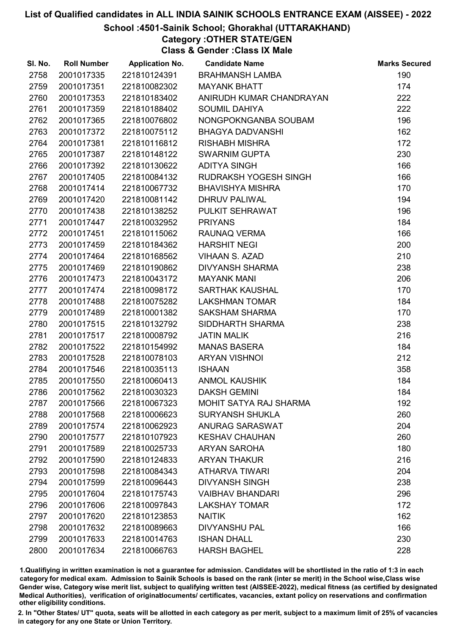## School :4501-Sainik School; Ghorakhal (UTTARAKHAND)

# Category :OTHER STATE/GEN

Class & Gender :Class IX Male

| SI. No. | <b>Roll Number</b> | <b>Application No.</b> | <b>Candidate Name</b>         | <b>Marks Secured</b> |
|---------|--------------------|------------------------|-------------------------------|----------------------|
| 2758    | 2001017335         | 221810124391           | <b>BRAHMANSH LAMBA</b>        | 190                  |
| 2759    | 2001017351         | 221810082302           | <b>MAYANK BHATT</b>           | 174                  |
| 2760    | 2001017353         | 221810183402           | ANIRUDH KUMAR CHANDRAYAN      | 222                  |
| 2761    | 2001017359         | 221810188402           | <b>SOUMIL DAHIYA</b>          | 222                  |
| 2762    | 2001017365         | 221810076802           | NONGPOKNGANBA SOUBAM          | 196                  |
| 2763    | 2001017372         | 221810075112           | <b>BHAGYA DADVANSHI</b>       | 162                  |
| 2764    | 2001017381         | 221810116812           | <b>RISHABH MISHRA</b>         | 172                  |
| 2765    | 2001017387         | 221810148122           | <b>SWARNIM GUPTA</b>          | 230                  |
| 2766    | 2001017392         | 221810130622           | <b>ADITYA SINGH</b>           | 166                  |
| 2767    | 2001017405         | 221810084132           | RUDRAKSH YOGESH SINGH         | 166                  |
| 2768    | 2001017414         | 221810067732           | <b>BHAVISHYA MISHRA</b>       | 170                  |
| 2769    | 2001017420         | 221810081142           | <b>DHRUV PALIWAL</b>          | 194                  |
| 2770    | 2001017438         | 221810138252           | PULKIT SEHRAWAT               | 196                  |
| 2771    | 2001017447         | 221810032952           | <b>PRIYANS</b>                | 184                  |
| 2772    | 2001017451         | 221810115062           | RAUNAQ VERMA                  | 166                  |
| 2773    | 2001017459         | 221810184362           | <b>HARSHIT NEGI</b>           | 200                  |
| 2774    | 2001017464         | 221810168562           | VIHAAN S. AZAD                | 210                  |
| 2775    | 2001017469         | 221810190862           | <b>DIVYANSH SHARMA</b>        | 238                  |
| 2776    | 2001017473         | 221810043172           | <b>MAYANK MANI</b>            | 206                  |
| 2777    | 2001017474         | 221810098172           | SARTHAK KAUSHAL               | 170                  |
| 2778    | 2001017488         | 221810075282           | <b>LAKSHMAN TOMAR</b>         | 184                  |
| 2779    | 2001017489         | 221810001382           | <b>SAKSHAM SHARMA</b>         | 170                  |
| 2780    | 2001017515         | 221810132792           | SIDDHARTH SHARMA              | 238                  |
| 2781    | 2001017517         | 221810008792           | <b>JATIN MALIK</b>            | 216                  |
| 2782    | 2001017522         | 221810154992           | <b>MANAS BASERA</b>           | 184                  |
| 2783    | 2001017528         | 221810078103           | <b>ARYAN VISHNOI</b>          | 212                  |
| 2784    | 2001017546         | 221810035113           | <b>ISHAAN</b>                 | 358                  |
| 2785    | 2001017550         | 221810060413           | <b>ANMOL KAUSHIK</b>          | 184                  |
| 2786    | 2001017562         | 221810030323           | <b>DAKSH GEMINI</b>           | 184                  |
| 2787    | 2001017566         | 221810067323           | <b>MOHIT SATYA RAJ SHARMA</b> | 192                  |
| 2788    | 2001017568         | 221810006623           | <b>SURYANSH SHUKLA</b>        | 260                  |
| 2789    | 2001017574         | 221810062923           | <b>ANURAG SARASWAT</b>        | 204                  |
| 2790    | 2001017577         | 221810107923           | <b>KESHAV CHAUHAN</b>         | 260                  |
| 2791    | 2001017589         | 221810025733           | <b>ARYAN SAROHA</b>           | 180                  |
| 2792    | 2001017590         | 221810124833           | <b>ARYAN THAKUR</b>           | 216                  |
| 2793    | 2001017598         | 221810084343           | <b>ATHARVA TIWARI</b>         | 204                  |
| 2794    | 2001017599         | 221810096443           | <b>DIVYANSH SINGH</b>         | 238                  |
| 2795    | 2001017604         | 221810175743           | <b>VAIBHAV BHANDARI</b>       | 296                  |
| 2796    | 2001017606         | 221810097843           | <b>LAKSHAY TOMAR</b>          | 172                  |
| 2797    | 2001017620         | 221810123853           | <b>NAITIK</b>                 | 162                  |
| 2798    | 2001017632         | 221810089663           | <b>DIVYANSHU PAL</b>          | 166                  |
| 2799    | 2001017633         | 221810014763           | <b>ISHAN DHALL</b>            | 230                  |
| 2800    | 2001017634         | 221810066763           | <b>HARSH BAGHEL</b>           | 228                  |

1.Qualifiying in written examination is not a guarantee for admission. Candidates will be shortlisted in the ratio of 1:3 in each category for medical exam. Admission to Sainik Schools is based on the rank (inter se merit) in the School wise,Class wise Gender wise, Category wise merit list, subject to qualifying written test (AISSEE-2022), medical fitness (as certified by designated Medical Authorities), verification of originablocuments/ certificates, vacancies, extant policy on reservations and confirmation other eligibility conditions.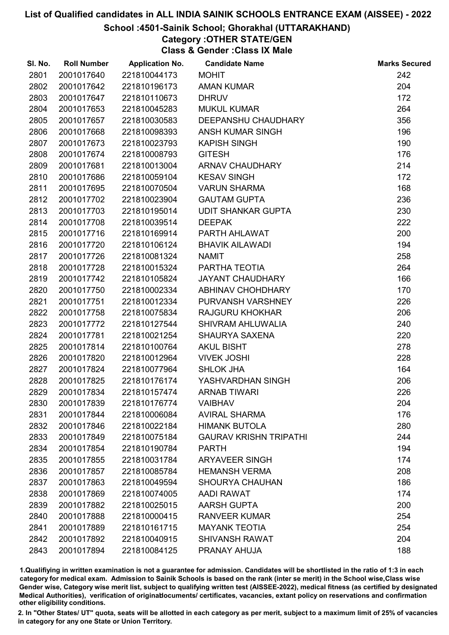## School :4501-Sainik School; Ghorakhal (UTTARAKHAND)

# Category :OTHER STATE/GEN

Class & Gender :Class IX Male

| SI. No. | <b>Roll Number</b> | <b>Application No.</b> | <b>Candidate Name</b>         | <b>Marks Secured</b> |
|---------|--------------------|------------------------|-------------------------------|----------------------|
| 2801    | 2001017640         | 221810044173           | <b>MOHIT</b>                  | 242                  |
| 2802    | 2001017642         | 221810196173           | <b>AMAN KUMAR</b>             | 204                  |
| 2803    | 2001017647         | 221810110673           | <b>DHRUV</b>                  | 172                  |
| 2804    | 2001017653         | 221810045283           | <b>MUKUL KUMAR</b>            | 264                  |
| 2805    | 2001017657         | 221810030583           | DEEPANSHU CHAUDHARY           | 356                  |
| 2806    | 2001017668         | 221810098393           | <b>ANSH KUMAR SINGH</b>       | 196                  |
| 2807    | 2001017673         | 221810023793           | <b>KAPISH SINGH</b>           | 190                  |
| 2808    | 2001017674         | 221810008793           | <b>GITESH</b>                 | 176                  |
| 2809    | 2001017681         | 221810013004           | ARNAV CHAUDHARY               | 214                  |
| 2810    | 2001017686         | 221810059104           | <b>KESAV SINGH</b>            | 172                  |
| 2811    | 2001017695         | 221810070504           | <b>VARUN SHARMA</b>           | 168                  |
| 2812    | 2001017702         | 221810023904           | <b>GAUTAM GUPTA</b>           | 236                  |
| 2813    | 2001017703         | 221810195014           | UDIT SHANKAR GUPTA            | 230                  |
| 2814    | 2001017708         | 221810039514           | <b>DEEPAK</b>                 | 222                  |
| 2815    | 2001017716         | 221810169914           | PARTH AHLAWAT                 | 200                  |
| 2816    | 2001017720         | 221810106124           | <b>BHAVIK AILAWADI</b>        | 194                  |
| 2817    | 2001017726         | 221810081324           | <b>NAMIT</b>                  | 258                  |
| 2818    | 2001017728         | 221810015324           | PARTHA TEOTIA                 | 264                  |
| 2819    | 2001017742         | 221810105824           | <b>JAYANT CHAUDHARY</b>       | 166                  |
| 2820    | 2001017750         | 221810002334           | ABHINAV CHOHDHARY             | 170                  |
| 2821    | 2001017751         | 221810012334           | PURVANSH VARSHNEY             | 226                  |
| 2822    | 2001017758         | 221810075834           | <b>RAJGURU KHOKHAR</b>        | 206                  |
| 2823    | 2001017772         | 221810127544           | SHIVRAM AHLUWALIA             | 240                  |
| 2824    | 2001017781         | 221810021254           | <b>SHAURYA SAXENA</b>         | 220                  |
| 2825    | 2001017814         | 221810100764           | <b>AKUL BISHT</b>             | 278                  |
| 2826    | 2001017820         | 221810012964           | <b>VIVEK JOSHI</b>            | 228                  |
| 2827    | 2001017824         | 221810077964           | <b>SHLOK JHA</b>              | 164                  |
| 2828    | 2001017825         | 221810176174           | YASHVARDHAN SINGH             | 206                  |
| 2829    | 2001017834         | 221810157474           | <b>ARNAB TIWARI</b>           | 226                  |
| 2830    | 2001017839         | 221810176774           | <b>VAIBHAV</b>                | 204                  |
| 2831    | 2001017844         | 221810006084           | <b>AVIRAL SHARMA</b>          | 176                  |
| 2832    | 2001017846         | 221810022184           | <b>HIMANK BUTOLA</b>          | 280                  |
| 2833    | 2001017849         | 221810075184           | <b>GAURAV KRISHN TRIPATHI</b> | 244                  |
| 2834    | 2001017854         | 221810190784           | <b>PARTH</b>                  | 194                  |
| 2835    | 2001017855         | 221810031784           | <b>ARYAVEER SINGH</b>         | 174                  |
| 2836    | 2001017857         | 221810085784           | <b>HEMANSH VERMA</b>          | 208                  |
| 2837    | 2001017863         | 221810049594           | <b>SHOURYA CHAUHAN</b>        | 186                  |
| 2838    | 2001017869         | 221810074005           | AADI RAWAT                    | 174                  |
| 2839    | 2001017882         | 221810025015           | <b>AARSH GUPTA</b>            | 200                  |
| 2840    | 2001017888         | 221810000415           | <b>RANVEER KUMAR</b>          | 254                  |
| 2841    | 2001017889         | 221810161715           | <b>MAYANK TEOTIA</b>          | 254                  |
| 2842    | 2001017892         | 221810040915           | <b>SHIVANSH RAWAT</b>         | 204                  |
| 2843    | 2001017894         | 221810084125           | PRANAY AHUJA                  | 188                  |

1.Qualifiying in written examination is not a guarantee for admission. Candidates will be shortlisted in the ratio of 1:3 in each category for medical exam. Admission to Sainik Schools is based on the rank (inter se merit) in the School wise,Class wise Gender wise, Category wise merit list, subject to qualifying written test (AISSEE-2022), medical fitness (as certified by designated Medical Authorities), verification of originablocuments/ certificates, vacancies, extant policy on reservations and confirmation other eligibility conditions.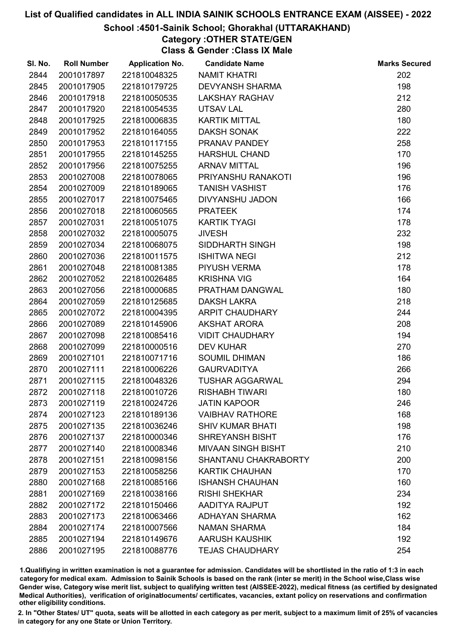## School :4501-Sainik School; Ghorakhal (UTTARAKHAND)

Category :OTHER STATE/GEN Class & Gender :Class IX Male

| 2844<br>2001017897<br>221810048325<br><b>NAMIT KHATRI</b><br>2845<br>2001017905<br>221810179725<br><b>DEVYANSH SHARMA</b><br>2001017918<br>2846<br>221810050535<br><b>LAKSHAY RAGHAV</b><br>2847<br>2001017920<br>221810054535<br>UTSAV LAL<br>2001017925<br><b>KARTIK MITTAL</b><br>2848<br>221810006835<br><b>DAKSH SONAK</b><br>2849<br>2001017952<br>221810164055<br>PRANAV PANDEY<br>2850<br>2001017953<br>221810117155<br>2851<br>2001017955<br>221810145255<br><b>HARSHUL CHAND</b><br>2852<br>2001017956<br>221810075255<br><b>ARNAV MITTAL</b><br>2853<br>2001027008<br>221810078065<br>PRIYANSHU RANAKOTI | 202<br>198<br>212<br>280<br>180<br>222<br>258<br>170<br>196<br>196<br>176<br>166<br>174 |
|---------------------------------------------------------------------------------------------------------------------------------------------------------------------------------------------------------------------------------------------------------------------------------------------------------------------------------------------------------------------------------------------------------------------------------------------------------------------------------------------------------------------------------------------------------------------------------------------------------------------|-----------------------------------------------------------------------------------------|
|                                                                                                                                                                                                                                                                                                                                                                                                                                                                                                                                                                                                                     |                                                                                         |
|                                                                                                                                                                                                                                                                                                                                                                                                                                                                                                                                                                                                                     |                                                                                         |
|                                                                                                                                                                                                                                                                                                                                                                                                                                                                                                                                                                                                                     |                                                                                         |
|                                                                                                                                                                                                                                                                                                                                                                                                                                                                                                                                                                                                                     |                                                                                         |
|                                                                                                                                                                                                                                                                                                                                                                                                                                                                                                                                                                                                                     |                                                                                         |
|                                                                                                                                                                                                                                                                                                                                                                                                                                                                                                                                                                                                                     |                                                                                         |
|                                                                                                                                                                                                                                                                                                                                                                                                                                                                                                                                                                                                                     |                                                                                         |
|                                                                                                                                                                                                                                                                                                                                                                                                                                                                                                                                                                                                                     |                                                                                         |
|                                                                                                                                                                                                                                                                                                                                                                                                                                                                                                                                                                                                                     |                                                                                         |
|                                                                                                                                                                                                                                                                                                                                                                                                                                                                                                                                                                                                                     |                                                                                         |
| <b>TANISH VASHIST</b><br>2854<br>2001027009<br>221810189065                                                                                                                                                                                                                                                                                                                                                                                                                                                                                                                                                         |                                                                                         |
| 2855<br>2001027017<br>221810075465<br>DIVYANSHU JADON                                                                                                                                                                                                                                                                                                                                                                                                                                                                                                                                                               |                                                                                         |
| 2856<br>2001027018<br>221810060565<br><b>PRATEEK</b>                                                                                                                                                                                                                                                                                                                                                                                                                                                                                                                                                                |                                                                                         |
| 2857<br>2001027031<br>221810051075<br><b>KARTIK TYAGI</b>                                                                                                                                                                                                                                                                                                                                                                                                                                                                                                                                                           | 178                                                                                     |
| 2001027032<br>2858<br>221810005075<br><b>JIVESH</b>                                                                                                                                                                                                                                                                                                                                                                                                                                                                                                                                                                 | 232                                                                                     |
| 2859<br>2001027034<br>221810068075<br>SIDDHARTH SINGH                                                                                                                                                                                                                                                                                                                                                                                                                                                                                                                                                               | 198                                                                                     |
| 2001027036<br><b>ISHITWA NEGI</b><br>2860<br>221810011575                                                                                                                                                                                                                                                                                                                                                                                                                                                                                                                                                           | 212                                                                                     |
| 2001027048<br>PIYUSH VERMA<br>2861<br>221810081385                                                                                                                                                                                                                                                                                                                                                                                                                                                                                                                                                                  | 178                                                                                     |
| 2862<br>2001027052<br><b>KRISHNA VIG</b><br>221810026485                                                                                                                                                                                                                                                                                                                                                                                                                                                                                                                                                            | 164                                                                                     |
| 2863<br>2001027056<br>221810000685<br>PRATHAM DANGWAL                                                                                                                                                                                                                                                                                                                                                                                                                                                                                                                                                               | 180                                                                                     |
| 2864<br>2001027059<br>221810125685<br><b>DAKSH LAKRA</b>                                                                                                                                                                                                                                                                                                                                                                                                                                                                                                                                                            | 218                                                                                     |
| 2865<br>2001027072<br>221810004395<br>ARPIT CHAUDHARY                                                                                                                                                                                                                                                                                                                                                                                                                                                                                                                                                               | 244                                                                                     |
| <b>AKSHAT ARORA</b><br>2866<br>2001027089<br>221810145906                                                                                                                                                                                                                                                                                                                                                                                                                                                                                                                                                           | 208                                                                                     |
| 2867<br>2001027098<br>221810085416<br><b>VIDIT CHAUDHARY</b>                                                                                                                                                                                                                                                                                                                                                                                                                                                                                                                                                        | 194                                                                                     |
| 2868<br>2001027099<br>221810000516<br><b>DEV KUHAR</b>                                                                                                                                                                                                                                                                                                                                                                                                                                                                                                                                                              | 270                                                                                     |
| 2869<br>2001027101<br>221810071716<br><b>SOUMIL DHIMAN</b>                                                                                                                                                                                                                                                                                                                                                                                                                                                                                                                                                          | 186                                                                                     |
| <b>GAURVADITYA</b><br>2870<br>2001027111<br>221810006226                                                                                                                                                                                                                                                                                                                                                                                                                                                                                                                                                            | 266                                                                                     |
| 2871<br>2001027115<br>221810048326<br><b>TUSHAR AGGARWAL</b>                                                                                                                                                                                                                                                                                                                                                                                                                                                                                                                                                        | 294                                                                                     |
| 2872<br>2001027118<br>221810010726<br><b>RISHABH TIWARI</b>                                                                                                                                                                                                                                                                                                                                                                                                                                                                                                                                                         | 180                                                                                     |
| 2873<br>2001027119<br><b>JATIN KAPOOR</b><br>221810024726                                                                                                                                                                                                                                                                                                                                                                                                                                                                                                                                                           | 246                                                                                     |
| 2874<br>2001027123<br>221810189136<br><b>VAIBHAV RATHORE</b>                                                                                                                                                                                                                                                                                                                                                                                                                                                                                                                                                        | 168                                                                                     |
| 2875<br>2001027135<br>221810036246<br><b>SHIV KUMAR BHATI</b>                                                                                                                                                                                                                                                                                                                                                                                                                                                                                                                                                       | 198                                                                                     |
| <b>SHREYANSH BISHT</b><br>2876<br>2001027137<br>221810000346                                                                                                                                                                                                                                                                                                                                                                                                                                                                                                                                                        | 176                                                                                     |
| 2877<br>2001027140<br>221810008346<br><b>MIVAAN SINGH BISHT</b>                                                                                                                                                                                                                                                                                                                                                                                                                                                                                                                                                     | 210                                                                                     |
| 2878<br>2001027151<br>221810098156<br>SHANTANU CHAKRABORTY                                                                                                                                                                                                                                                                                                                                                                                                                                                                                                                                                          | 200                                                                                     |
| 2879<br>2001027153<br>221810058256<br><b>KARTIK CHAUHAN</b>                                                                                                                                                                                                                                                                                                                                                                                                                                                                                                                                                         | 170                                                                                     |
| 2880<br>2001027168<br>221810085166<br><b>ISHANSH CHAUHAN</b>                                                                                                                                                                                                                                                                                                                                                                                                                                                                                                                                                        | 160                                                                                     |
| 2881<br>2001027169<br>221810038166<br><b>RISHI SHEKHAR</b>                                                                                                                                                                                                                                                                                                                                                                                                                                                                                                                                                          | 234                                                                                     |
| 2882<br>2001027172<br>221810150466<br>AADITYA RAJPUT                                                                                                                                                                                                                                                                                                                                                                                                                                                                                                                                                                | 192                                                                                     |
| 2883<br>2001027173<br>221810063466<br><b>ADHAYAN SHARMA</b>                                                                                                                                                                                                                                                                                                                                                                                                                                                                                                                                                         | 162                                                                                     |
| 2884<br>2001027174<br>221810007566<br><b>NAMAN SHARMA</b>                                                                                                                                                                                                                                                                                                                                                                                                                                                                                                                                                           | 184                                                                                     |
| 2885<br>2001027194<br>221810149676<br><b>AARUSH KAUSHIK</b>                                                                                                                                                                                                                                                                                                                                                                                                                                                                                                                                                         | 192                                                                                     |
| 254<br>2886<br>2001027195<br>221810088776<br><b>TEJAS CHAUDHARY</b>                                                                                                                                                                                                                                                                                                                                                                                                                                                                                                                                                 |                                                                                         |

1.Qualifiying in written examination is not a guarantee for admission. Candidates will be shortlisted in the ratio of 1:3 in each category for medical exam. Admission to Sainik Schools is based on the rank (inter se merit) in the School wise,Class wise Gender wise, Category wise merit list, subject to qualifying written test (AISSEE-2022), medical fitness (as certified by designated Medical Authorities), verification of originablocuments/ certificates, vacancies, extant policy on reservations and confirmation other eligibility conditions.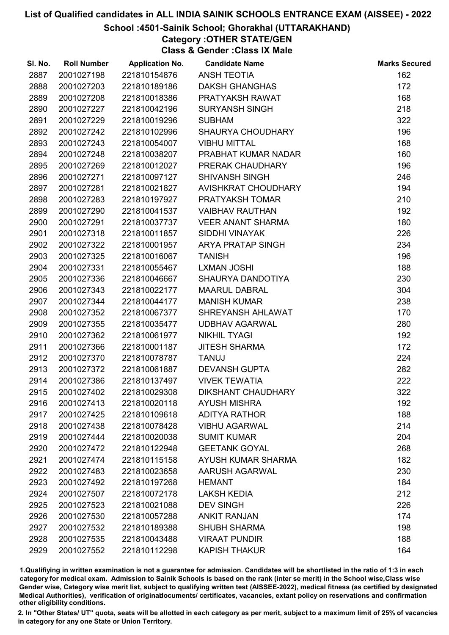## School :4501-Sainik School; Ghorakhal (UTTARAKHAND)

# Category :OTHER STATE/GEN

Class & Gender :Class IX Male

| SI. No. | <b>Roll Number</b> | <b>Application No.</b> | <b>Candidate Name</b>     | <b>Marks Secured</b> |
|---------|--------------------|------------------------|---------------------------|----------------------|
| 2887    | 2001027198         | 221810154876           | <b>ANSH TEOTIA</b>        | 162                  |
| 2888    | 2001027203         | 221810189186           | <b>DAKSH GHANGHAS</b>     | 172                  |
| 2889    | 2001027208         | 221810018386           | PRATYAKSH RAWAT           | 168                  |
| 2890    | 2001027227         | 221810042196           | <b>SURYANSH SINGH</b>     | 218                  |
| 2891    | 2001027229         | 221810019296           | <b>SUBHAM</b>             | 322                  |
| 2892    | 2001027242         | 221810102996           | <b>SHAURYA CHOUDHARY</b>  | 196                  |
| 2893    | 2001027243         | 221810054007           | <b>VIBHU MITTAL</b>       | 168                  |
| 2894    | 2001027248         | 221810038207           | PRABHAT KUMAR NADAR       | 160                  |
| 2895    | 2001027269         | 221810012027           | PRERAK CHAUDHARY          | 196                  |
| 2896    | 2001027271         | 221810097127           | <b>SHIVANSH SINGH</b>     | 246                  |
| 2897    | 2001027281         | 221810021827           | AVISHKRAT CHOUDHARY       | 194                  |
| 2898    | 2001027283         | 221810197927           | PRATYAKSH TOMAR           | 210                  |
| 2899    | 2001027290         | 221810041537           | <b>VAIBHAV RAUTHAN</b>    | 192                  |
| 2900    | 2001027291         | 221810037737           | <b>VEER ANANT SHARMA</b>  | 180                  |
| 2901    | 2001027318         | 221810011857           | <b>SIDDHI VINAYAK</b>     | 226                  |
| 2902    | 2001027322         | 221810001957           | ARYA PRATAP SINGH         | 234                  |
| 2903    | 2001027325         | 221810016067           | <b>TANISH</b>             | 196                  |
| 2904    | 2001027331         | 221810055467           | <b>LXMAN JOSHI</b>        | 188                  |
| 2905    | 2001027336         | 221810046667           | SHAURYA DANDOTIYA         | 230                  |
| 2906    | 2001027343         | 221810022177           | <b>MAARUL DABRAL</b>      | 304                  |
| 2907    | 2001027344         | 221810044177           | <b>MANISH KUMAR</b>       | 238                  |
| 2908    | 2001027352         | 221810067377           | SHREYANSH AHLAWAT         | 170                  |
| 2909    | 2001027355         | 221810035477           | <b>UDBHAV AGARWAL</b>     | 280                  |
| 2910    | 2001027362         | 221810061977           | <b>NIKHIL TYAGI</b>       | 192                  |
| 2911    | 2001027366         | 221810001187           | <b>JITESH SHARMA</b>      | 172                  |
| 2912    | 2001027370         | 221810078787           | <b>TANUJ</b>              | 224                  |
| 2913    | 2001027372         | 221810061887           | <b>DEVANSH GUPTA</b>      | 282                  |
| 2914    | 2001027386         | 221810137497           | <b>VIVEK TEWATIA</b>      | 222                  |
| 2915    | 2001027402         | 221810029308           | <b>DIKSHANT CHAUDHARY</b> | 322                  |
| 2916    | 2001027413         | 221810020118           | <b>AYUSH MISHRA</b>       | 192                  |
| 2917    | 2001027425         | 221810109618           | <b>ADITYA RATHOR</b>      | 188                  |
| 2918    | 2001027438         | 221810078428           | <b>VIBHU AGARWAL</b>      | 214                  |
| 2919    | 2001027444         | 221810020038           | <b>SUMIT KUMAR</b>        | 204                  |
| 2920    | 2001027472         | 221810122948           | <b>GEETANK GOYAL</b>      | 268                  |
| 2921    | 2001027474         | 221810115158           | AYUSH KUMAR SHARMA        | 182                  |
| 2922    | 2001027483         | 221810023658           | AARUSH AGARWAL            | 230                  |
| 2923    | 2001027492         | 221810197268           | <b>HEMANT</b>             | 184                  |
| 2924    | 2001027507         | 221810072178           | <b>LAKSH KEDIA</b>        | 212                  |
| 2925    | 2001027523         | 221810021088           | <b>DEV SINGH</b>          | 226                  |
| 2926    | 2001027530         | 221810057288           | <b>ANKIT RANJAN</b>       | 174                  |
| 2927    | 2001027532         | 221810189388           | <b>SHUBH SHARMA</b>       | 198                  |
| 2928    | 2001027535         | 221810043488           | <b>VIRAAT PUNDIR</b>      | 188                  |
| 2929    | 2001027552         | 221810112298           | <b>KAPISH THAKUR</b>      | 164                  |

1.Qualifiying in written examination is not a guarantee for admission. Candidates will be shortlisted in the ratio of 1:3 in each category for medical exam. Admission to Sainik Schools is based on the rank (inter se merit) in the School wise,Class wise Gender wise, Category wise merit list, subject to qualifying written test (AISSEE-2022), medical fitness (as certified by designated Medical Authorities), verification of originablocuments/ certificates, vacancies, extant policy on reservations and confirmation other eligibility conditions.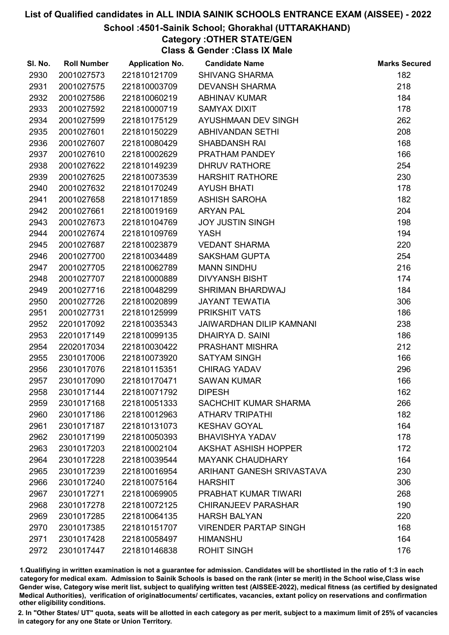## School :4501-Sainik School; Ghorakhal (UTTARAKHAND)

# Category :OTHER STATE/GEN

Class & Gender :Class IX Male

| SI. No. | <b>Roll Number</b> | <b>Application No.</b> | <b>Candidate Name</b>           | <b>Marks Secured</b> |
|---------|--------------------|------------------------|---------------------------------|----------------------|
| 2930    | 2001027573         | 221810121709           | <b>SHIVANG SHARMA</b>           | 182                  |
| 2931    | 2001027575         | 221810003709           | <b>DEVANSH SHARMA</b>           | 218                  |
| 2932    | 2001027586         | 221810060219           | <b>ABHINAV KUMAR</b>            | 184                  |
| 2933    | 2001027592         | 221810000719           | <b>SAMYAX DIXIT</b>             | 178                  |
| 2934    | 2001027599         | 221810175129           | AYUSHMAAN DEV SINGH             | 262                  |
| 2935    | 2001027601         | 221810150229           | <b>ABHIVANDAN SETHI</b>         | 208                  |
| 2936    | 2001027607         | 221810080429           | <b>SHABDANSH RAI</b>            | 168                  |
| 2937    | 2001027610         | 221810002629           | PRATHAM PANDEY                  | 166                  |
| 2938    | 2001027622         | 221810149239           | <b>DHRUV RATHORE</b>            | 254                  |
| 2939    | 2001027625         | 221810073539           | <b>HARSHIT RATHORE</b>          | 230                  |
| 2940    | 2001027632         | 221810170249           | <b>AYUSH BHATI</b>              | 178                  |
| 2941    | 2001027658         | 221810171859           | <b>ASHISH SAROHA</b>            | 182                  |
| 2942    | 2001027661         | 221810019169           | <b>ARYAN PAL</b>                | 204                  |
| 2943    | 2001027673         | 221810104769           | <b>JOY JUSTIN SINGH</b>         | 198                  |
| 2944    | 2001027674         | 221810109769           | <b>YASH</b>                     | 194                  |
| 2945    | 2001027687         | 221810023879           | <b>VEDANT SHARMA</b>            | 220                  |
| 2946    | 2001027700         | 221810034489           | <b>SAKSHAM GUPTA</b>            | 254                  |
| 2947    | 2001027705         | 221810062789           | <b>MANN SINDHU</b>              | 216                  |
| 2948    | 2001027707         | 221810000889           | <b>DIVYANSH BISHT</b>           | 174                  |
| 2949    | 2001027716         | 221810048299           | SHRIMAN BHARDWAJ                | 184                  |
| 2950    | 2001027726         | 221810020899           | <b>JAYANT TEWATIA</b>           | 306                  |
| 2951    | 2001027731         | 221810125999           | <b>PRIKSHIT VATS</b>            | 186                  |
| 2952    | 2201017092         | 221810035343           | <b>JAIWARDHAN DILIP KAMNANI</b> | 238                  |
| 2953    | 2201017149         | 221810099135           | DHAIRYA D. SAINI                | 186                  |
| 2954    | 2202017034         | 221810030422           | PRASHANT MISHRA                 | 212                  |
| 2955    | 2301017006         | 221810073920           | <b>SATYAM SINGH</b>             | 166                  |
| 2956    | 2301017076         | 221810115351           | <b>CHIRAG YADAV</b>             | 296                  |
| 2957    | 2301017090         | 221810170471           | <b>SAWAN KUMAR</b>              | 166                  |
| 2958    | 2301017144         | 221810071792           | <b>DIPESH</b>                   | 162                  |
| 2959    | 2301017168         | 221810051333           | SACHCHIT KUMAR SHARMA           | 266                  |
| 2960    | 2301017186         | 221810012963           | <b>ATHARV TRIPATHI</b>          | 182                  |
| 2961    | 2301017187         | 221810131073           | <b>KESHAV GOYAL</b>             | 164                  |
| 2962    | 2301017199         | 221810050393           | <b>BHAVISHYA YADAV</b>          | 178                  |
| 2963    | 2301017203         | 221810002104           | <b>AKSHAT ASHISH HOPPER</b>     | 172                  |
| 2964    | 2301017228         | 221810039544           | <b>MAYANK CHAUDHARY</b>         | 164                  |
| 2965    | 2301017239         | 221810016954           | ARIHANT GANESH SRIVASTAVA       | 230                  |
| 2966    | 2301017240         | 221810075164           | <b>HARSHIT</b>                  | 306                  |
| 2967    | 2301017271         | 221810069905           | PRABHAT KUMAR TIWARI            | 268                  |
| 2968    | 2301017278         | 221810072125           | <b>CHIRANJEEV PARASHAR</b>      | 190                  |
| 2969    | 2301017285         | 221810064135           | <b>HARSH BALYAN</b>             | 220                  |
| 2970    | 2301017385         | 221810151707           | <b>VIRENDER PARTAP SINGH</b>    | 168                  |
| 2971    | 2301017428         | 221810058497           | <b>HIMANSHU</b>                 | 164                  |
| 2972    | 2301017447         | 221810146838           | <b>ROHIT SINGH</b>              | 176                  |

1.Qualifiying in written examination is not a guarantee for admission. Candidates will be shortlisted in the ratio of 1:3 in each category for medical exam. Admission to Sainik Schools is based on the rank (inter se merit) in the School wise,Class wise Gender wise, Category wise merit list, subject to qualifying written test (AISSEE-2022), medical fitness (as certified by designated Medical Authorities), verification of originablocuments/ certificates, vacancies, extant policy on reservations and confirmation other eligibility conditions.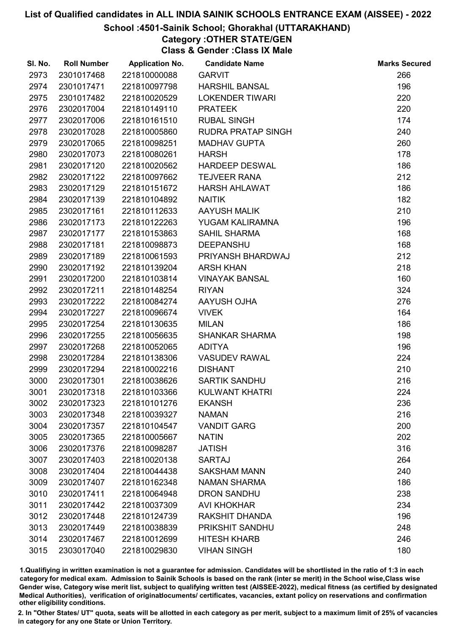## School :4501-Sainik School; Ghorakhal (UTTARAKHAND)

# Category :OTHER STATE/GEN

Class & Gender :Class IX Male

| SI. No. | <b>Roll Number</b> | <b>Application No.</b> | <b>Candidate Name</b>     | <b>Marks Secured</b> |
|---------|--------------------|------------------------|---------------------------|----------------------|
| 2973    | 2301017468         | 221810000088           | <b>GARVIT</b>             | 266                  |
| 2974    | 2301017471         | 221810097798           | <b>HARSHIL BANSAL</b>     | 196                  |
| 2975    | 2301017482         | 221810020529           | <b>LOKENDER TIWARI</b>    | 220                  |
| 2976    | 2302017004         | 221810149110           | <b>PRATEEK</b>            | 220                  |
| 2977    | 2302017006         | 221810161510           | <b>RUBAL SINGH</b>        | 174                  |
| 2978    | 2302017028         | 221810005860           | <b>RUDRA PRATAP SINGH</b> | 240                  |
| 2979    | 2302017065         | 221810098251           | <b>MADHAV GUPTA</b>       | 260                  |
| 2980    | 2302017073         | 221810080261           | <b>HARSH</b>              | 178                  |
| 2981    | 2302017120         | 221810020562           | <b>HARDEEP DESWAL</b>     | 186                  |
| 2982    | 2302017122         | 221810097662           | <b>TEJVEER RANA</b>       | 212                  |
| 2983    | 2302017129         | 221810151672           | <b>HARSH AHLAWAT</b>      | 186                  |
| 2984    | 2302017139         | 221810104892           | <b>NAITIK</b>             | 182                  |
| 2985    | 2302017161         | 221810112633           | AAYUSH MALIK              | 210                  |
| 2986    | 2302017173         | 221810122263           | YUGAM KALIRAMNA           | 196                  |
| 2987    | 2302017177         | 221810153863           | <b>SAHIL SHARMA</b>       | 168                  |
| 2988    | 2302017181         | 221810098873           | <b>DEEPANSHU</b>          | 168                  |
| 2989    | 2302017189         | 221810061593           | PRIYANSH BHARDWAJ         | 212                  |
| 2990    | 2302017192         | 221810139204           | <b>ARSH KHAN</b>          | 218                  |
| 2991    | 2302017200         | 221810103814           | <b>VINAYAK BANSAL</b>     | 160                  |
| 2992    | 2302017211         | 221810148254           | <b>RIYAN</b>              | 324                  |
| 2993    | 2302017222         | 221810084274           | AAYUSH OJHA               | 276                  |
| 2994    | 2302017227         | 221810096674           | <b>VIVEK</b>              | 164                  |
| 2995    | 2302017254         | 221810130635           | <b>MILAN</b>              | 186                  |
| 2996    | 2302017255         | 221810056635           | <b>SHANKAR SHARMA</b>     | 198                  |
| 2997    | 2302017268         | 221810052065           | <b>ADITYA</b>             | 196                  |
| 2998    | 2302017284         | 221810138306           | <b>VASUDEV RAWAL</b>      | 224                  |
| 2999    | 2302017294         | 221810002216           | <b>DISHANT</b>            | 210                  |
| 3000    | 2302017301         | 221810038626           | <b>SARTIK SANDHU</b>      | 216                  |
| 3001    | 2302017318         | 221810103366           | <b>KULWANT KHATRI</b>     | 224                  |
| 3002    | 2302017323         | 221810101276           | <b>EKANSH</b>             | 236                  |
| 3003    | 2302017348         | 221810039327           | <b>NAMAN</b>              | 216                  |
| 3004    | 2302017357         | 221810104547           | <b>VANDIT GARG</b>        | 200                  |
| 3005    | 2302017365         | 221810005667           | <b>NATIN</b>              | 202                  |
| 3006    | 2302017376         | 221810098287           | <b>JATISH</b>             | 316                  |
| 3007    | 2302017403         | 221810020138           | <b>SARTAJ</b>             | 264                  |
| 3008    | 2302017404         | 221810044438           | <b>SAKSHAM MANN</b>       | 240                  |
| 3009    | 2302017407         | 221810162348           | <b>NAMAN SHARMA</b>       | 186                  |
| 3010    | 2302017411         | 221810064948           | <b>DRON SANDHU</b>        | 238                  |
| 3011    | 2302017442         | 221810037309           | <b>AVI KHOKHAR</b>        | 234                  |
| 3012    | 2302017448         | 221810124739           | RAKSHIT DHANDA            | 196                  |
| 3013    | 2302017449         | 221810038839           | PRIKSHIT SANDHU           | 248                  |
| 3014    | 2302017467         | 221810012699           | <b>HITESH KHARB</b>       | 246                  |
| 3015    | 2303017040         | 221810029830           | <b>VIHAN SINGH</b>        | 180                  |

1.Qualifiying in written examination is not a guarantee for admission. Candidates will be shortlisted in the ratio of 1:3 in each category for medical exam. Admission to Sainik Schools is based on the rank (inter se merit) in the School wise,Class wise Gender wise, Category wise merit list, subject to qualifying written test (AISSEE-2022), medical fitness (as certified by designated Medical Authorities), verification of originablocuments/ certificates, vacancies, extant policy on reservations and confirmation other eligibility conditions.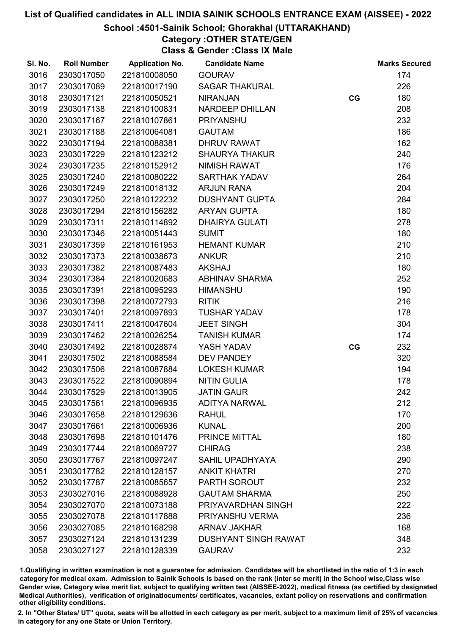## School :4501-Sainik School; Ghorakhal (UTTARAKHAND)

# Category :OTHER STATE/GEN

Class & Gender :Class IX Male

| SI. No. | <b>Roll Number</b> | <b>Application No.</b> | <b>Candidate Name</b>       |    | <b>Marks Secured</b> |
|---------|--------------------|------------------------|-----------------------------|----|----------------------|
| 3016    | 2303017050         | 221810008050           | <b>GOURAV</b>               |    | 174                  |
| 3017    | 2303017089         | 221810017190           | <b>SAGAR THAKURAL</b>       |    | 226                  |
| 3018    | 2303017121         | 221810050521           | <b>NIRANJAN</b>             | CG | 180                  |
| 3019    | 2303017138         | 221810100831           | <b>NARDEEP DHILLAN</b>      |    | 208                  |
| 3020    | 2303017167         | 221810107861           | <b>PRIYANSHU</b>            |    | 232                  |
| 3021    | 2303017188         | 221810064081           | <b>GAUTAM</b>               |    | 186                  |
| 3022    | 2303017194         | 221810088381           | <b>DHRUV RAWAT</b>          |    | 162                  |
| 3023    | 2303017229         | 221810123212           | <b>SHAURYA THAKUR</b>       |    | 240                  |
| 3024    | 2303017235         | 221810152912           | <b>NIMISH RAWAT</b>         |    | 176                  |
| 3025    | 2303017240         | 221810080222           | <b>SARTHAK YADAV</b>        |    | 264                  |
| 3026    | 2303017249         | 221810018132           | <b>ARJUN RANA</b>           |    | 204                  |
| 3027    | 2303017250         | 221810122232           | <b>DUSHYANT GUPTA</b>       |    | 284                  |
| 3028    | 2303017294         | 221810156282           | <b>ARYAN GUPTA</b>          |    | 180                  |
| 3029    | 2303017311         | 221810114892           | <b>DHAIRYA GULATI</b>       |    | 278                  |
| 3030    | 2303017346         | 221810051443           | <b>SUMIT</b>                |    | 180                  |
| 3031    | 2303017359         | 221810161953           | <b>HEMANT KUMAR</b>         |    | 210                  |
| 3032    | 2303017373         | 221810038673           | <b>ANKUR</b>                |    | 210                  |
| 3033    | 2303017382         | 221810087483           | <b>AKSHAJ</b>               |    | 180                  |
| 3034    | 2303017384         | 221810020683           | <b>ABHINAV SHARMA</b>       |    | 252                  |
| 3035    | 2303017391         | 221810095293           | <b>HIMANSHU</b>             |    | 190                  |
| 3036    | 2303017398         | 221810072793           | <b>RITIK</b>                |    | 216                  |
| 3037    | 2303017401         | 221810097893           | <b>TUSHAR YADAV</b>         |    | 178                  |
| 3038    | 2303017411         | 221810047604           | <b>JEET SINGH</b>           |    | 304                  |
| 3039    | 2303017462         | 221810026254           | <b>TANISH KUMAR</b>         |    | 174                  |
| 3040    | 2303017492         | 221810028874           | YASH YADAV                  | CG | 232                  |
| 3041    | 2303017502         | 221810088584           | <b>DEV PANDEY</b>           |    | 320                  |
| 3042    | 2303017506         | 221810087884           | <b>LOKESH KUMAR</b>         |    | 194                  |
| 3043    | 2303017522         | 221810090894           | <b>NITIN GULIA</b>          |    | 178                  |
| 3044    | 2303017529         | 221810013905           | <b>JATIN GAUR</b>           |    | 242                  |
| 3045    | 2303017561         | 221810096935           | <b>ADITYA NARWAL</b>        |    | 212                  |
| 3046    | 2303017658         | 221810129636           | <b>RAHUL</b>                |    | 170                  |
| 3047    | 2303017661         | 221810006936           | <b>KUNAL</b>                |    | 200                  |
| 3048    | 2303017698         | 221810101476           | PRINCE MITTAL               |    | 180                  |
| 3049    | 2303017744         | 221810069727           | <b>CHIRAG</b>               |    | 238                  |
| 3050    | 2303017767         | 221810097247           | <b>SAHIL UPADHYAYA</b>      |    | 290                  |
| 3051    | 2303017782         | 221810128157           | <b>ANKIT KHATRI</b>         |    | 270                  |
| 3052    | 2303017787         | 221810085657           | <b>PARTH SOROUT</b>         |    | 232                  |
| 3053    | 2303027016         | 221810088928           | <b>GAUTAM SHARMA</b>        |    | 250                  |
| 3054    | 2303027070         | 221810073188           | PRIYAVARDHAN SINGH          |    | 222                  |
| 3055    | 2303027078         | 221810117888           | PRIYANSHU VERMA             |    | 236                  |
| 3056    | 2303027085         | 221810168298           | <b>ARNAV JAKHAR</b>         |    | 168                  |
| 3057    | 2303027124         | 221810131239           | <b>DUSHYANT SINGH RAWAT</b> |    | 348                  |
| 3058    | 2303027127         | 221810128339           | <b>GAURAV</b>               |    | 232                  |

1.Qualifiying in written examination is not a guarantee for admission. Candidates will be shortlisted in the ratio of 1:3 in each category for medical exam. Admission to Sainik Schools is based on the rank (inter se merit) in the School wise,Class wise Gender wise, Category wise merit list, subject to qualifying written test (AISSEE-2022), medical fitness (as certified by designated Medical Authorities), verification of originablocuments/ certificates, vacancies, extant policy on reservations and confirmation other eligibility conditions.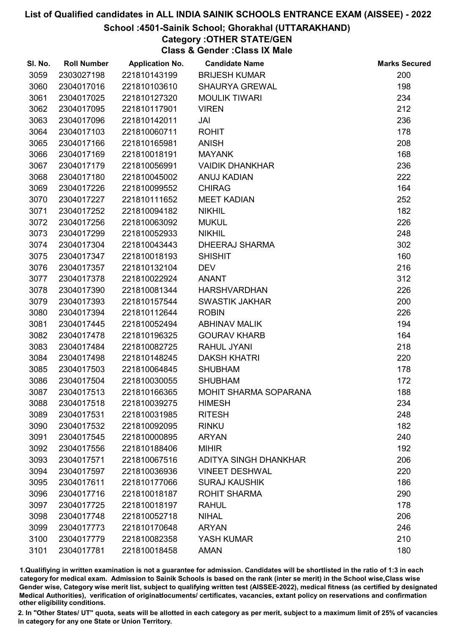## School :4501-Sainik School; Ghorakhal (UTTARAKHAND)

# Category :OTHER STATE/GEN

Class & Gender :Class IX Male

| SI. No. | <b>Roll Number</b> | <b>Application No.</b> | <b>Candidate Name</b>        | <b>Marks Secured</b> |
|---------|--------------------|------------------------|------------------------------|----------------------|
| 3059    | 2303027198         | 221810143199           | <b>BRIJESH KUMAR</b>         | 200                  |
| 3060    | 2304017016         | 221810103610           | <b>SHAURYA GREWAL</b>        | 198                  |
| 3061    | 2304017025         | 221810127320           | <b>MOULIK TIWARI</b>         | 234                  |
| 3062    | 2304017095         | 221810117901           | <b>VIREN</b>                 | 212                  |
| 3063    | 2304017096         | 221810142011           | JAI                          | 236                  |
| 3064    | 2304017103         | 221810060711           | <b>ROHIT</b>                 | 178                  |
| 3065    | 2304017166         | 221810165981           | <b>ANISH</b>                 | 208                  |
| 3066    | 2304017169         | 221810018191           | <b>MAYANK</b>                | 168                  |
| 3067    | 2304017179         | 221810056991           | <b>VAIDIK DHANKHAR</b>       | 236                  |
| 3068    | 2304017180         | 221810045002           | ANUJ KADIAN                  | 222                  |
| 3069    | 2304017226         | 221810099552           | <b>CHIRAG</b>                | 164                  |
| 3070    | 2304017227         | 221810111652           | <b>MEET KADIAN</b>           | 252                  |
| 3071    | 2304017252         | 221810094182           | <b>NIKHIL</b>                | 182                  |
| 3072    | 2304017256         | 221810063092           | <b>MUKUL</b>                 | 226                  |
| 3073    | 2304017299         | 221810052933           | <b>NIKHIL</b>                | 248                  |
| 3074    | 2304017304         | 221810043443           | DHEERAJ SHARMA               | 302                  |
| 3075    | 2304017347         | 221810018193           | <b>SHISHIT</b>               | 160                  |
| 3076    | 2304017357         | 221810132104           | <b>DEV</b>                   | 216                  |
| 3077    | 2304017378         | 221810022924           | <b>ANANT</b>                 | 312                  |
| 3078    | 2304017390         | 221810081344           | HARSHVARDHAN                 | 226                  |
| 3079    | 2304017393         | 221810157544           | <b>SWASTIK JAKHAR</b>        | 200                  |
| 3080    | 2304017394         | 221810112644           | <b>ROBIN</b>                 | 226                  |
| 3081    | 2304017445         | 221810052494           | <b>ABHINAV MALIK</b>         | 194                  |
| 3082    | 2304017478         | 221810196325           | <b>GOURAV KHARB</b>          | 164                  |
| 3083    | 2304017484         | 221810082725           | RAHUL JYANI                  | 218                  |
| 3084    | 2304017498         | 221810148245           | <b>DAKSH KHATRI</b>          | 220                  |
| 3085    | 2304017503         | 221810064845           | <b>SHUBHAM</b>               | 178                  |
| 3086    | 2304017504         | 221810030055           | <b>SHUBHAM</b>               | 172                  |
| 3087    | 2304017513         | 221810166365           | <b>MOHIT SHARMA SOPARANA</b> | 188                  |
| 3088    | 2304017518         | 221810039275           | <b>HIMESH</b>                | 234                  |
| 3089    | 2304017531         | 221810031985           | <b>RITESH</b>                | 248                  |
| 3090    | 2304017532         | 221810092095           | <b>RINKU</b>                 | 182                  |
| 3091    | 2304017545         | 221810000895           | <b>ARYAN</b>                 | 240                  |
| 3092    | 2304017556         | 221810188406           | <b>MIHIR</b>                 | 192                  |
| 3093    | 2304017571         | 221810067516           | ADITYA SINGH DHANKHAR        | 206                  |
| 3094    | 2304017597         | 221810036936           | <b>VINEET DESHWAL</b>        | 220                  |
| 3095    | 2304017611         | 221810177066           | <b>SURAJ KAUSHIK</b>         | 186                  |
| 3096    | 2304017716         | 221810018187           | <b>ROHIT SHARMA</b>          | 290                  |
| 3097    | 2304017725         | 221810018197           | <b>RAHUL</b>                 | 178                  |
| 3098    | 2304017748         | 221810052718           | <b>NIHAL</b>                 | 206                  |
| 3099    | 2304017773         | 221810170648           | <b>ARYAN</b>                 | 246                  |
| 3100    | 2304017779         | 221810082358           | YASH KUMAR                   | 210                  |
| 3101    | 2304017781         | 221810018458           | <b>AMAN</b>                  | 180                  |

1.Qualifiying in written examination is not a guarantee for admission. Candidates will be shortlisted in the ratio of 1:3 in each category for medical exam. Admission to Sainik Schools is based on the rank (inter se merit) in the School wise,Class wise Gender wise, Category wise merit list, subject to qualifying written test (AISSEE-2022), medical fitness (as certified by designated Medical Authorities), verification of originablocuments/ certificates, vacancies, extant policy on reservations and confirmation other eligibility conditions.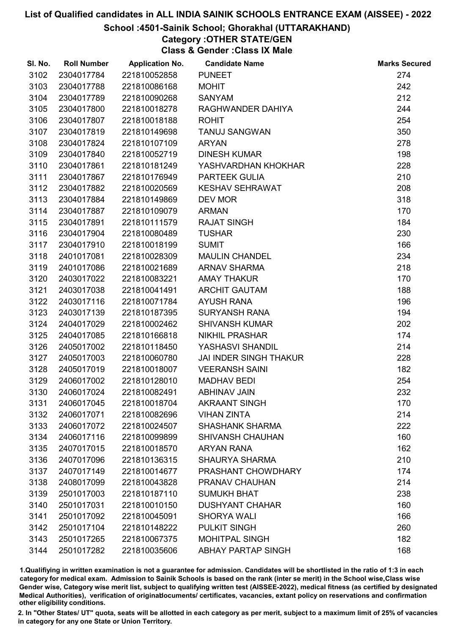## School :4501-Sainik School; Ghorakhal (UTTARAKHAND)

# Category :OTHER STATE/GEN

Class & Gender :Class IX Male

| SI. No. | <b>Roll Number</b> | <b>Application No.</b> | <b>Candidate Name</b>         | <b>Marks Secured</b> |
|---------|--------------------|------------------------|-------------------------------|----------------------|
| 3102    | 2304017784         | 221810052858           | <b>PUNEET</b>                 | 274                  |
| 3103    | 2304017788         | 221810086168           | <b>MOHIT</b>                  | 242                  |
| 3104    | 2304017789         | 221810090268           | <b>SANYAM</b>                 | 212                  |
| 3105    | 2304017800         | 221810018278           | RAGHWANDER DAHIYA             | 244                  |
| 3106    | 2304017807         | 221810018188           | <b>ROHIT</b>                  | 254                  |
| 3107    | 2304017819         | 221810149698           | <b>TANUJ SANGWAN</b>          | 350                  |
| 3108    | 2304017824         | 221810107109           | <b>ARYAN</b>                  | 278                  |
| 3109    | 2304017840         | 221810052719           | <b>DINESH KUMAR</b>           | 198                  |
| 3110    | 2304017861         | 221810181249           | YASHVARDHAN KHOKHAR           | 228                  |
| 3111    | 2304017867         | 221810176949           | PARTEEK GULIA                 | 210                  |
| 3112    | 2304017882         | 221810020569           | <b>KESHAV SEHRAWAT</b>        | 208                  |
| 3113    | 2304017884         | 221810149869           | <b>DEV MOR</b>                | 318                  |
| 3114    | 2304017887         | 221810109079           | <b>ARMAN</b>                  | 170                  |
| 3115    | 2304017891         | 221810111579           | <b>RAJAT SINGH</b>            | 184                  |
| 3116    | 2304017904         | 221810080489           | <b>TUSHAR</b>                 | 230                  |
| 3117    | 2304017910         | 221810018199           | <b>SUMIT</b>                  | 166                  |
| 3118    | 2401017081         | 221810028309           | <b>MAULIN CHANDEL</b>         | 234                  |
| 3119    | 2401017086         | 221810021689           | <b>ARNAV SHARMA</b>           | 218                  |
| 3120    | 2403017022         | 221810083221           | <b>AMAY THAKUR</b>            | 170                  |
| 3121    | 2403017038         | 221810041491           | <b>ARCHIT GAUTAM</b>          | 188                  |
| 3122    | 2403017116         | 221810071784           | <b>AYUSH RANA</b>             | 196                  |
| 3123    | 2403017139         | 221810187395           | <b>SURYANSH RANA</b>          | 194                  |
| 3124    | 2404017029         | 221810002462           | <b>SHIVANSH KUMAR</b>         | 202                  |
| 3125    | 2404017085         | 221810166818           | <b>NIKHIL PRASHAR</b>         | 174                  |
| 3126    | 2405017002         | 221810118450           | YASHASVI SHANDIL              | 214                  |
| 3127    | 2405017003         | 221810060780           | <b>JAI INDER SINGH THAKUR</b> | 228                  |
| 3128    | 2405017019         | 221810018007           | <b>VEERANSH SAINI</b>         | 182                  |
| 3129    | 2406017002         | 221810128010           | <b>MADHAV BEDI</b>            | 254                  |
| 3130    | 2406017024         | 221810082491           | <b>ABHINAV JAIN</b>           | 232                  |
| 3131    | 2406017045         | 221810018704           | <b>AKRAANT SINGH</b>          | 170                  |
| 3132    | 2406017071         | 221810082696           | <b>VIHAN ZINTA</b>            | 214                  |
| 3133    | 2406017072         | 221810024507           | <b>SHASHANK SHARMA</b>        | 222                  |
| 3134    | 2406017116         | 221810099899           | <b>SHIVANSH CHAUHAN</b>       | 160                  |
| 3135    | 2407017015         | 221810018570           | <b>ARYAN RANA</b>             | 162                  |
| 3136    | 2407017096         | 221810136315           | <b>SHAURYA SHARMA</b>         | 210                  |
| 3137    | 2407017149         | 221810014677           | PRASHANT CHOWDHARY            | 174                  |
| 3138    | 2408017099         | 221810043828           | PRANAV CHAUHAN                | 214                  |
| 3139    | 2501017003         | 221810187110           | <b>SUMUKH BHAT</b>            | 238                  |
| 3140    | 2501017031         | 221810010150           | <b>DUSHYANT CHAHAR</b>        | 160                  |
| 3141    | 2501017092         | 221810045091           | <b>SHORYA WALI</b>            | 166                  |
| 3142    | 2501017104         | 221810148222           | <b>PULKIT SINGH</b>           | 260                  |
| 3143    | 2501017265         | 221810067375           | <b>MOHITPAL SINGH</b>         | 182                  |
| 3144    | 2501017282         | 221810035606           | <b>ABHAY PARTAP SINGH</b>     | 168                  |

1.Qualifiying in written examination is not a guarantee for admission. Candidates will be shortlisted in the ratio of 1:3 in each category for medical exam. Admission to Sainik Schools is based on the rank (inter se merit) in the School wise,Class wise Gender wise, Category wise merit list, subject to qualifying written test (AISSEE-2022), medical fitness (as certified by designated Medical Authorities), verification of originablocuments/ certificates, vacancies, extant policy on reservations and confirmation other eligibility conditions.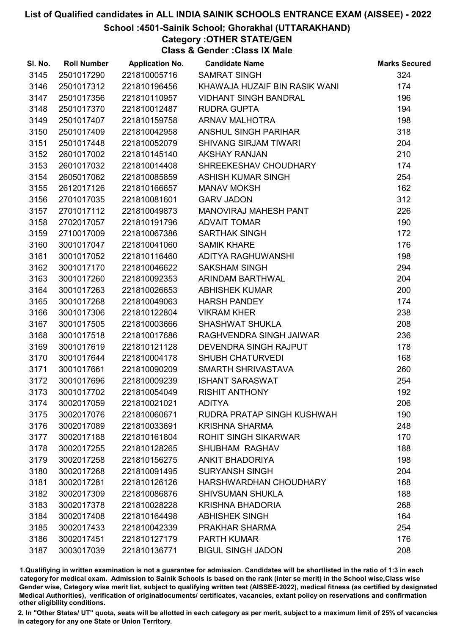## School :4501-Sainik School; Ghorakhal (UTTARAKHAND)

# Category :OTHER STATE/GEN

Class & Gender :Class IX Male

| SI. No. | <b>Roll Number</b> | <b>Application No.</b> | <b>Candidate Name</b>         | <b>Marks Secured</b> |
|---------|--------------------|------------------------|-------------------------------|----------------------|
| 3145    | 2501017290         | 221810005716           | <b>SAMRAT SINGH</b>           | 324                  |
| 3146    | 2501017312         | 221810196456           | KHAWAJA HUZAIF BIN RASIK WANI | 174                  |
| 3147    | 2501017356         | 221810110957           | <b>VIDHANT SINGH BANDRAL</b>  | 196                  |
| 3148    | 2501017370         | 221810012487           | <b>RUDRA GUPTA</b>            | 194                  |
| 3149    | 2501017407         | 221810159758           | ARNAV MALHOTRA                | 198                  |
| 3150    | 2501017409         | 221810042958           | ANSHUL SINGH PARIHAR          | 318                  |
| 3151    | 2501017448         | 221810052079           | <b>SHIVANG SIRJAM TIWARI</b>  | 204                  |
| 3152    | 2601017002         | 221810145140           | <b>AKSHAY RANJAN</b>          | 210                  |
| 3153    | 2601017032         | 221810014408           | SHREEKESHAV CHOUDHARY         | 174                  |
| 3154    | 2605017062         | 221810085859           | <b>ASHISH KUMAR SINGH</b>     | 254                  |
| 3155    | 2612017126         | 221810166657           | <b>MANAV MOKSH</b>            | 162                  |
| 3156    | 2701017035         | 221810081601           | <b>GARV JADON</b>             | 312                  |
| 3157    | 2701017112         | 221810049873           | MANOVIRAJ MAHESH PANT         | 226                  |
| 3158    | 2702017057         | 221810191796           | <b>ADVAIT TOMAR</b>           | 190                  |
| 3159    | 2710017009         | 221810067386           | <b>SARTHAK SINGH</b>          | 172                  |
| 3160    | 3001017047         | 221810041060           | <b>SAMIK KHARE</b>            | 176                  |
| 3161    | 3001017052         | 221810116460           | ADITYA RAGHUWANSHI            | 198                  |
| 3162    | 3001017170         | 221810046622           | <b>SAKSHAM SINGH</b>          | 294                  |
| 3163    | 3001017260         | 221810092353           | ARINDAM BARTHWAL              | 204                  |
| 3164    | 3001017263         | 221810026653           | <b>ABHISHEK KUMAR</b>         | 200                  |
| 3165    | 3001017268         | 221810049063           | <b>HARSH PANDEY</b>           | 174                  |
| 3166    | 3001017306         | 221810122804           | <b>VIKRAM KHER</b>            | 238                  |
| 3167    | 3001017505         | 221810003666           | <b>SHASHWAT SHUKLA</b>        | 208                  |
| 3168    | 3001017518         | 221810017686           | RAGHVENDRA SINGH JAIWAR       | 236                  |
| 3169    | 3001017619         | 221810121128           | DEVENDRA SINGH RAJPUT         | 178                  |
| 3170    | 3001017644         | 221810004178           | <b>SHUBH CHATURVEDI</b>       | 168                  |
| 3171    | 3001017661         | 221810090209           | SMARTH SHRIVASTAVA            | 260                  |
| 3172    | 3001017696         | 221810009239           | <b>ISHANT SARASWAT</b>        | 254                  |
| 3173    | 3001017702         | 221810054049           | <b>RISHIT ANTHONY</b>         | 192                  |
| 3174    | 3002017059         | 221810021021           | <b>ADITYA</b>                 | 206                  |
| 3175    | 3002017076         | 221810060671           | RUDRA PRATAP SINGH KUSHWAH    | 190                  |
| 3176    | 3002017089         | 221810033691           | <b>KRISHNA SHARMA</b>         | 248                  |
| 3177    | 3002017188         | 221810161804           | <b>ROHIT SINGH SIKARWAR</b>   | 170                  |
| 3178    | 3002017255         | 221810128265           | <b>SHUBHAM RAGHAV</b>         | 188                  |
| 3179    | 3002017258         | 221810156275           | <b>ANKIT BHADORIYA</b>        | 198                  |
| 3180    | 3002017268         | 221810091495           | <b>SURYANSH SINGH</b>         | 204                  |
| 3181    | 3002017281         | 221810126126           | HARSHWARDHAN CHOUDHARY        | 168                  |
| 3182    | 3002017309         | 221810086876           | <b>SHIVSUMAN SHUKLA</b>       | 188                  |
| 3183    | 3002017378         | 221810028228           | <b>KRISHNA BHADORIA</b>       | 268                  |
| 3184    | 3002017408         | 221810164498           | <b>ABHISHEK SINGH</b>         | 164                  |
| 3185    | 3002017433         | 221810042339           | PRAKHAR SHARMA                | 254                  |
| 3186    | 3002017451         | 221810127179           | <b>PARTH KUMAR</b>            | 176                  |
| 3187    | 3003017039         | 221810136771           | <b>BIGUL SINGH JADON</b>      | 208                  |

1.Qualifiying in written examination is not a guarantee for admission. Candidates will be shortlisted in the ratio of 1:3 in each category for medical exam. Admission to Sainik Schools is based on the rank (inter se merit) in the School wise,Class wise Gender wise, Category wise merit list, subject to qualifying written test (AISSEE-2022), medical fitness (as certified by designated Medical Authorities), verification of originablocuments/ certificates, vacancies, extant policy on reservations and confirmation other eligibility conditions.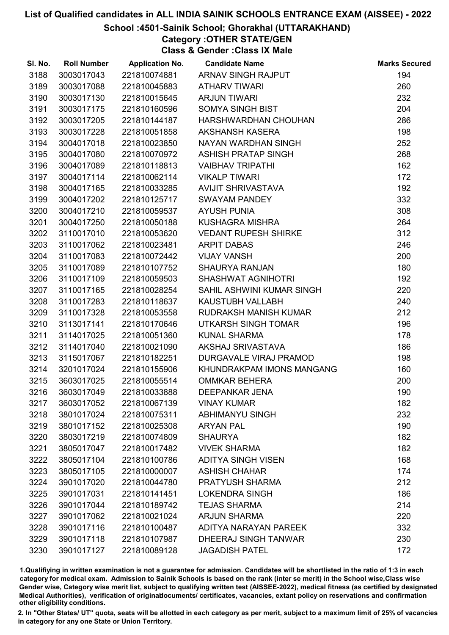## School :4501-Sainik School; Ghorakhal (UTTARAKHAND)

Category :OTHER STATE/GEN

Class & Gender :Class IX Male

| SI. No. | <b>Roll Number</b> | <b>Application No.</b> | <b>Candidate Name</b>       | <b>Marks Secured</b> |
|---------|--------------------|------------------------|-----------------------------|----------------------|
| 3188    | 3003017043         | 221810074881           | ARNAV SINGH RAJPUT          | 194                  |
| 3189    | 3003017088         | 221810045883           | <b>ATHARV TIWARI</b>        | 260                  |
| 3190    | 3003017130         | 221810015645           | <b>ARJUN TIWARI</b>         | 232                  |
| 3191    | 3003017175         | 221810160596           | <b>SOMYA SINGH BIST</b>     | 204                  |
| 3192    | 3003017205         | 221810144187           | HARSHWARDHAN CHOUHAN        | 286                  |
| 3193    | 3003017228         | 221810051858           | <b>AKSHANSH KASERA</b>      | 198                  |
| 3194    | 3004017018         | 221810023850           | NAYAN WARDHAN SINGH         | 252                  |
| 3195    | 3004017080         | 221810070972           | <b>ASHISH PRATAP SINGH</b>  | 268                  |
| 3196    | 3004017089         | 221810118813           | <b>VAIBHAV TRIPATHI</b>     | 162                  |
| 3197    | 3004017114         | 221810062114           | <b>VIKALP TIWARI</b>        | 172                  |
| 3198    | 3004017165         | 221810033285           | <b>AVIJIT SHRIVASTAVA</b>   | 192                  |
| 3199    | 3004017202         | 221810125717           | <b>SWAYAM PANDEY</b>        | 332                  |
| 3200    | 3004017210         | 221810059537           | <b>AYUSH PUNIA</b>          | 308                  |
| 3201    | 3004017250         | 221810050188           | <b>KUSHAGRA MISHRA</b>      | 264                  |
| 3202    | 3110017010         | 221810053620           | <b>VEDANT RUPESH SHIRKE</b> | 312                  |
| 3203    | 3110017062         | 221810023481           | <b>ARPIT DABAS</b>          | 246                  |
| 3204    | 3110017083         | 221810072442           | <b>VIJAY VANSH</b>          | 200                  |
| 3205    | 3110017089         | 221810107752           | <b>SHAURYA RANJAN</b>       | 180                  |
| 3206    | 3110017109         | 221810059503           | <b>SHASHWAT AGNIHOTRI</b>   | 192                  |
| 3207    | 3110017165         | 221810028254           | SAHIL ASHWINI KUMAR SINGH   | 220                  |
| 3208    | 3110017283         | 221810118637           | KAUSTUBH VALLABH            | 240                  |
| 3209    | 3110017328         | 221810053558           | RUDRAKSH MANISH KUMAR       | 212                  |
| 3210    | 3113017141         | 221810170646           | UTKARSH SINGH TOMAR         | 196                  |
| 3211    | 3114017025         | 221810051360           | <b>KUNAL SHARMA</b>         | 178                  |
| 3212    | 3114017040         | 221810021090           | AKSHAJ SRIVASTAVA           | 186                  |
| 3213    | 3115017067         | 221810182251           | DURGAVALE VIRAJ PRAMOD      | 198                  |
| 3214    | 3201017024         | 221810155906           | KHUNDRAKPAM IMONS MANGANG   | 160                  |
| 3215    | 3603017025         | 221810055514           | <b>OMMKAR BEHERA</b>        | 200                  |
| 3216    | 3603017049         | 221810033888           | <b>DEEPANKAR JENA</b>       | 190                  |
| 3217    | 3603017052         | 221810067139           | <b>VINAY KUMAR</b>          | 182                  |
| 3218    | 3801017024         | 221810075311           | <b>ABHIMANYU SINGH</b>      | 232                  |
| 3219    | 3801017152         | 221810025308           | <b>ARYAN PAL</b>            | 190                  |
| 3220    | 3803017219         | 221810074809           | <b>SHAURYA</b>              | 182                  |
| 3221    | 3805017047         | 221810017482           | <b>VIVEK SHARMA</b>         | 182                  |
| 3222    | 3805017104         | 221810100786           | <b>ADITYA SINGH VISEN</b>   | 168                  |
| 3223    | 3805017105         | 221810000007           | <b>ASHISH CHAHAR</b>        | 174                  |
| 3224    | 3901017020         | 221810044780           | <b>PRATYUSH SHARMA</b>      | 212                  |
| 3225    | 3901017031         | 221810141451           | <b>LOKENDRA SINGH</b>       | 186                  |
| 3226    | 3901017044         | 221810189742           | <b>TEJAS SHARMA</b>         | 214                  |
| 3227    | 3901017062         | 221810021024           | <b>ARJUN SHARMA</b>         | 220                  |
| 3228    | 3901017116         | 221810100487           | ADITYA NARAYAN PAREEK       | 332                  |
| 3229    | 3901017118         | 221810107987           | DHEERAJ SINGH TANWAR        | 230                  |
| 3230    | 3901017127         | 221810089128           | <b>JAGADISH PATEL</b>       | 172                  |

1.Qualifiying in written examination is not a guarantee for admission. Candidates will be shortlisted in the ratio of 1:3 in each category for medical exam. Admission to Sainik Schools is based on the rank (inter se merit) in the School wise,Class wise Gender wise, Category wise merit list, subject to qualifying written test (AISSEE-2022), medical fitness (as certified by designated Medical Authorities), verification of originablocuments/ certificates, vacancies, extant policy on reservations and confirmation other eligibility conditions.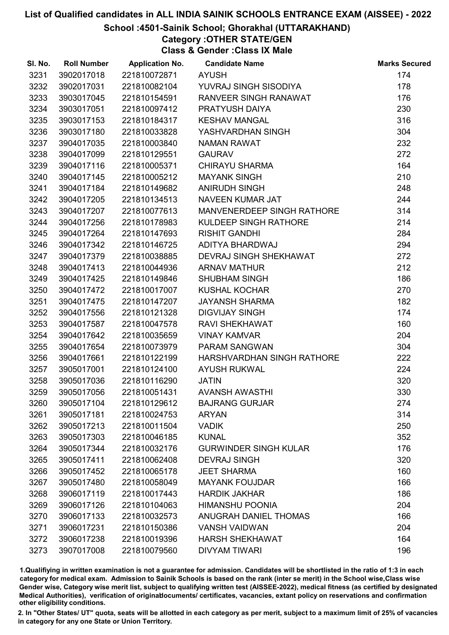## School :4501-Sainik School; Ghorakhal (UTTARAKHAND)

Category :OTHER STATE/GEN

Class & Gender :Class IX Male

| SI. No. | <b>Roll Number</b> | <b>Application No.</b> | <b>Candidate Name</b>        | <b>Marks Secured</b> |
|---------|--------------------|------------------------|------------------------------|----------------------|
| 3231    | 3902017018         | 221810072871           | <b>AYUSH</b>                 | 174                  |
| 3232    | 3902017031         | 221810082104           | YUVRAJ SINGH SISODIYA        | 178                  |
| 3233    | 3903017045         | 221810154591           | RANVEER SINGH RANAWAT        | 176                  |
| 3234    | 3903017051         | 221810097412           | PRATYUSH DAIYA               | 230                  |
| 3235    | 3903017153         | 221810184317           | <b>KESHAV MANGAL</b>         | 316                  |
| 3236    | 3903017180         | 221810033828           | YASHVARDHAN SINGH            | 304                  |
| 3237    | 3904017035         | 221810003840           | <b>NAMAN RAWAT</b>           | 232                  |
| 3238    | 3904017099         | 221810129551           | <b>GAURAV</b>                | 272                  |
| 3239    | 3904017116         | 221810005371           | <b>CHIRAYU SHARMA</b>        | 164                  |
| 3240    | 3904017145         | 221810005212           | <b>MAYANK SINGH</b>          | 210                  |
| 3241    | 3904017184         | 221810149682           | <b>ANIRUDH SINGH</b>         | 248                  |
| 3242    | 3904017205         | 221810134513           | <b>NAVEEN KUMAR JAT</b>      | 244                  |
| 3243    | 3904017207         | 221810077613           | MANVENERDEEP SINGH RATHORE   | 314                  |
| 3244    | 3904017256         | 221810178983           | KULDEEP SINGH RATHORE        | 214                  |
| 3245    | 3904017264         | 221810147693           | <b>RISHIT GANDHI</b>         | 284                  |
| 3246    | 3904017342         | 221810146725           | ADITYA BHARDWAJ              | 294                  |
| 3247    | 3904017379         | 221810038885           | DEVRAJ SINGH SHEKHAWAT       | 272                  |
| 3248    | 3904017413         | 221810044936           | <b>ARNAV MATHUR</b>          | 212                  |
| 3249    | 3904017425         | 221810149846           | <b>SHUBHAM SINGH</b>         | 186                  |
| 3250    | 3904017472         | 221810017007           | <b>KUSHAL KOCHAR</b>         | 270                  |
| 3251    | 3904017475         | 221810147207           | <b>JAYANSH SHARMA</b>        | 182                  |
| 3252    | 3904017556         | 221810121328           | <b>DIGVIJAY SINGH</b>        | 174                  |
| 3253    | 3904017587         | 221810047578           | <b>RAVI SHEKHAWAT</b>        | 160                  |
| 3254    | 3904017642         | 221810035659           | <b>VINAY KAMVAR</b>          | 204                  |
| 3255    | 3904017654         | 221810073979           | <b>PARAM SANGWAN</b>         | 304                  |
| 3256    | 3904017661         | 221810122199           | HARSHVARDHAN SINGH RATHORE   | 222                  |
| 3257    | 3905017001         | 221810124100           | <b>AYUSH RUKWAL</b>          | 224                  |
| 3258    | 3905017036         | 221810116290           | <b>JATIN</b>                 | 320                  |
| 3259    | 3905017056         | 221810051431           | <b>AVANSH AWASTHI</b>        | 330                  |
| 3260    | 3905017104         | 221810129612           | <b>BAJRANG GURJAR</b>        | 274                  |
| 3261    | 3905017181         | 221810024753           | <b>ARYAN</b>                 | 314                  |
| 3262    | 3905017213         | 221810011504           | <b>VADIK</b>                 | 250                  |
| 3263    | 3905017303         | 221810046185           | <b>KUNAL</b>                 | 352                  |
| 3264    | 3905017344         | 221810032176           | <b>GURWINDER SINGH KULAR</b> | 176                  |
| 3265    | 3905017411         | 221810062408           | <b>DEVRAJ SINGH</b>          | 320                  |
| 3266    | 3905017452         | 221810065178           | <b>JEET SHARMA</b>           | 160                  |
| 3267    | 3905017480         | 221810058049           | <b>MAYANK FOUJDAR</b>        | 166                  |
| 3268    | 3906017119         | 221810017443           | <b>HARDIK JAKHAR</b>         | 186                  |
| 3269    | 3906017126         | 221810104063           | <b>HIMANSHU POONIA</b>       | 204                  |
| 3270    | 3906017133         | 221810032573           | ANUGRAH DANIEL THOMAS        | 166                  |
| 3271    | 3906017231         | 221810150386           | <b>VANSH VAIDWAN</b>         | 204                  |
| 3272    | 3906017238         | 221810019396           | <b>HARSH SHEKHAWAT</b>       | 164                  |
| 3273    | 3907017008         | 221810079560           | <b>DIVYAM TIWARI</b>         | 196                  |

1.Qualifiying in written examination is not a guarantee for admission. Candidates will be shortlisted in the ratio of 1:3 in each category for medical exam. Admission to Sainik Schools is based on the rank (inter se merit) in the School wise,Class wise Gender wise, Category wise merit list, subject to qualifying written test (AISSEE-2022), medical fitness (as certified by designated Medical Authorities), verification of originablocuments/ certificates, vacancies, extant policy on reservations and confirmation other eligibility conditions.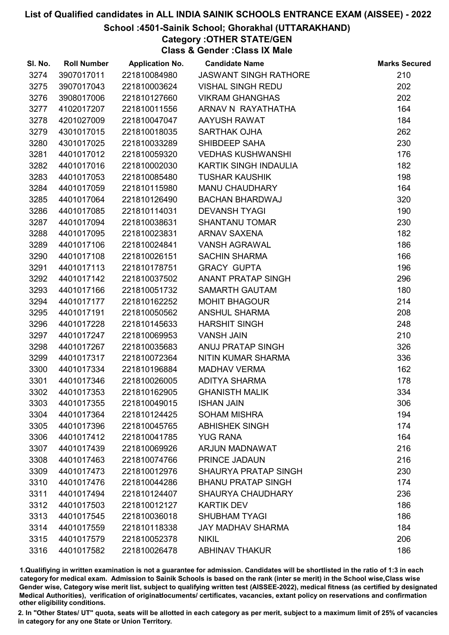## School :4501-Sainik School; Ghorakhal (UTTARAKHAND)

Category :OTHER STATE/GEN Class & Gender :Class IX Male

| SI. No. | <b>Roll Number</b> | <b>Application No.</b> | <b>Candidate Name</b>        | <b>Marks Secured</b> |
|---------|--------------------|------------------------|------------------------------|----------------------|
| 3274    | 3907017011         | 221810084980           | <b>JASWANT SINGH RATHORE</b> | 210                  |
| 3275    | 3907017043         | 221810003624           | <b>VISHAL SINGH REDU</b>     | 202                  |
| 3276    | 3908017006         | 221810127660           | <b>VIKRAM GHANGHAS</b>       | 202                  |
| 3277    | 4102017207         | 221810011556           | ARNAV N RAYATHATHA           | 164                  |
| 3278    | 4201027009         | 221810047047           | AAYUSH RAWAT                 | 184                  |
| 3279    | 4301017015         | 221810018035           | <b>SARTHAK OJHA</b>          | 262                  |
| 3280    | 4301017025         | 221810033289           | SHIBDEEP SAHA                | 230                  |
| 3281    | 4401017012         | 221810059320           | <b>VEDHAS KUSHWANSHI</b>     | 176                  |
| 3282    | 4401017016         | 221810002030           | KARTIK SINGH INDAULIA        | 182                  |
| 3283    | 4401017053         | 221810085480           | <b>TUSHAR KAUSHIK</b>        | 198                  |
| 3284    | 4401017059         | 221810115980           | MANU CHAUDHARY               | 164                  |
| 3285    | 4401017064         | 221810126490           | <b>BACHAN BHARDWAJ</b>       | 320                  |
| 3286    | 4401017085         | 221810114031           | <b>DEVANSH TYAGI</b>         | 190                  |
| 3287    | 4401017094         | 221810038631           | <b>SHANTANU TOMAR</b>        | 230                  |
| 3288    | 4401017095         | 221810023831           | <b>ARNAV SAXENA</b>          | 182                  |
| 3289    | 4401017106         | 221810024841           | <b>VANSH AGRAWAL</b>         | 186                  |
| 3290    | 4401017108         | 221810026151           | <b>SACHIN SHARMA</b>         | 166                  |
| 3291    | 4401017113         | 221810178751           | <b>GRACY GUPTA</b>           | 196                  |
| 3292    | 4401017142         | 221810037502           | <b>ANANT PRATAP SINGH</b>    | 296                  |
| 3293    | 4401017166         | 221810051732           | <b>SAMARTH GAUTAM</b>        | 180                  |
| 3294    | 4401017177         | 221810162252           | <b>MOHIT BHAGOUR</b>         | 214                  |
| 3295    | 4401017191         | 221810050562           | <b>ANSHUL SHARMA</b>         | 208                  |
| 3296    | 4401017228         | 221810145633           | <b>HARSHIT SINGH</b>         | 248                  |
| 3297    | 4401017247         | 221810069953           | <b>VANSH JAIN</b>            | 210                  |
| 3298    | 4401017267         | 221810035683           | ANUJ PRATAP SINGH            | 326                  |
| 3299    | 4401017317         | 221810072364           | NITIN KUMAR SHARMA           | 336                  |
| 3300    | 4401017334         | 221810196884           | <b>MADHAV VERMA</b>          | 162                  |
| 3301    | 4401017346         | 221810026005           | <b>ADITYA SHARMA</b>         | 178                  |
| 3302    | 4401017353         | 221810162905           | <b>GHANISTH MALIK</b>        | 334                  |
| 3303    | 4401017355         | 221810049015           | <b>ISHAN JAIN</b>            | 306                  |
| 3304    | 4401017364         | 221810124425           | <b>SOHAM MISHRA</b>          | 194                  |
| 3305    | 4401017396         | 221810045765           | <b>ABHISHEK SINGH</b>        | 174                  |
| 3306    | 4401017412         | 221810041785           | <b>YUG RANA</b>              | 164                  |
| 3307    | 4401017439         | 221810069926           | ARJUN MADNAWAT               | 216                  |
| 3308    | 4401017463         | 221810074766           | PRINCE JADAUN                | 216                  |
| 3309    | 4401017473         | 221810012976           | <b>SHAURYA PRATAP SINGH</b>  | 230                  |
| 3310    | 4401017476         | 221810044286           | <b>BHANU PRATAP SINGH</b>    | 174                  |
| 3311    | 4401017494         | 221810124407           | <b>SHAURYA CHAUDHARY</b>     | 236                  |
| 3312    | 4401017503         | 221810012127           | <b>KARTIK DEV</b>            | 186                  |
| 3313    | 4401017545         | 221810036018           | <b>SHUBHAM TYAGI</b>         | 186                  |
| 3314    | 4401017559         | 221810118338           | <b>JAY MADHAV SHARMA</b>     | 184                  |
| 3315    | 4401017579         | 221810052378           | <b>NIKIL</b>                 | 206                  |
| 3316    | 4401017582         | 221810026478           | <b>ABHINAV THAKUR</b>        | 186                  |

1.Qualifiying in written examination is not a guarantee for admission. Candidates will be shortlisted in the ratio of 1:3 in each category for medical exam. Admission to Sainik Schools is based on the rank (inter se merit) in the School wise,Class wise Gender wise, Category wise merit list, subject to qualifying written test (AISSEE-2022), medical fitness (as certified by designated Medical Authorities), verification of originablocuments/ certificates, vacancies, extant policy on reservations and confirmation other eligibility conditions.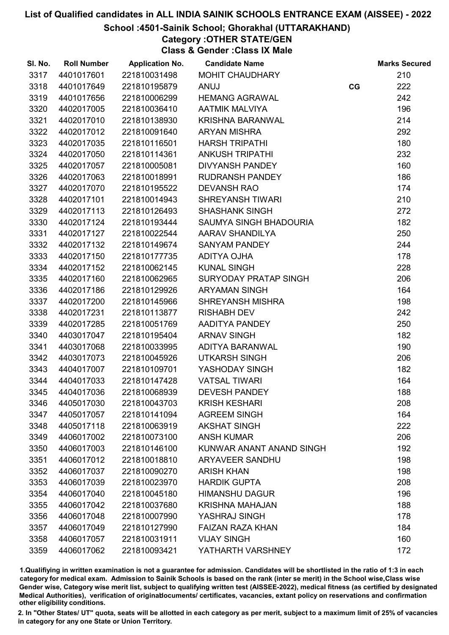## School :4501-Sainik School; Ghorakhal (UTTARAKHAND)

## Category :OTHER STATE/GEN

Class & Gender :Class IX Male

| SI. No. | <b>Roll Number</b> | <b>Application No.</b> | <b>Candidate Name</b>    |    | <b>Marks Secured</b> |
|---------|--------------------|------------------------|--------------------------|----|----------------------|
| 3317    | 4401017601         | 221810031498           | <b>MOHIT CHAUDHARY</b>   |    | 210                  |
| 3318    | 4401017649         | 221810195879           | ANUJ                     | CG | 222                  |
| 3319    | 4401017656         | 221810006299           | <b>HEMANG AGRAWAL</b>    |    | 242                  |
| 3320    | 4402017005         | 221810036410           | <b>AATMIK MALVIYA</b>    |    | 196                  |
| 3321    | 4402017010         | 221810138930           | <b>KRISHNA BARANWAL</b>  |    | 214                  |
| 3322    | 4402017012         | 221810091640           | <b>ARYAN MISHRA</b>      |    | 292                  |
| 3323    | 4402017035         | 221810116501           | <b>HARSH TRIPATHI</b>    |    | 180                  |
| 3324    | 4402017050         | 221810114361           | <b>ANKUSH TRIPATHI</b>   |    | 232                  |
| 3325    | 4402017057         | 221810005081           | DIVYANSH PANDEY          |    | 160                  |
| 3326    | 4402017063         | 221810018991           | <b>RUDRANSH PANDEY</b>   |    | 186                  |
| 3327    | 4402017070         | 221810195522           | <b>DEVANSH RAO</b>       |    | 174                  |
| 3328    | 4402017101         | 221810014943           | <b>SHREYANSH TIWARI</b>  |    | 210                  |
| 3329    | 4402017113         | 221810126493           | <b>SHASHANK SINGH</b>    |    | 272                  |
| 3330    | 4402017124         | 221810193444           | SAUMYA SINGH BHADOURIA   |    | 182                  |
| 3331    | 4402017127         | 221810022544           | AARAV SHANDILYA          |    | 250                  |
| 3332    | 4402017132         | 221810149674           | <b>SANYAM PANDEY</b>     |    | 244                  |
| 3333    | 4402017150         | 221810177735           | ADITYA OJHA              |    | 178                  |
| 3334    | 4402017152         | 221810062145           | <b>KUNAL SINGH</b>       |    | 228                  |
| 3335    | 4402017160         | 221810062965           | SURYODAY PRATAP SINGH    |    | 206                  |
| 3336    | 4402017186         | 221810129926           | <b>ARYAMAN SINGH</b>     |    | 164                  |
| 3337    | 4402017200         | 221810145966           | <b>SHREYANSH MISHRA</b>  |    | 198                  |
| 3338    | 4402017231         | 221810113877           | <b>RISHABH DEV</b>       |    | 242                  |
| 3339    | 4402017285         | 221810051769           | AADITYA PANDEY           |    | 250                  |
| 3340    | 4403017047         | 221810195404           | <b>ARNAV SINGH</b>       |    | 182                  |
| 3341    | 4403017068         | 221810033995           | ADITYA BARANWAL          |    | 190                  |
| 3342    | 4403017073         | 221810045926           | <b>UTKARSH SINGH</b>     |    | 206                  |
| 3343    | 4404017007         | 221810109701           | YASHODAY SINGH           |    | 182                  |
| 3344    | 4404017033         | 221810147428           | <b>VATSAL TIWARI</b>     |    | 164                  |
| 3345    | 4404017036         | 221810068939           | <b>DEVESH PANDEY</b>     |    | 188                  |
| 3346    | 4405017030         | 221810043703           | <b>KRISH KESHARI</b>     |    | 208                  |
| 3347    | 4405017057         | 221810141094           | <b>AGREEM SINGH</b>      |    | 164                  |
| 3348    | 4405017118         | 221810063919           | <b>AKSHAT SINGH</b>      |    | 222                  |
| 3349    | 4406017002         | 221810073100           | <b>ANSH KUMAR</b>        |    | 206                  |
| 3350    | 4406017003         | 221810146100           | KUNWAR ANANT ANAND SINGH |    | 192                  |
| 3351    | 4406017012         | 221810018810           | <b>ARYAVEER SANDHU</b>   |    | 198                  |
| 3352    | 4406017037         | 221810090270           | <b>ARISH KHAN</b>        |    | 198                  |
| 3353    | 4406017039         | 221810023970           | <b>HARDIK GUPTA</b>      |    | 208                  |
| 3354    | 4406017040         | 221810045180           | <b>HIMANSHU DAGUR</b>    |    | 196                  |
| 3355    | 4406017042         | 221810037680           | <b>KRISHNA MAHAJAN</b>   |    | 188                  |
| 3356    | 4406017048         | 221810007990           | YASHRAJ SINGH            |    | 178                  |
| 3357    | 4406017049         | 221810127990           | <b>FAIZAN RAZA KHAN</b>  |    | 184                  |
| 3358    | 4406017057         | 221810031911           | <b>VIJAY SINGH</b>       |    | 160                  |
| 3359    | 4406017062         | 221810093421           | YATHARTH VARSHNEY        |    | 172                  |

1.Qualifiying in written examination is not a guarantee for admission. Candidates will be shortlisted in the ratio of 1:3 in each category for medical exam. Admission to Sainik Schools is based on the rank (inter se merit) in the School wise,Class wise Gender wise, Category wise merit list, subject to qualifying written test (AISSEE-2022), medical fitness (as certified by designated Medical Authorities), verification of originablocuments/ certificates, vacancies, extant policy on reservations and confirmation other eligibility conditions.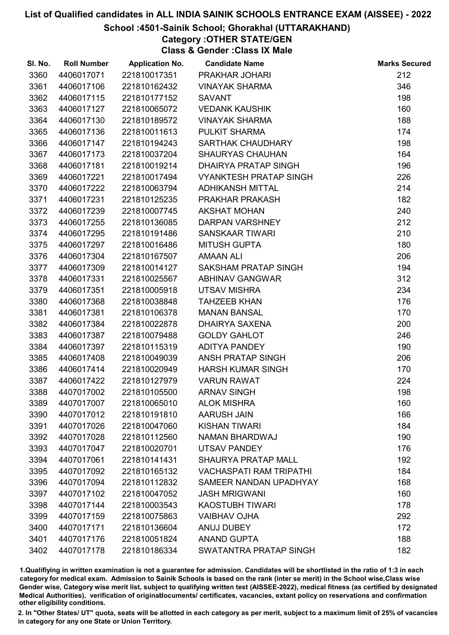## School :4501-Sainik School; Ghorakhal (UTTARAKHAND)

Category :OTHER STATE/GEN

Class & Gender :Class IX Male

| SI. No. | <b>Roll Number</b> | <b>Application No.</b> | <b>Candidate Name</b>          | <b>Marks Secured</b> |
|---------|--------------------|------------------------|--------------------------------|----------------------|
| 3360    | 4406017071         | 221810017351           | PRAKHAR JOHARI                 | 212                  |
| 3361    | 4406017106         | 221810162432           | <b>VINAYAK SHARMA</b>          | 346                  |
| 3362    | 4406017115         | 221810177152           | <b>SAVANT</b>                  | 198                  |
| 3363    | 4406017127         | 221810065072           | <b>VEDANK KAUSHIK</b>          | 160                  |
| 3364    | 4406017130         | 221810189572           | <b>VINAYAK SHARMA</b>          | 188                  |
| 3365    | 4406017136         | 221810011613           | PULKIT SHARMA                  | 174                  |
| 3366    | 4406017147         | 221810194243           | SARTHAK CHAUDHARY              | 198                  |
| 3367    | 4406017173         | 221810037204           | <b>SHAURYAS CHAUHAN</b>        | 164                  |
| 3368    | 4406017181         | 221810019214           | DHAIRYA PRATAP SINGH           | 196                  |
| 3369    | 4406017221         | 221810017494           | <b>VYANKTESH PRATAP SINGH</b>  | 226                  |
| 3370    | 4406017222         | 221810063794           | <b>ADHIKANSH MITTAL</b>        | 214                  |
| 3371    | 4406017231         | 221810125235           | PRAKHAR PRAKASH                | 182                  |
| 3372    | 4406017239         | 221810007745           | <b>AKSHAT MOHAN</b>            | 240                  |
| 3373    | 4406017255         | 221810136085           | <b>DARPAN VARSHNEY</b>         | 212                  |
| 3374    | 4406017295         | 221810191486           | <b>SANSKAAR TIWARI</b>         | 210                  |
| 3375    | 4406017297         | 221810016486           | <b>MITUSH GUPTA</b>            | 180                  |
| 3376    | 4406017304         | 221810167507           | <b>AMAAN ALI</b>               | 206                  |
| 3377    | 4406017309         | 221810014127           | SAKSHAM PRATAP SINGH           | 194                  |
| 3378    | 4406017331         | 221810025567           | <b>ABHINAV GANGWAR</b>         | 312                  |
| 3379    | 4406017351         | 221810005918           | <b>UTSAV MISHRA</b>            | 234                  |
| 3380    | 4406017368         | 221810038848           | <b>TAHZEEB KHAN</b>            | 176                  |
| 3381    | 4406017381         | 221810106378           | <b>MANAN BANSAL</b>            | 170                  |
| 3382    | 4406017384         | 221810022878           | <b>DHAIRYA SAXENA</b>          | 200                  |
| 3383    | 4406017387         | 221810079488           | <b>GOLDY GAHLOT</b>            | 246                  |
| 3384    | 4406017397         | 221810115319           | <b>ADITYA PANDEY</b>           | 190                  |
| 3385    | 4406017408         | 221810049039           | ANSH PRATAP SINGH              | 206                  |
| 3386    | 4406017414         | 221810020949           | <b>HARSH KUMAR SINGH</b>       | 170                  |
| 3387    | 4406017422         | 221810127979           | <b>VARUN RAWAT</b>             | 224                  |
| 3388    | 4407017002         | 221810105500           | <b>ARNAV SINGH</b>             | 198                  |
| 3389    | 4407017007         | 221810065010           | <b>ALOK MISHRA</b>             | 160                  |
| 3390    | 4407017012         | 221810191810           | AARUSH JAIN                    | 166                  |
| 3391    | 4407017026         | 221810047060           | <b>KISHAN TIWARI</b>           | 184                  |
| 3392    | 4407017028         | 221810112560           | <b>NAMAN BHARDWAJ</b>          | 190                  |
| 3393    | 4407017047         | 221810020701           | <b>UTSAV PANDEY</b>            | 176                  |
| 3394    | 4407017061         | 221810141431           | <b>SHAURYA PRATAP MALL</b>     | 192                  |
| 3395    | 4407017092         | 221810165132           | <b>VACHASPATI RAM TRIPATHI</b> | 184                  |
| 3396    | 4407017094         | 221810112832           | SAMEER NANDAN UPADHYAY         | 168                  |
| 3397    | 4407017102         | 221810047052           | <b>JASH MRIGWANI</b>           | 160                  |
| 3398    | 4407017144         | 221810003543           | <b>KAOSTUBH TIWARI</b>         | 178                  |
| 3399    | 4407017159         | 221810075863           | <b>VAIBHAV OJHA</b>            | 292                  |
| 3400    | 4407017171         | 221810136604           | <b>ANUJ DUBEY</b>              | 172                  |
| 3401    | 4407017176         | 221810051824           | <b>ANAND GUPTA</b>             | 188                  |
| 3402    | 4407017178         | 221810186334           | SWATANTRA PRATAP SINGH         | 182                  |

1.Qualifiying in written examination is not a guarantee for admission. Candidates will be shortlisted in the ratio of 1:3 in each category for medical exam. Admission to Sainik Schools is based on the rank (inter se merit) in the School wise,Class wise Gender wise, Category wise merit list, subject to qualifying written test (AISSEE-2022), medical fitness (as certified by designated Medical Authorities), verification of originablocuments/ certificates, vacancies, extant policy on reservations and confirmation other eligibility conditions.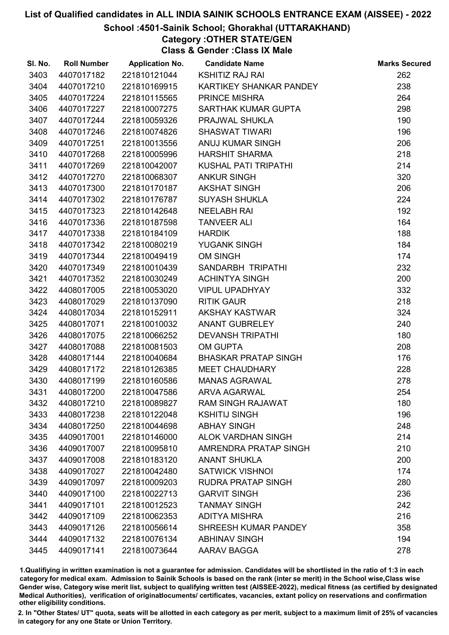## School :4501-Sainik School; Ghorakhal (UTTARAKHAND)

# Category :OTHER STATE/GEN

Class & Gender :Class IX Male

| SI. No. | <b>Roll Number</b> | <b>Application No.</b> | <b>Candidate Name</b>       | <b>Marks Secured</b> |
|---------|--------------------|------------------------|-----------------------------|----------------------|
| 3403    | 4407017182         | 221810121044           | <b>KSHITIZ RAJ RAI</b>      | 262                  |
| 3404    | 4407017210         | 221810169915           | KARTIKEY SHANKAR PANDEY     | 238                  |
| 3405    | 4407017224         | 221810115565           | PRINCE MISHRA               | 264                  |
| 3406    | 4407017227         | 221810007275           | SARTHAK KUMAR GUPTA         | 298                  |
| 3407    | 4407017244         | 221810059326           | PRAJWAL SHUKLA              | 190                  |
| 3408    | 4407017246         | 221810074826           | <b>SHASWAT TIWARI</b>       | 196                  |
| 3409    | 4407017251         | 221810013556           | ANUJ KUMAR SINGH            | 206                  |
| 3410    | 4407017268         | 221810005996           | <b>HARSHIT SHARMA</b>       | 218                  |
| 3411    | 4407017269         | 221810042007           | KUSHAL PATI TRIPATHI        | 214                  |
| 3412    | 4407017270         | 221810068307           | <b>ANKUR SINGH</b>          | 320                  |
| 3413    | 4407017300         | 221810170187           | <b>AKSHAT SINGH</b>         | 206                  |
| 3414    | 4407017302         | 221810176787           | SUYASH SHUKLA               | 224                  |
| 3415    | 4407017323         | 221810142648           | <b>NEELABH RAI</b>          | 192                  |
| 3416    | 4407017336         | 221810187598           | <b>TANVEER ALI</b>          | 164                  |
| 3417    | 4407017338         | 221810184109           | <b>HARDIK</b>               | 188                  |
| 3418    | 4407017342         | 221810080219           | <b>YUGANK SINGH</b>         | 184                  |
| 3419    | 4407017344         | 221810049419           | <b>OM SINGH</b>             | 174                  |
| 3420    | 4407017349         | 221810010439           | SANDARBH TRIPATHI           | 232                  |
| 3421    | 4407017352         | 221810030249           | <b>ACHINTYA SINGH</b>       | 200                  |
| 3422    | 4408017005         | 221810053020           | <b>VIPUL UPADHYAY</b>       | 332                  |
| 3423    | 4408017029         | 221810137090           | <b>RITIK GAUR</b>           | 218                  |
| 3424    | 4408017034         | 221810152911           | AKSHAY KASTWAR              | 324                  |
| 3425    | 4408017071         | 221810010032           | ANANT GUBRELEY              | 240                  |
| 3426    | 4408017075         | 221810066252           | <b>DEVANSH TRIPATHI</b>     | 180                  |
| 3427    | 4408017088         | 221810081503           | <b>OM GUPTA</b>             | 208                  |
| 3428    | 4408017144         | 221810040684           | <b>BHASKAR PRATAP SINGH</b> | 176                  |
| 3429    | 4408017172         | 221810126385           | <b>MEET CHAUDHARY</b>       | 228                  |
| 3430    | 4408017199         | 221810160586           | <b>MANAS AGRAWAL</b>        | 278                  |
| 3431    | 4408017200         | 221810047586           | <b>ARVA AGARWAL</b>         | 254                  |
| 3432    | 4408017210         | 221810089827           | <b>RAM SINGH RAJAWAT</b>    | 180                  |
| 3433    | 4408017238         | 221810122048           | <b>KSHITIJ SINGH</b>        | 196                  |
| 3434    | 4408017250         | 221810044698           | <b>ABHAY SINGH</b>          | 248                  |
| 3435    | 4409017001         | 221810146000           | <b>ALOK VARDHAN SINGH</b>   | 214                  |
| 3436    | 4409017007         | 221810095810           | AMRENDRA PRATAP SINGH       | 210                  |
| 3437    | 4409017008         | 221810183120           | <b>ANANT SHUKLA</b>         | 200                  |
| 3438    | 4409017027         | 221810042480           | <b>SATWICK VISHNOI</b>      | 174                  |
| 3439    | 4409017097         | 221810009203           | <b>RUDRA PRATAP SINGH</b>   | 280                  |
| 3440    | 4409017100         | 221810022713           | <b>GARVIT SINGH</b>         | 236                  |
| 3441    | 4409017101         | 221810012523           | <b>TANMAY SINGH</b>         | 242                  |
| 3442    | 4409017109         | 221810062353           | <b>ADITYA MISHRA</b>        | 216                  |
| 3443    | 4409017126         | 221810056614           | SHREESH KUMAR PANDEY        | 358                  |
| 3444    | 4409017132         | 221810076134           | <b>ABHINAV SINGH</b>        | 194                  |
| 3445    | 4409017141         | 221810073644           | AARAV BAGGA                 | 278                  |

1.Qualifiying in written examination is not a guarantee for admission. Candidates will be shortlisted in the ratio of 1:3 in each category for medical exam. Admission to Sainik Schools is based on the rank (inter se merit) in the School wise,Class wise Gender wise, Category wise merit list, subject to qualifying written test (AISSEE-2022), medical fitness (as certified by designated Medical Authorities), verification of originablocuments/ certificates, vacancies, extant policy on reservations and confirmation other eligibility conditions.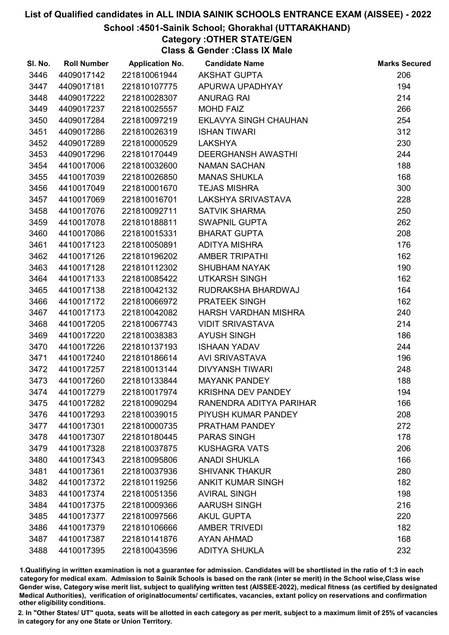## School :4501-Sainik School; Ghorakhal (UTTARAKHAND)

Category :OTHER STATE/GEN

Class & Gender :Class IX Male

| SI. No. | <b>Roll Number</b> | <b>Application No.</b> | <b>Candidate Name</b>     | <b>Marks Secured</b> |
|---------|--------------------|------------------------|---------------------------|----------------------|
| 3446    | 4409017142         | 221810061944           | <b>AKSHAT GUPTA</b>       | 206                  |
| 3447    | 4409017181         | 221810107775           | APURWA UPADHYAY           | 194                  |
| 3448    | 4409017222         | 221810028307           | <b>ANURAG RAI</b>         | 214                  |
| 3449    | 4409017237         | 221810025557           | <b>MOHD FAIZ</b>          | 266                  |
| 3450    | 4409017284         | 221810097219           | EKLAVYA SINGH CHAUHAN     | 254                  |
| 3451    | 4409017286         | 221810026319           | <b>ISHAN TIWARI</b>       | 312                  |
| 3452    | 4409017289         | 221810000529           | <b>LAKSHYA</b>            | 230                  |
| 3453    | 4409017296         | 221810170449           | <b>DEERGHANSH AWASTHI</b> | 244                  |
| 3454    | 4410017006         | 221810032600           | <b>NAMAN SACHAN</b>       | 188                  |
| 3455    | 4410017039         | 221810026850           | <b>MANAS SHUKLA</b>       | 168                  |
| 3456    | 4410017049         | 221810001670           | <b>TEJAS MISHRA</b>       | 300                  |
| 3457    | 4410017069         | 221810016701           | LAKSHYA SRIVASTAVA        | 228                  |
| 3458    | 4410017076         | 221810092711           | <b>SATVIK SHARMA</b>      | 250                  |
| 3459    | 4410017078         | 221810188811           | <b>SWAPNIL GUPTA</b>      | 262                  |
| 3460    | 4410017086         | 221810015331           | <b>BHARAT GUPTA</b>       | 208                  |
| 3461    | 4410017123         | 221810050891           | <b>ADITYA MISHRA</b>      | 176                  |
| 3462    | 4410017126         | 221810196202           | <b>AMBER TRIPATHI</b>     | 162                  |
| 3463    | 4410017128         | 221810112302           | <b>SHUBHAM NAYAK</b>      | 190                  |
| 3464    | 4410017133         | 221810085422           | <b>UTKARSH SINGH</b>      | 162                  |
| 3465    | 4410017138         | 221810042132           | RUDRAKSHA BHARDWAJ        | 164                  |
| 3466    | 4410017172         | 221810066972           | PRATEEK SINGH             | 162                  |
| 3467    | 4410017173         | 221810042082           | HARSH VARDHAN MISHRA      | 240                  |
| 3468    | 4410017205         | 221810067743           | <b>VIDIT SRIVASTAVA</b>   | 214                  |
| 3469    | 4410017220         | 221810038383           | <b>AYUSH SINGH</b>        | 186                  |
| 3470    | 4410017226         | 221810137193           | <b>ISHAAN YADAV</b>       | 244                  |
| 3471    | 4410017240         | 221810186614           | <b>AVI SRIVASTAVA</b>     | 196                  |
| 3472    | 4410017257         | 221810013144           | <b>DIVYANSH TIWARI</b>    | 248                  |
| 3473    | 4410017260         | 221810133844           | <b>MAYANK PANDEY</b>      | 188                  |
| 3474    | 4410017279         | 221810017974           | <b>KRISHNA DEV PANDEY</b> | 194                  |
| 3475    | 4410017282         | 221810090294           | RANENDRA ADITYA PARIHAR   | 166                  |
| 3476    | 4410017293         | 221810039015           | PIYUSH KUMAR PANDEY       | 208                  |
| 3477    | 4410017301         | 221810000735           | PRATHAM PANDEY            | 272                  |
| 3478    | 4410017307         | 221810180445           | <b>PARAS SINGH</b>        | 178                  |
| 3479    | 4410017328         | 221810037875           | <b>KUSHAGRA VATS</b>      | 206                  |
| 3480    | 4410017343         | 221810095806           | <b>ANADI SHUKLA</b>       | 166                  |
| 3481    | 4410017361         | 221810037936           | <b>SHIVANK THAKUR</b>     | 280                  |
| 3482    | 4410017372         | 221810119256           | <b>ANKIT KUMAR SINGH</b>  | 182                  |
| 3483    | 4410017374         | 221810051356           | <b>AVIRAL SINGH</b>       | 198                  |
| 3484    | 4410017375         | 221810009366           | <b>AARUSH SINGH</b>       | 216                  |
| 3485    | 4410017377         | 221810097566           | <b>AKUL GUPTA</b>         | 220                  |
| 3486    | 4410017379         | 221810106666           | <b>AMBER TRIVEDI</b>      | 182                  |
| 3487    | 4410017387         | 221810141876           | <b>AYAN AHMAD</b>         | 168                  |
| 3488    | 4410017395         | 221810043596           | <b>ADITYA SHUKLA</b>      | 232                  |

1.Qualifiying in written examination is not a guarantee for admission. Candidates will be shortlisted in the ratio of 1:3 in each category for medical exam. Admission to Sainik Schools is based on the rank (inter se merit) in the School wise,Class wise Gender wise, Category wise merit list, subject to qualifying written test (AISSEE-2022), medical fitness (as certified by designated Medical Authorities), verification of originablocuments/ certificates, vacancies, extant policy on reservations and confirmation other eligibility conditions.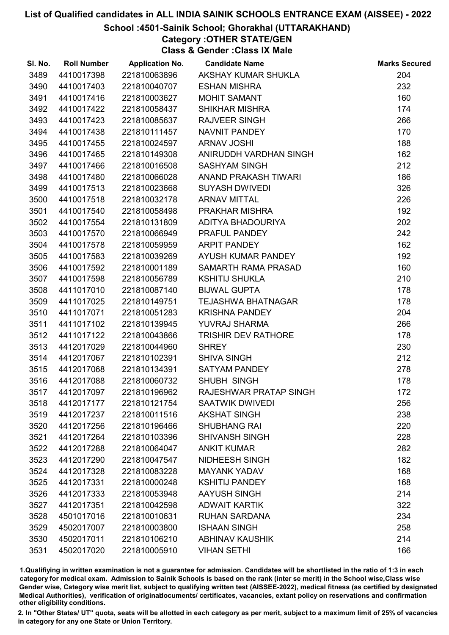## School :4501-Sainik School; Ghorakhal (UTTARAKHAND)

Category :OTHER STATE/GEN Class & Gender :Class IX Male

| SI. No. | <b>Roll Number</b> |              | <b>Application No. Candidate Name</b> | <b>Marks Secured</b> |
|---------|--------------------|--------------|---------------------------------------|----------------------|
| 3489    | 4410017398         | 221810063896 | AKSHAY KUMAR SHUKLA                   | 204                  |
| 3490    | 4410017403         | 221810040707 | <b>ESHAN MISHRA</b>                   | 232                  |
| 3491    | 4410017416         | 221810003627 | <b>MOHIT SAMANT</b>                   | 160                  |
| 3492    | 4410017422         | 221810058437 | <b>SHIKHAR MISHRA</b>                 | 174                  |
| 3493    | 4410017423         | 221810085637 | <b>RAJVEER SINGH</b>                  | 266                  |
| 3494    | 4410017438         | 221810111457 | NAVNIT PANDEY                         | 170                  |
| 3495    | 4410017455         | 221810024597 | <b>ARNAV JOSHI</b>                    | 188                  |
| 3496    | 4410017465         | 221810149308 | ANIRUDDH VARDHAN SINGH                | 162                  |
| 3497    | 4410017466         | 221810016508 | <b>SASHYAM SINGH</b>                  | 212                  |
| 3498    | 4410017480         | 221810066028 | ANAND PRAKASH TIWARI                  | 186                  |
| 3499    | 4410017513         | 221810023668 | <b>SUYASH DWIVEDI</b>                 | 326                  |
| 3500    | 4410017518         | 221810032178 | <b>ARNAV MITTAL</b>                   | 226                  |
| 3501    | 4410017540         | 221810058498 | <b>PRAKHAR MISHRA</b>                 | 192                  |
| 3502    | 4410017554         | 221810131809 | ADITYA BHADOURIYA                     | 202                  |
| 3503    | 4410017570         | 221810066949 | PRAFUL PANDEY                         | 242                  |
| 3504    | 4410017578         | 221810059959 | <b>ARPIT PANDEY</b>                   | 162                  |
| 3505    | 4410017583         | 221810039269 | AYUSH KUMAR PANDEY                    | 192                  |
| 3506    | 4410017592         | 221810001189 | SAMARTH RAMA PRASAD                   | 160                  |
| 3507    | 4410017598         | 221810056789 | <b>KSHITIJ SHUKLA</b>                 | 210                  |
| 3508    | 4411017010         | 221810087140 | <b>BIJWAL GUPTA</b>                   | 178                  |
| 3509    | 4411017025         | 221810149751 | <b>TEJASHWA BHATNAGAR</b>             | 178                  |
| 3510    | 4411017071         | 221810051283 | <b>KRISHNA PANDEY</b>                 | 204                  |
| 3511    | 4411017102         | 221810139945 | YUVRAJ SHARMA                         | 266                  |
| 3512    | 4411017122         | 221810043866 | <b>TRISHIR DEV RATHORE</b>            | 178                  |
| 3513    | 4412017029         | 221810044960 | <b>SHREY</b>                          | 230                  |
| 3514    | 4412017067         | 221810102391 | <b>SHIVA SINGH</b>                    | 212                  |
| 3515    | 4412017068         | 221810134391 | <b>SATYAM PANDEY</b>                  | 278                  |
| 3516    | 4412017088         | 221810060732 | SHUBH SINGH                           | 178                  |
| 3517    | 4412017097         | 221810196962 | RAJESHWAR PRATAP SINGH                | 172                  |
| 3518    | 4412017177         | 221810121754 | SAATWIK DWIVEDI                       | 256                  |
| 3519    | 4412017237         | 221810011516 | <b>AKSHAT SINGH</b>                   | 238                  |
| 3520    | 4412017256         | 221810196466 | <b>SHUBHANG RAI</b>                   | 220                  |
| 3521    | 4412017264         | 221810103396 | <b>SHIVANSH SINGH</b>                 | 228                  |
| 3522    | 4412017288         | 221810064047 | <b>ANKIT KUMAR</b>                    | 282                  |
| 3523    | 4412017290         | 221810047547 | NIDHEESH SINGH                        | 182                  |
| 3524    | 4412017328         | 221810083228 | <b>MAYANK YADAV</b>                   | 168                  |
| 3525    | 4412017331         | 221810000248 | <b>KSHITIJ PANDEY</b>                 | 168                  |
| 3526    | 4412017333         | 221810053948 | AAYUSH SINGH                          | 214                  |
| 3527    | 4412017351         | 221810042598 | <b>ADWAIT KARTIK</b>                  | 322                  |
| 3528    | 4501017016         | 221810010631 | <b>RUHAN SARDANA</b>                  | 234                  |
| 3529    | 4502017007         | 221810003800 | <b>ISHAAN SINGH</b>                   | 258                  |
| 3530    | 4502017011         | 221810106210 | <b>ABHINAV KAUSHIK</b>                | 214                  |
| 3531    | 4502017020         | 221810005910 | <b>VIHAN SETHI</b>                    | 166                  |

1.Qualifiying in written examination is not a guarantee for admission. Candidates will be shortlisted in the ratio of 1:3 in each category for medical exam. Admission to Sainik Schools is based on the rank (inter se merit) in the School wise,Class wise Gender wise, Category wise merit list, subject to qualifying written test (AISSEE-2022), medical fitness (as certified by designated Medical Authorities), verification of originablocuments/ certificates, vacancies, extant policy on reservations and confirmation other eligibility conditions.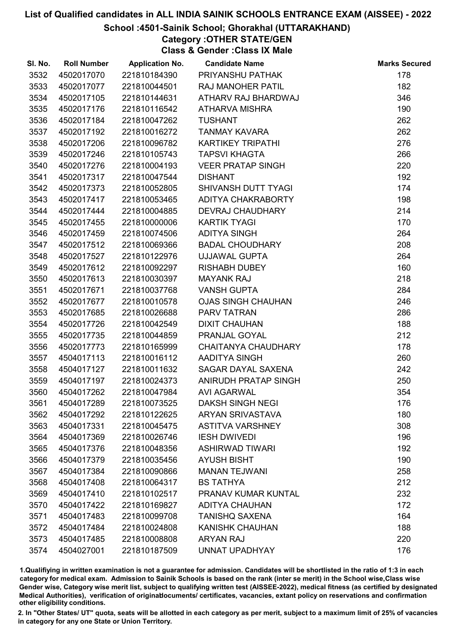## School :4501-Sainik School; Ghorakhal (UTTARAKHAND)

Category :OTHER STATE/GEN Class & Gender :Class IX Male

| SI. No. | <b>Roll Number</b> | <b>Application No.</b> | <b>Candidate Name</b>      | <b>Marks Secured</b> |
|---------|--------------------|------------------------|----------------------------|----------------------|
| 3532    | 4502017070         | 221810184390           | PRIYANSHU PATHAK           | 178                  |
| 3533    | 4502017077         | 221810044501           | <b>RAJ MANOHER PATIL</b>   | 182                  |
| 3534    | 4502017105         | 221810144631           | ATHARV RAJ BHARDWAJ        | 346                  |
| 3535    | 4502017176         | 221810116542           | <b>ATHARVA MISHRA</b>      | 190                  |
| 3536    | 4502017184         | 221810047262           | <b>TUSHANT</b>             | 262                  |
| 3537    | 4502017192         | 221810016272           | <b>TANMAY KAVARA</b>       | 262                  |
| 3538    | 4502017206         | 221810096782           | <b>KARTIKEY TRIPATHI</b>   | 276                  |
| 3539    | 4502017246         | 221810105743           | <b>TAPSVI KHAGTA</b>       | 266                  |
| 3540    | 4502017276         | 221810004193           | <b>VEER PRATAP SINGH</b>   | 220                  |
| 3541    | 4502017317         | 221810047544           | <b>DISHANT</b>             | 192                  |
| 3542    | 4502017373         | 221810052805           | SHIVANSH DUTT TYAGI        | 174                  |
| 3543    | 4502017417         | 221810053465           | ADITYA CHAKRABORTY         | 198                  |
| 3544    | 4502017444         | 221810004885           | <b>DEVRAJ CHAUDHARY</b>    | 214                  |
| 3545    | 4502017455         | 221810000006           | <b>KARTIK TYAGI</b>        | 170                  |
| 3546    | 4502017459         | 221810074506           | <b>ADITYA SINGH</b>        | 264                  |
| 3547    | 4502017512         | 221810069366           | <b>BADAL CHOUDHARY</b>     | 208                  |
| 3548    | 4502017527         | 221810122976           | <b>UJJAWAL GUPTA</b>       | 264                  |
| 3549    | 4502017612         | 221810092297           | <b>RISHABH DUBEY</b>       | 160                  |
| 3550    | 4502017613         | 221810030397           | <b>MAYANK RAJ</b>          | 218                  |
| 3551    | 4502017671         | 221810037768           | <b>VANSH GUPTA</b>         | 284                  |
| 3552    | 4502017677         | 221810010578           | <b>OJAS SINGH CHAUHAN</b>  | 246                  |
| 3553    | 4502017685         | 221810026688           | PARV TATRAN                | 286                  |
| 3554    | 4502017726         | 221810042549           | <b>DIXIT CHAUHAN</b>       | 188                  |
| 3555    | 4502017735         | 221810044859           | PRANJAL GOYAL              | 212                  |
| 3556    | 4502017773         | 221810165999           | <b>CHAITANYA CHAUDHARY</b> | 178                  |
| 3557    | 4504017113         | 221810016112           | AADITYA SINGH              | 260                  |
| 3558    | 4504017127         | 221810011632           | SAGAR DAYAL SAXENA         | 242                  |
| 3559    | 4504017197         | 221810024373           | ANIRUDH PRATAP SINGH       | 250                  |
| 3560    | 4504017262         | 221810047984           | <b>AVI AGARWAL</b>         | 354                  |
| 3561    | 4504017289         | 221810073525           | <b>DAKSH SINGH NEGI</b>    | 176                  |
| 3562    | 4504017292         | 221810122625           | <b>ARYAN SRIVASTAVA</b>    | 180                  |
| 3563    | 4504017331         | 221810045475           | <b>ASTITVA VARSHNEY</b>    | 308                  |
| 3564    | 4504017369         | 221810026746           | <b>IESH DWIVEDI</b>        | 196                  |
| 3565    | 4504017376         | 221810048356           | <b>ASHIRWAD TIWARI</b>     | 192                  |
| 3566    | 4504017379         | 221810035456           | <b>AYUSH BISHT</b>         | 190                  |
| 3567    | 4504017384         | 221810090866           | <b>MANAN TEJWANI</b>       | 258                  |
| 3568    | 4504017408         | 221810064317           | <b>BS TATHYA</b>           | 212                  |
| 3569    | 4504017410         | 221810102517           | PRANAV KUMAR KUNTAL        | 232                  |
| 3570    | 4504017422         | 221810169827           | <b>ADITYA CHAUHAN</b>      | 172                  |
| 3571    | 4504017483         | 221810099708           | <b>TANISHQ SAXENA</b>      | 164                  |
| 3572    | 4504017484         | 221810024808           | <b>KANISHK CHAUHAN</b>     | 188                  |
| 3573    | 4504017485         | 221810008808           | <b>ARYAN RAJ</b>           | 220                  |
| 3574    | 4504027001         | 221810187509           | <b>UNNAT UPADHYAY</b>      | 176                  |

1.Qualifiying in written examination is not a guarantee for admission. Candidates will be shortlisted in the ratio of 1:3 in each category for medical exam. Admission to Sainik Schools is based on the rank (inter se merit) in the School wise,Class wise Gender wise, Category wise merit list, subject to qualifying written test (AISSEE-2022), medical fitness (as certified by designated Medical Authorities), verification of originablocuments/ certificates, vacancies, extant policy on reservations and confirmation other eligibility conditions.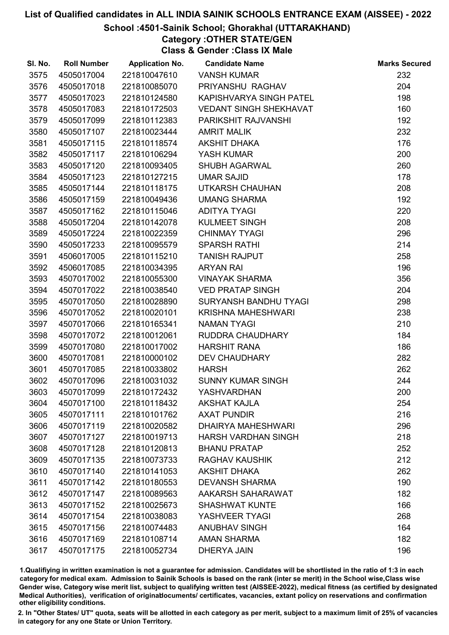## School :4501-Sainik School; Ghorakhal (UTTARAKHAND)

# Category :OTHER STATE/GEN

Class & Gender :Class IX Male

| SI. No. | <b>Roll Number</b> | <b>Application No.</b> | <b>Candidate Name</b>         | <b>Marks Secured</b> |
|---------|--------------------|------------------------|-------------------------------|----------------------|
| 3575    | 4505017004         | 221810047610           | <b>VANSH KUMAR</b>            | 232                  |
| 3576    | 4505017018         | 221810085070           | PRIYANSHU RAGHAV              | 204                  |
| 3577    | 4505017023         | 221810124580           | KAPISHVARYA SINGH PATEL       | 198                  |
| 3578    | 4505017083         | 221810172503           | <b>VEDANT SINGH SHEKHAVAT</b> | 160                  |
| 3579    | 4505017099         | 221810112383           | PARIKSHIT RAJVANSHI           | 192                  |
| 3580    | 4505017107         | 221810023444           | <b>AMRIT MALIK</b>            | 232                  |
| 3581    | 4505017115         | 221810118574           | AKSHIT DHAKA                  | 176                  |
| 3582    | 4505017117         | 221810106294           | YASH KUMAR                    | 200                  |
| 3583    | 4505017120         | 221810093405           | <b>SHUBH AGARWAL</b>          | 260                  |
| 3584    | 4505017123         | 221810127215           | <b>UMAR SAJID</b>             | 178                  |
| 3585    | 4505017144         | 221810118175           | UTKARSH CHAUHAN               | 208                  |
| 3586    | 4505017159         | 221810049436           | <b>UMANG SHARMA</b>           | 192                  |
| 3587    | 4505017162         | 221810115046           | <b>ADITYA TYAGI</b>           | 220                  |
| 3588    | 4505017204         | 221810142078           | <b>KULMEET SINGH</b>          | 208                  |
| 3589    | 4505017224         | 221810022359           | <b>CHINMAY TYAGI</b>          | 296                  |
| 3590    | 4505017233         | 221810095579           | <b>SPARSH RATHI</b>           | 214                  |
| 3591    | 4506017005         | 221810115210           | <b>TANISH RAJPUT</b>          | 258                  |
| 3592    | 4506017085         | 221810034395           | <b>ARYAN RAI</b>              | 196                  |
| 3593    | 4507017002         | 221810055300           | <b>VINAYAK SHARMA</b>         | 356                  |
| 3594    | 4507017022         | 221810038540           | <b>VED PRATAP SINGH</b>       | 204                  |
| 3595    | 4507017050         | 221810028890           | SURYANSH BANDHU TYAGI         | 298                  |
| 3596    | 4507017052         | 221810020101           | <b>KRISHNA MAHESHWARI</b>     | 238                  |
| 3597    | 4507017066         | 221810165341           | <b>NAMAN TYAGI</b>            | 210                  |
| 3598    | 4507017072         | 221810012061           | RUDDRA CHAUDHARY              | 184                  |
| 3599    | 4507017080         | 221810017002           | <b>HARSHIT RANA</b>           | 186                  |
| 3600    | 4507017081         | 221810000102           | <b>DEV CHAUDHARY</b>          | 282                  |
| 3601    | 4507017085         | 221810033802           | <b>HARSH</b>                  | 262                  |
| 3602    | 4507017096         | 221810031032           | <b>SUNNY KUMAR SINGH</b>      | 244                  |
| 3603    | 4507017099         | 221810172432           | <b>YASHVARDHAN</b>            | 200                  |
| 3604    | 4507017100         | 221810118432           | <b>AKSHAT KAJLA</b>           | 254                  |
| 3605    | 4507017111         | 221810101762           | <b>AXAT PUNDIR</b>            | 216                  |
| 3606    | 4507017119         | 221810020582           | <b>DHAIRYA MAHESHWARI</b>     | 296                  |
| 3607    | 4507017127         | 221810019713           | <b>HARSH VARDHAN SINGH</b>    | 218                  |
| 3608    | 4507017128         | 221810120813           | <b>BHANU PRATAP</b>           | 252                  |
| 3609    | 4507017135         | 221810073733           | <b>RAGHAV KAUSHIK</b>         | 212                  |
| 3610    | 4507017140         | 221810141053           | <b>AKSHIT DHAKA</b>           | 262                  |
| 3611    | 4507017142         | 221810180553           | <b>DEVANSH SHARMA</b>         | 190                  |
| 3612    | 4507017147         | 221810089563           | AAKARSH SAHARAWAT             | 182                  |
| 3613    | 4507017152         | 221810025673           | <b>SHASHWAT KUNTE</b>         | 166                  |
| 3614    | 4507017154         | 221810038083           | YASHVEER TYAGI                | 268                  |
| 3615    | 4507017156         | 221810074483           | <b>ANUBHAV SINGH</b>          | 164                  |
| 3616    | 4507017169         | 221810108714           | <b>AMAN SHARMA</b>            | 182                  |
| 3617    | 4507017175         | 221810052734           | <b>DHERYA JAIN</b>            | 196                  |

1.Qualifiying in written examination is not a guarantee for admission. Candidates will be shortlisted in the ratio of 1:3 in each category for medical exam. Admission to Sainik Schools is based on the rank (inter se merit) in the School wise,Class wise Gender wise, Category wise merit list, subject to qualifying written test (AISSEE-2022), medical fitness (as certified by designated Medical Authorities), verification of originablocuments/ certificates, vacancies, extant policy on reservations and confirmation other eligibility conditions.